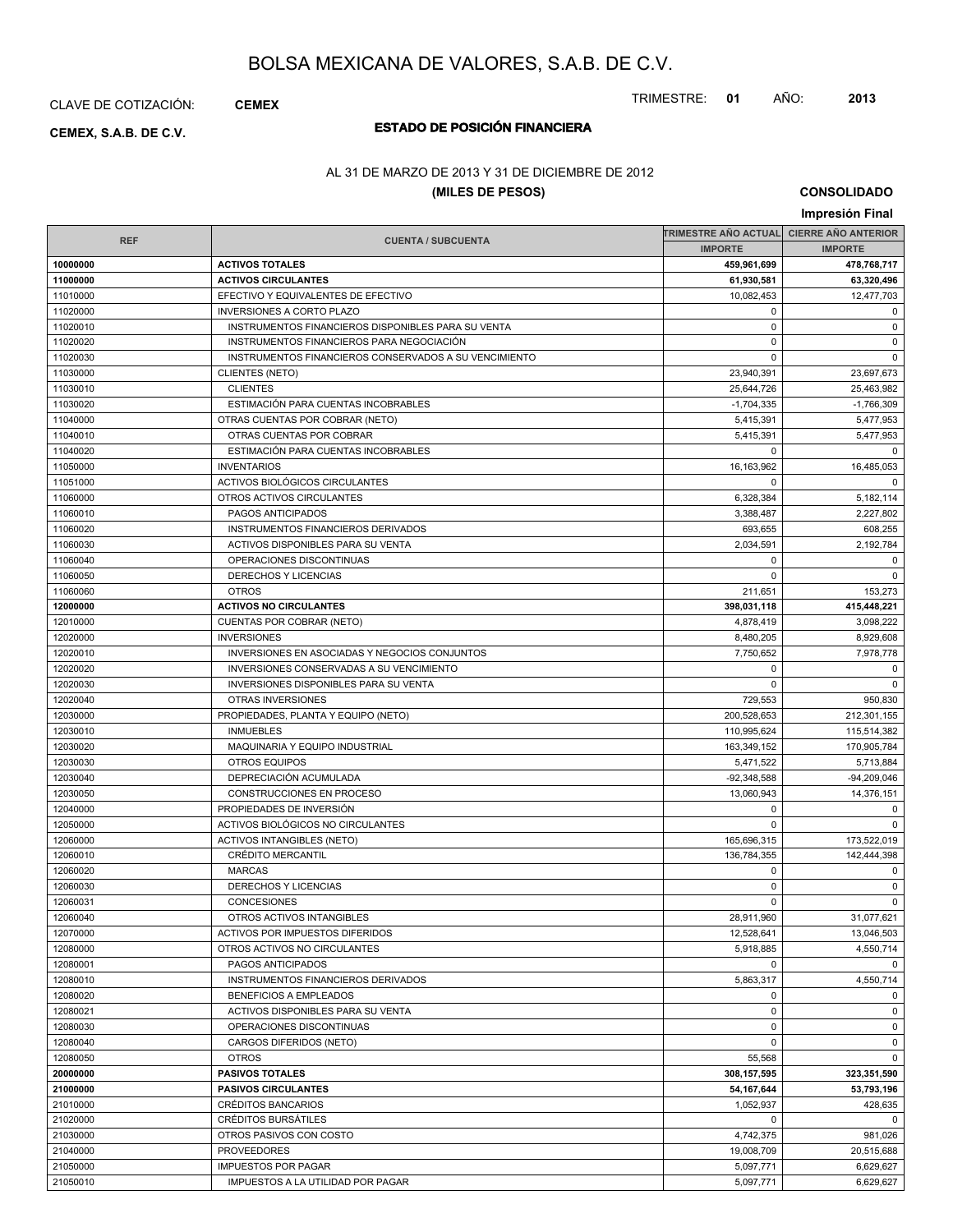CLAVE DE COTIZACIÓN: **CEMEX**

# **ESTADO DE POSICIÓN FINANCIERA CEMEX, S.A.B. DE C.V.**

### AL 31 DE MARZO DE 2013 Y 31 DE DICIEMBRE DE 2012

### **(MILES DE PESOS)**

**CONSOLIDADO**

TRIMESTRE: **01** AÑO: **2013**

|                      |                                                       |                            | Impresión Final            |
|----------------------|-------------------------------------------------------|----------------------------|----------------------------|
|                      |                                                       | TRIMESTRE AÑO ACTUAL       | <b>CIERRE AÑO ANTERIOR</b> |
| <b>REF</b>           | <b>CUENTA / SUBCUENTA</b>                             | <b>IMPORTE</b>             | <b>IMPORTE</b>             |
| 10000000             | <b>ACTIVOS TOTALES</b>                                | 459,961,699                | 478,768,717                |
| 11000000             | <b>ACTIVOS CIRCULANTES</b>                            | 61,930,581                 | 63,320,496                 |
| 11010000             | EFECTIVO Y EQUIVALENTES DE EFECTIVO                   | 10,082,453                 | 12,477,703                 |
| 11020000             | <b>INVERSIONES A CORTO PLAZO</b>                      | $\mathbf 0$                | 0                          |
| 11020010             | INSTRUMENTOS FINANCIEROS DISPONIBLES PARA SU VENTA    | $\mathbf 0$                | $\mathbf 0$                |
| 11020020             | INSTRUMENTOS FINANCIEROS PARA NEGOCIACIÓN             | $\mathbf 0$                | $\mathbf 0$                |
| 11020030             | INSTRUMENTOS FINANCIEROS CONSERVADOS A SU VENCIMIENTO | $\mathbf 0$                | $\mathbf 0$                |
| 11030000             | <b>CLIENTES (NETO)</b>                                | 23,940,391                 | 23,697,673                 |
| 11030010             | <b>CLIENTES</b>                                       | 25,644,726                 | 25,463,982                 |
| 11030020             | ESTIMACIÓN PARA CUENTAS INCOBRABLES                   | $-1.704.335$               | $-1,766,309$               |
| 11040000             | OTRAS CUENTAS POR COBRAR (NETO)                       | 5,415,391                  | 5,477,953                  |
| 11040010             | OTRAS CUENTAS POR COBRAR                              | 5,415,391                  | 5,477,953                  |
| 11040020             | ESTIMACIÓN PARA CUENTAS INCOBRABLES                   | $\mathbf 0$                | 0                          |
| 11050000             | <b>INVENTARIOS</b>                                    | 16,163,962                 | 16,485,053                 |
| 11051000             | <b>ACTIVOS BIOLÓGICOS CIRCULANTES</b>                 | 0                          | $\Omega$                   |
| 11060000             | OTROS ACTIVOS CIRCULANTES                             | 6,328,384                  | 5,182,114                  |
| 11060010             | PAGOS ANTICIPADOS                                     | 3,388,487                  | 2,227,802                  |
| 11060020             | INSTRUMENTOS FINANCIEROS DERIVADOS                    | 693,655                    | 608,255                    |
| 11060030             | ACTIVOS DISPONIBLES PARA SU VENTA                     | 2,034,591                  | 2,192,784                  |
| 11060040             | OPERACIONES DISCONTINUAS                              | 0                          | 0                          |
| 11060050             | DERECHOS Y LICENCIAS                                  | $\Omega$                   | $\mathbf 0$                |
| 11060060             | <b>OTROS</b>                                          | 211,651                    | 153,273                    |
| 12000000             | <b>ACTIVOS NO CIRCULANTES</b>                         | 398,031,118                | 415,448,221                |
| 12010000             | CUENTAS POR COBRAR (NETO)                             | 4,878,419                  | 3,098,222                  |
| 12020000             | <b>INVERSIONES</b>                                    | 8,480,205                  | 8,929,608                  |
| 12020010             | INVERSIONES EN ASOCIADAS Y NEGOCIOS CONJUNTOS         | 7,750,652                  | 7,978,778                  |
| 12020020             | INVERSIONES CONSERVADAS A SU VENCIMIENTO              | $\mathbf 0$                | 0                          |
| 12020030             | <b>INVERSIONES DISPONIBLES PARA SU VENTA</b>          | $\mathbf 0$                | $\mathbf 0$                |
| 12020040             | OTRAS INVERSIONES                                     | 729,553                    | 950,830                    |
| 12030000             | PROPIEDADES, PLANTA Y EQUIPO (NETO)                   | 200,528,653                | 212,301,155                |
| 12030010             | <b>INMUEBLES</b>                                      | 110,995,624                | 115,514,382                |
| 12030020             | MAQUINARIA Y EQUIPO INDUSTRIAL                        | 163,349,152                | 170,905,784                |
| 12030030             | <b>OTROS EQUIPOS</b><br>DEPRECIACIÓN ACUMULADA        | 5,471,522<br>$-92,348,588$ | 5,713,884<br>$-94,209,046$ |
| 12030040             | CONSTRUCCIONES EN PROCESO                             |                            |                            |
| 12030050             | PROPIEDADES DE INVERSIÓN                              | 13,060,943<br>$\mathbf 0$  | 14,376,151<br>$\mathbf 0$  |
| 12040000<br>12050000 | ACTIVOS BIOLÓGICOS NO CIRCULANTES                     | $\mathbf 0$                | 0                          |
| 12060000             | <b>ACTIVOS INTANGIBLES (NETO)</b>                     | 165,696,315                | 173,522,019                |
| 12060010             | <b>CRÉDITO MERCANTIL</b>                              | 136,784,355                | 142,444,398                |
| 12060020             | <b>MARCAS</b>                                         | $\mathbf 0$                | 0                          |
| 12060030             | DERECHOS Y LICENCIAS                                  | $\mathbf 0$                | $\mathbf 0$                |
| 12060031             | CONCESIONES                                           | 0                          | $\mathbf 0$                |
| 12060040             | OTROS ACTIVOS INTANGIBLES                             | 28,911,960                 | 31,077,621                 |
| 12070000             | ACTIVOS POR IMPUESTOS DIFERIDOS                       | 12,528,641                 | 13,046,503                 |
| 12080000             | OTROS ACTIVOS NO CIRCULANTES                          | 5,918,885                  | 4,550,714                  |
| 12080001             | PAGOS ANTICIPADOS                                     | 0                          | $\mathbf 0$                |
| 12080010             | INSTRUMENTOS FINANCIEROS DERIVADOS                    | 5,863,317                  | 4,550,714                  |
| 12080020             | BENEFICIOS A EMPLEADOS                                | 0                          | 0                          |
| 12080021             | ACTIVOS DISPONIBLES PARA SU VENTA                     | 0                          | $\mathbf 0$                |
| 12080030             | OPERACIONES DISCONTINUAS                              | $\mathbf 0$                | 0                          |
| 12080040             | CARGOS DIFERIDOS (NETO)                               | $\mathbf 0$                | $\mathbf 0$                |
| 12080050             | <b>OTROS</b>                                          | 55,568                     | $\mathbf 0$                |
| 20000000             | <b>PASIVOS TOTALES</b>                                | 308,157,595                | 323,351,590                |
| 21000000             | <b>PASIVOS CIRCULANTES</b>                            | 54, 167, 644               | 53,793,196                 |
| 21010000             | <b>CRÉDITOS BANCARIOS</b>                             | 1,052,937                  | 428,635                    |
| 21020000             | CRÉDITOS BURSÁTILES                                   | 0                          | $\mathbf{0}$               |
| 21030000             | OTROS PASIVOS CON COSTO                               | 4,742,375                  | 981,026                    |
| 21040000             | <b>PROVEEDORES</b>                                    | 19,008,709                 | 20,515,688                 |
| 21050000             | <b>IMPUESTOS POR PAGAR</b>                            | 5,097,771                  | 6,629,627                  |
| 21050010             | IMPUESTOS A LA UTILIDAD POR PAGAR                     | 5,097,771                  | 6,629,627                  |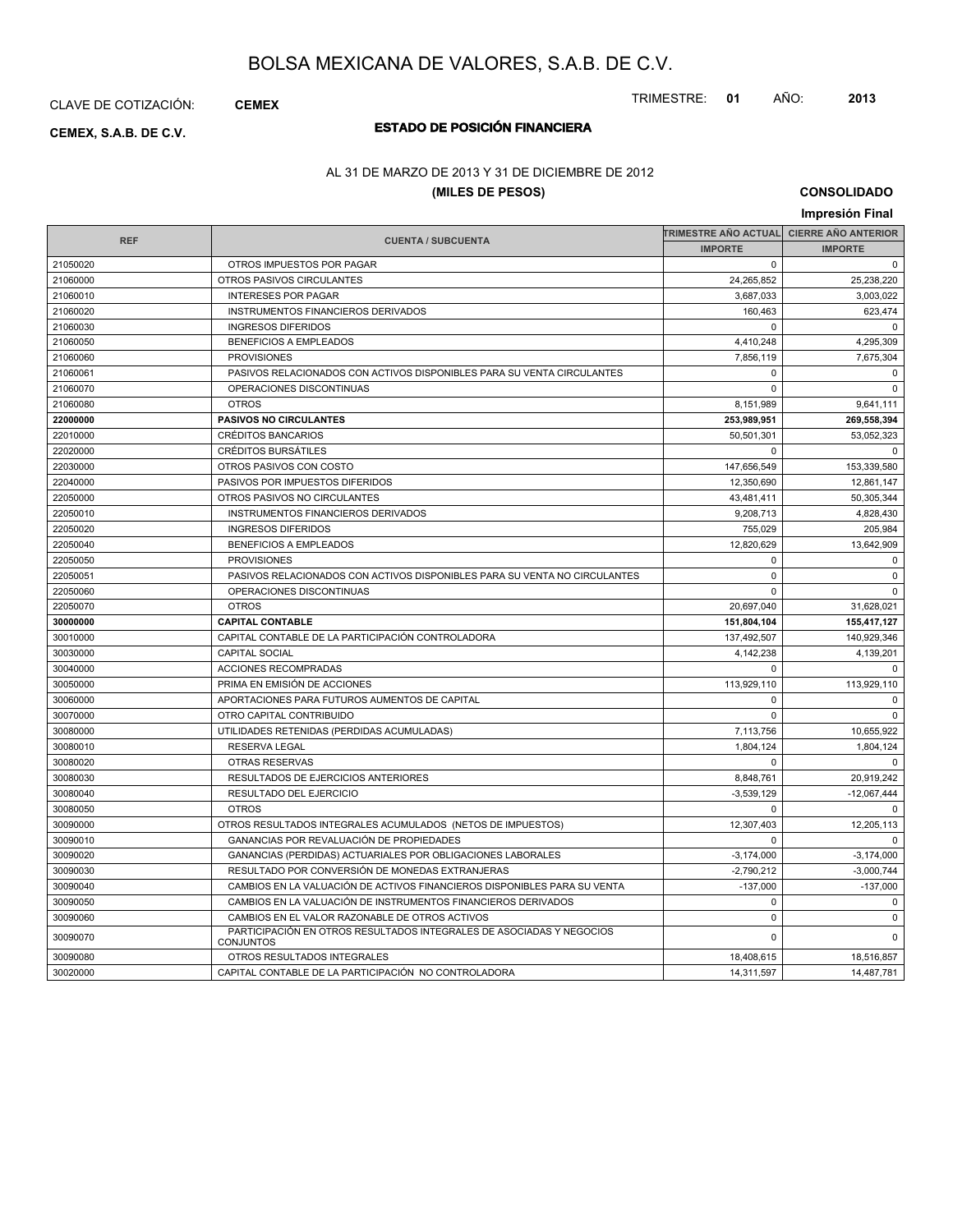CLAVE DE COTIZACIÓN: **CEMEX**

# **ESTADO DE POSICIÓN FINANCIERA CEMEX, S.A.B. DE C.V.**

### AL 31 DE MARZO DE 2013 Y 31 DE DICIEMBRE DE 2012

### **(MILES DE PESOS)**

**CONSOLIDADO**

| Impresión Final |                                                                                          |                      |                            |
|-----------------|------------------------------------------------------------------------------------------|----------------------|----------------------------|
|                 |                                                                                          | TRIMESTRE AÑO ACTUAL | <b>CIERRE AÑO ANTERIOR</b> |
| <b>REF</b>      | <b>CUENTA / SUBCUENTA</b>                                                                | <b>IMPORTE</b>       | <b>IMPORTE</b>             |
| 21050020        | OTROS IMPUESTOS POR PAGAR                                                                | $\Omega$             | $\mathbf 0$                |
| 21060000        | OTROS PASIVOS CIRCULANTES                                                                | 24,265,852           | 25,238,220                 |
| 21060010        | <b>INTERESES POR PAGAR</b>                                                               | 3,687,033            | 3,003,022                  |
| 21060020        | INSTRUMENTOS FINANCIEROS DERIVADOS                                                       | 160,463              | 623,474                    |
| 21060030        | <b>INGRESOS DIFERIDOS</b>                                                                | $\Omega$             | $\Omega$                   |
| 21060050        | <b>BENEFICIOS A EMPLEADOS</b>                                                            | 4,410,248            | 4,295,309                  |
| 21060060        | <b>PROVISIONES</b>                                                                       | 7,856,119            | 7,675,304                  |
| 21060061        | PASIVOS RELACIONADOS CON ACTIVOS DISPONIBLES PARA SU VENTA CIRCULANTES                   | $\mathbf 0$          | $\mathbf 0$                |
| 21060070        | OPERACIONES DISCONTINUAS                                                                 | $\mathbf 0$          | $\mathbf 0$                |
| 21060080        | <b>OTROS</b>                                                                             | 8,151,989            | 9,641,111                  |
| 22000000        | <b>PASIVOS NO CIRCULANTES</b>                                                            | 253,989,951          | 269,558,394                |
| 22010000        | <b>CRÉDITOS BANCARIOS</b>                                                                | 50,501,301           | 53,052,323                 |
| 22020000        | <b>CRÉDITOS BURSÁTILES</b>                                                               | $\Omega$             | $\mathbf 0$                |
| 22030000        | OTROS PASIVOS CON COSTO                                                                  | 147,656,549          | 153,339,580                |
| 22040000        | PASIVOS POR IMPUESTOS DIFERIDOS                                                          | 12,350,690           | 12,861,147                 |
| 22050000        | OTROS PASIVOS NO CIRCULANTES                                                             | 43,481,411           | 50,305,344                 |
| 22050010        | INSTRUMENTOS FINANCIEROS DERIVADOS                                                       | 9,208,713            | 4,828,430                  |
| 22050020        | <b>INGRESOS DIFERIDOS</b>                                                                | 755,029              | 205,984                    |
| 22050040        | <b>BENEFICIOS A EMPLEADOS</b>                                                            | 12,820,629           | 13,642,909                 |
| 22050050        | <b>PROVISIONES</b>                                                                       | $\Omega$             | $\mathbf 0$                |
| 22050051        | PASIVOS RELACIONADOS CON ACTIVOS DISPONIBLES PARA SU VENTA NO CIRCULANTES                | $\mathbf 0$          | $\mathbf 0$                |
| 22050060        | OPERACIONES DISCONTINUAS                                                                 | $\Omega$             | $\Omega$                   |
| 22050070        | <b>OTROS</b>                                                                             | 20,697,040           | 31,628,021                 |
| 30000000        | <b>CAPITAL CONTABLE</b>                                                                  | 151,804,104          | 155,417,127                |
| 30010000        | CAPITAL CONTABLE DE LA PARTICIPACIÓN CONTROLADORA                                        | 137,492,507          | 140,929,346                |
| 30030000        | <b>CAPITAL SOCIAL</b>                                                                    | 4,142,238            | 4,139,201                  |
| 30040000        | <b>ACCIONES RECOMPRADAS</b>                                                              | $\Omega$             | $\Omega$                   |
| 30050000        | PRIMA EN EMISIÓN DE ACCIONES                                                             | 113,929,110          | 113,929,110                |
| 30060000        | APORTACIONES PARA FUTUROS AUMENTOS DE CAPITAL                                            | $\mathbf 0$          | $\mathbf 0$                |
| 30070000        | OTRO CAPITAL CONTRIBUIDO                                                                 | $\Omega$             | $\Omega$                   |
| 30080000        | UTILIDADES RETENIDAS (PERDIDAS ACUMULADAS)                                               | 7,113,756            | 10,655,922                 |
| 30080010        | <b>RESERVA LEGAL</b>                                                                     | 1.804.124            | 1.804.124                  |
| 30080020        | <b>OTRAS RESERVAS</b>                                                                    | $\Omega$             | $\Omega$                   |
| 30080030        | RESULTADOS DE EJERCICIOS ANTERIORES                                                      | 8,848,761            | 20,919,242                 |
| 30080040        | RESULTADO DEL EJERCICIO                                                                  | $-3,539,129$         | $-12,067,444$              |
| 30080050        | <b>OTROS</b>                                                                             | $\Omega$             | $\mathbf 0$                |
| 30090000        | OTROS RESULTADOS INTEGRALES ACUMULADOS (NETOS DE IMPUESTOS)                              | 12,307,403           | 12.205.113                 |
| 30090010        | GANANCIAS POR REVALUACIÓN DE PROPIEDADES                                                 | $\Omega$             | $\Omega$                   |
| 30090020        | GANANCIAS (PERDIDAS) ACTUARIALES POR OBLIGACIONES LABORALES                              | $-3,174,000$         | $-3,174,000$               |
| 30090030        | RESULTADO POR CONVERSIÓN DE MONEDAS EXTRANJERAS                                          | $-2,790,212$         | $-3.000.744$               |
| 30090040        | CAMBIOS EN LA VALUACIÓN DE ACTIVOS FINANCIEROS DISPONIBLES PARA SU VENTA                 | $-137,000$           | $-137,000$                 |
| 30090050        | CAMBIOS EN LA VALUACIÓN DE INSTRUMENTOS FINANCIEROS DERIVADOS                            | $\Omega$             | $\Omega$                   |
| 30090060        | CAMBIOS EN EL VALOR RAZONABLE DE OTROS ACTIVOS                                           | $\mathbf 0$          | $\mathbf 0$                |
| 30090070        | PARTICIPACIÓN EN OTROS RESULTADOS INTEGRALES DE ASOCIADAS Y NEGOCIOS<br><b>CONJUNTOS</b> | $\Omega$             | $\mathbf 0$                |
| 30090080        | OTROS RESULTADOS INTEGRALES                                                              | 18,408,615           | 18,516,857                 |
| 30020000        | CAPITAL CONTABLE DE LA PARTICIPACIÓN NO CONTROLADORA                                     | 14,311,597           | 14,487,781                 |

TRIMESTRE: **01** AÑO: **2013**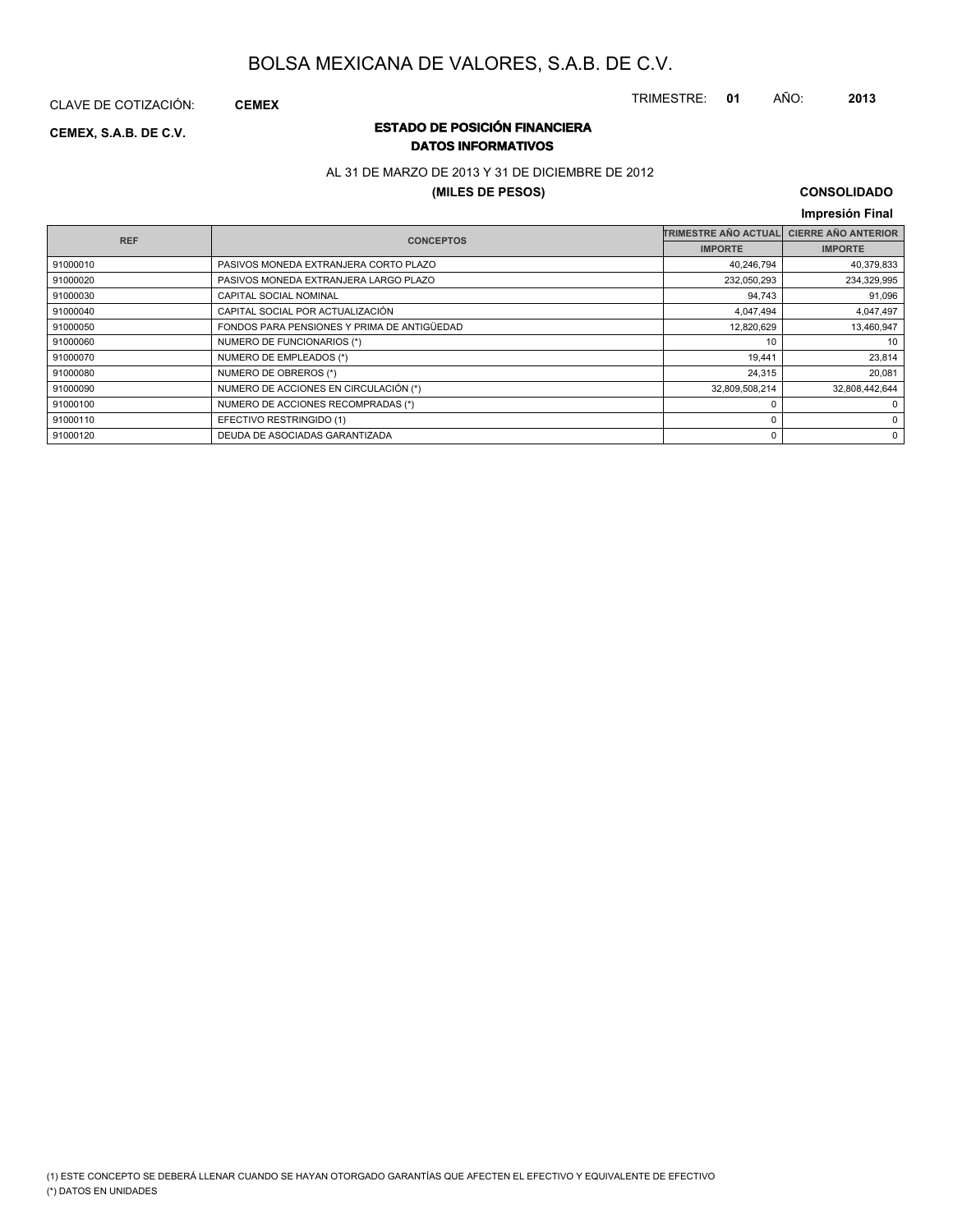CLAVE DE COTIZACIÓN: **CEMEX**

### **ESTADO DE POSICIÓN FINANCIERA CEMEX, S.A.B. DE C.V. DATOS INFORMATIVOS**

### AL 31 DE MARZO DE 2013 Y 31 DE DICIEMBRE DE 2012

### **(MILES DE PESOS)**

### **CONSOLIDADO**

TRIMESTRE: **01** AÑO: **2013**

### **Impresión Final**

|          | <b>REF</b><br><b>CONCEPTOS</b>              | <b>TRIMESTRE AÑO ACTUAL</b> | <b>CIERRE AÑO ANTERIOR</b> |
|----------|---------------------------------------------|-----------------------------|----------------------------|
|          |                                             | <b>IMPORTE</b>              | <b>IMPORTE</b>             |
| 91000010 | PASIVOS MONEDA EXTRANJERA CORTO PLAZO       | 40,246,794                  | 40,379,833                 |
| 91000020 | PASIVOS MONEDA EXTRANJERA LARGO PLAZO       | 232,050,293                 | 234,329,995                |
| 91000030 | CAPITAL SOCIAL NOMINAL                      | 94,743                      | 91,096                     |
| 91000040 | CAPITAL SOCIAL POR ACTUALIZACIÓN            | 4,047,494                   | 4,047,497                  |
| 91000050 | FONDOS PARA PENSIONES Y PRIMA DE ANTIGÜEDAD | 12,820,629                  | 13,460,947                 |
| 91000060 | NUMERO DE FUNCIONARIOS (*)                  | 10                          | 10                         |
| 91000070 | NUMERO DE EMPLEADOS (*)                     | 19,441                      | 23,814                     |
| 91000080 | NUMERO DE OBREROS (*)                       | 24,315                      | 20.081                     |
| 91000090 | NUMERO DE ACCIONES EN CIRCULACIÓN (*)       | 32,809,508,214              | 32,808,442,644             |
| 91000100 | NUMERO DE ACCIONES RECOMPRADAS (*)          |                             | 0                          |
| 91000110 | EFECTIVO RESTRINGIDO (1)                    |                             | 0                          |
| 91000120 | DEUDA DE ASOCIADAS GARANTIZADA              |                             | 0                          |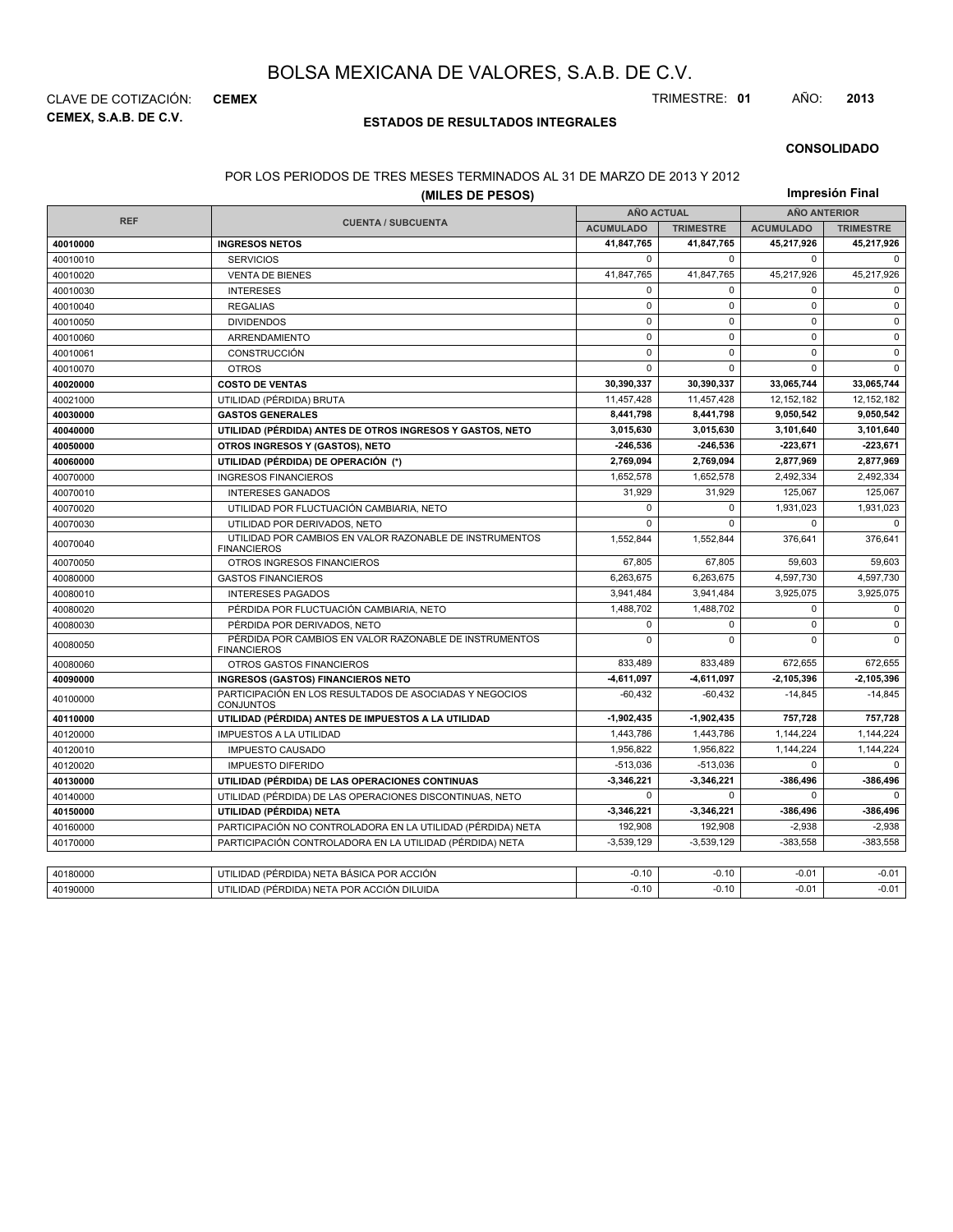**CEMEX, S.A.B. DE C.V.** CLAVE DE COTIZACIÓN: **CEMEX** TRIMESTRE: **01** AÑO: **2013**

### **ESTADOS DE RESULTADOS INTEGRALES**

#### **CONSOLIDADO**

#### POR LOS PERIODOS DE TRES MESES TERMINADOS AL 31 DE MARZO DE 2013 Y 2012

| (MILES DE PESOS) |                                                                               |                   | Impresión Final  |                     |                  |  |
|------------------|-------------------------------------------------------------------------------|-------------------|------------------|---------------------|------------------|--|
|                  |                                                                               | <b>AÑO ACTUAL</b> |                  | <b>AÑO ANTERIOR</b> |                  |  |
| <b>REF</b>       | <b>CUENTA / SUBCUENTA</b>                                                     | <b>ACUMULADO</b>  | <b>TRIMESTRE</b> | <b>ACUMULADO</b>    | <b>TRIMESTRE</b> |  |
| 40010000         | <b>INGRESOS NETOS</b>                                                         | 41,847,765        | 41,847,765       | 45,217,926          | 45,217,926       |  |
| 40010010         | <b>SERVICIOS</b>                                                              | $\mathbf 0$       | 0                | $\Omega$            | $\Omega$         |  |
| 40010020         | <b>VENTA DE BIENES</b>                                                        | 41,847,765        | 41,847,765       | 45,217,926          | 45,217,926       |  |
| 40010030         | <b>INTERESES</b>                                                              | $\mathbf 0$       | 0                | $\mathbf 0$         | $\mathbf 0$      |  |
| 40010040         | <b>REGALIAS</b>                                                               | $\pmb{0}$         | 0                | $\pmb{0}$           | $\mathsf 0$      |  |
| 40010050         | <b>DIVIDENDOS</b>                                                             | $\mathbf 0$       | $\mathbf 0$      | $\mathbf 0$         | $\mathbf 0$      |  |
| 40010060         | ARRENDAMIENTO                                                                 | $\mathbf 0$       | $\mathbf 0$      | 0                   | $\mathbf 0$      |  |
| 40010061         | CONSTRUCCIÓN                                                                  | $\mathbf 0$       | $\Omega$         | $\mathbf 0$         | $\mathbf 0$      |  |
| 40010070         | <b>OTROS</b>                                                                  | $\mathbf 0$       | 0                | $\mathbf 0$         | $\Omega$         |  |
| 40020000         | <b>COSTO DE VENTAS</b>                                                        | 30,390,337        | 30,390,337       | 33,065,744          | 33,065,744       |  |
| 40021000         | UTILIDAD (PÉRDIDA) BRUTA                                                      | 11,457,428        | 11,457,428       | 12,152,182          | 12,152,182       |  |
| 40030000         | <b>GASTOS GENERALES</b>                                                       | 8,441,798         | 8.441.798        | 9.050.542           | 9,050,542        |  |
| 40040000         | UTILIDAD (PÉRDIDA) ANTES DE OTROS INGRESOS Y GASTOS, NETO                     | 3,015,630         | 3,015,630        | 3,101,640           | 3,101,640        |  |
| 40050000         | OTROS INGRESOS Y (GASTOS), NETO                                               | $-246,536$        | $-246.536$       | 223.671             | $-223,671$       |  |
| 40060000         | UTILIDAD (PÉRDIDA) DE OPERACIÓN (*)                                           | 2,769,094         | 2,769,094        | 2,877,969           | 2,877,969        |  |
| 40070000         | <b>INGRESOS FINANCIEROS</b>                                                   | 1.652.578         | 1.652.578        | 2.492.334           | 2.492.334        |  |
| 40070010         | <b>INTERESES GANADOS</b>                                                      | 31,929            | 31,929           | 125,067             | 125,067          |  |
| 40070020         | UTILIDAD POR FLUCTUACIÓN CAMBIARIA, NETO                                      | $\mathbf 0$       |                  | 1,931,023           | 1,931,023        |  |
| 40070030         | UTILIDAD POR DERIVADOS, NETO                                                  | $\Omega$          | $\Omega$         | $\mathbf 0$         | $\mathbf 0$      |  |
| 40070040         | UTILIDAD POR CAMBIOS EN VALOR RAZONABLE DE INSTRUMENTOS<br><b>FINANCIEROS</b> | 1,552,844         | 1,552,844        | 376,641             | 376,641          |  |
| 40070050         | OTROS INGRESOS FINANCIEROS                                                    | 67.805            | 67.805           | 59.603              | 59.603           |  |
| 40080000         | <b>GASTOS FINANCIEROS</b>                                                     | 6,263,675         | 6,263,675        | 4,597,730           | 4,597,730        |  |
| 40080010         | <b>INTERESES PAGADOS</b>                                                      | 3,941,484         | 3,941,484        | 3,925,075           | 3,925,075        |  |
| 40080020         | PÉRDIDA POR FLUCTUACIÓN CAMBIARIA, NETO                                       | 1,488,702         | 1,488,702        | $\mathbf 0$         | 0                |  |
| 40080030         | PÉRDIDA POR DERIVADOS, NETO                                                   | $\mathbf 0$       | 0                | $\mathbf 0$         | $\mathbf 0$      |  |
| 40080050         | PÉRDIDA POR CAMBIOS EN VALOR RAZONABLE DE INSTRUMENTOS<br><b>FINANCIEROS</b>  | $\Omega$          | $\Omega$         | $\Omega$            | $\Omega$         |  |
| 40080060         | OTROS GASTOS FINANCIEROS                                                      | 833,489           | 833,489          | 672,655             | 672,655          |  |
| 40090000         | <b>INGRESOS (GASTOS) FINANCIEROS NETO</b>                                     | -4,611,097        | $-4,611,097$     | $-2,105,396$        | $-2,105,396$     |  |
| 40100000         | PARTICIPACIÓN EN LOS RESULTADOS DE ASOCIADAS Y NEGOCIOS<br><b>CONJUNTOS</b>   | $-60,432$         | $-60,432$        | $-14,845$           | $-14,845$        |  |
| 40110000         | UTILIDAD (PÉRDIDA) ANTES DE IMPUESTOS A LA UTILIDAD                           | $-1,902,435$      | $-1,902,435$     | 757,728             | 757,728          |  |
| 40120000         | <b>IMPUESTOS A LA UTILIDAD</b>                                                | 1,443,786         | 1,443,786        | 1,144,224           | 1,144,224        |  |
| 40120010         | <b>IMPUESTO CAUSADO</b>                                                       | 1,956,822         | 1,956,822        | 1,144,224           | 1,144,224        |  |
| 40120020         | <b>IMPUESTO DIFERIDO</b>                                                      | $-513,036$        | $-513.036$       | $\Omega$            | $\Omega$         |  |
| 40130000         | UTILIDAD (PÉRDIDA) DE LAS OPERACIONES CONTINUAS                               | $-3,346,221$      | -3,346,221       | -386,496            | -386,496         |  |
| 40140000         | UTILIDAD (PÉRDIDA) DE LAS OPERACIONES DISCONTINUAS, NETO                      | $\Omega$          | $\mathbf 0$      | $\mathbf 0$         | $\Omega$         |  |
| 40150000         | UTILIDAD (PÉRDIDA) NETA                                                       | $-3,346,221$      | $-3,346,221$     | -386,496            | $-386,496$       |  |
| 40160000         | PARTICIPACIÓN NO CONTROLADORA EN LA UTILIDAD (PÉRDIDA) NETA                   | 192,908           | 192,908          | $-2,938$            | $-2,938$         |  |
| 40170000         | PARTICIPACIÓN CONTROLADORA EN LA UTILIDAD (PÉRDIDA) NETA                      | $-3,539,129$      | $-3,539,129$     | $-383,558$          | $-383,558$       |  |
|                  |                                                                               |                   |                  |                     |                  |  |
| 40180000         | UTILIDAD (PÉRDIDA) NETA BÁSICA POR ACCIÓN                                     | $-0.10$           | $-0.10$          | $-0.01$             | $-0.01$          |  |
| 40190000         | UTILIDAD (PÉRDIDA) NETA POR ACCIÓN DILUIDA                                    | $-0.10$           | $-0.10$          | $-0.01$             | $-0.01$          |  |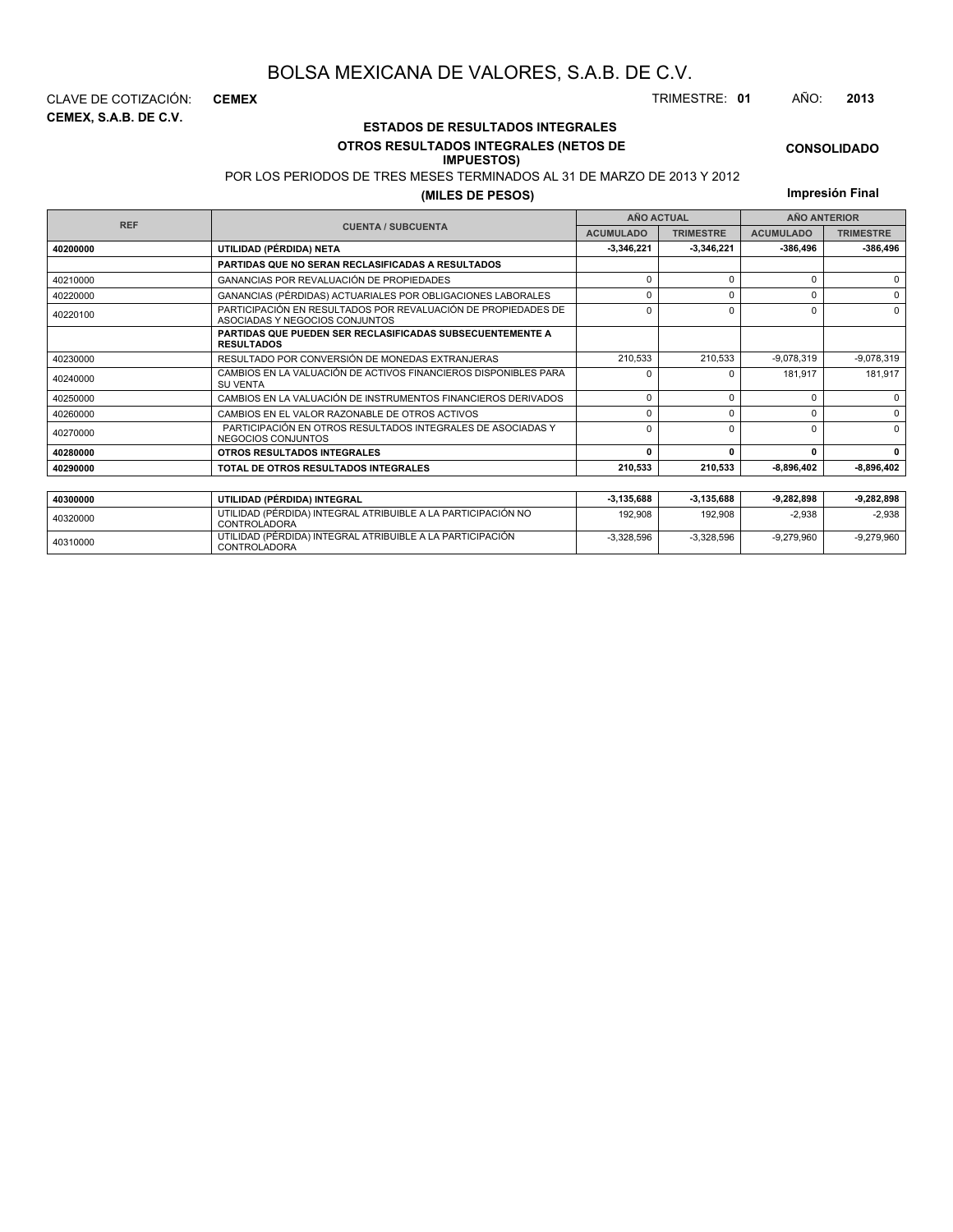# **OTROS RESULTADOS INTEGRALES (NETOS DE**

### **IMPUESTOS)**

POR LOS PERIODOS DE TRES MESES TERMINADOS AL 31 DE MARZO DE 2013 Y 2012

| CLAVE DE COTIZACIÓN:  | <b>CEMEX</b> |                                         | TRIMESTRE: 01 | AÑO: | 2013 |
|-----------------------|--------------|-----------------------------------------|---------------|------|------|
| CEMEX. S.A.B. DE C.V. |              | <b>ESTADOS DE RESULTADOS INTEGRALES</b> |               |      |      |
|                       |              |                                         |               |      |      |

|            | PUR LUS PERIUDUS DE TRES MESES TERMINADUS AL 31 DE MARZU DE 2013 Y 2012.                        |                   |                  |                  |                     |
|------------|-------------------------------------------------------------------------------------------------|-------------------|------------------|------------------|---------------------|
|            | (MILES DE PESOS)                                                                                |                   |                  |                  | Impresión Final     |
|            |                                                                                                 | <b>AÑO ACTUAL</b> |                  |                  | <b>AÑO ANTERIOR</b> |
| <b>REF</b> | <b>CUENTA / SUBCUENTA</b>                                                                       | <b>ACUMULADO</b>  | <b>TRIMESTRE</b> | <b>ACUMULADO</b> | <b>TRIMESTRE</b>    |
| 40200000   | UTILIDAD (PÉRDIDA) NETA                                                                         | $-3,346,221$      | -3,346,221       | -386,496         | $-386,496$          |
|            | PARTIDAS QUE NO SERAN RECLASIFICADAS A RESULTADOS                                               |                   |                  |                  |                     |
| 40210000   | <b>GANANCIAS POR REVALUACIÓN DE PROPIEDADES</b>                                                 | n                 |                  | $\Omega$         | 0                   |
| 40220000   | GANANCIAS (PÉRDIDAS) ACTUARIALES POR OBLIGACIONES LABORALES                                     | 0                 | 0                | 0                | $\Omega$            |
| 40220100   | PARTICIPACIÓN EN RESULTADOS POR REVALUACIÓN DE PROPIEDADES DE<br>ASOCIADAS Y NEGOCIOS CONJUNTOS | $\Omega$          | $\Omega$         | 0                | $\Omega$            |
|            | PARTIDAS QUE PUEDEN SER RECLASIFICADAS SUBSECUENTEMENTE A<br><b>RESULTADOS</b>                  |                   |                  |                  |                     |
| 40230000   | RESULTADO POR CONVERSIÓN DE MONEDAS EXTRANJERAS                                                 | 210,533           | 210,533          | $-9,078,319$     | $-9,078,319$        |
| 40240000   | CAMBIOS EN LA VALUACIÓN DE ACTIVOS FINANCIEROS DISPONIBLES PARA<br><b>SU VENTA</b>              | n                 | n                | 181.917          | 181,917             |
| 40250000   | CAMBIOS EN LA VALUACIÓN DE INSTRUMENTOS FINANCIEROS DERIVADOS                                   | $\Omega$          | 0                | 0                | 0                   |
| 40260000   | CAMBIOS EN EL VALOR RAZONABLE DE OTROS ACTIVOS                                                  | n                 | $\Omega$         | $\Omega$         | $\Omega$            |
| 40270000   | PARTICIPACIÓN EN OTROS RESULTADOS INTEGRALES DE ASOCIADAS Y<br>NEGOCIOS CONJUNTOS               | $\Omega$          | $\Omega$         | $\Omega$         | $\Omega$            |
| 40280000   | <b>OTROS RESULTADOS INTEGRALES</b>                                                              | n                 |                  | 0                | $\mathbf{0}$        |
| 40290000   | TOTAL DE OTROS RESULTADOS INTEGRALES                                                            | 210,533           | 210,533          | $-8,896,402$     | $-8,896,402$        |

| 40300000 | UTILIDAD (PÉRDIDA) INTEGRAL                                                  | $-3.135.688$ | 3.135.688    | $-9.282.898$ | $-9.282.898$ |
|----------|------------------------------------------------------------------------------|--------------|--------------|--------------|--------------|
| 40320000 | UTILIDAD (PÉRDIDA) INTEGRAL ATRIBUIBLE A LA PARTICIPACIÓN NO<br>CONTROLADORA | 192.908      | 192.908      | $-2.938$     | -2.938       |
| 40310000 | UTILIDAD (PÉRDIDA) INTEGRAL ATRIBUIBLE A LA PARTICIPACIÓN<br>CONTROLADORA    | $-3.328.596$ | $-3.328.596$ | $-9.279.960$ | $-9.279.960$ |

**CONSOLIDADO**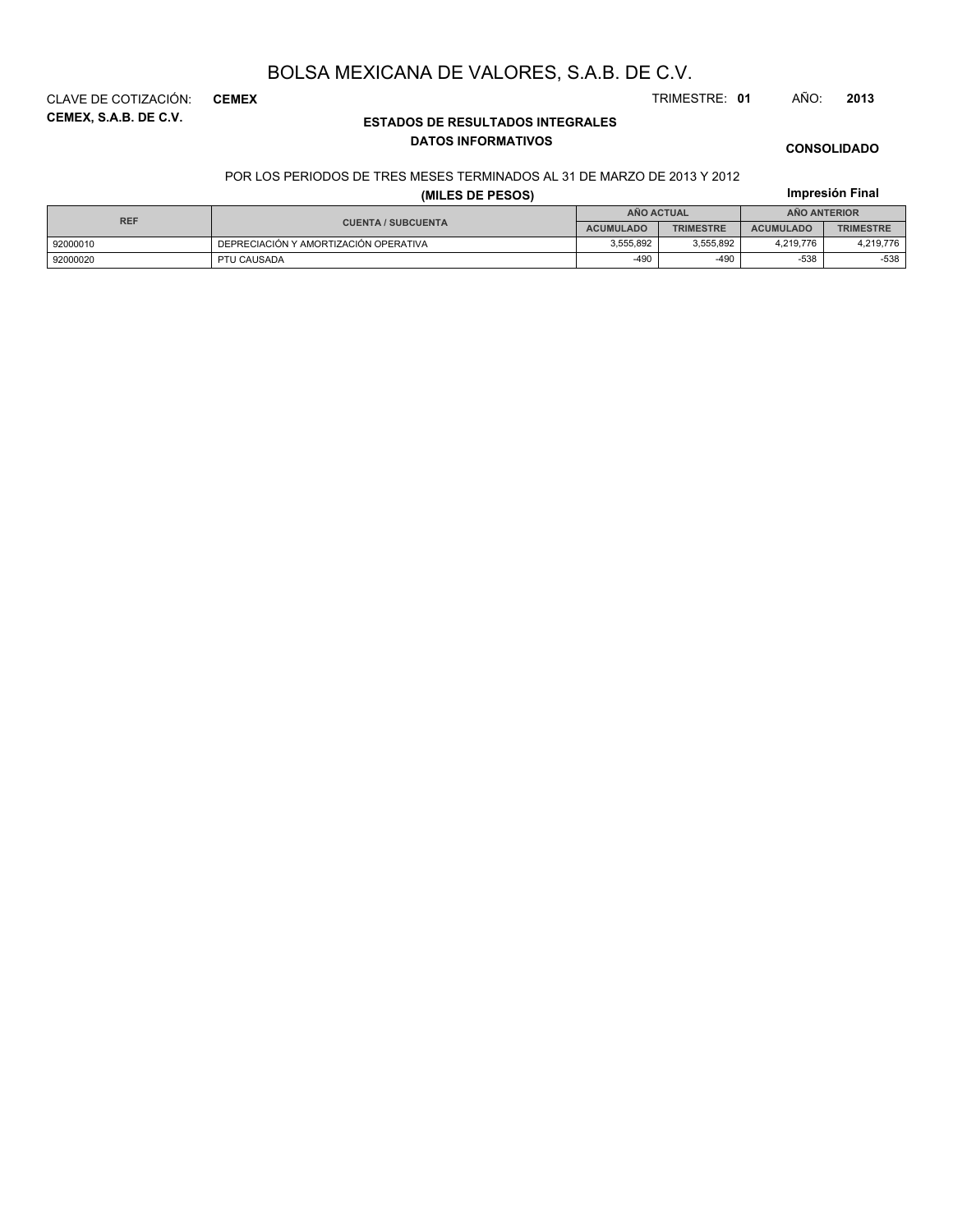**CEMEX, S.A.B. DE C.V.** CLAVE DE COTIZACIÓN: **CEMEX** TRIMESTRE: **01** AÑO: **2013**

### **ESTADOS DE RESULTADOS INTEGRALES DATOS INFORMATIVOS**

# **Impresión Final CONSOLIDADO**

### POR LOS PERIODOS DE TRES MESES TERMINADOS AL 31 DE MARZO DE 2013 Y 2012 **(MILES DE PESOS)**

| <b>REF</b> | <b>CUENTA / SUBCUENTA</b>             | <b>AÑO ACTUAL</b> |                  | <b>ANO ANTERIOR</b> |                  |
|------------|---------------------------------------|-------------------|------------------|---------------------|------------------|
|            |                                       | <b>ACUMULADO</b>  | <b>TRIMESTRE</b> | <b>ACUMULADO</b>    | <b>TRIMESTRE</b> |
| 92000010   | DEPRECIACIÓN Y AMORTIZACIÓN OPERATIVA | 3.555.892         | 3.555.892        | 4.219.776           | 4,219,776        |
| 92000020   | PTU CAUSADA                           | $-490$            | $-490$           | -538                | $-538$           |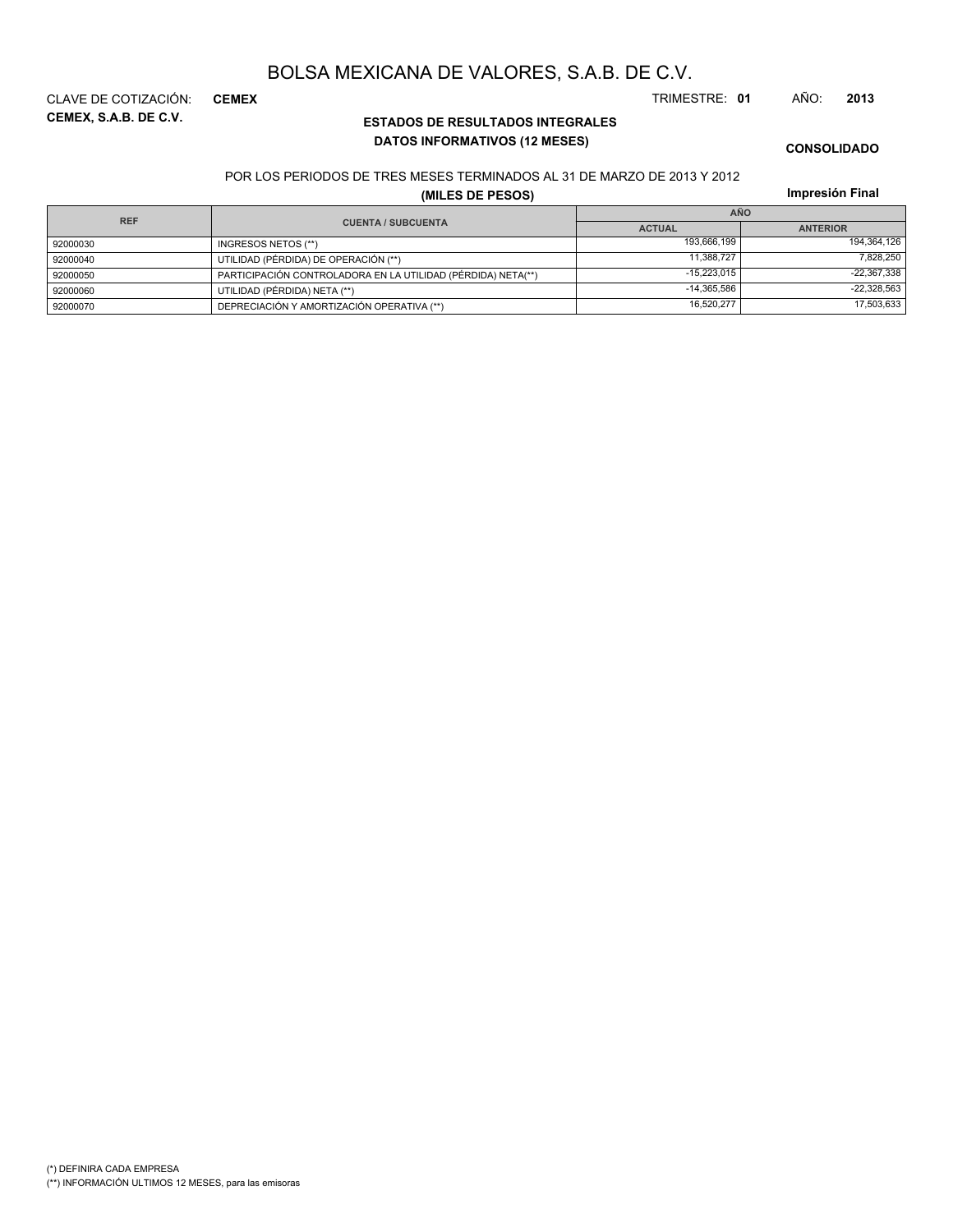**CEMEX, S.A.B. DE C.V.** CLAVE DE COTIZACIÓN: **CEMEX** TRIMESTRE: **01** AÑO: **2013**

### **ESTADOS DE RESULTADOS INTEGRALES DATOS INFORMATIVOS (12 MESES)**

**CONSOLIDADO**

#### POR LOS PERIODOS DE TRES MESES TERMINADOS AL 31 DE MARZO DE 2013 Y 2012

**(MILES DE PESOS)**

|            |                                                              | <b>AÑO</b>    |                 |  |
|------------|--------------------------------------------------------------|---------------|-----------------|--|
| <b>REF</b> | <b>CUENTA / SUBCUENTA</b>                                    | <b>ACTUAL</b> | <b>ANTERIOR</b> |  |
| 92000030   | INGRESOS NETOS (**)                                          | 193.666.199   | 194,364,126     |  |
| 92000040   | UTILIDAD (PÉRDIDA) DE OPERACIÓN (**)                         | 11.388.727    | 7,828,250       |  |
| 92000050   | PARTICIPACIÓN CONTROLADORA EN LA UTILIDAD (PÉRDIDA) NETA(**) | $-15.223.015$ | $-22,367,338$   |  |
| 92000060   | UTILIDAD (PÉRDIDA) NETA (**)                                 | $-14.365.586$ | $-22,328,563$   |  |
| 92000070   | DEPRECIACIÓN Y AMORTIZACIÓN OPERATIVA (**)                   | 16,520,277    | 17,503,633      |  |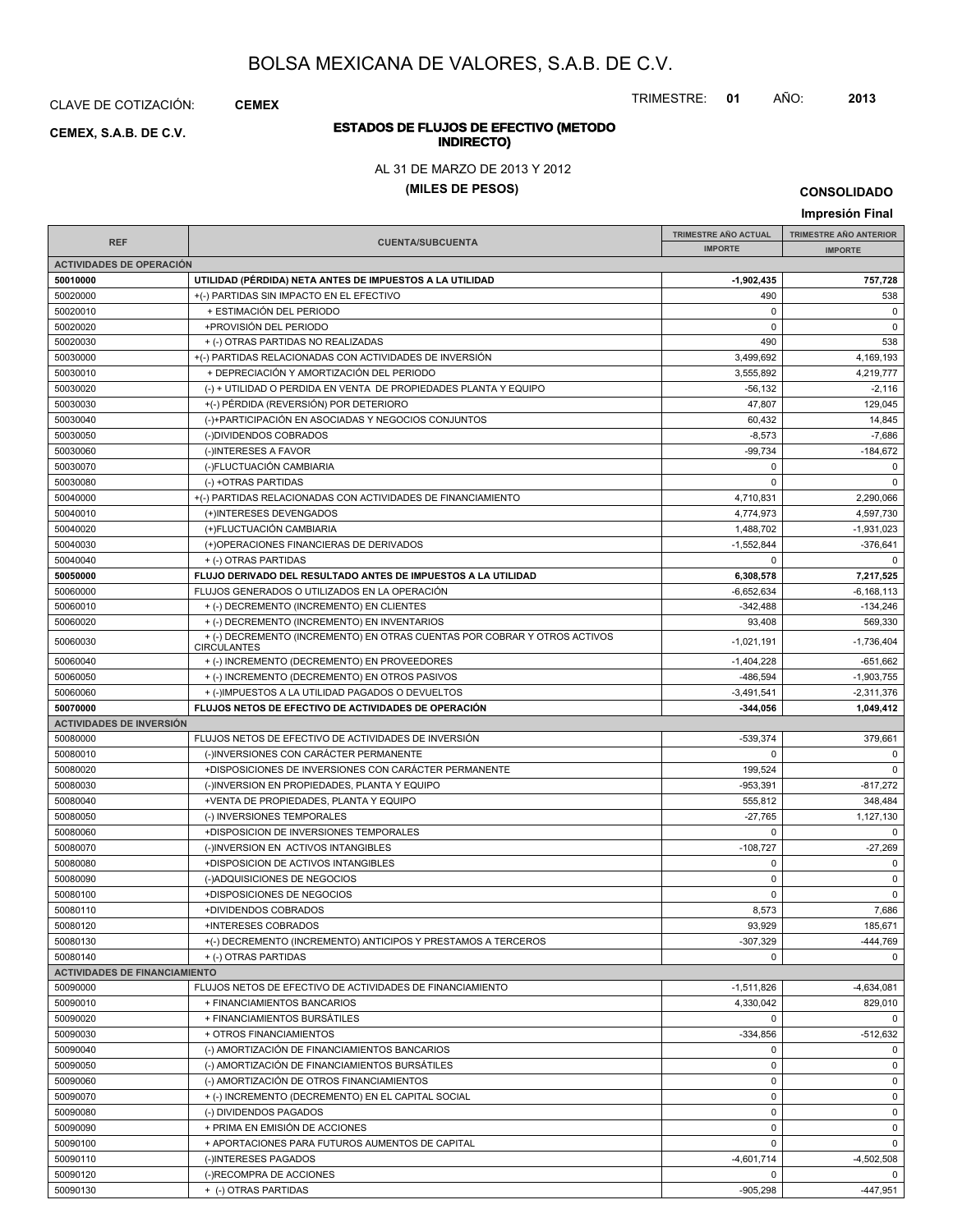CLAVE DE COTIZACIÓN: **CEMEX**

**INDIRECTO) CEMEX, S.A.B. DE C.V.**

### TRIMESTRE: **01** AÑO: **2013**

# **ESTADOS DE FLUJOS DE EFECTIVO (METODO**

AL 31 DE MARZO DE 2013 Y 2012

### **(MILES DE PESOS)**

**CONSOLIDADO Impresión Final**

|                                      |                                                                                                                           |                             | p.                      |
|--------------------------------------|---------------------------------------------------------------------------------------------------------------------------|-----------------------------|-------------------------|
| <b>REF</b>                           | <b>CUENTA/SUBCUENTA</b>                                                                                                   | <b>TRIMESTRE AÑO ACTUAL</b> | TRIMESTRE AÑO ANTERIOR  |
|                                      |                                                                                                                           | <b>IMPORTE</b>              | <b>IMPORTE</b>          |
| <b>ACTIVIDADES DE OPERACIÓN</b>      |                                                                                                                           |                             |                         |
| 50010000                             | UTILIDAD (PÉRDIDA) NETA ANTES DE IMPUESTOS A LA UTILIDAD<br>+(-) PARTIDAS SIN IMPACTO EN EL EFECTIVO                      | $-1,902,435$<br>490         | 757,728                 |
| 50020000<br>50020010                 | + ESTIMACIÓN DEL PERIODO                                                                                                  | $\mathbf 0$                 | 538<br>$\mathbf 0$      |
| 50020020                             | +PROVISIÓN DEL PERIODO                                                                                                    | $\mathbf 0$                 | $\mathsf 0$             |
|                                      |                                                                                                                           | 490                         |                         |
| 50020030                             | + (-) OTRAS PARTIDAS NO REALIZADAS<br>+(-) PARTIDAS RELACIONADAS CON ACTIVIDADES DE INVERSIÓN                             | 3,499,692                   | 538                     |
| 50030000                             |                                                                                                                           |                             | 4,169,193               |
| 50030010                             | + DEPRECIACIÓN Y AMORTIZACIÓN DEL PERIODO                                                                                 | 3,555,892                   | 4,219,777               |
| 50030020                             | (-) + UTILIDAD O PERDIDA EN VENTA DE PROPIEDADES PLANTA Y EQUIPO                                                          | $-56, 132$                  | $-2,116$<br>129.045     |
| 50030030                             | +(-) PÉRDIDA (REVERSIÓN) POR DETERIORO                                                                                    | 47,807                      |                         |
| 50030040                             | (-)+PARTICIPACIÓN EN ASOCIADAS Y NEGOCIOS CONJUNTOS                                                                       | 60,432                      | 14,845                  |
| 50030050                             | (-)DIVIDENDOS COBRADOS                                                                                                    | $-8,573$                    | $-7,686$                |
| 50030060                             | (-)INTERESES A FAVOR                                                                                                      | $-99,734$<br>0              | -184,672<br>$\mathbf 0$ |
| 50030070                             | (-)FLUCTUACIÓN CAMBIARIA                                                                                                  |                             |                         |
| 50030080                             | (-) +OTRAS PARTIDAS                                                                                                       | 0                           | $\mathbf 0$             |
| 50040000                             | +(-) PARTIDAS RELACIONADAS CON ACTIVIDADES DE FINANCIAMIENTO                                                              | 4,710,831                   | 2,290,066               |
| 50040010                             | (+)INTERESES DEVENGADOS                                                                                                   | 4,774,973                   | 4,597,730               |
| 50040020                             | (+)FLUCTUACIÓN CAMBIARIA                                                                                                  | 1,488,702                   | $-1,931,023$            |
| 50040030                             | (+)OPERACIONES FINANCIERAS DE DERIVADOS                                                                                   | $-1,552,844$                | $-376,641$              |
| 50040040                             | + (-) OTRAS PARTIDAS                                                                                                      | 0                           | $\mathbf 0$             |
| 50050000                             | FLUJO DERIVADO DEL RESULTADO ANTES DE IMPUESTOS A LA UTILIDAD<br>FLUJOS GENERADOS O UTILIZADOS EN LA OPERACIÓN            | 6,308,578                   | 7,217,525               |
| 50060000                             |                                                                                                                           | $-6,652,634$                | $-6.168.113$            |
| 50060010                             | + (-) DECREMENTO (INCREMENTO) EN CLIENTES                                                                                 | $-342,488$                  | $-134,246$              |
| 50060020                             | + (-) DECREMENTO (INCREMENTO) EN INVENTARIOS<br>+ (-) DECREMENTO (INCREMENTO) EN OTRAS CUENTAS POR COBRAR Y OTROS ACTIVOS | 93,408                      | 569,330                 |
| 50060030                             | <b>CIRCULANTES</b>                                                                                                        | $-1,021,191$                | $-1,736,404$            |
| 50060040                             | + (-) INCREMENTO (DECREMENTO) EN PROVEEDORES                                                                              | $-1,404,228$                | $-651,662$              |
| 50060050                             | + (-) INCREMENTO (DECREMENTO) EN OTROS PASIVOS                                                                            | $-486,594$                  | $-1,903,755$            |
| 50060060                             | + (-)IMPUESTOS A LA UTILIDAD PAGADOS O DEVUELTOS                                                                          | $-3,491,541$                | $-2,311,376$            |
| 50070000                             | FLUJOS NETOS DE EFECTIVO DE ACTIVIDADES DE OPERACIÓN                                                                      | -344,056                    | 1,049,412               |
| <b>ACTIVIDADES DE INVERSIÓN</b>      |                                                                                                                           |                             |                         |
| 50080000                             | FLUJOS NETOS DE EFECTIVO DE ACTIVIDADES DE INVERSIÓN                                                                      | $-539,374$                  | 379,661                 |
| 50080010                             | (-)INVERSIONES CON CARÁCTER PERMANENTE                                                                                    | 0                           | $\mathbf 0$             |
| 50080020                             | +DISPOSICIONES DE INVERSIONES CON CARÁCTER PERMANENTE                                                                     | 199,524                     | $\mathbf 0$             |
| 50080030                             | (-)INVERSION EN PROPIEDADES, PLANTA Y EQUIPO                                                                              | -953,391                    | -817,272                |
| 50080040                             | +VENTA DE PROPIEDADES, PLANTA Y EQUIPO                                                                                    | 555,812                     | 348,484                 |
| 50080050                             | (-) INVERSIONES TEMPORALES                                                                                                | $-27,765$                   | 1,127,130               |
| 50080060                             | +DISPOSICION DE INVERSIONES TEMPORALES                                                                                    | 0                           | $\mathbf 0$             |
| 50080070                             | (-)INVERSION EN ACTIVOS INTANGIBLES                                                                                       | $-108,727$                  | $-27,269$               |
| 50080080                             | +DISPOSICION DE ACTIVOS INTANGIBLES                                                                                       | 0                           | $\mathbf 0$             |
| 50080090                             | (-)ADQUISICIONES DE NEGOCIOS                                                                                              | 0                           | $\mathbf 0$             |
| 50080100                             | +DISPOSICIONES DE NEGOCIOS                                                                                                | $\mathbf 0$                 | $\mathbf 0$             |
| 50080110                             | +DIVIDENDOS COBRADOS                                                                                                      | 8,573                       | 7,686                   |
| 50080120                             | +INTERESES COBRADOS                                                                                                       | 93,929                      | 185,671                 |
| 50080130                             | +(-) DECREMENTO (INCREMENTO) ANTICIPOS Y PRESTAMOS A TERCEROS                                                             | $-307,329$                  | -444,769                |
| 50080140                             | + (-) OTRAS PARTIDAS                                                                                                      | 0                           | $\mathbf 0$             |
| <b>ACTIVIDADES DE FINANCIAMIENTO</b> |                                                                                                                           |                             |                         |
| 50090000                             | FLUJOS NETOS DE EFECTIVO DE ACTIVIDADES DE FINANCIAMIENTO                                                                 | $-1,511,826$                | $-4,634,081$            |
| 50090010                             | + FINANCIAMIENTOS BANCARIOS                                                                                               | 4,330,042                   | 829,010                 |
| 50090020                             | + FINANCIAMIENTOS BURSÁTILES                                                                                              | $\mathbf 0$                 | $\mathbf 0$             |
| 50090030                             | + OTROS FINANCIAMIENTOS                                                                                                   | $-334.856$                  | $-512,632$              |
| 50090040                             | (-) AMORTIZACIÓN DE FINANCIAMIENTOS BANCARIOS                                                                             | 0                           | $\mathbf 0$             |
| 50090050                             | (-) AMORTIZACIÓN DE FINANCIAMIENTOS BURSÁTILES                                                                            | 0                           | $\mathbf 0$             |
| 50090060                             | (-) AMORTIZACIÓN DE OTROS FINANCIAMIENTOS                                                                                 | $\mathbf 0$                 | $\mathbf 0$             |
| 50090070                             | + (-) INCREMENTO (DECREMENTO) EN EL CAPITAL SOCIAL                                                                        | 0                           | 0                       |
| 50090080                             | (-) DIVIDENDOS PAGADOS                                                                                                    | 0                           | 0                       |
| 50090090                             | + PRIMA EN EMISIÓN DE ACCIONES                                                                                            | $\mathbf 0$                 | $\mathbf 0$             |
| 50090100                             | + APORTACIONES PARA FUTUROS AUMENTOS DE CAPITAL                                                                           | 0                           | $\mathbf 0$             |
| 50090110                             | (-)INTERESES PAGADOS                                                                                                      | $-4,601,714$                | $-4,502,508$            |
| 50090120                             | (-)RECOMPRA DE ACCIONES                                                                                                   | 0                           | $\mathbf 0$             |
| 50090130                             | + (-) OTRAS PARTIDAS                                                                                                      | $-905,298$                  | -447,951                |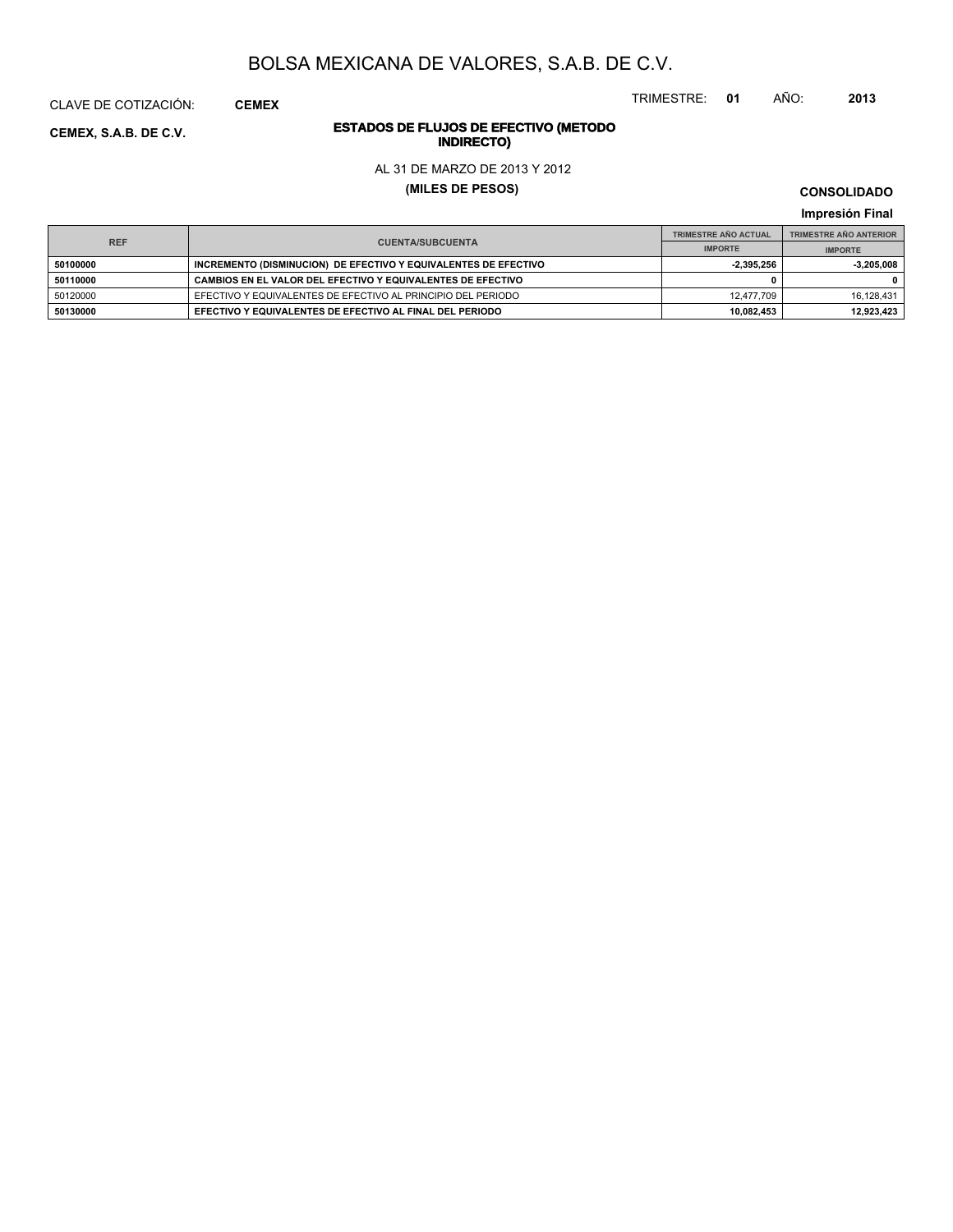TRIMESTRE: **01** AÑO: **2013**

# **ESTADOS DE FLUJOS DE EFECTIVO (METODO**

AL 31 DE MARZO DE 2013 Y 2012

**(MILES DE PESOS)**

**CONSOLIDADO Impresión Final**

|          | <b>REF</b><br><b>CUENTA/SUBCUENTA</b>                           | <b>TRIMESTRE AÑO ACTUAL</b> | <b>TRIMESTRE AÑO ANTERIOR</b> |
|----------|-----------------------------------------------------------------|-----------------------------|-------------------------------|
|          |                                                                 | <b>IMPORTE</b>              | <b>IMPORTE</b>                |
| 50100000 | INCREMENTO (DISMINUCION) DE EFECTIVO Y EQUIVALENTES DE EFECTIVO | $-2.395.256$                | $-3.205.008$                  |
| 50110000 | CAMBIOS EN EL VALOR DEL EFECTIVO Y EQUIVALENTES DE EFECTIVO     |                             |                               |
| 50120000 | EFECTIVO Y EQUIVALENTES DE EFECTIVO AL PRINCIPIO DEL PERIODO    | 12.477.709                  | 16.128.431                    |
| 50130000 | EFECTIVO Y EQUIVALENTES DE EFECTIVO AL FINAL DEL PERIODO        | 10.082.453                  | 12.923.423                    |

**INDIRECTO) CEMEX, S.A.B. DE C.V.**

CLAVE DE COTIZACIÓN: **CEMEX**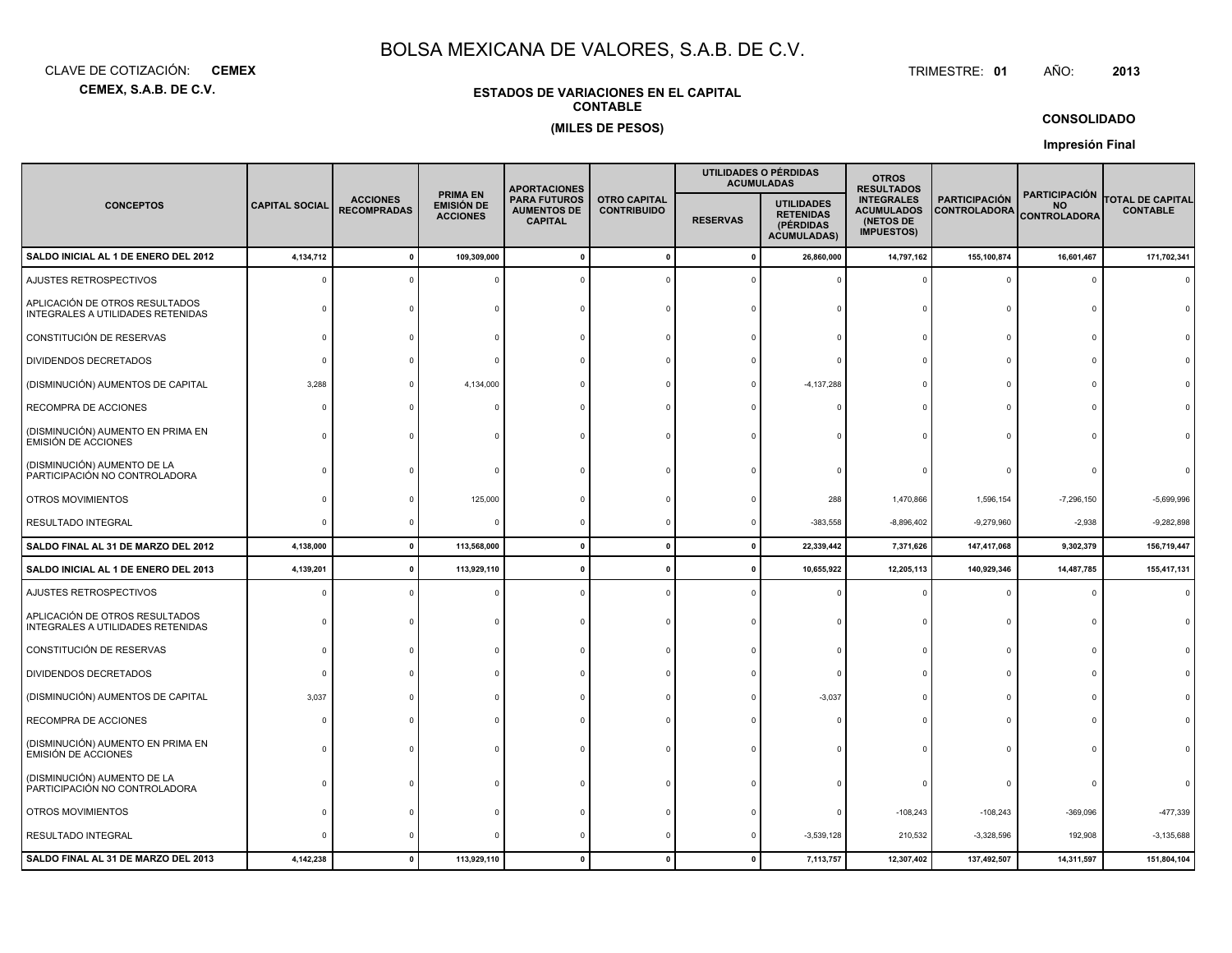**CEMEX, S.A.B. DE C.V.**CLAVE DE COTIZACIÓN:**CEMEX**: **CEMEX** TRIMESTRE:

#### TRIMESTRE: 01 AÑO: **<sup>2013</sup>**

### **ESTADOS DE VARIACIONES EN EL CAPITALCONTABLE(MILES DE PESOS)**

### **CONSOLIDADO**

**Impresión Final**

|                                                                     |                       |                                       |                                                  | <b>APORTACIONES</b>                                         |                                           |                 | UTILIDADES O PÉRDIDAS<br><b>ACUMULADAS</b>                               | <b>OTROS</b><br><b>RESULTADOS</b>                                        |                                             |                                                          |                                            |
|---------------------------------------------------------------------|-----------------------|---------------------------------------|--------------------------------------------------|-------------------------------------------------------------|-------------------------------------------|-----------------|--------------------------------------------------------------------------|--------------------------------------------------------------------------|---------------------------------------------|----------------------------------------------------------|--------------------------------------------|
| <b>CONCEPTOS</b>                                                    | <b>CAPITAL SOCIAL</b> | <b>ACCIONES</b><br><b>RECOMPRADAS</b> | <b>PRIMA EN</b><br>EMISIÓN DE<br><b>ACCIONES</b> | <b>PARA FUTUROS</b><br><b>AUMENTOS DE</b><br><b>CAPITAL</b> | <b>OTRO CAPITAL</b><br><b>CONTRIBUIDO</b> | <b>RESERVAS</b> | <b>UTILIDADES</b><br><b>RETENIDAS</b><br>(PÉRDIDAS<br><b>ACUMULADAS)</b> | <b>INTEGRALES</b><br><b>ACUMULADOS</b><br>(NETOS DE<br><b>IMPUESTOS)</b> | <b>PARTICIPACIÓN</b><br><b>CONTROLADORA</b> | <b>PARTICIPACIÓN</b><br><b>NO</b><br><b>CONTROLADORA</b> | <b>TOTAL DE CAPITAL</b><br><b>CONTABLE</b> |
| SALDO INICIAL AL 1 DE ENERO DEL 2012                                | 4,134,712             |                                       | 109,309,000                                      |                                                             | $\mathbf 0$                               | $\mathbf{0}$    | 26,860,000                                                               | 14,797,162                                                               | 155,100,874                                 | 16,601,467                                               | 171,702,341                                |
| AJUSTES RETROSPECTIVOS                                              |                       |                                       |                                                  |                                                             |                                           |                 |                                                                          |                                                                          | $\Omega$                                    | $\Omega$                                                 |                                            |
| APLICACIÓN DE OTROS RESULTADOS<br>INTEGRALES A UTILIDADES RETENIDAS |                       |                                       |                                                  |                                                             |                                           |                 |                                                                          |                                                                          | $\Omega$                                    |                                                          |                                            |
| CONSTITUCIÓN DE RESERVAS                                            | ſ                     |                                       |                                                  |                                                             |                                           |                 |                                                                          |                                                                          | $\Omega$                                    |                                                          |                                            |
| DIVIDENDOS DECRETADOS                                               |                       |                                       |                                                  |                                                             |                                           |                 |                                                                          |                                                                          | $\Omega$                                    |                                                          |                                            |
| (DISMINUCIÓN) AUMENTOS DE CAPITAL                                   | 3,288                 |                                       | 4,134,000                                        |                                                             |                                           |                 | $-4, 137, 288$                                                           |                                                                          | $\Omega$                                    |                                                          |                                            |
| RECOMPRA DE ACCIONES                                                |                       |                                       |                                                  |                                                             |                                           |                 |                                                                          |                                                                          | $\Omega$                                    |                                                          |                                            |
| (DISMINUCIÓN) AUMENTO EN PRIMA EN<br><b>EMISIÓN DE ACCIONES</b>     |                       |                                       |                                                  |                                                             |                                           |                 |                                                                          |                                                                          | $\Omega$                                    |                                                          |                                            |
| (DISMINUCIÓN) AUMENTO DE LA<br>PARTICIPACIÓN NO CONTROLADORA        |                       |                                       |                                                  |                                                             |                                           |                 |                                                                          |                                                                          |                                             |                                                          |                                            |
| OTROS MOVIMIENTOS                                                   |                       |                                       | 125,000                                          |                                                             |                                           |                 | 288                                                                      | 1,470,866                                                                | 1,596,154                                   | $-7,296,150$                                             | $-5,699,996$                               |
| RESULTADO INTEGRAL                                                  |                       |                                       |                                                  |                                                             |                                           |                 | $-383,558$                                                               | $-8,896,402$                                                             | $-9,279,960$                                | $-2,938$                                                 | $-9,282,898$                               |
| SALDO FINAL AL 31 DE MARZO DEL 2012                                 | 4,138,000             | $\mathbf{0}$                          | 113,568,000                                      | 0                                                           | $\mathbf 0$                               | $\mathbf 0$     | 22,339,442                                                               | 7,371,626                                                                | 147,417,068                                 | 9,302,379                                                | 156,719,447                                |
| SALDO INICIAL AL 1 DE ENERO DEL 2013                                | 4,139,201             |                                       | 113,929,110                                      |                                                             | $\mathbf{0}$                              | 0               | 10,655,922                                                               | 12,205,113                                                               | 140,929,346                                 | 14,487,785                                               | 155,417,131                                |
| AJUSTES RETROSPECTIVOS                                              |                       |                                       |                                                  |                                                             |                                           |                 |                                                                          |                                                                          | $\Omega$                                    | $\Omega$                                                 |                                            |
| APLICACIÓN DE OTROS RESULTADOS<br>INTEGRALES A UTILIDADES RETENIDAS |                       |                                       |                                                  |                                                             |                                           |                 |                                                                          |                                                                          | 0                                           | $\Omega$                                                 |                                            |
| CONSTITUCIÓN DE RESERVAS                                            |                       |                                       |                                                  |                                                             |                                           |                 |                                                                          |                                                                          | $\Omega$                                    |                                                          |                                            |
| DIVIDENDOS DECRETADOS                                               |                       |                                       |                                                  |                                                             |                                           |                 |                                                                          |                                                                          | $\Omega$                                    |                                                          |                                            |
| (DISMINUCIÓN) AUMENTOS DE CAPITAL                                   | 3,037                 |                                       |                                                  |                                                             |                                           |                 | $-3,037$                                                                 |                                                                          | $\Omega$                                    |                                                          |                                            |
| RECOMPRA DE ACCIONES                                                |                       |                                       |                                                  |                                                             |                                           |                 |                                                                          |                                                                          | $\Omega$                                    |                                                          |                                            |
| (DISMINUCIÓN) AUMENTO EN PRIMA EN<br><b>EMISIÓN DE ACCIONES</b>     |                       |                                       |                                                  |                                                             |                                           |                 |                                                                          |                                                                          |                                             |                                                          |                                            |
| (DISMINUCIÓN) AUMENTO DE LA<br>PARTICIPACIÓN NO CONTROLADORA        |                       |                                       |                                                  |                                                             |                                           |                 |                                                                          |                                                                          | $\Omega$                                    |                                                          |                                            |
| OTROS MOVIMIENTOS                                                   |                       |                                       |                                                  |                                                             |                                           |                 |                                                                          | $-108,243$                                                               | $-108,243$                                  | $-369,096$                                               | $-477,339$                                 |
| <b>RESULTADO INTEGRAL</b>                                           |                       |                                       |                                                  |                                                             |                                           |                 | $-3,539,128$                                                             | 210,532                                                                  | $-3,328,596$                                | 192,908                                                  | $-3,135,688$                               |
| SALDO FINAL AL 31 DE MARZO DEL 2013                                 | 4,142,238             | $\Omega$                              | 113,929,110                                      |                                                             |                                           | $\mathbf{r}$    | 7,113,757                                                                | 12,307,402                                                               | 137,492,507                                 | 14,311,597                                               | 151,804,104                                |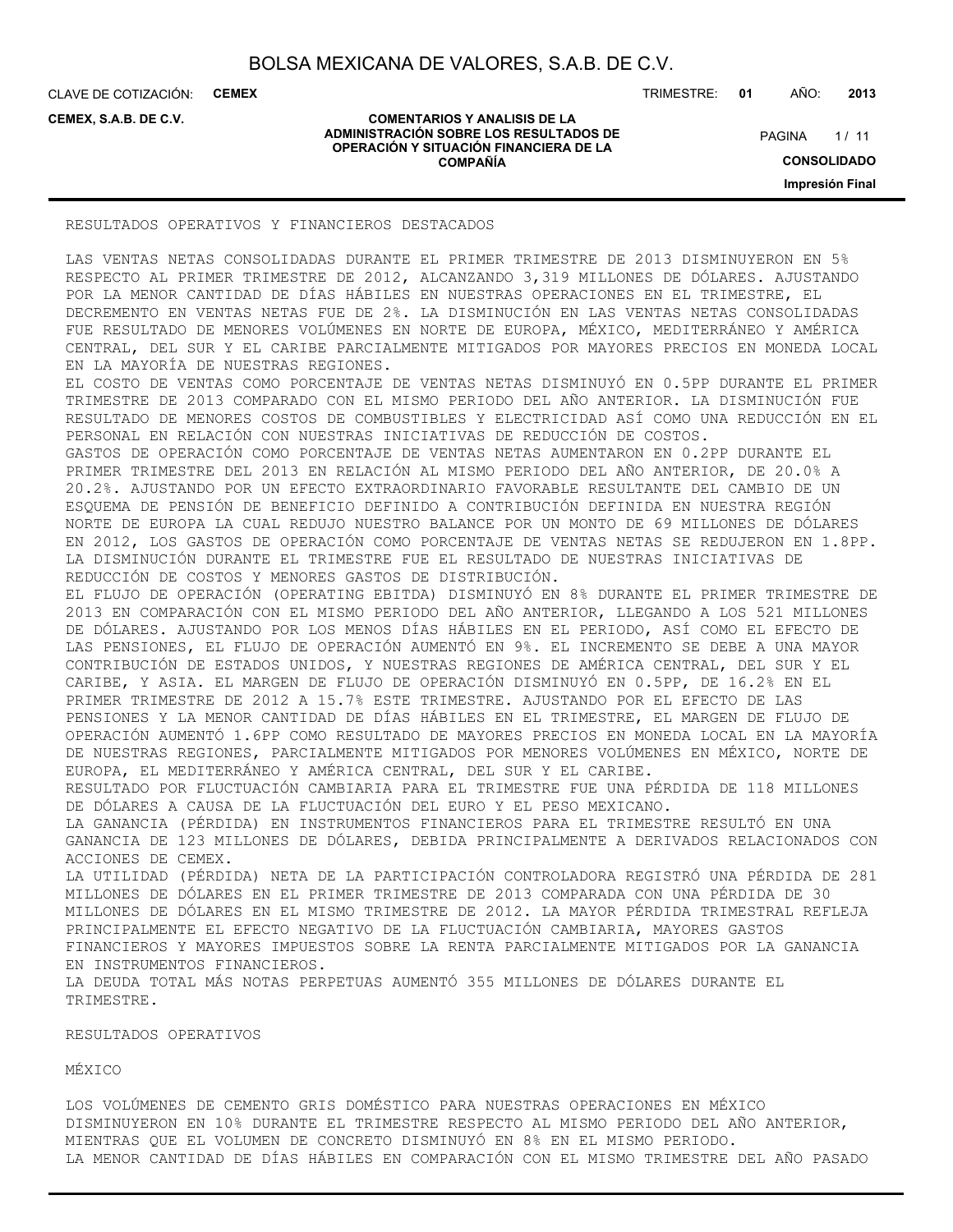**COMENTARIOS Y ANALISIS DE LA ADMINISTRACIÓN SOBRE LOS RESULTADOS DE OPERACIÓN Y SITUACIÓN FINANCIERA DE LA COMPAÑÍA**

CLAVE DE COTIZACIÓN: **CEMEX**

**CEMEX, S.A.B. DE C.V.**

TRIMESTRE: **01** AÑO: **2013**

 $1/11$ **CONSOLIDADO PAGINA** 

**Impresión Final**

#### RESULTADOS OPERATIVOS Y FINANCIEROS DESTACADOS

LAS VENTAS NETAS CONSOLIDADAS DURANTE EL PRIMER TRIMESTRE DE 2013 DISMINUYERON EN 5% RESPECTO AL PRIMER TRIMESTRE DE 2012, ALCANZANDO 3,319 MILLONES DE DÓLARES. AJUSTANDO POR LA MENOR CANTIDAD DE DÍAS HÁBILES EN NUESTRAS OPERACIONES EN EL TRIMESTRE, EL DECREMENTO EN VENTAS NETAS FUE DE 2%. LA DISMINUCIÓN EN LAS VENTAS NETAS CONSOLIDADAS FUE RESULTADO DE MENORES VOLÚMENES EN NORTE DE EUROPA, MÉXICO, MEDITERRÁNEO Y AMÉRICA CENTRAL, DEL SUR Y EL CARIBE PARCIALMENTE MITIGADOS POR MAYORES PRECIOS EN MONEDA LOCAL EN LA MAYORÍA DE NUESTRAS REGIONES.

EL COSTO DE VENTAS COMO PORCENTAJE DE VENTAS NETAS DISMINUYÓ EN 0.5PP DURANTE EL PRIMER TRIMESTRE DE 2013 COMPARADO CON EL MISMO PERIODO DEL AÑO ANTERIOR. LA DISMINUCIÓN FUE RESULTADO DE MENORES COSTOS DE COMBUSTIBLES Y ELECTRICIDAD ASÍ COMO UNA REDUCCIÓN EN EL PERSONAL EN RELACIÓN CON NUESTRAS INICIATIVAS DE REDUCCIÓN DE COSTOS. GASTOS DE OPERACIÓN COMO PORCENTAJE DE VENTAS NETAS AUMENTARON EN 0.2PP DURANTE EL PRIMER TRIMESTRE DEL 2013 EN RELACIÓN AL MISMO PERIODO DEL AÑO ANTERIOR, DE 20.0% A 20.2%. AJUSTANDO POR UN EFECTO EXTRAORDINARIO FAVORABLE RESULTANTE DEL CAMBIO DE UN ESQUEMA DE PENSIÓN DE BENEFICIO DEFINIDO A CONTRIBUCIÓN DEFINIDA EN NUESTRA REGIÓN

NORTE DE EUROPA LA CUAL REDUJO NUESTRO BALANCE POR UN MONTO DE 69 MILLONES DE DÓLARES EN 2012, LOS GASTOS DE OPERACIÓN COMO PORCENTAJE DE VENTAS NETAS SE REDUJERON EN 1.8PP. LA DISMINUCIÓN DURANTE EL TRIMESTRE FUE EL RESULTADO DE NUESTRAS INICIATIVAS DE REDUCCIÓN DE COSTOS Y MENORES GASTOS DE DISTRIBUCIÓN.

EL FLUJO DE OPERACIÓN (OPERATING EBITDA) DISMINUYÓ EN 8% DURANTE EL PRIMER TRIMESTRE DE 2013 EN COMPARACIÓN CON EL MISMO PERIODO DEL AÑO ANTERIOR, LLEGANDO A LOS 521 MILLONES DE DÓLARES. AJUSTANDO POR LOS MENOS DÍAS HÁBILES EN EL PERIODO, ASÍ COMO EL EFECTO DE LAS PENSIONES, EL FLUJO DE OPERACIÓN AUMENTÓ EN 9%. EL INCREMENTO SE DEBE A UNA MAYOR CONTRIBUCIÓN DE ESTADOS UNIDOS, Y NUESTRAS REGIONES DE AMÉRICA CENTRAL, DEL SUR Y EL CARIBE, Y ASIA. EL MARGEN DE FLUJO DE OPERACIÓN DISMINUYÓ EN 0.5PP, DE 16.2% EN EL PRIMER TRIMESTRE DE 2012 A 15.7% ESTE TRIMESTRE. AJUSTANDO POR EL EFECTO DE LAS PENSIONES Y LA MENOR CANTIDAD DE DÍAS HÁBILES EN EL TRIMESTRE, EL MARGEN DE FLUJO DE OPERACIÓN AUMENTÓ 1.6PP COMO RESULTADO DE MAYORES PRECIOS EN MONEDA LOCAL EN LA MAYORÍA DE NUESTRAS REGIONES, PARCIALMENTE MITIGADOS POR MENORES VOLÚMENES EN MÉXICO, NORTE DE EUROPA, EL MEDITERRÁNEO Y AMÉRICA CENTRAL, DEL SUR Y EL CARIBE. RESULTADO POR FLUCTUACIÓN CAMBIARIA PARA EL TRIMESTRE FUE UNA PÉRDIDA DE 118 MILLONES DE DÓLARES A CAUSA DE LA FLUCTUACIÓN DEL EURO Y EL PESO MEXICANO. LA GANANCIA (PÉRDIDA) EN INSTRUMENTOS FINANCIEROS PARA EL TRIMESTRE RESULTÓ EN UNA GANANCIA DE 123 MILLONES DE DÓLARES, DEBIDA PRINCIPALMENTE A DERIVADOS RELACIONADOS CON

ACCIONES DE CEMEX. LA UTILIDAD (PÉRDIDA) NETA DE LA PARTICIPACIÓN CONTROLADORA REGISTRÓ UNA PÉRDIDA DE 281 MILLONES DE DÓLARES EN EL PRIMER TRIMESTRE DE 2013 COMPARADA CON UNA PÉRDIDA DE 30 MILLONES DE DÓLARES EN EL MISMO TRIMESTRE DE 2012. LA MAYOR PÉRDIDA TRIMESTRAL REFLEJA PRINCIPALMENTE EL EFECTO NEGATIVO DE LA FLUCTUACIÓN CAMBIARIA, MAYORES GASTOS FINANCIEROS Y MAYORES IMPUESTOS SOBRE LA RENTA PARCIALMENTE MITIGADOS POR LA GANANCIA EN INSTRUMENTOS FINANCIEROS.

LA DEUDA TOTAL MÁS NOTAS PERPETUAS AUMENTÓ 355 MILLONES DE DÓLARES DURANTE EL TRIMESTRE.

#### RESULTADOS OPERATIVOS

MÉXICO

LOS VOLÚMENES DE CEMENTO GRIS DOMÉSTICO PARA NUESTRAS OPERACIONES EN MÉXICO DISMINUYERON EN 10% DURANTE EL TRIMESTRE RESPECTO AL MISMO PERIODO DEL AÑO ANTERIOR, MIENTRAS QUE EL VOLUMEN DE CONCRETO DISMINUYÓ EN 8% EN EL MISMO PERIODO. LA MENOR CANTIDAD DE DÍAS HÁBILES EN COMPARACIÓN CON EL MISMO TRIMESTRE DEL AÑO PASADO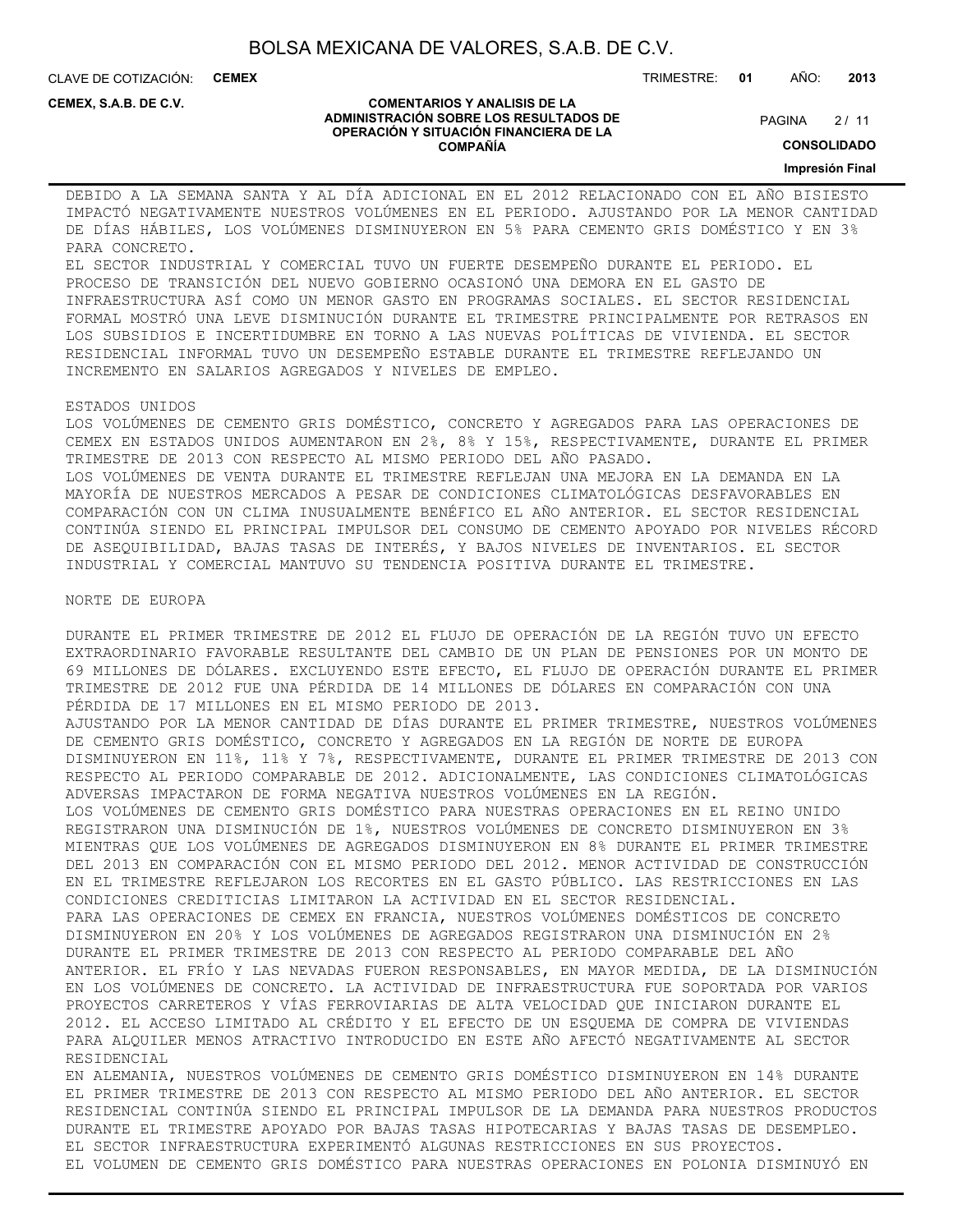CLAVE DE COTIZACIÓN: **CEMEX**

**CEMEX, S.A.B. DE C.V.**

#### **COMENTARIOS Y ANALISIS DE LA ADMINISTRACIÓN SOBRE LOS RESULTADOS DE OPERACIÓN Y SITUACIÓN FINANCIERA DE LA COMPAÑÍA**

 $2/11$ **PAGINA** 

TRIMESTRE: **01** AÑO: **2013**

**CONSOLIDADO**

#### **Impresión Final**

DEBIDO A LA SEMANA SANTA Y AL DÍA ADICIONAL EN EL 2012 RELACIONADO CON EL AÑO BISIESTO IMPACTÓ NEGATIVAMENTE NUESTROS VOLÚMENES EN EL PERIODO. AJUSTANDO POR LA MENOR CANTIDAD DE DÍAS HÁBILES, LOS VOLÚMENES DISMINUYERON EN 5% PARA CEMENTO GRIS DOMÉSTICO Y EN 3% PARA CONCRETO.

EL SECTOR INDUSTRIAL Y COMERCIAL TUVO UN FUERTE DESEMPEÑO DURANTE EL PERIODO. EL PROCESO DE TRANSICIÓN DEL NUEVO GOBIERNO OCASIONÓ UNA DEMORA EN EL GASTO DE INFRAESTRUCTURA ASÍ COMO UN MENOR GASTO EN PROGRAMAS SOCIALES. EL SECTOR RESIDENCIAL FORMAL MOSTRÓ UNA LEVE DISMINUCIÓN DURANTE EL TRIMESTRE PRINCIPALMENTE POR RETRASOS EN LOS SUBSIDIOS E INCERTIDUMBRE EN TORNO A LAS NUEVAS POLÍTICAS DE VIVIENDA. EL SECTOR RESIDENCIAL INFORMAL TUVO UN DESEMPEÑO ESTABLE DURANTE EL TRIMESTRE REFLEJANDO UN INCREMENTO EN SALARIOS AGREGADOS Y NIVELES DE EMPLEO.

#### ESTADOS UNIDOS

LOS VOLÚMENES DE CEMENTO GRIS DOMÉSTICO, CONCRETO Y AGREGADOS PARA LAS OPERACIONES DE CEMEX EN ESTADOS UNIDOS AUMENTARON EN 2%, 8% Y 15%, RESPECTIVAMENTE, DURANTE EL PRIMER TRIMESTRE DE 2013 CON RESPECTO AL MISMO PERIODO DEL AÑO PASADO. LOS VOLÚMENES DE VENTA DURANTE EL TRIMESTRE REFLEJAN UNA MEJORA EN LA DEMANDA EN LA MAYORÍA DE NUESTROS MERCADOS A PESAR DE CONDICIONES CLIMATOLÓGICAS DESFAVORABLES EN COMPARACIÓN CON UN CLIMA INUSUALMENTE BENÉFICO EL AÑO ANTERIOR. EL SECTOR RESIDENCIAL CONTINÚA SIENDO EL PRINCIPAL IMPULSOR DEL CONSUMO DE CEMENTO APOYADO POR NIVELES RÉCORD DE ASEQUIBILIDAD, BAJAS TASAS DE INTERÉS, Y BAJOS NIVELES DE INVENTARIOS. EL SECTOR INDUSTRIAL Y COMERCIAL MANTUVO SU TENDENCIA POSITIVA DURANTE EL TRIMESTRE.

NORTE DE EUROPA

DURANTE EL PRIMER TRIMESTRE DE 2012 EL FLUJO DE OPERACIÓN DE LA REGIÓN TUVO UN EFECTO EXTRAORDINARIO FAVORABLE RESULTANTE DEL CAMBIO DE UN PLAN DE PENSIONES POR UN MONTO DE 69 MILLONES DE DÓLARES. EXCLUYENDO ESTE EFECTO, EL FLUJO DE OPERACIÓN DURANTE EL PRIMER TRIMESTRE DE 2012 FUE UNA PÉRDIDA DE 14 MILLONES DE DÓLARES EN COMPARACIÓN CON UNA PÉRDIDA DE 17 MILLONES EN EL MISMO PERIODO DE 2013. AJUSTANDO POR LA MENOR CANTIDAD DE DÍAS DURANTE EL PRIMER TRIMESTRE, NUESTROS VOLÚMENES DE CEMENTO GRIS DOMÉSTICO, CONCRETO Y AGREGADOS EN LA REGIÓN DE NORTE DE EUROPA DISMINUYERON EN 11%, 11% Y 7%, RESPECTIVAMENTE, DURANTE EL PRIMER TRIMESTRE DE 2013 CON RESPECTO AL PERIODO COMPARABLE DE 2012. ADICIONALMENTE, LAS CONDICIONES CLIMATOLÓGICAS ADVERSAS IMPACTARON DE FORMA NEGATIVA NUESTROS VOLÚMENES EN LA REGIÓN. LOS VOLÚMENES DE CEMENTO GRIS DOMÉSTICO PARA NUESTRAS OPERACIONES EN EL REINO UNIDO REGISTRARON UNA DISMINUCIÓN DE 1%, NUESTROS VOLÚMENES DE CONCRETO DISMINUYERON EN 3% MIENTRAS QUE LOS VOLÚMENES DE AGREGADOS DISMINUYERON EN 8% DURANTE EL PRIMER TRIMESTRE DEL 2013 EN COMPARACIÓN CON EL MISMO PERIODO DEL 2012. MENOR ACTIVIDAD DE CONSTRUCCIÓN EN EL TRIMESTRE REFLEJARON LOS RECORTES EN EL GASTO PÚBLICO. LAS RESTRICCIONES EN LAS CONDICIONES CREDITICIAS LIMITARON LA ACTIVIDAD EN EL SECTOR RESIDENCIAL. PARA LAS OPERACIONES DE CEMEX EN FRANCIA, NUESTROS VOLÚMENES DOMÉSTICOS DE CONCRETO DISMINUYERON EN 20% Y LOS VOLÚMENES DE AGREGADOS REGISTRARON UNA DISMINUCIÓN EN 2% DURANTE EL PRIMER TRIMESTRE DE 2013 CON RESPECTO AL PERIODO COMPARABLE DEL AÑO ANTERIOR. EL FRÍO Y LAS NEVADAS FUERON RESPONSABLES, EN MAYOR MEDIDA, DE LA DISMINUCIÓN EN LOS VOLÚMENES DE CONCRETO. LA ACTIVIDAD DE INFRAESTRUCTURA FUE SOPORTADA POR VARIOS PROYECTOS CARRETEROS Y VÍAS FERROVIARIAS DE ALTA VELOCIDAD QUE INICIARON DURANTE EL 2012. EL ACCESO LIMITADO AL CRÉDITO Y EL EFECTO DE UN ESQUEMA DE COMPRA DE VIVIENDAS PARA ALQUILER MENOS ATRACTIVO INTRODUCIDO EN ESTE AÑO AFECTÓ NEGATIVAMENTE AL SECTOR RESIDENCIAL

EN ALEMANIA, NUESTROS VOLÚMENES DE CEMENTO GRIS DOMÉSTICO DISMINUYERON EN 14% DURANTE EL PRIMER TRIMESTRE DE 2013 CON RESPECTO AL MISMO PERIODO DEL AÑO ANTERIOR. EL SECTOR RESIDENCIAL CONTINÚA SIENDO EL PRINCIPAL IMPULSOR DE LA DEMANDA PARA NUESTROS PRODUCTOS DURANTE EL TRIMESTRE APOYADO POR BAJAS TASAS HIPOTECARIAS Y BAJAS TASAS DE DESEMPLEO. EL SECTOR INFRAESTRUCTURA EXPERIMENTÓ ALGUNAS RESTRICCIONES EN SUS PROYECTOS. EL VOLUMEN DE CEMENTO GRIS DOMÉSTICO PARA NUESTRAS OPERACIONES EN POLONIA DISMINUYÓ EN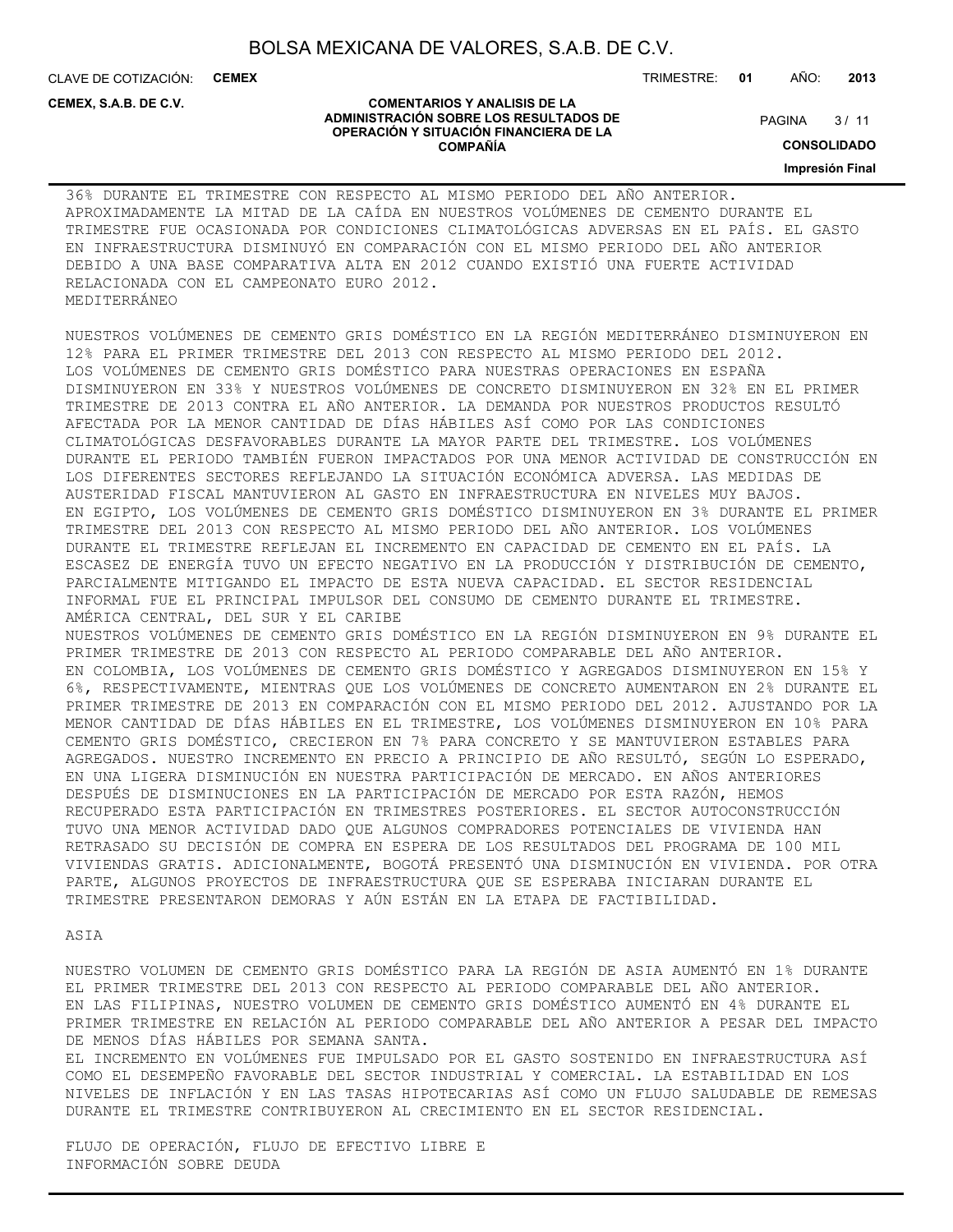**COMENTARIOS Y ANALISIS DE LA ADMINISTRACIÓN SOBRE LOS RESULTADOS DE OPERACIÓN Y SITUACIÓN FINANCIERA DE LA COMPAÑÍA**

CLAVE DE COTIZACIÓN: **CEMEX**

**CEMEX, S.A.B. DE C.V.**

TRIMESTRE: **01** AÑO: **2013**

 $3/11$ **PAGINA** 

**CONSOLIDADO**

**Impresión Final**

### 36% DURANTE EL TRIMESTRE CON RESPECTO AL MISMO PERIODO DEL AÑO ANTERIOR. APROXIMADAMENTE LA MITAD DE LA CAÍDA EN NUESTROS VOLÚMENES DE CEMENTO DURANTE EL TRIMESTRE FUE OCASIONADA POR CONDICIONES CLIMATOLÓGICAS ADVERSAS EN EL PAÍS. EL GASTO EN INFRAESTRUCTURA DISMINUYÓ EN COMPARACIÓN CON EL MISMO PERIODO DEL AÑO ANTERIOR DEBIDO A UNA BASE COMPARATIVA ALTA EN 2012 CUANDO EXISTIÓ UNA FUERTE ACTIVIDAD RELACIONADA CON EL CAMPEONATO EURO 2012. MEDITERRÁNEO

NUESTROS VOLÚMENES DE CEMENTO GRIS DOMÉSTICO EN LA REGIÓN MEDITERRÁNEO DISMINUYERON EN 12% PARA EL PRIMER TRIMESTRE DEL 2013 CON RESPECTO AL MISMO PERIODO DEL 2012. LOS VOLÚMENES DE CEMENTO GRIS DOMÉSTICO PARA NUESTRAS OPERACIONES EN ESPAÑA DISMINUYERON EN 33% Y NUESTROS VOLÚMENES DE CONCRETO DISMINUYERON EN 32% EN EL PRIMER TRIMESTRE DE 2013 CONTRA EL AÑO ANTERIOR. LA DEMANDA POR NUESTROS PRODUCTOS RESULTÓ AFECTADA POR LA MENOR CANTIDAD DE DÍAS HÁBILES ASÍ COMO POR LAS CONDICIONES CLIMATOLÓGICAS DESFAVORABLES DURANTE LA MAYOR PARTE DEL TRIMESTRE. LOS VOLÚMENES DURANTE EL PERIODO TAMBIÉN FUERON IMPACTADOS POR UNA MENOR ACTIVIDAD DE CONSTRUCCIÓN EN LOS DIFERENTES SECTORES REFLEJANDO LA SITUACIÓN ECONÓMICA ADVERSA. LAS MEDIDAS DE AUSTERIDAD FISCAL MANTUVIERON AL GASTO EN INFRAESTRUCTURA EN NIVELES MUY BAJOS. EN EGIPTO, LOS VOLÚMENES DE CEMENTO GRIS DOMÉSTICO DISMINUYERON EN 3% DURANTE EL PRIMER TRIMESTRE DEL 2013 CON RESPECTO AL MISMO PERIODO DEL AÑO ANTERIOR. LOS VOLÚMENES DURANTE EL TRIMESTRE REFLEJAN EL INCREMENTO EN CAPACIDAD DE CEMENTO EN EL PAÍS. LA ESCASEZ DE ENERGÍA TUVO UN EFECTO NEGATIVO EN LA PRODUCCIÓN Y DISTRIBUCIÓN DE CEMENTO, PARCIALMENTE MITIGANDO EL IMPACTO DE ESTA NUEVA CAPACIDAD. EL SECTOR RESIDENCIAL INFORMAL FUE EL PRINCIPAL IMPULSOR DEL CONSUMO DE CEMENTO DURANTE EL TRIMESTRE. AMÉRICA CENTRAL, DEL SUR Y EL CARIBE NUESTROS VOLÚMENES DE CEMENTO GRIS DOMÉSTICO EN LA REGIÓN DISMINUYERON EN 9% DURANTE EL PRIMER TRIMESTRE DE 2013 CON RESPECTO AL PERIODO COMPARABLE DEL AÑO ANTERIOR. EN COLOMBIA, LOS VOLÚMENES DE CEMENTO GRIS DOMÉSTICO Y AGREGADOS DISMINUYERON EN 15% Y 6%, RESPECTIVAMENTE, MIENTRAS QUE LOS VOLÚMENES DE CONCRETO AUMENTARON EN 2% DURANTE EL PRIMER TRIMESTRE DE 2013 EN COMPARACIÓN CON EL MISMO PERIODO DEL 2012. AJUSTANDO POR LA MENOR CANTIDAD DE DÍAS HÁBILES EN EL TRIMESTRE, LOS VOLÚMENES DISMINUYERON EN 10% PARA CEMENTO GRIS DOMÉSTICO, CRECIERON EN 7% PARA CONCRETO Y SE MANTUVIERON ESTABLES PARA AGREGADOS. NUESTRO INCREMENTO EN PRECIO A PRINCIPIO DE AÑO RESULTÓ, SEGÚN LO ESPERADO, EN UNA LIGERA DISMINUCIÓN EN NUESTRA PARTICIPACIÓN DE MERCADO. EN AÑOS ANTERIORES DESPUÉS DE DISMINUCIONES EN LA PARTICIPACIÓN DE MERCADO POR ESTA RAZÓN, HEMOS RECUPERADO ESTA PARTICIPACIÓN EN TRIMESTRES POSTERIORES. EL SECTOR AUTOCONSTRUCCIÓN TUVO UNA MENOR ACTIVIDAD DADO QUE ALGUNOS COMPRADORES POTENCIALES DE VIVIENDA HAN RETRASADO SU DECISIÓN DE COMPRA EN ESPERA DE LOS RESULTADOS DEL PROGRAMA DE 100 MIL VIVIENDAS GRATIS. ADICIONALMENTE, BOGOTÁ PRESENTÓ UNA DISMINUCIÓN EN VIVIENDA. POR OTRA PARTE, ALGUNOS PROYECTOS DE INFRAESTRUCTURA QUE SE ESPERABA INICIARAN DURANTE EL TRIMESTRE PRESENTARON DEMORAS Y AÚN ESTÁN EN LA ETAPA DE FACTIBILIDAD.

ASIA

NUESTRO VOLUMEN DE CEMENTO GRIS DOMÉSTICO PARA LA REGIÓN DE ASIA AUMENTÓ EN 1% DURANTE EL PRIMER TRIMESTRE DEL 2013 CON RESPECTO AL PERIODO COMPARABLE DEL AÑO ANTERIOR. EN LAS FILIPINAS, NUESTRO VOLUMEN DE CEMENTO GRIS DOMÉSTICO AUMENTÓ EN 4% DURANTE EL PRIMER TRIMESTRE EN RELACIÓN AL PERIODO COMPARABLE DEL AÑO ANTERIOR A PESAR DEL IMPACTO DE MENOS DÍAS HÁBILES POR SEMANA SANTA.

EL INCREMENTO EN VOLÚMENES FUE IMPULSADO POR EL GASTO SOSTENIDO EN INFRAESTRUCTURA ASÍ COMO EL DESEMPEÑO FAVORABLE DEL SECTOR INDUSTRIAL Y COMERCIAL. LA ESTABILIDAD EN LOS NIVELES DE INFLACIÓN Y EN LAS TASAS HIPOTECARIAS ASÍ COMO UN FLUJO SALUDABLE DE REMESAS DURANTE EL TRIMESTRE CONTRIBUYERON AL CRECIMIENTO EN EL SECTOR RESIDENCIAL.

FLUJO DE OPERACIÓN, FLUJO DE EFECTIVO LIBRE E INFORMACIÓN SOBRE DEUDA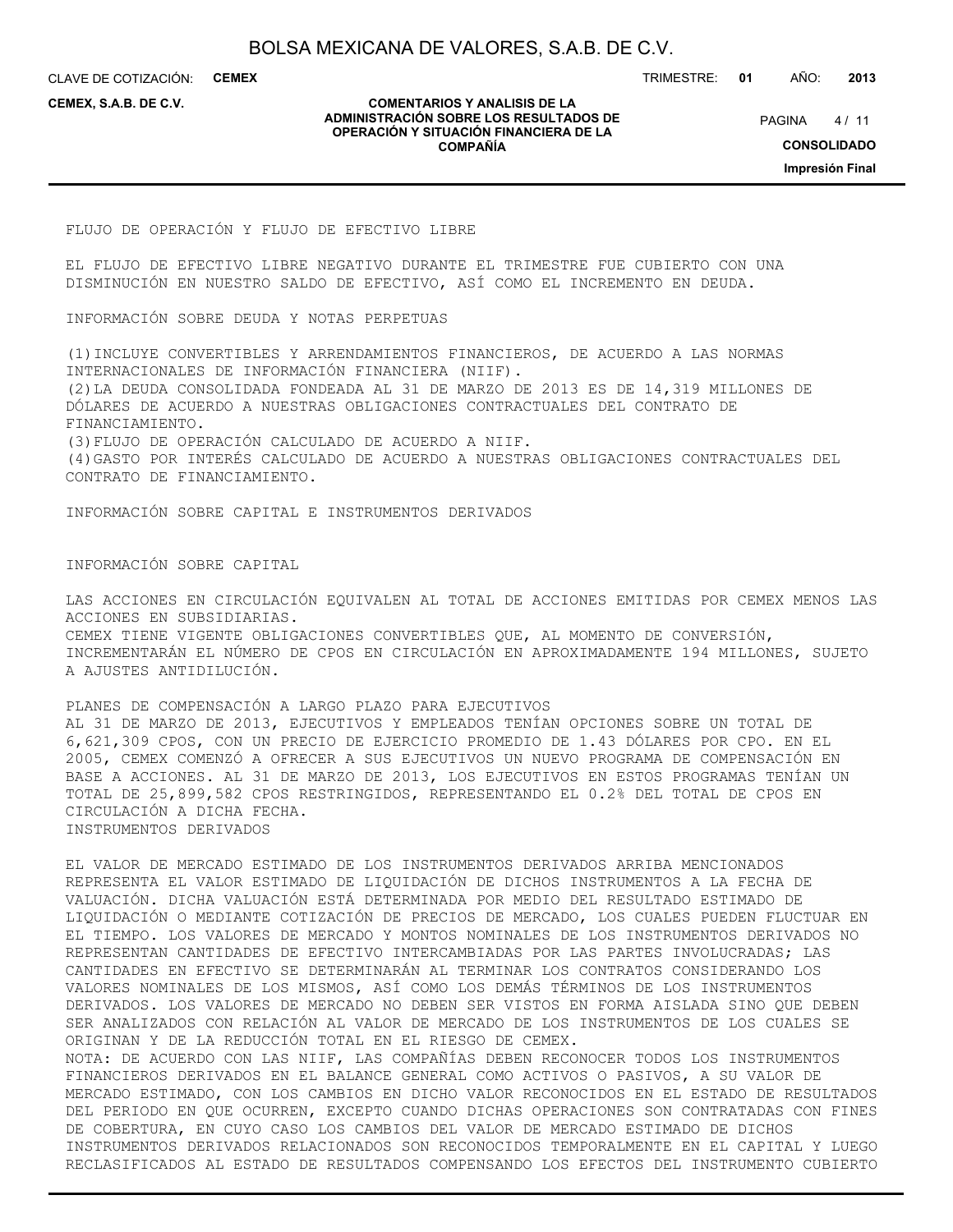CLAVE DE COTIZACIÓN: **CEMEX**

**CEMEX, S.A.B. DE C.V.**

#### **COMENTARIOS Y ANALISIS DE LA ADMINISTRACIÓN SOBRE LOS RESULTADOS DE OPERACIÓN Y SITUACIÓN FINANCIERA DE LA COMPAÑÍA**

TRIMESTRE: **01** AÑO: **2013**

 $4/11$ **PAGINA** 

**CONSOLIDADO**

**Impresión Final**

FLUJO DE OPERACIÓN Y FLUJO DE EFECTIVO LIBRE

EL FLUJO DE EFECTIVO LIBRE NEGATIVO DURANTE EL TRIMESTRE FUE CUBIERTO CON UNA DISMINUCIÓN EN NUESTRO SALDO DE EFECTIVO, ASÍ COMO EL INCREMENTO EN DEUDA.

INFORMACIÓN SOBRE DEUDA Y NOTAS PERPETUAS

(1)INCLUYE CONVERTIBLES Y ARRENDAMIENTOS FINANCIEROS, DE ACUERDO A LAS NORMAS INTERNACIONALES DE INFORMACIÓN FINANCIERA (NIIF). (2)LA DEUDA CONSOLIDADA FONDEADA AL 31 DE MARZO DE 2013 ES DE 14,319 MILLONES DE DÓLARES DE ACUERDO A NUESTRAS OBLIGACIONES CONTRACTUALES DEL CONTRATO DE FINANCIAMIENTO. (3)FLUJO DE OPERACIÓN CALCULADO DE ACUERDO A NIIF.

(4)GASTO POR INTERÉS CALCULADO DE ACUERDO A NUESTRAS OBLIGACIONES CONTRACTUALES DEL CONTRATO DE FINANCIAMIENTO.

INFORMACIÓN SOBRE CAPITAL E INSTRUMENTOS DERIVADOS

INFORMACIÓN SOBRE CAPITAL

LAS ACCIONES EN CIRCULACIÓN EQUIVALEN AL TOTAL DE ACCIONES EMITIDAS POR CEMEX MENOS LAS ACCIONES EN SUBSIDIARIAS. CEMEX TIENE VIGENTE OBLIGACIONES CONVERTIBLES QUE, AL MOMENTO DE CONVERSIÓN, INCREMENTARÁN EL NÚMERO DE CPOS EN CIRCULACIÓN EN APROXIMADAMENTE 194 MILLONES, SUJETO A AJUSTES ANTIDILUCIÓN.

PLANES DE COMPENSACIÓN A LARGO PLAZO PARA EJECUTIVOS AL 31 DE MARZO DE 2013, EJECUTIVOS Y EMPLEADOS TENÍAN OPCIONES SOBRE UN TOTAL DE 6,621,309 CPOS, CON UN PRECIO DE EJERCICIO PROMEDIO DE 1.43 DÓLARES POR CPO. EN EL 2005, CEMEX COMENZÓ A OFRECER A SUS EJECUTIVOS UN NUEVO PROGRAMA DE COMPENSACIÓN EN BASE A ACCIONES. AL 31 DE MARZO DE 2013, LOS EJECUTIVOS EN ESTOS PROGRAMAS TENÍAN UN TOTAL DE 25,899,582 CPOS RESTRINGIDOS, REPRESENTANDO EL 0.2% DEL TOTAL DE CPOS EN CIRCULACIÓN A DICHA FECHA. INSTRUMENTOS DERIVADOS

EL VALOR DE MERCADO ESTIMADO DE LOS INSTRUMENTOS DERIVADOS ARRIBA MENCIONADOS REPRESENTA EL VALOR ESTIMADO DE LIQUIDACIÓN DE DICHOS INSTRUMENTOS A LA FECHA DE VALUACIÓN. DICHA VALUACIÓN ESTÁ DETERMINADA POR MEDIO DEL RESULTADO ESTIMADO DE LIQUIDACIÓN O MEDIANTE COTIZACIÓN DE PRECIOS DE MERCADO, LOS CUALES PUEDEN FLUCTUAR EN EL TIEMPO. LOS VALORES DE MERCADO Y MONTOS NOMINALES DE LOS INSTRUMENTOS DERIVADOS NO REPRESENTAN CANTIDADES DE EFECTIVO INTERCAMBIADAS POR LAS PARTES INVOLUCRADAS; LAS CANTIDADES EN EFECTIVO SE DETERMINARÁN AL TERMINAR LOS CONTRATOS CONSIDERANDO LOS VALORES NOMINALES DE LOS MISMOS, ASÍ COMO LOS DEMÁS TÉRMINOS DE LOS INSTRUMENTOS DERIVADOS. LOS VALORES DE MERCADO NO DEBEN SER VISTOS EN FORMA AISLADA SINO QUE DEBEN SER ANALIZADOS CON RELACIÓN AL VALOR DE MERCADO DE LOS INSTRUMENTOS DE LOS CUALES SE ORIGINAN Y DE LA REDUCCIÓN TOTAL EN EL RIESGO DE CEMEX. NOTA: DE ACUERDO CON LAS NIIF, LAS COMPAÑÍAS DEBEN RECONOCER TODOS LOS INSTRUMENTOS FINANCIEROS DERIVADOS EN EL BALANCE GENERAL COMO ACTIVOS O PASIVOS, A SU VALOR DE MERCADO ESTIMADO, CON LOS CAMBIOS EN DICHO VALOR RECONOCIDOS EN EL ESTADO DE RESULTADOS DEL PERIODO EN QUE OCURREN, EXCEPTO CUANDO DICHAS OPERACIONES SON CONTRATADAS CON FINES DE COBERTURA, EN CUYO CASO LOS CAMBIOS DEL VALOR DE MERCADO ESTIMADO DE DICHOS INSTRUMENTOS DERIVADOS RELACIONADOS SON RECONOCIDOS TEMPORALMENTE EN EL CAPITAL Y LUEGO RECLASIFICADOS AL ESTADO DE RESULTADOS COMPENSANDO LOS EFECTOS DEL INSTRUMENTO CUBIERTO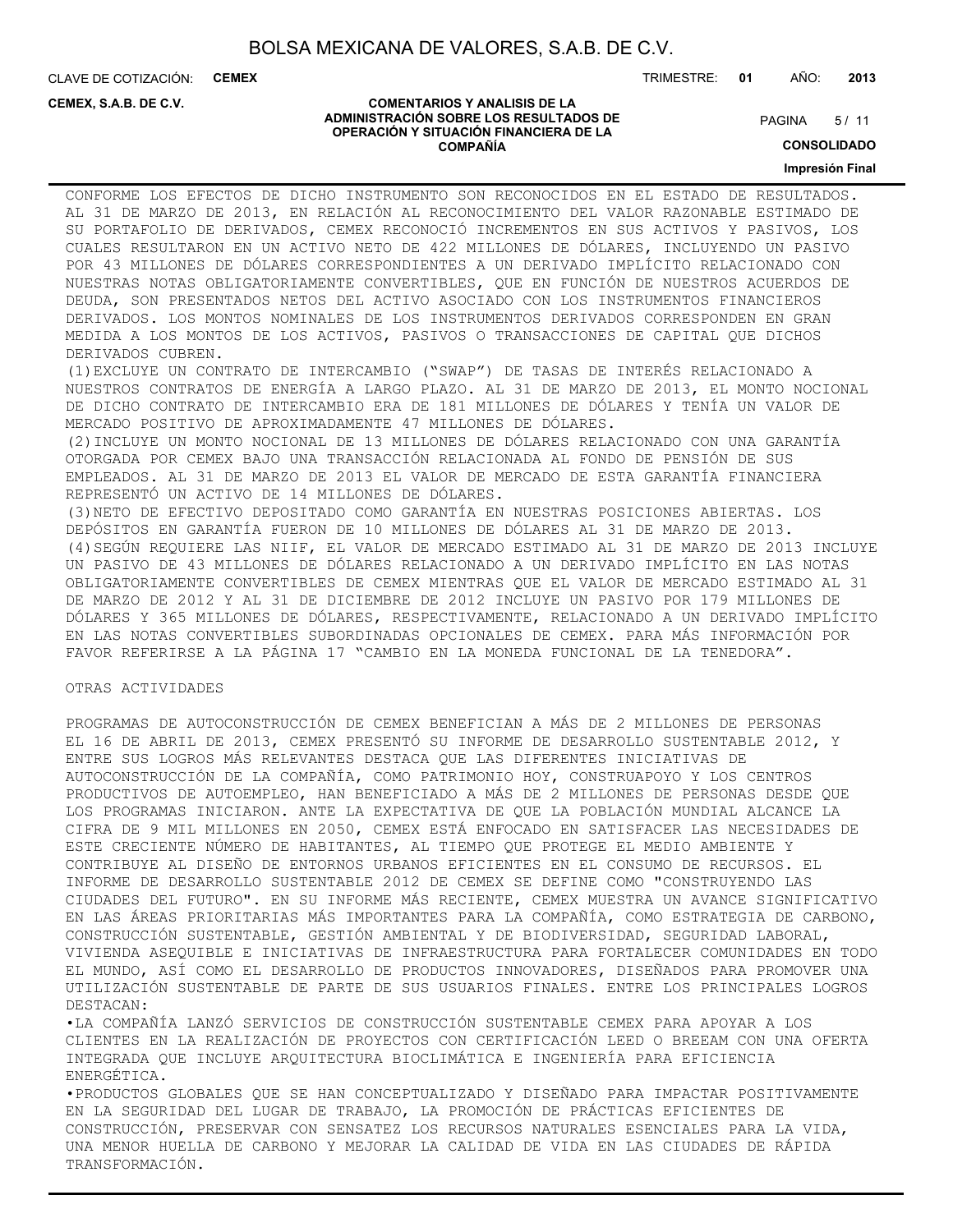CLAVE DE COTIZACIÓN: **CEMEX**

**CEMEX, S.A.B. DE C.V.**

TRIMESTRE: **01** AÑO: **2013**

#### **COMENTARIOS Y ANALISIS DE LA ADMINISTRACIÓN SOBRE LOS RESULTADOS DE OPERACIÓN Y SITUACIÓN FINANCIERA DE LA COMPAÑÍA**

 $5/11$ **PAGINA** 

**CONSOLIDADO**

#### **Impresión Final**

CONFORME LOS EFECTOS DE DICHO INSTRUMENTO SON RECONOCIDOS EN EL ESTADO DE RESULTADOS. AL 31 DE MARZO DE 2013, EN RELACIÓN AL RECONOCIMIENTO DEL VALOR RAZONABLE ESTIMADO DE SU PORTAFOLIO DE DERIVADOS, CEMEX RECONOCIÓ INCREMENTOS EN SUS ACTIVOS Y PASIVOS, LOS CUALES RESULTARON EN UN ACTIVO NETO DE 422 MILLONES DE DÓLARES, INCLUYENDO UN PASIVO POR 43 MILLONES DE DÓLARES CORRESPONDIENTES A UN DERIVADO IMPLÍCITO RELACIONADO CON NUESTRAS NOTAS OBLIGATORIAMENTE CONVERTIBLES, QUE EN FUNCIÓN DE NUESTROS ACUERDOS DE DEUDA, SON PRESENTADOS NETOS DEL ACTIVO ASOCIADO CON LOS INSTRUMENTOS FINANCIEROS DERIVADOS. LOS MONTOS NOMINALES DE LOS INSTRUMENTOS DERIVADOS CORRESPONDEN EN GRAN MEDIDA A LOS MONTOS DE LOS ACTIVOS, PASIVOS O TRANSACCIONES DE CAPITAL QUE DICHOS DERIVADOS CUBREN.

(1)EXCLUYE UN CONTRATO DE INTERCAMBIO ("SWAP") DE TASAS DE INTERÉS RELACIONADO A NUESTROS CONTRATOS DE ENERGÍA A LARGO PLAZO. AL 31 DE MARZO DE 2013, EL MONTO NOCIONAL DE DICHO CONTRATO DE INTERCAMBIO ERA DE 181 MILLONES DE DÓLARES Y TENÍA UN VALOR DE MERCADO POSITIVO DE APROXIMADAMENTE 47 MILLONES DE DÓLARES.

(2)INCLUYE UN MONTO NOCIONAL DE 13 MILLONES DE DÓLARES RELACIONADO CON UNA GARANTÍA OTORGADA POR CEMEX BAJO UNA TRANSACCIÓN RELACIONADA AL FONDO DE PENSIÓN DE SUS EMPLEADOS. AL 31 DE MARZO DE 2013 EL VALOR DE MERCADO DE ESTA GARANTÍA FINANCIERA REPRESENTÓ UN ACTIVO DE 14 MILLONES DE DÓLARES.

(3)NETO DE EFECTIVO DEPOSITADO COMO GARANTÍA EN NUESTRAS POSICIONES ABIERTAS. LOS DEPÓSITOS EN GARANTÍA FUERON DE 10 MILLONES DE DÓLARES AL 31 DE MARZO DE 2013. (4)SEGÚN REQUIERE LAS NIIF, EL VALOR DE MERCADO ESTIMADO AL 31 DE MARZO DE 2013 INCLUYE UN PASIVO DE 43 MILLONES DE DÓLARES RELACIONADO A UN DERIVADO IMPLÍCITO EN LAS NOTAS OBLIGATORIAMENTE CONVERTIBLES DE CEMEX MIENTRAS QUE EL VALOR DE MERCADO ESTIMADO AL 31 DE MARZO DE 2012 Y AL 31 DE DICIEMBRE DE 2012 INCLUYE UN PASIVO POR 179 MILLONES DE DÓLARES Y 365 MILLONES DE DÓLARES, RESPECTIVAMENTE, RELACIONADO A UN DERIVADO IMPLÍCITO EN LAS NOTAS CONVERTIBLES SUBORDINADAS OPCIONALES DE CEMEX. PARA MÁS INFORMACIÓN POR FAVOR REFERIRSE A LA PÁGINA 17 "CAMBIO EN LA MONEDA FUNCIONAL DE LA TENEDORA".

#### OTRAS ACTIVIDADES

PROGRAMAS DE AUTOCONSTRUCCIÓN DE CEMEX BENEFICIAN A MÁS DE 2 MILLONES DE PERSONAS EL 16 DE ABRIL DE 2013, CEMEX PRESENTÓ SU INFORME DE DESARROLLO SUSTENTABLE 2012, Y ENTRE SUS LOGROS MÁS RELEVANTES DESTACA QUE LAS DIFERENTES INICIATIVAS DE AUTOCONSTRUCCIÓN DE LA COMPAÑÍA, COMO PATRIMONIO HOY, CONSTRUAPOYO Y LOS CENTROS PRODUCTIVOS DE AUTOEMPLEO, HAN BENEFICIADO A MÁS DE 2 MILLONES DE PERSONAS DESDE QUE LOS PROGRAMAS INICIARON. ANTE LA EXPECTATIVA DE QUE LA POBLACIÓN MUNDIAL ALCANCE LA CIFRA DE 9 MIL MILLONES EN 2050, CEMEX ESTÁ ENFOCADO EN SATISFACER LAS NECESIDADES DE ESTE CRECIENTE NÚMERO DE HABITANTES, AL TIEMPO QUE PROTEGE EL MEDIO AMBIENTE Y CONTRIBUYE AL DISEÑO DE ENTORNOS URBANOS EFICIENTES EN EL CONSUMO DE RECURSOS. EL INFORME DE DESARROLLO SUSTENTABLE 2012 DE CEMEX SE DEFINE COMO "CONSTRUYENDO LAS CIUDADES DEL FUTURO". EN SU INFORME MÁS RECIENTE, CEMEX MUESTRA UN AVANCE SIGNIFICATIVO EN LAS ÁREAS PRIORITARIAS MÁS IMPORTANTES PARA LA COMPAÑÍA, COMO ESTRATEGIA DE CARBONO, CONSTRUCCIÓN SUSTENTABLE, GESTIÓN AMBIENTAL Y DE BIODIVERSIDAD, SEGURIDAD LABORAL, VIVIENDA ASEQUIBLE E INICIATIVAS DE INFRAESTRUCTURA PARA FORTALECER COMUNIDADES EN TODO EL MUNDO, ASÍ COMO EL DESARROLLO DE PRODUCTOS INNOVADORES, DISEÑADOS PARA PROMOVER UNA UTILIZACIÓN SUSTENTABLE DE PARTE DE SUS USUARIOS FINALES. ENTRE LOS PRINCIPALES LOGROS DESTACAN:

•LA COMPAÑÍA LANZÓ SERVICIOS DE CONSTRUCCIÓN SUSTENTABLE CEMEX PARA APOYAR A LOS CLIENTES EN LA REALIZACIÓN DE PROYECTOS CON CERTIFICACIÓN LEED O BREEAM CON UNA OFERTA INTEGRADA QUE INCLUYE ARQUITECTURA BIOCLIMÁTICA E INGENIERÍA PARA EFICIENCIA ENERGÉTICA.

•PRODUCTOS GLOBALES QUE SE HAN CONCEPTUALIZADO Y DISEÑADO PARA IMPACTAR POSITIVAMENTE EN LA SEGURIDAD DEL LUGAR DE TRABAJO, LA PROMOCIÓN DE PRÁCTICAS EFICIENTES DE CONSTRUCCIÓN, PRESERVAR CON SENSATEZ LOS RECURSOS NATURALES ESENCIALES PARA LA VIDA, UNA MENOR HUELLA DE CARBONO Y MEJORAR LA CALIDAD DE VIDA EN LAS CIUDADES DE RÁPIDA TRANSFORMACIÓN.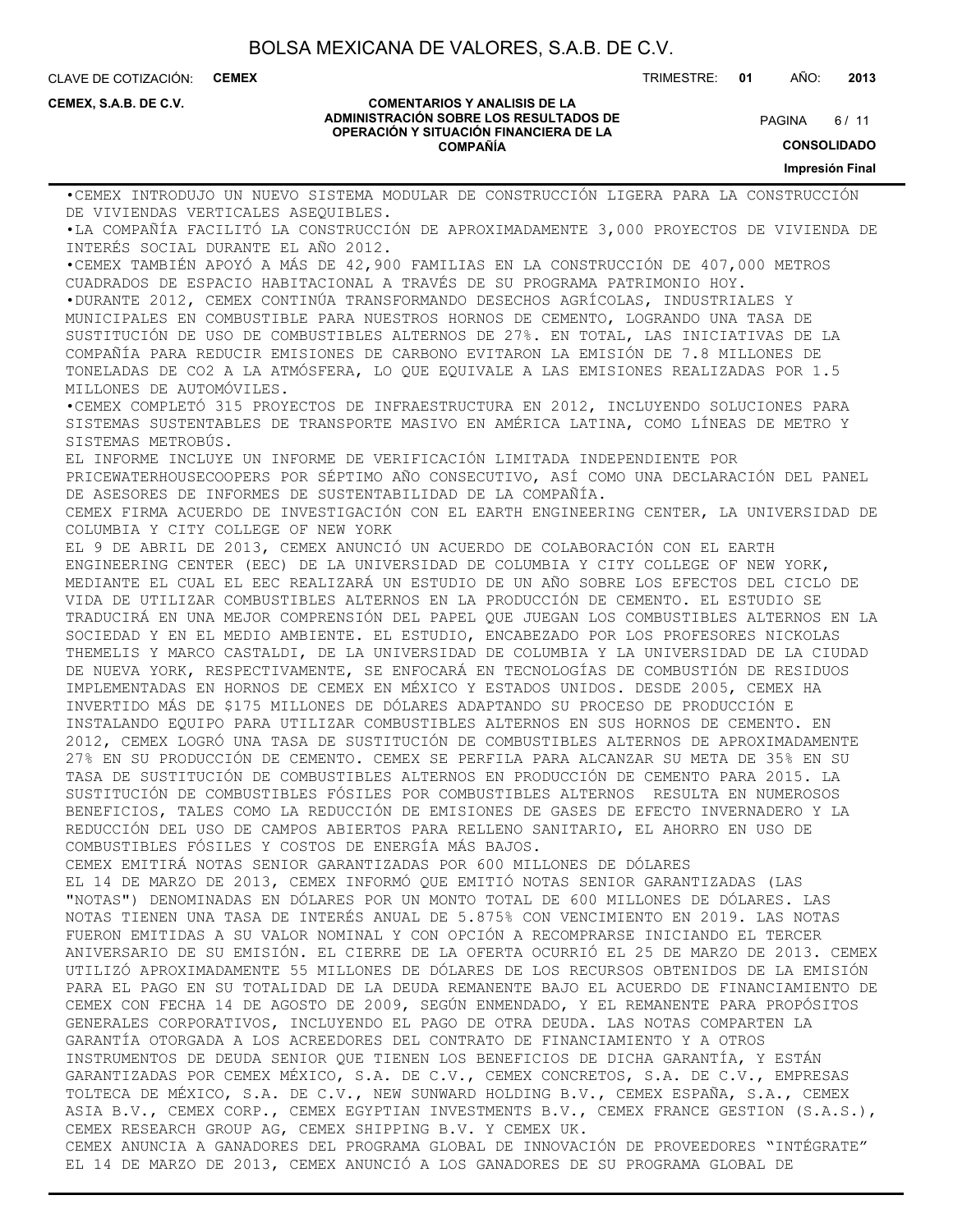CLAVE DE COTIZACIÓN: **CEMEX** TRIMESTRE: **01** AÑO: **2013**

**CEMEX, S.A.B. DE C.V.**

#### **COMENTARIOS Y ANALISIS DE LA ADMINISTRACIÓN SOBRE LOS RESULTADOS DE OPERACIÓN Y SITUACIÓN FINANCIERA DE LA COMPAÑÍA**

 $6/11$ **PAGINA** 

**CONSOLIDADO**

**Impresión Final**

•CEMEX INTRODUJO UN NUEVO SISTEMA MODULAR DE CONSTRUCCIÓN LIGERA PARA LA CONSTRUCCIÓN DE VIVIENDAS VERTICALES ASEQUIBLES. •LA COMPAÑÍA FACILITÓ LA CONSTRUCCIÓN DE APROXIMADAMENTE 3,000 PROYECTOS DE VIVIENDA DE INTERÉS SOCIAL DURANTE EL AÑO 2012. •CEMEX TAMBIÉN APOYÓ A MÁS DE 42,900 FAMILIAS EN LA CONSTRUCCIÓN DE 407,000 METROS CUADRADOS DE ESPACIO HABITACIONAL A TRAVÉS DE SU PROGRAMA PATRIMONIO HOY. •DURANTE 2012, CEMEX CONTINÚA TRANSFORMANDO DESECHOS AGRÍCOLAS, INDUSTRIALES Y MUNICIPALES EN COMBUSTIBLE PARA NUESTROS HORNOS DE CEMENTO, LOGRANDO UNA TASA DE SUSTITUCIÓN DE USO DE COMBUSTIBLES ALTERNOS DE 27%. EN TOTAL, LAS INICIATIVAS DE LA COMPAÑÍA PARA REDUCIR EMISIONES DE CARBONO EVITARON LA EMISIÓN DE 7.8 MILLONES DE TONELADAS DE CO2 A LA ATMÓSFERA, LO QUE EQUIVALE A LAS EMISIONES REALIZADAS POR 1.5 MILLONES DE AUTOMÓVILES. •CEMEX COMPLETÓ 315 PROYECTOS DE INFRAESTRUCTURA EN 2012, INCLUYENDO SOLUCIONES PARA SISTEMAS SUSTENTABLES DE TRANSPORTE MASIVO EN AMÉRICA LATINA, COMO LÍNEAS DE METRO Y SISTEMAS METROBÚS. EL INFORME INCLUYE UN INFORME DE VERIFICACIÓN LIMITADA INDEPENDIENTE POR PRICEWATERHOUSECOOPERS POR SÉPTIMO AÑO CONSECUTIVO, ASÍ COMO UNA DECLARACIÓN DEL PANEL DE ASESORES DE INFORMES DE SUSTENTABILIDAD DE LA COMPAÑÍA. CEMEX FIRMA ACUERDO DE INVESTIGACIÓN CON EL EARTH ENGINEERING CENTER, LA UNIVERSIDAD DE COLUMBIA Y CITY COLLEGE OF NEW YORK EL 9 DE ABRIL DE 2013, CEMEX ANUNCIÓ UN ACUERDO DE COLABORACIÓN CON EL EARTH ENGINEERING CENTER (EEC) DE LA UNIVERSIDAD DE COLUMBIA Y CITY COLLEGE OF NEW YORK, MEDIANTE EL CUAL EL EEC REALIZARÁ UN ESTUDIO DE UN AÑO SOBRE LOS EFECTOS DEL CICLO DE VIDA DE UTILIZAR COMBUSTIBLES ALTERNOS EN LA PRODUCCIÓN DE CEMENTO. EL ESTUDIO SE TRADUCIRÁ EN UNA MEJOR COMPRENSIÓN DEL PAPEL QUE JUEGAN LOS COMBUSTIBLES ALTERNOS EN LA SOCIEDAD Y EN EL MEDIO AMBIENTE. EL ESTUDIO, ENCABEZADO POR LOS PROFESORES NICKOLAS THEMELIS Y MARCO CASTALDI, DE LA UNIVERSIDAD DE COLUMBIA Y LA UNIVERSIDAD DE LA CIUDAD DE NUEVA YORK, RESPECTIVAMENTE, SE ENFOCARÁ EN TECNOLOGÍAS DE COMBUSTIÓN DE RESIDUOS IMPLEMENTADAS EN HORNOS DE CEMEX EN MÉXICO Y ESTADOS UNIDOS. DESDE 2005, CEMEX HA INVERTIDO MÁS DE \$175 MILLONES DE DÓLARES ADAPTANDO SU PROCESO DE PRODUCCIÓN E INSTALANDO EQUIPO PARA UTILIZAR COMBUSTIBLES ALTERNOS EN SUS HORNOS DE CEMENTO. EN 2012, CEMEX LOGRÓ UNA TASA DE SUSTITUCIÓN DE COMBUSTIBLES ALTERNOS DE APROXIMADAMENTE 27% EN SU PRODUCCIÓN DE CEMENTO. CEMEX SE PERFILA PARA ALCANZAR SU META DE 35% EN SU TASA DE SUSTITUCIÓN DE COMBUSTIBLES ALTERNOS EN PRODUCCIÓN DE CEMENTO PARA 2015. LA SUSTITUCIÓN DE COMBUSTIBLES FÓSILES POR COMBUSTIBLES ALTERNOS RESULTA EN NUMEROSOS BENEFICIOS, TALES COMO LA REDUCCIÓN DE EMISIONES DE GASES DE EFECTO INVERNADERO Y LA REDUCCIÓN DEL USO DE CAMPOS ABIERTOS PARA RELLENO SANITARIO, EL AHORRO EN USO DE COMBUSTIBLES FÓSILES Y COSTOS DE ENERGÍA MÁS BAJOS. CEMEX EMITIRÁ NOTAS SENIOR GARANTIZADAS POR 600 MILLONES DE DÓLARES EL 14 DE MARZO DE 2013, CEMEX INFORMÓ QUE EMITIÓ NOTAS SENIOR GARANTIZADAS (LAS "NOTAS") DENOMINADAS EN DÓLARES POR UN MONTO TOTAL DE 600 MILLONES DE DÓLARES. LAS NOTAS TIENEN UNA TASA DE INTERÉS ANUAL DE 5.875% CON VENCIMIENTO EN 2019. LAS NOTAS FUERON EMITIDAS A SU VALOR NOMINAL Y CON OPCIÓN A RECOMPRARSE INICIANDO EL TERCER ANIVERSARIO DE SU EMISIÓN. EL CIERRE DE LA OFERTA OCURRIÓ EL 25 DE MARZO DE 2013. CEMEX UTILIZÓ APROXIMADAMENTE 55 MILLONES DE DÓLARES DE LOS RECURSOS OBTENIDOS DE LA EMISIÓN PARA EL PAGO EN SU TOTALIDAD DE LA DEUDA REMANENTE BAJO EL ACUERDO DE FINANCIAMIENTO DE CEMEX CON FECHA 14 DE AGOSTO DE 2009, SEGÚN ENMENDADO, Y EL REMANENTE PARA PROPÓSITOS GENERALES CORPORATIVOS, INCLUYENDO EL PAGO DE OTRA DEUDA. LAS NOTAS COMPARTEN LA GARANTÍA OTORGADA A LOS ACREEDORES DEL CONTRATO DE FINANCIAMIENTO Y A OTROS INSTRUMENTOS DE DEUDA SENIOR QUE TIENEN LOS BENEFICIOS DE DICHA GARANTÍA, Y ESTÁN GARANTIZADAS POR CEMEX MÉXICO, S.A. DE C.V., CEMEX CONCRETOS, S.A. DE C.V., EMPRESAS TOLTECA DE MÉXICO, S.A. DE C.V., NEW SUNWARD HOLDING B.V., CEMEX ESPAÑA, S.A., CEMEX ASIA B.V., CEMEX CORP., CEMEX EGYPTIAN INVESTMENTS B.V., CEMEX FRANCE GESTION (S.A.S.), CEMEX RESEARCH GROUP AG, CEMEX SHIPPING B.V. Y CEMEX UK. CEMEX ANUNCIA A GANADORES DEL PROGRAMA GLOBAL DE INNOVACIÓN DE PROVEEDORES "INTÉGRATE" EL 14 DE MARZO DE 2013, CEMEX ANUNCIÓ A LOS GANADORES DE SU PROGRAMA GLOBAL DE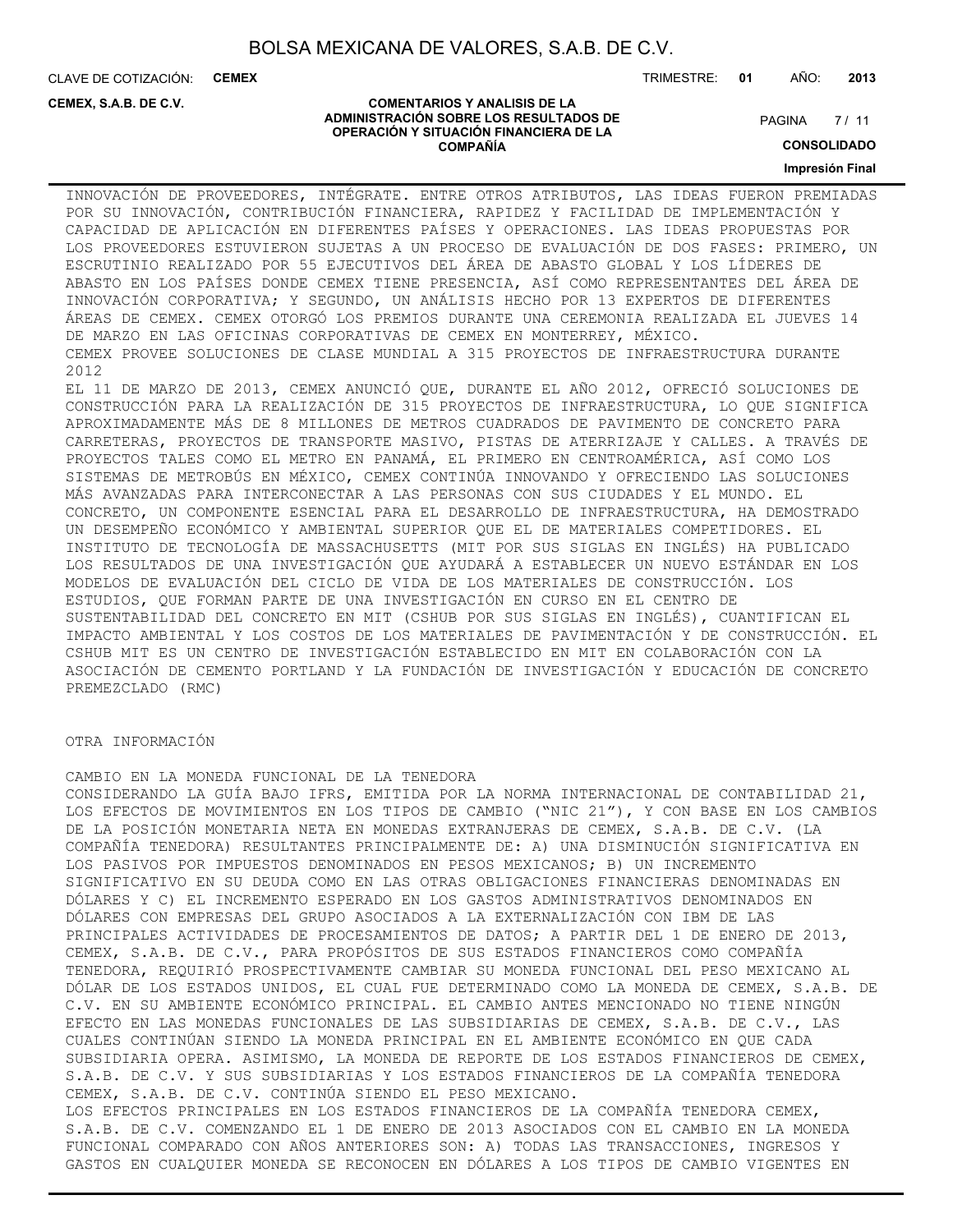CLAVE DE COTIZACIÓN: **CEMEX**

**CEMEX, S.A.B. DE C.V.**

TRIMESTRE: **01** AÑO: **2013**

 $7/11$ **PAGINA** 

#### **COMENTARIOS Y ANALISIS DE LA ADMINISTRACIÓN SOBRE LOS RESULTADOS DE OPERACIÓN Y SITUACIÓN FINANCIERA DE LA COMPAÑÍA**

**CONSOLIDADO**

# **Impresión Final** INNOVACIÓN DE PROVEEDORES, INTÉGRATE. ENTRE OTROS ATRIBUTOS, LAS IDEAS FUERON PREMIADAS

POR SU INNOVACIÓN, CONTRIBUCIÓN FINANCIERA, RAPIDEZ Y FACILIDAD DE IMPLEMENTACIÓN Y CAPACIDAD DE APLICACIÓN EN DIFERENTES PAÍSES Y OPERACIONES. LAS IDEAS PROPUESTAS POR LOS PROVEEDORES ESTUVIERON SUJETAS A UN PROCESO DE EVALUACIÓN DE DOS FASES: PRIMERO, UN ESCRUTINIO REALIZADO POR 55 EJECUTIVOS DEL ÁREA DE ABASTO GLOBAL Y LOS LÍDERES DE ABASTO EN LOS PAÍSES DONDE CEMEX TIENE PRESENCIA, ASÍ COMO REPRESENTANTES DEL ÁREA DE INNOVACIÓN CORPORATIVA; Y SEGUNDO, UN ANÁLISIS HECHO POR 13 EXPERTOS DE DIFERENTES ÁREAS DE CEMEX. CEMEX OTORGÓ LOS PREMIOS DURANTE UNA CEREMONIA REALIZADA EL JUEVES 14 DE MARZO EN LAS OFICINAS CORPORATIVAS DE CEMEX EN MONTERREY, MÉXICO. CEMEX PROVEE SOLUCIONES DE CLASE MUNDIAL A 315 PROYECTOS DE INFRAESTRUCTURA DURANTE 2012

EL 11 DE MARZO DE 2013, CEMEX ANUNCIÓ QUE, DURANTE EL AÑO 2012, OFRECIÓ SOLUCIONES DE CONSTRUCCIÓN PARA LA REALIZACIÓN DE 315 PROYECTOS DE INFRAESTRUCTURA, LO QUE SIGNIFICA APROXIMADAMENTE MÁS DE 8 MILLONES DE METROS CUADRADOS DE PAVIMENTO DE CONCRETO PARA CARRETERAS, PROYECTOS DE TRANSPORTE MASIVO, PISTAS DE ATERRIZAJE Y CALLES. A TRAVÉS DE PROYECTOS TALES COMO EL METRO EN PANAMÁ, EL PRIMERO EN CENTROAMÉRICA, ASÍ COMO LOS SISTEMAS DE METROBÚS EN MÉXICO, CEMEX CONTINÚA INNOVANDO Y OFRECIENDO LAS SOLUCIONES MÁS AVANZADAS PARA INTERCONECTAR A LAS PERSONAS CON SUS CIUDADES Y EL MUNDO. EL CONCRETO, UN COMPONENTE ESENCIAL PARA EL DESARROLLO DE INFRAESTRUCTURA, HA DEMOSTRADO UN DESEMPEÑO ECONÓMICO Y AMBIENTAL SUPERIOR QUE EL DE MATERIALES COMPETIDORES. EL INSTITUTO DE TECNOLOGÍA DE MASSACHUSETTS (MIT POR SUS SIGLAS EN INGLÉS) HA PUBLICADO LOS RESULTADOS DE UNA INVESTIGACIÓN QUE AYUDARÁ A ESTABLECER UN NUEVO ESTÁNDAR EN LOS MODELOS DE EVALUACIÓN DEL CICLO DE VIDA DE LOS MATERIALES DE CONSTRUCCIÓN. LOS ESTUDIOS, QUE FORMAN PARTE DE UNA INVESTIGACIÓN EN CURSO EN EL CENTRO DE SUSTENTABILIDAD DEL CONCRETO EN MIT (CSHUB POR SUS SIGLAS EN INGLÉS), CUANTIFICAN EL IMPACTO AMBIENTAL Y LOS COSTOS DE LOS MATERIALES DE PAVIMENTACIÓN Y DE CONSTRUCCIÓN. EL CSHUB MIT ES UN CENTRO DE INVESTIGACIÓN ESTABLECIDO EN MIT EN COLABORACIÓN CON LA ASOCIACIÓN DE CEMENTO PORTLAND Y LA FUNDACIÓN DE INVESTIGACIÓN Y EDUCACIÓN DE CONCRETO PREMEZCLADO (RMC)

#### OTRA INFORMACIÓN

CAMBIO EN LA MONEDA FUNCIONAL DE LA TENEDORA CONSIDERANDO LA GUÍA BAJO IFRS, EMITIDA POR LA NORMA INTERNACIONAL DE CONTABILIDAD 21, LOS EFECTOS DE MOVIMIENTOS EN LOS TIPOS DE CAMBIO ("NIC 21"), Y CON BASE EN LOS CAMBIOS DE LA POSICIÓN MONETARIA NETA EN MONEDAS EXTRANJERAS DE CEMEX, S.A.B. DE C.V. (LA COMPAÑÍA TENEDORA) RESULTANTES PRINCIPALMENTE DE: A) UNA DISMINUCIÓN SIGNIFICATIVA EN LOS PASIVOS POR IMPUESTOS DENOMINADOS EN PESOS MEXICANOS; B) UN INCREMENTO SIGNIFICATIVO EN SU DEUDA COMO EN LAS OTRAS OBLIGACIONES FINANCIERAS DENOMINADAS EN DÓLARES Y C) EL INCREMENTO ESPERADO EN LOS GASTOS ADMINISTRATIVOS DENOMINADOS EN DÓLARES CON EMPRESAS DEL GRUPO ASOCIADOS A LA EXTERNALIZACIÓN CON IBM DE LAS PRINCIPALES ACTIVIDADES DE PROCESAMIENTOS DE DATOS; A PARTIR DEL 1 DE ENERO DE 2013, CEMEX, S.A.B. DE C.V., PARA PROPÓSITOS DE SUS ESTADOS FINANCIEROS COMO COMPAÑÍA TENEDORA, REQUIRIÓ PROSPECTIVAMENTE CAMBIAR SU MONEDA FUNCIONAL DEL PESO MEXICANO AL DÓLAR DE LOS ESTADOS UNIDOS, EL CUAL FUE DETERMINADO COMO LA MONEDA DE CEMEX, S.A.B. DE C.V. EN SU AMBIENTE ECONÓMICO PRINCIPAL. EL CAMBIO ANTES MENCIONADO NO TIENE NINGÚN EFECTO EN LAS MONEDAS FUNCIONALES DE LAS SUBSIDIARIAS DE CEMEX, S.A.B. DE C.V., LAS CUALES CONTINÚAN SIENDO LA MONEDA PRINCIPAL EN EL AMBIENTE ECONÓMICO EN QUE CADA SUBSIDIARIA OPERA. ASIMISMO, LA MONEDA DE REPORTE DE LOS ESTADOS FINANCIEROS DE CEMEX, S.A.B. DE C.V. Y SUS SUBSIDIARIAS Y LOS ESTADOS FINANCIEROS DE LA COMPAÑÍA TENEDORA CEMEX, S.A.B. DE C.V. CONTINÚA SIENDO EL PESO MEXICANO. LOS EFECTOS PRINCIPALES EN LOS ESTADOS FINANCIEROS DE LA COMPAÑÍA TENEDORA CEMEX, S.A.B. DE C.V. COMENZANDO EL 1 DE ENERO DE 2013 ASOCIADOS CON EL CAMBIO EN LA MONEDA FUNCIONAL COMPARADO CON AÑOS ANTERIORES SON: A) TODAS LAS TRANSACCIONES, INGRESOS Y GASTOS EN CUALQUIER MONEDA SE RECONOCEN EN DÓLARES A LOS TIPOS DE CAMBIO VIGENTES EN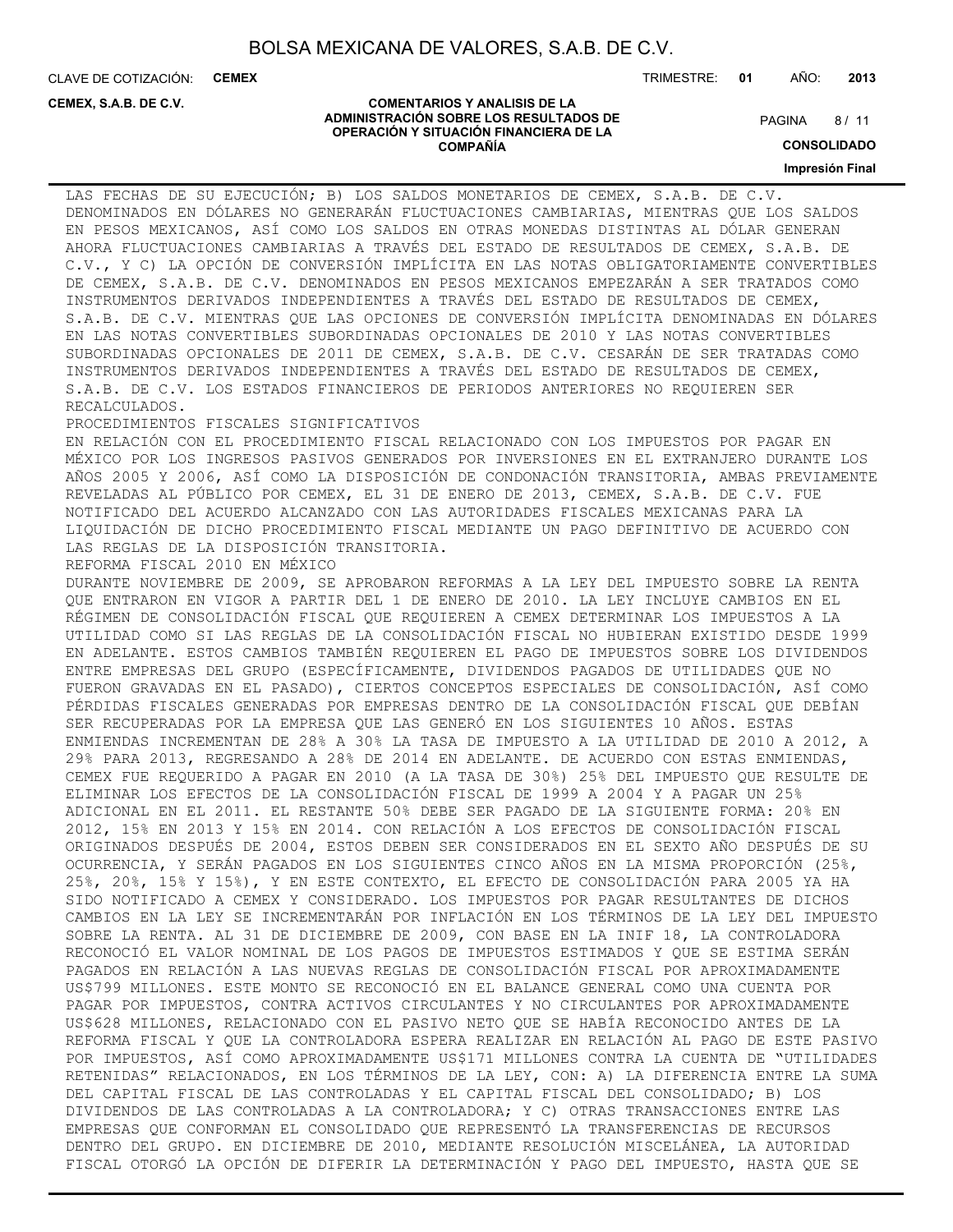**COMENTARIOS Y ANALISIS DE LA ADMINISTRACIÓN SOBRE LOS RESULTADOS DE OPERACIÓN Y SITUACIÓN FINANCIERA DE LA COMPAÑÍA**

CLAVE DE COTIZACIÓN: **CEMEX**

**CEMEX, S.A.B. DE C.V.**

TRIMESTRE: **01** AÑO: **2013**

 $8/11$ **PAGINA** 

**CONSOLIDADO Impresión Final**

LAS FECHAS DE SU EJECUCIÓN; B) LOS SALDOS MONETARIOS DE CEMEX, S.A.B. DE C.V. DENOMINADOS EN DÓLARES NO GENERARÁN FLUCTUACIONES CAMBIARIAS, MIENTRAS QUE LOS SALDOS EN PESOS MEXICANOS, ASÍ COMO LOS SALDOS EN OTRAS MONEDAS DISTINTAS AL DÓLAR GENERAN AHORA FLUCTUACIONES CAMBIARIAS A TRAVÉS DEL ESTADO DE RESULTADOS DE CEMEX, S.A.B. DE C.V., Y C) LA OPCIÓN DE CONVERSIÓN IMPLÍCITA EN LAS NOTAS OBLIGATORIAMENTE CONVERTIBLES DE CEMEX, S.A.B. DE C.V. DENOMINADOS EN PESOS MEXICANOS EMPEZARÁN A SER TRATADOS COMO INSTRUMENTOS DERIVADOS INDEPENDIENTES A TRAVÉS DEL ESTADO DE RESULTADOS DE CEMEX, S.A.B. DE C.V. MIENTRAS QUE LAS OPCIONES DE CONVERSIÓN IMPLÍCITA DENOMINADAS EN DÓLARES EN LAS NOTAS CONVERTIBLES SUBORDINADAS OPCIONALES DE 2010 Y LAS NOTAS CONVERTIBLES SUBORDINADAS OPCIONALES DE 2011 DE CEMEX, S.A.B. DE C.V. CESARÁN DE SER TRATADAS COMO INSTRUMENTOS DERIVADOS INDEPENDIENTES A TRAVÉS DEL ESTADO DE RESULTADOS DE CEMEX, S.A.B. DE C.V. LOS ESTADOS FINANCIEROS DE PERIODOS ANTERIORES NO REQUIEREN SER RECALCULADOS.

#### PROCEDIMIENTOS FISCALES SIGNIFICATIVOS

EN RELACIÓN CON EL PROCEDIMIENTO FISCAL RELACIONADO CON LOS IMPUESTOS POR PAGAR EN MÉXICO POR LOS INGRESOS PASIVOS GENERADOS POR INVERSIONES EN EL EXTRANJERO DURANTE LOS AÑOS 2005 Y 2006, ASÍ COMO LA DISPOSICIÓN DE CONDONACIÓN TRANSITORIA, AMBAS PREVIAMENTE REVELADAS AL PÚBLICO POR CEMEX, EL 31 DE ENERO DE 2013, CEMEX, S.A.B. DE C.V. FUE NOTIFICADO DEL ACUERDO ALCANZADO CON LAS AUTORIDADES FISCALES MEXICANAS PARA LA LIQUIDACIÓN DE DICHO PROCEDIMIENTO FISCAL MEDIANTE UN PAGO DEFINITIVO DE ACUERDO CON LAS REGLAS DE LA DISPOSICIÓN TRANSITORIA.

REFORMA FISCAL 2010 EN MÉXICO

DURANTE NOVIEMBRE DE 2009, SE APROBARON REFORMAS A LA LEY DEL IMPUESTO SOBRE LA RENTA QUE ENTRARON EN VIGOR A PARTIR DEL 1 DE ENERO DE 2010. LA LEY INCLUYE CAMBIOS EN EL RÉGIMEN DE CONSOLIDACIÓN FISCAL QUE REQUIEREN A CEMEX DETERMINAR LOS IMPUESTOS A LA UTILIDAD COMO SI LAS REGLAS DE LA CONSOLIDACIÓN FISCAL NO HUBIERAN EXISTIDO DESDE 1999 EN ADELANTE. ESTOS CAMBIOS TAMBIÉN REQUIEREN EL PAGO DE IMPUESTOS SOBRE LOS DIVIDENDOS ENTRE EMPRESAS DEL GRUPO (ESPECÍFICAMENTE, DIVIDENDOS PAGADOS DE UTILIDADES QUE NO FUERON GRAVADAS EN EL PASADO), CIERTOS CONCEPTOS ESPECIALES DE CONSOLIDACIÓN, ASÍ COMO PÉRDIDAS FISCALES GENERADAS POR EMPRESAS DENTRO DE LA CONSOLIDACIÓN FISCAL QUE DEBÍAN SER RECUPERADAS POR LA EMPRESA QUE LAS GENERÓ EN LOS SIGUIENTES 10 AÑOS. ESTAS ENMIENDAS INCREMENTAN DE 28% A 30% LA TASA DE IMPUESTO A LA UTILIDAD DE 2010 A 2012, A 29% PARA 2013, REGRESANDO A 28% DE 2014 EN ADELANTE. DE ACUERDO CON ESTAS ENMIENDAS, CEMEX FUE REQUERIDO A PAGAR EN 2010 (A LA TASA DE 30%) 25% DEL IMPUESTO QUE RESULTE DE ELIMINAR LOS EFECTOS DE LA CONSOLIDACIÓN FISCAL DE 1999 A 2004 Y A PAGAR UN 25% ADICIONAL EN EL 2011. EL RESTANTE 50% DEBE SER PAGADO DE LA SIGUIENTE FORMA: 20% EN 2012, 15% EN 2013 Y 15% EN 2014. CON RELACIÓN A LOS EFECTOS DE CONSOLIDACIÓN FISCAL ORIGINADOS DESPUÉS DE 2004, ESTOS DEBEN SER CONSIDERADOS EN EL SEXTO AÑO DESPUÉS DE SU OCURRENCIA, Y SERÁN PAGADOS EN LOS SIGUIENTES CINCO AÑOS EN LA MISMA PROPORCIÓN (25%, 25%, 20%, 15% Y 15%), Y EN ESTE CONTEXTO, EL EFECTO DE CONSOLIDACIÓN PARA 2005 YA HA SIDO NOTIFICADO A CEMEX Y CONSIDERADO. LOS IMPUESTOS POR PAGAR RESULTANTES DE DICHOS CAMBIOS EN LA LEY SE INCREMENTARÁN POR INFLACIÓN EN LOS TÉRMINOS DE LA LEY DEL IMPUESTO SOBRE LA RENTA. AL 31 DE DICIEMBRE DE 2009, CON BASE EN LA INIF 18, LA CONTROLADORA RECONOCIÓ EL VALOR NOMINAL DE LOS PAGOS DE IMPUESTOS ESTIMADOS Y QUE SE ESTIMA SERÁN PAGADOS EN RELACIÓN A LAS NUEVAS REGLAS DE CONSOLIDACIÓN FISCAL POR APROXIMADAMENTE US\$799 MILLONES. ESTE MONTO SE RECONOCIÓ EN EL BALANCE GENERAL COMO UNA CUENTA POR PAGAR POR IMPUESTOS, CONTRA ACTIVOS CIRCULANTES Y NO CIRCULANTES POR APROXIMADAMENTE US\$628 MILLONES, RELACIONADO CON EL PASIVO NETO QUE SE HABÍA RECONOCIDO ANTES DE LA REFORMA FISCAL Y QUE LA CONTROLADORA ESPERA REALIZAR EN RELACIÓN AL PAGO DE ESTE PASIVO POR IMPUESTOS, ASÍ COMO APROXIMADAMENTE US\$171 MILLONES CONTRA LA CUENTA DE "UTILIDADES RETENIDAS" RELACIONADOS, EN LOS TÉRMINOS DE LA LEY, CON: A) LA DIFERENCIA ENTRE LA SUMA DEL CAPITAL FISCAL DE LAS CONTROLADAS Y EL CAPITAL FISCAL DEL CONSOLIDADO; B) LOS DIVIDENDOS DE LAS CONTROLADAS A LA CONTROLADORA; Y C) OTRAS TRANSACCIONES ENTRE LAS EMPRESAS QUE CONFORMAN EL CONSOLIDADO QUE REPRESENTÓ LA TRANSFERENCIAS DE RECURSOS DENTRO DEL GRUPO. EN DICIEMBRE DE 2010, MEDIANTE RESOLUCIÓN MISCELÁNEA, LA AUTORIDAD FISCAL OTORGÓ LA OPCIÓN DE DIFERIR LA DETERMINACIÓN Y PAGO DEL IMPUESTO, HASTA QUE SE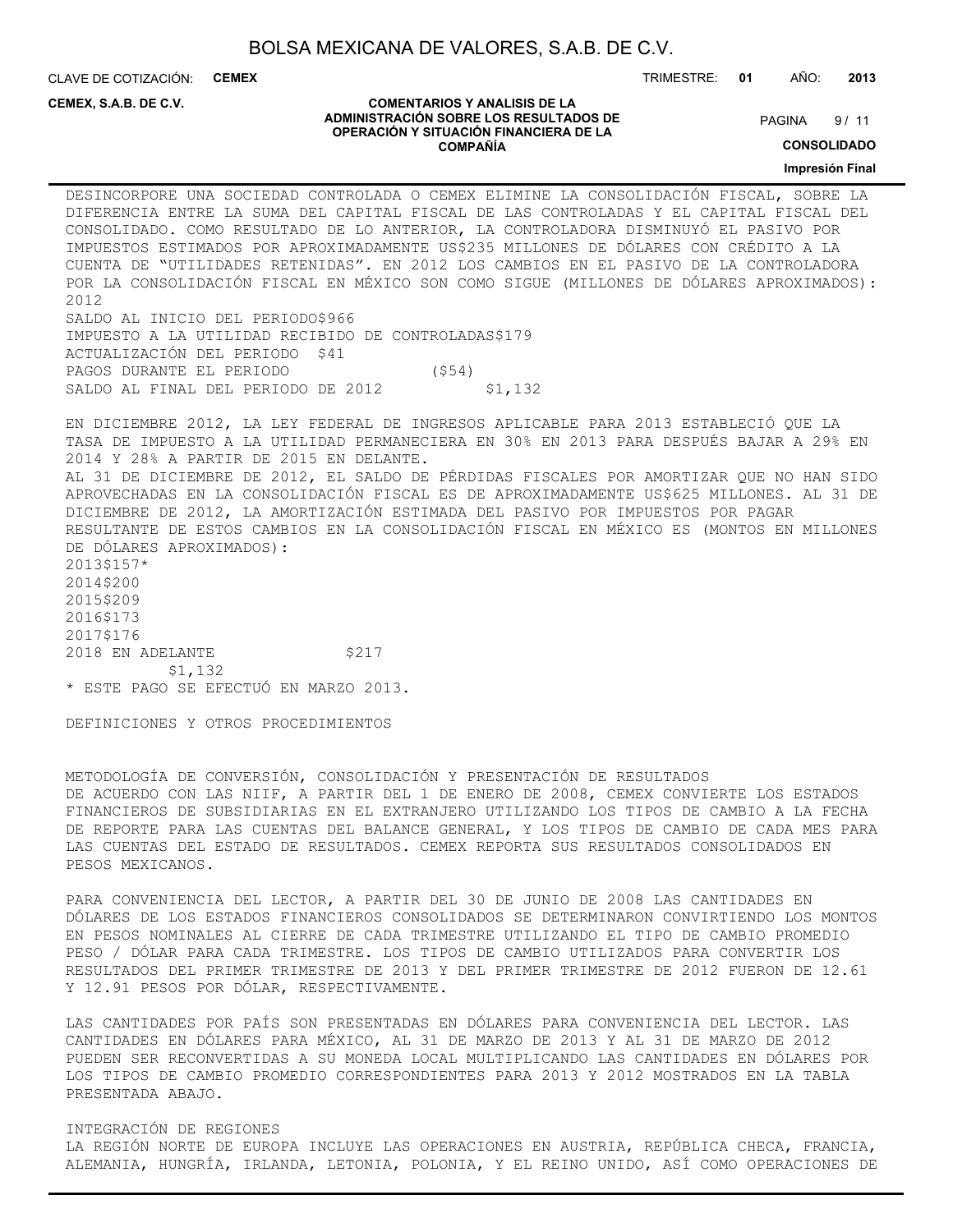CLAVE DE COTIZACIÓN: **CEMEX** TRIMESTRE: **01** AÑO: **2013**

**CEMEX, S.A.B. DE C.V.**

#### **COMENTARIOS Y ANALISIS DE LA ADMINISTRACIÓN SOBRE LOS RESULTADOS DE OPERACIÓN Y SITUACIÓN FINANCIERA DE LA COMPAÑÍA**

 $9/11$ **PAGINA** 

**CONSOLIDADO**

**Impresión Final**

DESINCORPORE UNA SOCIEDAD CONTROLADA O CEMEX ELIMINE LA CONSOLIDACIÓN FISCAL, SOBRE LA DIFERENCIA ENTRE LA SUMA DEL CAPITAL FISCAL DE LAS CONTROLADAS Y EL CAPITAL FISCAL DEL CONSOLIDADO. COMO RESULTADO DE LO ANTERIOR, LA CONTROLADORA DISMINUYÓ EL PASIVO POR IMPUESTOS ESTIMADOS POR APROXIMADAMENTE US\$235 MILLONES DE DÓLARES CON CRÉDITO A LA CUENTA DE "UTILIDADES RETENIDAS". EN 2012 LOS CAMBIOS EN EL PASIVO DE LA CONTROLADORA POR LA CONSOLIDACIÓN FISCAL EN MÉXICO SON COMO SIGUE (MILLONES DE DÓLARES APROXIMADOS): 2012 SALDO AL INICIO DEL PERIODO\$966 IMPUESTO A LA UTILIDAD RECIBIDO DE CONTROLADAS\$179 ACTUALIZACIÓN DEL PERIODO \$41 PAGOS DURANTE EL PERIODO (\$54) SALDO AL FINAL DEL PERIODO DE 2012 \$1,132

EN DICIEMBRE 2012, LA LEY FEDERAL DE INGRESOS APLICABLE PARA 2013 ESTABLECIÓ QUE LA TASA DE IMPUESTO A LA UTILIDAD PERMANECIERA EN 30% EN 2013 PARA DESPUÉS BAJAR A 29% EN 2014 Y 28% A PARTIR DE 2015 EN DELANTE. AL 31 DE DICIEMBRE DE 2012, EL SALDO DE PÉRDIDAS FISCALES POR AMORTIZAR QUE NO HAN SIDO APROVECHADAS EN LA CONSOLIDACIÓN FISCAL ES DE APROXIMADAMENTE US\$625 MILLONES. AL 31 DE DICIEMBRE DE 2012, LA AMORTIZACIÓN ESTIMADA DEL PASIVO POR IMPUESTOS POR PAGAR RESULTANTE DE ESTOS CAMBIOS EN LA CONSOLIDACIÓN FISCAL EN MÉXICO ES (MONTOS EN MILLONES DE DÓLARES APROXIMADOS): 2013\$157\* 2014\$200 2015\$209 2016\$173 2017\$176 2018 EN ADELANTE \$217 \$1,132 \* ESTE PAGO SE EFECTUÓ EN MARZO 2013.

DEFINICIONES Y OTROS PROCEDIMIENTOS

METODOLOGÍA DE CONVERSIÓN, CONSOLIDACIÓN Y PRESENTACIÓN DE RESULTADOS DE ACUERDO CON LAS NIIF, A PARTIR DEL 1 DE ENERO DE 2008, CEMEX CONVIERTE LOS ESTADOS FINANCIEROS DE SUBSIDIARIAS EN EL EXTRANJERO UTILIZANDO LOS TIPOS DE CAMBIO A LA FECHA DE REPORTE PARA LAS CUENTAS DEL BALANCE GENERAL, Y LOS TIPOS DE CAMBIO DE CADA MES PARA LAS CUENTAS DEL ESTADO DE RESULTADOS. CEMEX REPORTA SUS RESULTADOS CONSOLIDADOS EN PESOS MEXICANOS.

PARA CONVENIENCIA DEL LECTOR, A PARTIR DEL 30 DE JUNIO DE 2008 LAS CANTIDADES EN DÓLARES DE LOS ESTADOS FINANCIEROS CONSOLIDADOS SE DETERMINARON CONVIRTIENDO LOS MONTOS EN PESOS NOMINALES AL CIERRE DE CADA TRIMESTRE UTILIZANDO EL TIPO DE CAMBIO PROMEDIO PESO / DÓLAR PARA CADA TRIMESTRE. LOS TIPOS DE CAMBIO UTILIZADOS PARA CONVERTIR LOS RESULTADOS DEL PRIMER TRIMESTRE DE 2013 Y DEL PRIMER TRIMESTRE DE 2012 FUERON DE 12.61 Y 12.91 PESOS POR DÓLAR, RESPECTIVAMENTE.

LAS CANTIDADES POR PAÍS SON PRESENTADAS EN DÓLARES PARA CONVENIENCIA DEL LECTOR. LAS CANTIDADES EN DÓLARES PARA MÉXICO, AL 31 DE MARZO DE 2013 Y AL 31 DE MARZO DE 2012 PUEDEN SER RECONVERTIDAS A SU MONEDA LOCAL MULTIPLICANDO LAS CANTIDADES EN DÓLARES POR LOS TIPOS DE CAMBIO PROMEDIO CORRESPONDIENTES PARA 2013 Y 2012 MOSTRADOS EN LA TABLA PRESENTADA ABAJO.

INTEGRACIÓN DE REGIONES LA REGIÓN NORTE DE EUROPA INCLUYE LAS OPERACIONES EN AUSTRIA, REPÚBLICA CHECA, FRANCIA, ALEMANIA, HUNGRÍA, IRLANDA, LETONIA, POLONIA, Y EL REINO UNIDO, ASÍ COMO OPERACIONES DE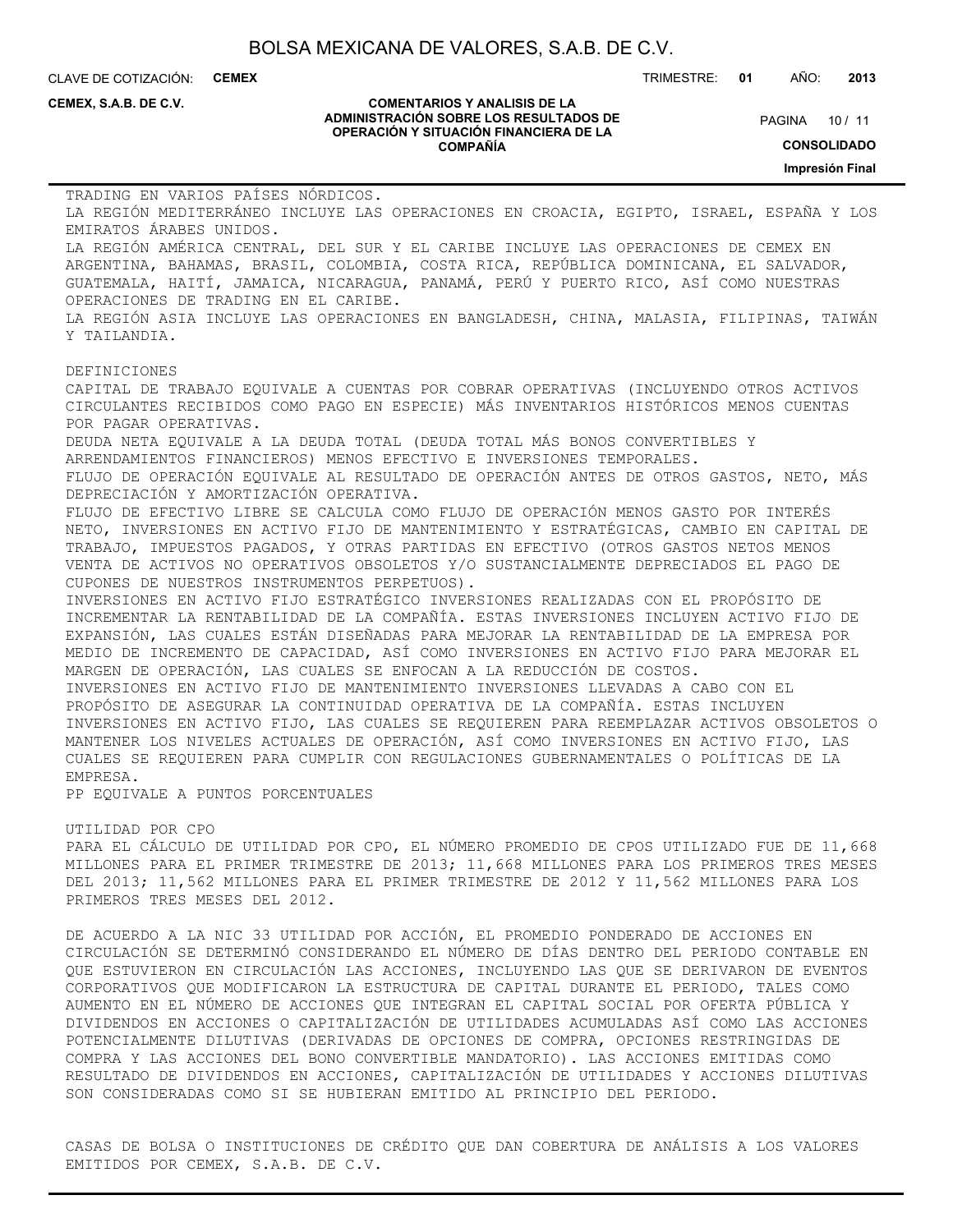CLAVE DE COTIZACIÓN: **CEMEX**

TRIMESTRE: **01** AÑO: **2013**

**CEMEX, S.A.B. DE C.V.**

#### **COMENTARIOS Y ANALISIS DE LA ADMINISTRACIÓN SOBRE LOS RESULTADOS DE OPERACIÓN Y SITUACIÓN FINANCIERA DE LA COMPAÑÍA**

PAGINA 10 / 11

**CONSOLIDADO**

**Impresión Final**

TRADING EN VARIOS PAÍSES NÓRDICOS. LA REGIÓN MEDITERRÁNEO INCLUYE LAS OPERACIONES EN CROACIA, EGIPTO, ISRAEL, ESPAÑA Y LOS EMIRATOS ÁRABES UNIDOS. LA REGIÓN AMÉRICA CENTRAL, DEL SUR Y EL CARIBE INCLUYE LAS OPERACIONES DE CEMEX EN ARGENTINA, BAHAMAS, BRASIL, COLOMBIA, COSTA RICA, REPÚBLICA DOMINICANA, EL SALVADOR, GUATEMALA, HAITÍ, JAMAICA, NICARAGUA, PANAMÁ, PERÚ Y PUERTO RICO, ASÍ COMO NUESTRAS OPERACIONES DE TRADING EN EL CARIBE. LA REGIÓN ASIA INCLUYE LAS OPERACIONES EN BANGLADESH, CHINA, MALASIA, FILIPINAS, TAIWÁN Y TAILANDIA. DEFINICIONES CAPITAL DE TRABAJO EQUIVALE A CUENTAS POR COBRAR OPERATIVAS (INCLUYENDO OTROS ACTIVOS CIRCULANTES RECIBIDOS COMO PAGO EN ESPECIE) MÁS INVENTARIOS HISTÓRICOS MENOS CUENTAS POR PAGAR OPERATIVAS. DEUDA NETA EQUIVALE A LA DEUDA TOTAL (DEUDA TOTAL MÁS BONOS CONVERTIBLES Y ARRENDAMIENTOS FINANCIEROS) MENOS EFECTIVO E INVERSIONES TEMPORALES. FLUJO DE OPERACIÓN EQUIVALE AL RESULTADO DE OPERACIÓN ANTES DE OTROS GASTOS, NETO, MÁS DEPRECIACIÓN Y AMORTIZACIÓN OPERATIVA. FLUJO DE EFECTIVO LIBRE SE CALCULA COMO FLUJO DE OPERACIÓN MENOS GASTO POR INTERÉS NETO, INVERSIONES EN ACTIVO FIJO DE MANTENIMIENTO Y ESTRATÉGICAS, CAMBIO EN CAPITAL DE TRABAJO, IMPUESTOS PAGADOS, Y OTRAS PARTIDAS EN EFECTIVO (OTROS GASTOS NETOS MENOS VENTA DE ACTIVOS NO OPERATIVOS OBSOLETOS Y/O SUSTANCIALMENTE DEPRECIADOS EL PAGO DE CUPONES DE NUESTROS INSTRUMENTOS PERPETUOS). INVERSIONES EN ACTIVO FIJO ESTRATÉGICO INVERSIONES REALIZADAS CON EL PROPÓSITO DE INCREMENTAR LA RENTABILIDAD DE LA COMPAÑÍA. ESTAS INVERSIONES INCLUYEN ACTIVO FIJO DE EXPANSIÓN, LAS CUALES ESTÁN DISEÑADAS PARA MEJORAR LA RENTABILIDAD DE LA EMPRESA POR MEDIO DE INCREMENTO DE CAPACIDAD, ASÍ COMO INVERSIONES EN ACTIVO FIJO PARA MEJORAR EL MARGEN DE OPERACIÓN, LAS CUALES SE ENFOCAN A LA REDUCCIÓN DE COSTOS. INVERSIONES EN ACTIVO FIJO DE MANTENIMIENTO INVERSIONES LLEVADAS A CABO CON EL PROPÓSITO DE ASEGURAR LA CONTINUIDAD OPERATIVA DE LA COMPAÑÍA. ESTAS INCLUYEN INVERSIONES EN ACTIVO FIJO, LAS CUALES SE REQUIEREN PARA REEMPLAZAR ACTIVOS OBSOLETOS O MANTENER LOS NIVELES ACTUALES DE OPERACIÓN, ASÍ COMO INVERSIONES EN ACTIVO FIJO, LAS CUALES SE REQUIEREN PARA CUMPLIR CON REGULACIONES GUBERNAMENTALES O POLÍTICAS DE LA EMPRESA.

PP EQUIVALE A PUNTOS PORCENTUALES

#### UTILIDAD POR CPO

PARA EL CÁLCULO DE UTILIDAD POR CPO, EL NÚMERO PROMEDIO DE CPOS UTILIZADO FUE DE 11,668 MILLONES PARA EL PRIMER TRIMESTRE DE 2013; 11,668 MILLONES PARA LOS PRIMEROS TRES MESES DEL 2013; 11,562 MILLONES PARA EL PRIMER TRIMESTRE DE 2012 Y 11,562 MILLONES PARA LOS PRIMEROS TRES MESES DEL 2012.

DE ACUERDO A LA NIC 33 UTILIDAD POR ACCIÓN, EL PROMEDIO PONDERADO DE ACCIONES EN CIRCULACIÓN SE DETERMINÓ CONSIDERANDO EL NÚMERO DE DÍAS DENTRO DEL PERIODO CONTABLE EN QUE ESTUVIERON EN CIRCULACIÓN LAS ACCIONES, INCLUYENDO LAS QUE SE DERIVARON DE EVENTOS CORPORATIVOS QUE MODIFICARON LA ESTRUCTURA DE CAPITAL DURANTE EL PERIODO, TALES COMO AUMENTO EN EL NÚMERO DE ACCIONES QUE INTEGRAN EL CAPITAL SOCIAL POR OFERTA PÚBLICA Y DIVIDENDOS EN ACCIONES O CAPITALIZACIÓN DE UTILIDADES ACUMULADAS ASÍ COMO LAS ACCIONES POTENCIALMENTE DILUTIVAS (DERIVADAS DE OPCIONES DE COMPRA, OPCIONES RESTRINGIDAS DE COMPRA Y LAS ACCIONES DEL BONO CONVERTIBLE MANDATORIO). LAS ACCIONES EMITIDAS COMO RESULTADO DE DIVIDENDOS EN ACCIONES, CAPITALIZACIÓN DE UTILIDADES Y ACCIONES DILUTIVAS SON CONSIDERADAS COMO SI SE HUBIERAN EMITIDO AL PRINCIPIO DEL PERIODO.

CASAS DE BOLSA O INSTITUCIONES DE CRÉDITO QUE DAN COBERTURA DE ANÁLISIS A LOS VALORES EMITIDOS POR CEMEX, S.A.B. DE C.V.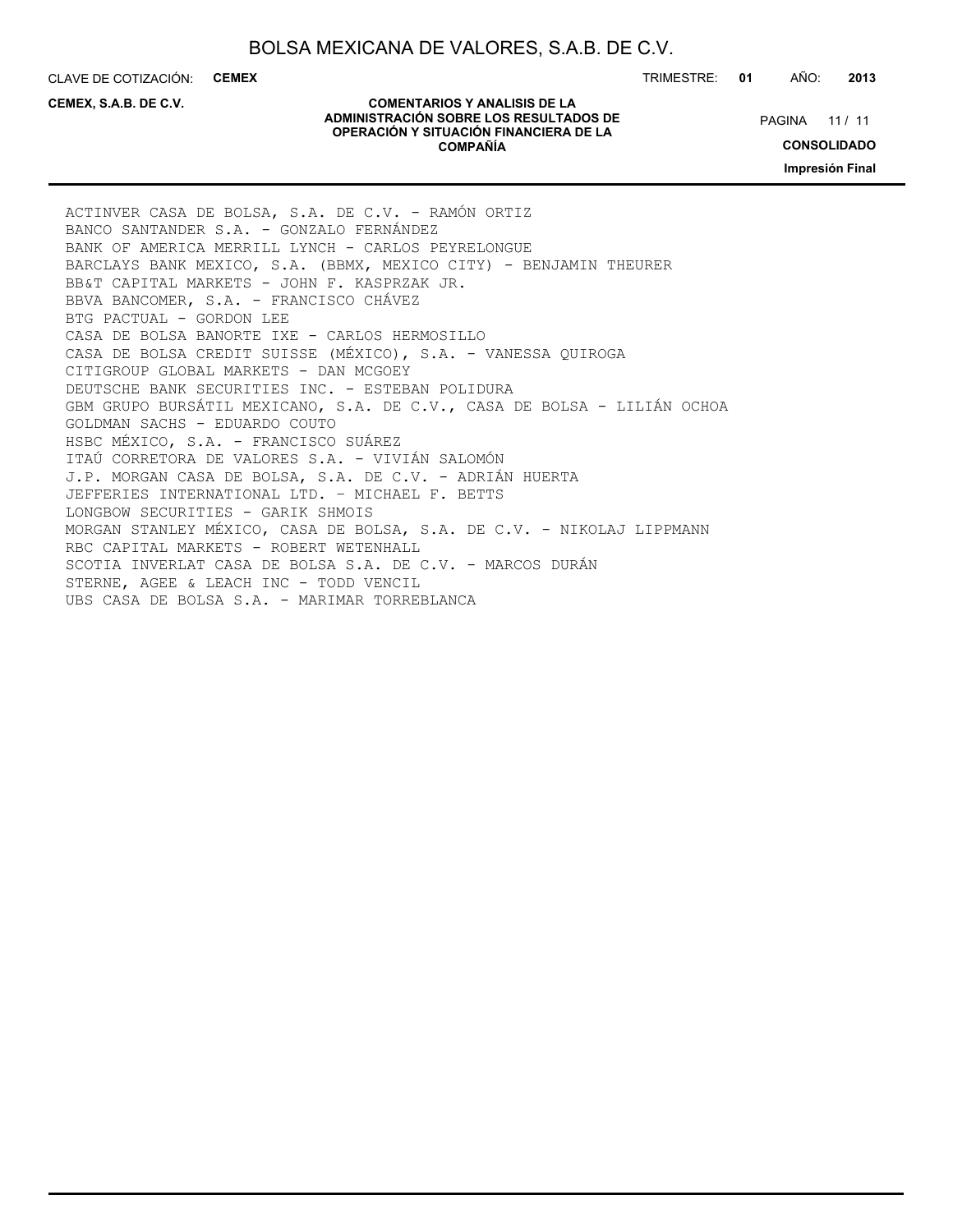CLAVE DE COTIZACIÓN: **CEMEX** TRIMESTRE: **01** AÑO: **2013**

**CEMEX, S.A.B. DE C.V.**

#### **COMENTARIOS Y ANALISIS DE LA ADMINISTRACIÓN SOBRE LOS RESULTADOS DE OPERACIÓN Y SITUACIÓN FINANCIERA DE LA COMPAÑÍA**

PAGINA 11 / 11

**CONSOLIDADO**

**Impresión Final**

ACTINVER CASA DE BOLSA, S.A. DE C.V. - RAMÓN ORTIZ BANCO SANTANDER S.A. - GONZALO FERNÁNDEZ BANK OF AMERICA MERRILL LYNCH - CARLOS PEYRELONGUE BARCLAYS BANK MEXICO, S.A. (BBMX, MEXICO CITY) - BENJAMIN THEURER BB&T CAPITAL MARKETS - JOHN F. KASPRZAK JR. BBVA BANCOMER, S.A. - FRANCISCO CHÁVEZ BTG PACTUAL - GORDON LEE CASA DE BOLSA BANORTE IXE - CARLOS HERMOSILLO CASA DE BOLSA CREDIT SUISSE (MÉXICO), S.A. - VANESSA QUIROGA CITIGROUP GLOBAL MARKETS - DAN MCGOEY DEUTSCHE BANK SECURITIES INC. - ESTEBAN POLIDURA GBM GRUPO BURSÁTIL MEXICANO, S.A. DE C.V., CASA DE BOLSA - LILIÁN OCHOA GOLDMAN SACHS - EDUARDO COUTO HSBC MÉXICO, S.A. - FRANCISCO SUÁREZ ITAÚ CORRETORA DE VALORES S.A. - VIVIÁN SALOMÓN J.P. MORGAN CASA DE BOLSA, S.A. DE C.V. - ADRIÁN HUERTA JEFFERIES INTERNATIONAL LTD. – MICHAEL F. BETTS LONGBOW SECURITIES - GARIK SHMOIS MORGAN STANLEY MÉXICO, CASA DE BOLSA, S.A. DE C.V. - NIKOLAJ LIPPMANN RBC CAPITAL MARKETS - ROBERT WETENHALL SCOTIA INVERLAT CASA DE BOLSA S.A. DE C.V. - MARCOS DURÁN STERNE, AGEE & LEACH INC - TODD VENCIL UBS CASA DE BOLSA S.A. - MARIMAR TORREBLANCA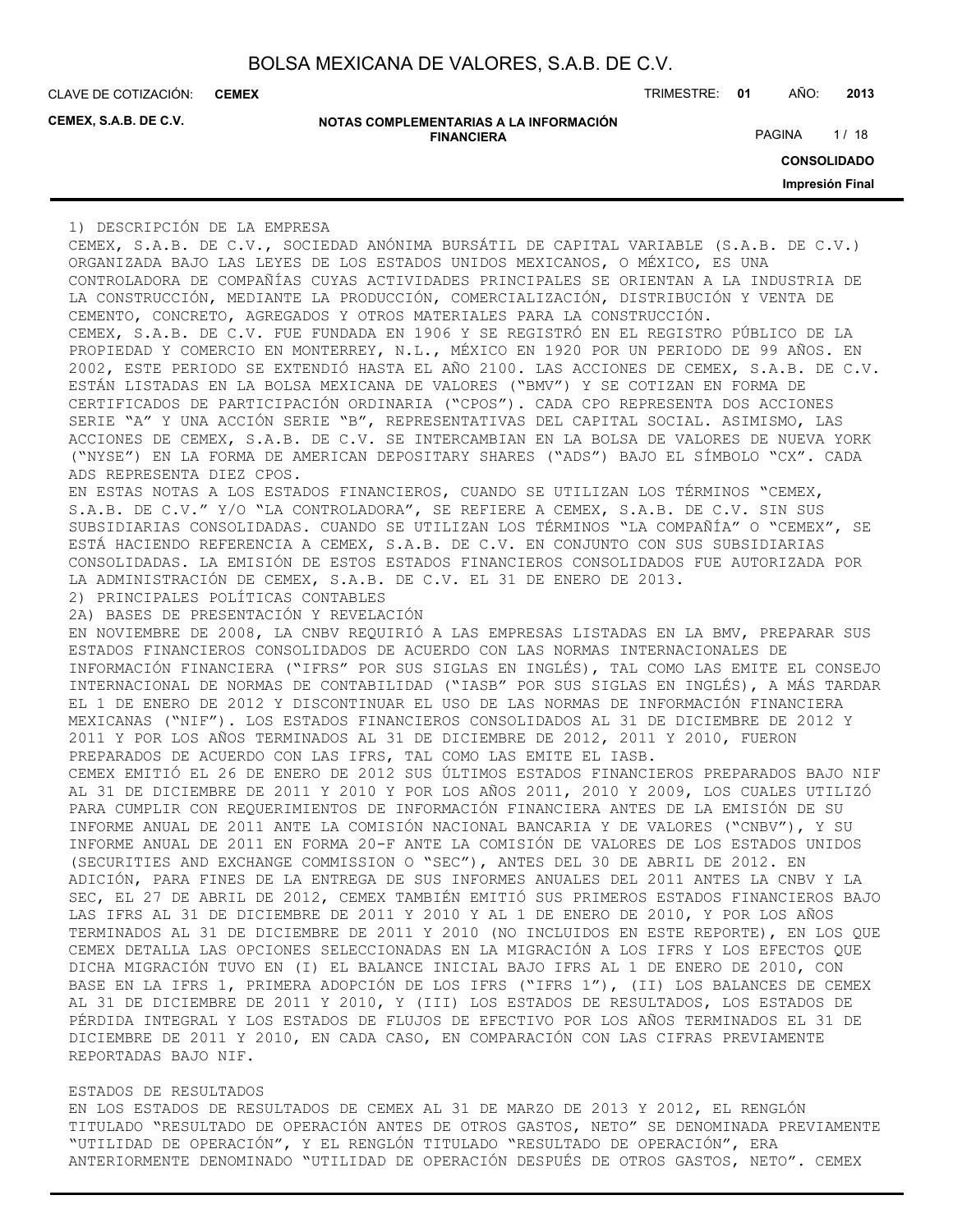**CEMEX**

**CEMEX, S.A.B. DE C.V.**

| NOTAS COMPLEMENTARIAS A LA INFORMACIÓN |
|----------------------------------------|
| <b>FINANCIERA</b>                      |

CLAVE DE COTIZACIÓN: TRIMESTRE: **01** AÑO: **2013**

PAGINA 1/18

**CONSOLIDADO**

**Impresión Final**

1) DESCRIPCIÓN DE LA EMPRESA

CEMEX, S.A.B. DE C.V., SOCIEDAD ANÓNIMA BURSÁTIL DE CAPITAL VARIABLE (S.A.B. DE C.V.) ORGANIZADA BAJO LAS LEYES DE LOS ESTADOS UNIDOS MEXICANOS, O MÉXICO, ES UNA CONTROLADORA DE COMPAÑÍAS CUYAS ACTIVIDADES PRINCIPALES SE ORIENTAN A LA INDUSTRIA DE LA CONSTRUCCIÓN, MEDIANTE LA PRODUCCIÓN, COMERCIALIZACIÓN, DISTRIBUCIÓN Y VENTA DE CEMENTO, CONCRETO, AGREGADOS Y OTROS MATERIALES PARA LA CONSTRUCCIÓN. CEMEX, S.A.B. DE C.V. FUE FUNDADA EN 1906 Y SE REGISTRÓ EN EL REGISTRO PÚBLICO DE LA PROPIEDAD Y COMERCIO EN MONTERREY, N.L., MÉXICO EN 1920 POR UN PERIODO DE 99 AÑOS. EN 2002, ESTE PERIODO SE EXTENDIÓ HASTA EL AÑO 2100. LAS ACCIONES DE CEMEX, S.A.B. DE C.V. ESTÁN LISTADAS EN LA BOLSA MEXICANA DE VALORES ("BMV") Y SE COTIZAN EN FORMA DE CERTIFICADOS DE PARTICIPACIÓN ORDINARIA ("CPOS"). CADA CPO REPRESENTA DOS ACCIONES SERIE "A" Y UNA ACCIÓN SERIE "B", REPRESENTATIVAS DEL CAPITAL SOCIAL. ASIMISMO, LAS ACCIONES DE CEMEX, S.A.B. DE C.V. SE INTERCAMBIAN EN LA BOLSA DE VALORES DE NUEVA YORK ("NYSE") EN LA FORMA DE AMERICAN DEPOSITARY SHARES ("ADS") BAJO EL SÍMBOLO "CX". CADA ADS REPRESENTA DIEZ CPOS. EN ESTAS NOTAS A LOS ESTADOS FINANCIEROS, CUANDO SE UTILIZAN LOS TÉRMINOS "CEMEX, S.A.B. DE C.V." Y/O "LA CONTROLADORA", SE REFIERE A CEMEX, S.A.B. DE C.V. SIN SUS SUBSIDIARIAS CONSOLIDADAS. CUANDO SE UTILIZAN LOS TÉRMINOS "LA COMPAÑÍA" O "CEMEX", SE ESTÁ HACIENDO REFERENCIA A CEMEX, S.A.B. DE C.V. EN CONJUNTO CON SUS SUBSIDIARIAS CONSOLIDADAS. LA EMISIÓN DE ESTOS ESTADOS FINANCIEROS CONSOLIDADOS FUE AUTORIZADA POR LA ADMINISTRACIÓN DE CEMEX, S.A.B. DE C.V. EL 31 DE ENERO DE 2013. 2) PRINCIPALES POLÍTICAS CONTABLES 2A) BASES DE PRESENTACIÓN Y REVELACIÓN EN NOVIEMBRE DE 2008, LA CNBV REQUIRIÓ A LAS EMPRESAS LISTADAS EN LA BMV, PREPARAR SUS ESTADOS FINANCIEROS CONSOLIDADOS DE ACUERDO CON LAS NORMAS INTERNACIONALES DE INFORMACIÓN FINANCIERA ("IFRS" POR SUS SIGLAS EN INGLÉS), TAL COMO LAS EMITE EL CONSEJO INTERNACIONAL DE NORMAS DE CONTABILIDAD ("IASB" POR SUS SIGLAS EN INGLÉS), A MÁS TARDAR EL 1 DE ENERO DE 2012 Y DISCONTINUAR EL USO DE LAS NORMAS DE INFORMACIÓN FINANCIERA MEXICANAS ("NIF"). LOS ESTADOS FINANCIEROS CONSOLIDADOS AL 31 DE DICIEMBRE DE 2012 Y 2011 Y POR LOS AÑOS TERMINADOS AL 31 DE DICIEMBRE DE 2012, 2011 Y 2010, FUERON PREPARADOS DE ACUERDO CON LAS IFRS, TAL COMO LAS EMITE EL IASB. CEMEX EMITIÓ EL 26 DE ENERO DE 2012 SUS ÚLTIMOS ESTADOS FINANCIEROS PREPARADOS BAJO NIF AL 31 DE DICIEMBRE DE 2011 Y 2010 Y POR LOS AÑOS 2011, 2010 Y 2009, LOS CUALES UTILIZÓ PARA CUMPLIR CON REQUERIMIENTOS DE INFORMACIÓN FINANCIERA ANTES DE LA EMISIÓN DE SU INFORME ANUAL DE 2011 ANTE LA COMISIÓN NACIONAL BANCARIA Y DE VALORES ("CNBV"), Y SU INFORME ANUAL DE 2011 EN FORMA 20-F ANTE LA COMISIÓN DE VALORES DE LOS ESTADOS UNIDOS (SECURITIES AND EXCHANGE COMMISSION O "SEC"), ANTES DEL 30 DE ABRIL DE 2012. EN ADICIÓN, PARA FINES DE LA ENTREGA DE SUS INFORMES ANUALES DEL 2011 ANTES LA CNBV Y LA SEC, EL 27 DE ABRIL DE 2012, CEMEX TAMBIÉN EMITIÓ SUS PRIMEROS ESTADOS FINANCIEROS BAJO LAS IFRS AL 31 DE DICIEMBRE DE 2011 Y 2010 Y AL 1 DE ENERO DE 2010, Y POR LOS AÑOS TERMINADOS AL 31 DE DICIEMBRE DE 2011 Y 2010 (NO INCLUIDOS EN ESTE REPORTE), EN LOS QUE CEMEX DETALLA LAS OPCIONES SELECCIONADAS EN LA MIGRACIÓN A LOS IFRS Y LOS EFECTOS QUE DICHA MIGRACIÓN TUVO EN (I) EL BALANCE INICIAL BAJO IFRS AL 1 DE ENERO DE 2010, CON BASE EN LA IFRS 1, PRIMERA ADOPCIÓN DE LOS IFRS ("IFRS 1"), (II) LOS BALANCES DE CEMEX AL 31 DE DICIEMBRE DE 2011 Y 2010, Y (III) LOS ESTADOS DE RESULTADOS, LOS ESTADOS DE PÉRDIDA INTEGRAL Y LOS ESTADOS DE FLUJOS DE EFECTIVO POR LOS AÑOS TERMINADOS EL 31 DE DICIEMBRE DE 2011 Y 2010, EN CADA CASO, EN COMPARACIÓN CON LAS CIFRAS PREVIAMENTE REPORTADAS BAJO NIF.

#### ESTADOS DE RESULTADOS

EN LOS ESTADOS DE RESULTADOS DE CEMEX AL 31 DE MARZO DE 2013 Y 2012, EL RENGLÓN TITULADO "RESULTADO DE OPERACIÓN ANTES DE OTROS GASTOS, NETO" SE DENOMINADA PREVIAMENTE "UTILIDAD DE OPERACIÓN", Y EL RENGLÓN TITULADO "RESULTADO DE OPERACIÓN", ERA ANTERIORMENTE DENOMINADO "UTILIDAD DE OPERACIÓN DESPUÉS DE OTROS GASTOS, NETO". CEMEX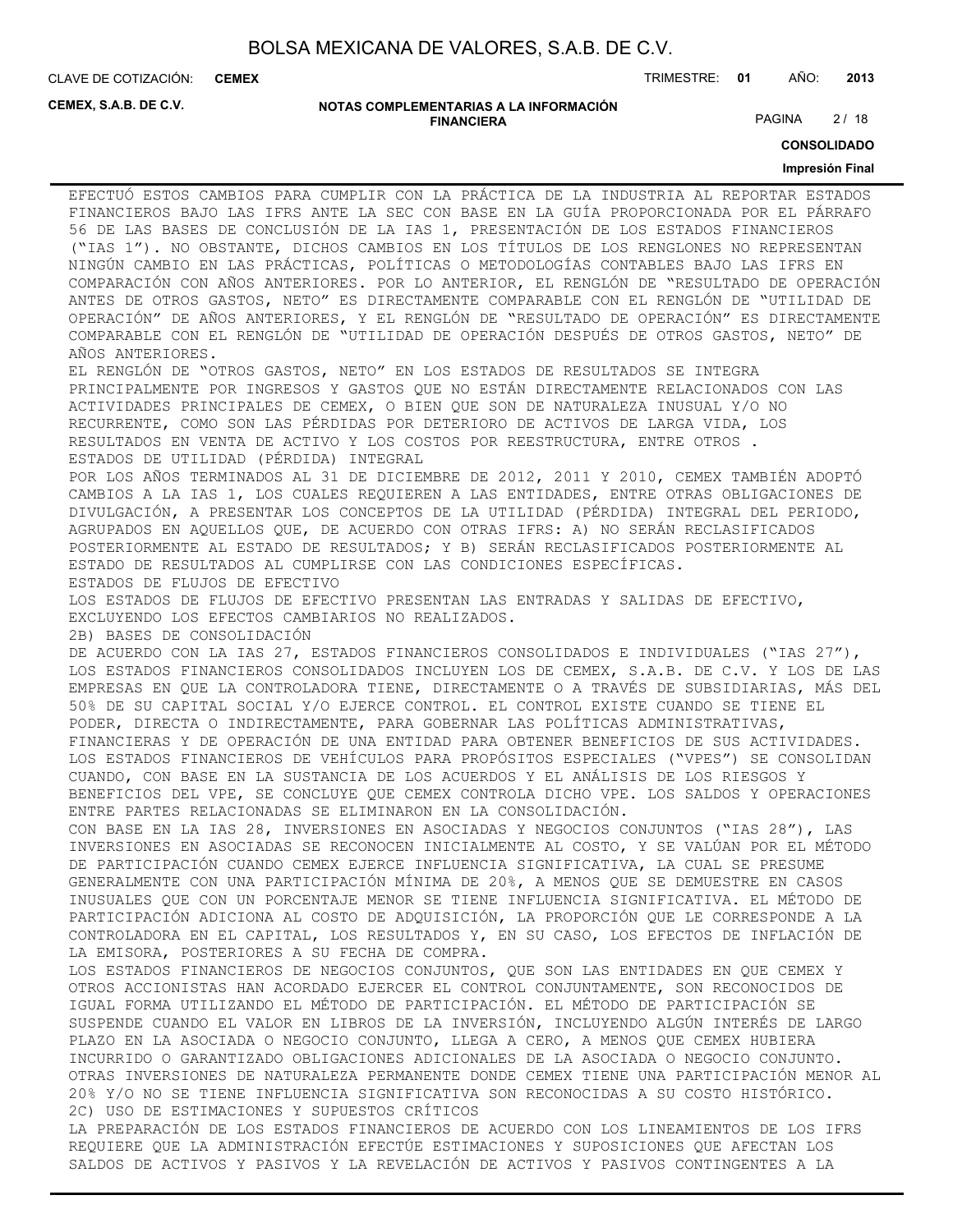**CEMEX**

CLAVE DE COTIZACIÓN: TRIMESTRE: **01** AÑO: **2013**

**CEMEX, S.A.B. DE C.V.**

**NOTAS COMPLEMENTARIAS A LA INFORMACIÓN FINANCIERA**

PAGINA 2/18

**CONSOLIDADO**

#### **Impresión Final**

EFECTUÓ ESTOS CAMBIOS PARA CUMPLIR CON LA PRÁCTICA DE LA INDUSTRIA AL REPORTAR ESTADOS FINANCIEROS BAJO LAS IFRS ANTE LA SEC CON BASE EN LA GUÍA PROPORCIONADA POR EL PÁRRAFO 56 DE LAS BASES DE CONCLUSIÓN DE LA IAS 1, PRESENTACIÓN DE LOS ESTADOS FINANCIEROS ("IAS 1"). NO OBSTANTE, DICHOS CAMBIOS EN LOS TÍTULOS DE LOS RENGLONES NO REPRESENTAN NINGÚN CAMBIO EN LAS PRÁCTICAS, POLÍTICAS O METODOLOGÍAS CONTABLES BAJO LAS IFRS EN COMPARACIÓN CON AÑOS ANTERIORES. POR LO ANTERIOR, EL RENGLÓN DE "RESULTADO DE OPERACIÓN ANTES DE OTROS GASTOS, NETO" ES DIRECTAMENTE COMPARABLE CON EL RENGLÓN DE "UTILIDAD DE OPERACIÓN" DE AÑOS ANTERIORES, Y EL RENGLÓN DE "RESULTADO DE OPERACIÓN" ES DIRECTAMENTE COMPARABLE CON EL RENGLÓN DE "UTILIDAD DE OPERACIÓN DESPUÉS DE OTROS GASTOS, NETO" DE AÑOS ANTERIORES. EL RENGLÓN DE "OTROS GASTOS, NETO" EN LOS ESTADOS DE RESULTADOS SE INTEGRA

PRINCIPALMENTE POR INGRESOS Y GASTOS QUE NO ESTÁN DIRECTAMENTE RELACIONADOS CON LAS ACTIVIDADES PRINCIPALES DE CEMEX, O BIEN QUE SON DE NATURALEZA INUSUAL Y/O NO RECURRENTE, COMO SON LAS PÉRDIDAS POR DETERIORO DE ACTIVOS DE LARGA VIDA, LOS RESULTADOS EN VENTA DE ACTIVO Y LOS COSTOS POR REESTRUCTURA, ENTRE OTROS . ESTADOS DE UTILIDAD (PÉRDIDA) INTEGRAL

POR LOS AÑOS TERMINADOS AL 31 DE DICIEMBRE DE 2012, 2011 Y 2010, CEMEX TAMBIÉN ADOPTÓ CAMBIOS A LA IAS 1, LOS CUALES REQUIEREN A LAS ENTIDADES, ENTRE OTRAS OBLIGACIONES DE DIVULGACIÓN, A PRESENTAR LOS CONCEPTOS DE LA UTILIDAD (PÉRDIDA) INTEGRAL DEL PERIODO, AGRUPADOS EN AQUELLOS QUE, DE ACUERDO CON OTRAS IFRS: A) NO SERÁN RECLASIFICADOS POSTERIORMENTE AL ESTADO DE RESULTADOS; Y B) SERÁN RECLASIFICADOS POSTERIORMENTE AL ESTADO DE RESULTADOS AL CUMPLIRSE CON LAS CONDICIONES ESPECÍFICAS. ESTADOS DE FLUJOS DE EFECTIVO

LOS ESTADOS DE FLUJOS DE EFECTIVO PRESENTAN LAS ENTRADAS Y SALIDAS DE EFECTIVO, EXCLUYENDO LOS EFECTOS CAMBIARIOS NO REALIZADOS.

2B) BASES DE CONSOLIDACIÓN

DE ACUERDO CON LA IAS 27, ESTADOS FINANCIEROS CONSOLIDADOS E INDIVIDUALES ("IAS 27"), LOS ESTADOS FINANCIEROS CONSOLIDADOS INCLUYEN LOS DE CEMEX, S.A.B. DE C.V. Y LOS DE LAS EMPRESAS EN QUE LA CONTROLADORA TIENE, DIRECTAMENTE O A TRAVÉS DE SUBSIDIARIAS, MÁS DEL 50% DE SU CAPITAL SOCIAL Y/O EJERCE CONTROL. EL CONTROL EXISTE CUANDO SE TIENE EL PODER, DIRECTA O INDIRECTAMENTE, PARA GOBERNAR LAS POLÍTICAS ADMINISTRATIVAS, FINANCIERAS Y DE OPERACIÓN DE UNA ENTIDAD PARA OBTENER BENEFICIOS DE SUS ACTIVIDADES. LOS ESTADOS FINANCIEROS DE VEHÍCULOS PARA PROPÓSITOS ESPECIALES ("VPES") SE CONSOLIDAN CUANDO, CON BASE EN LA SUSTANCIA DE LOS ACUERDOS Y EL ANÁLISIS DE LOS RIESGOS Y BENEFICIOS DEL VPE, SE CONCLUYE QUE CEMEX CONTROLA DICHO VPE. LOS SALDOS Y OPERACIONES ENTRE PARTES RELACIONADAS SE ELIMINARON EN LA CONSOLIDACIÓN.

CON BASE EN LA IAS 28, INVERSIONES EN ASOCIADAS Y NEGOCIOS CONJUNTOS ("IAS 28"), LAS INVERSIONES EN ASOCIADAS SE RECONOCEN INICIALMENTE AL COSTO, Y SE VALÚAN POR EL MÉTODO DE PARTICIPACIÓN CUANDO CEMEX EJERCE INFLUENCIA SIGNIFICATIVA, LA CUAL SE PRESUME GENERALMENTE CON UNA PARTICIPACIÓN MÍNIMA DE 20%, A MENOS QUE SE DEMUESTRE EN CASOS INUSUALES QUE CON UN PORCENTAJE MENOR SE TIENE INFLUENCIA SIGNIFICATIVA. EL MÉTODO DE PARTICIPACIÓN ADICIONA AL COSTO DE ADQUISICIÓN, LA PROPORCIÓN QUE LE CORRESPONDE A LA CONTROLADORA EN EL CAPITAL, LOS RESULTADOS Y, EN SU CASO, LOS EFECTOS DE INFLACIÓN DE LA EMISORA, POSTERIORES A SU FECHA DE COMPRA.

LOS ESTADOS FINANCIEROS DE NEGOCIOS CONJUNTOS, QUE SON LAS ENTIDADES EN QUE CEMEX Y OTROS ACCIONISTAS HAN ACORDADO EJERCER EL CONTROL CONJUNTAMENTE, SON RECONOCIDOS DE IGUAL FORMA UTILIZANDO EL MÉTODO DE PARTICIPACIÓN. EL MÉTODO DE PARTICIPACIÓN SE SUSPENDE CUANDO EL VALOR EN LIBROS DE LA INVERSIÓN, INCLUYENDO ALGÚN INTERÉS DE LARGO PLAZO EN LA ASOCIADA O NEGOCIO CONJUNTO, LLEGA A CERO, A MENOS QUE CEMEX HUBIERA INCURRIDO O GARANTIZADO OBLIGACIONES ADICIONALES DE LA ASOCIADA O NEGOCIO CONJUNTO. OTRAS INVERSIONES DE NATURALEZA PERMANENTE DONDE CEMEX TIENE UNA PARTICIPACIÓN MENOR AL 20% Y/O NO SE TIENE INFLUENCIA SIGNIFICATIVA SON RECONOCIDAS A SU COSTO HISTÓRICO. 2C) USO DE ESTIMACIONES Y SUPUESTOS CRÍTICOS

LA PREPARACIÓN DE LOS ESTADOS FINANCIEROS DE ACUERDO CON LOS LINEAMIENTOS DE LOS IFRS REQUIERE QUE LA ADMINISTRACIÓN EFECTÚE ESTIMACIONES Y SUPOSICIONES QUE AFECTAN LOS SALDOS DE ACTIVOS Y PASIVOS Y LA REVELACIÓN DE ACTIVOS Y PASIVOS CONTINGENTES A LA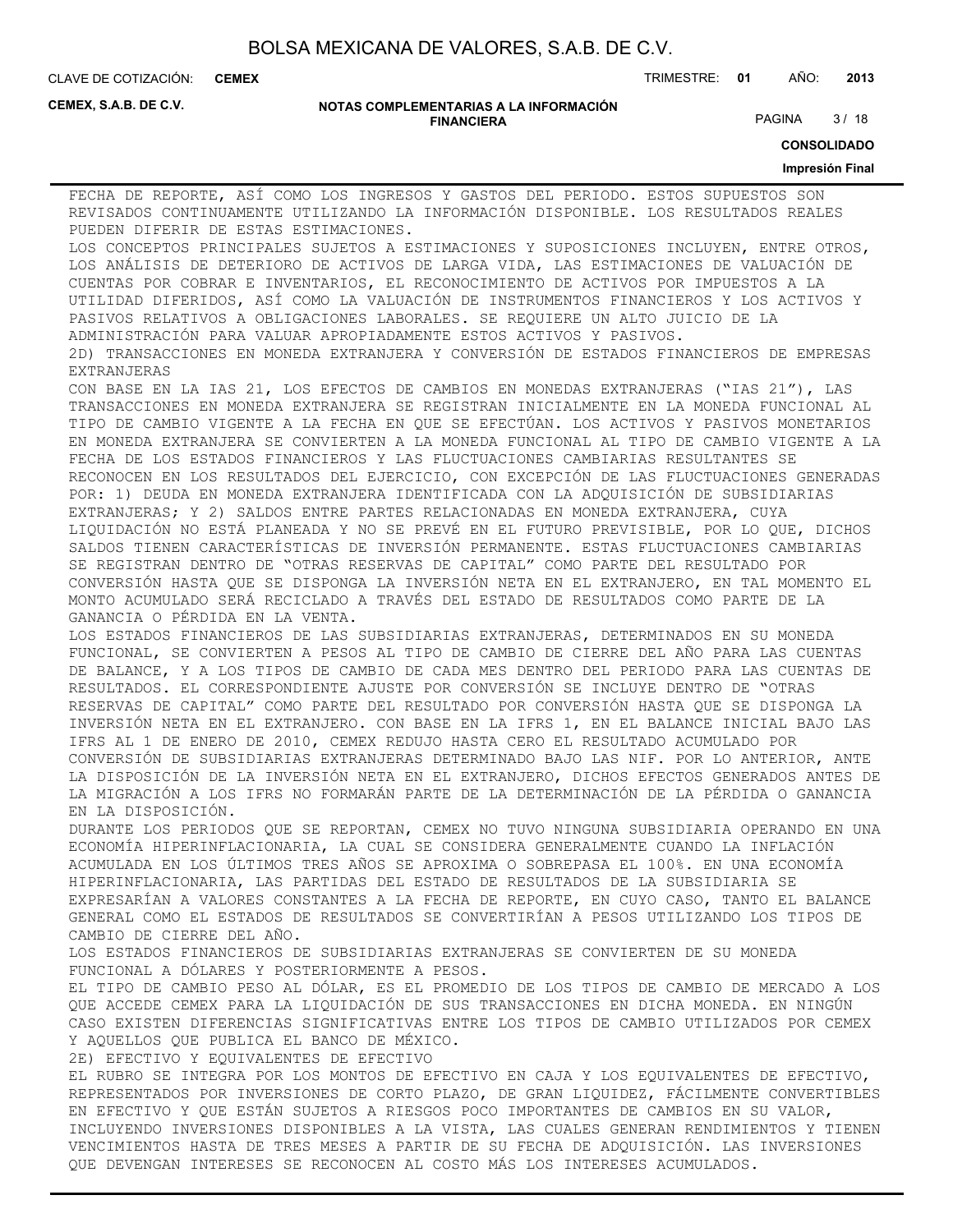**CEMEX**

CLAVE DE COTIZACIÓN: TRIMESTRE: **01** AÑO: **2013**

**CEMEX, S.A.B. DE C.V.**

#### **NOTAS COMPLEMENTARIAS A LA INFORMACIÓN FINANCIERA**

PAGINA 3/18

**CONSOLIDADO**

#### **Impresión Final**

FECHA DE REPORTE, ASÍ COMO LOS INGRESOS Y GASTOS DEL PERIODO. ESTOS SUPUESTOS SON REVISADOS CONTINUAMENTE UTILIZANDO LA INFORMACIÓN DISPONIBLE. LOS RESULTADOS REALES PUEDEN DIFERIR DE ESTAS ESTIMACIONES. LOS CONCEPTOS PRINCIPALES SUJETOS A ESTIMACIONES Y SUPOSICIONES INCLUYEN, ENTRE OTROS, LOS ANÁLISIS DE DETERIORO DE ACTIVOS DE LARGA VIDA, LAS ESTIMACIONES DE VALUACIÓN DE CUENTAS POR COBRAR E INVENTARIOS, EL RECONOCIMIENTO DE ACTIVOS POR IMPUESTOS A LA UTILIDAD DIFERIDOS, ASÍ COMO LA VALUACIÓN DE INSTRUMENTOS FINANCIEROS Y LOS ACTIVOS Y PASIVOS RELATIVOS A OBLIGACIONES LABORALES. SE REQUIERE UN ALTO JUICIO DE LA ADMINISTRACIÓN PARA VALUAR APROPIADAMENTE ESTOS ACTIVOS Y PASIVOS. 2D) TRANSACCIONES EN MONEDA EXTRANJERA Y CONVERSIÓN DE ESTADOS FINANCIEROS DE EMPRESAS EXTRANJERAS CON BASE EN LA IAS 21, LOS EFECTOS DE CAMBIOS EN MONEDAS EXTRANJERAS ("IAS 21"), LAS TRANSACCIONES EN MONEDA EXTRANJERA SE REGISTRAN INICIALMENTE EN LA MONEDA FUNCIONAL AL TIPO DE CAMBIO VIGENTE A LA FECHA EN QUE SE EFECTÚAN. LOS ACTIVOS Y PASIVOS MONETARIOS EN MONEDA EXTRANJERA SE CONVIERTEN A LA MONEDA FUNCIONAL AL TIPO DE CAMBIO VIGENTE A LA FECHA DE LOS ESTADOS FINANCIEROS Y LAS FLUCTUACIONES CAMBIARIAS RESULTANTES SE RECONOCEN EN LOS RESULTADOS DEL EJERCICIO, CON EXCEPCIÓN DE LAS FLUCTUACIONES GENERADAS POR: 1) DEUDA EN MONEDA EXTRANJERA IDENTIFICADA CON LA ADQUISICIÓN DE SUBSIDIARIAS EXTRANJERAS; Y 2) SALDOS ENTRE PARTES RELACIONADAS EN MONEDA EXTRANJERA, CUYA LIQUIDACIÓN NO ESTÁ PLANEADA Y NO SE PREVÉ EN EL FUTURO PREVISIBLE, POR LO QUE, DICHOS SALDOS TIENEN CARACTERÍSTICAS DE INVERSIÓN PERMANENTE. ESTAS FLUCTUACIONES CAMBIARIAS SE REGISTRAN DENTRO DE "OTRAS RESERVAS DE CAPITAL" COMO PARTE DEL RESULTADO POR CONVERSIÓN HASTA QUE SE DISPONGA LA INVERSIÓN NETA EN EL EXTRANJERO, EN TAL MOMENTO EL MONTO ACUMULADO SERÁ RECICLADO A TRAVÉS DEL ESTADO DE RESULTADOS COMO PARTE DE LA GANANCIA O PÉRDIDA EN LA VENTA. LOS ESTADOS FINANCIEROS DE LAS SUBSIDIARIAS EXTRANJERAS, DETERMINADOS EN SU MONEDA FUNCIONAL, SE CONVIERTEN A PESOS AL TIPO DE CAMBIO DE CIERRE DEL AÑO PARA LAS CUENTAS DE BALANCE, Y A LOS TIPOS DE CAMBIO DE CADA MES DENTRO DEL PERIODO PARA LAS CUENTAS DE RESULTADOS. EL CORRESPONDIENTE AJUSTE POR CONVERSIÓN SE INCLUYE DENTRO DE "OTRAS RESERVAS DE CAPITAL" COMO PARTE DEL RESULTADO POR CONVERSIÓN HASTA QUE SE DISPONGA LA INVERSIÓN NETA EN EL EXTRANJERO. CON BASE EN LA IFRS 1, EN EL BALANCE INICIAL BAJO LAS IFRS AL 1 DE ENERO DE 2010, CEMEX REDUJO HASTA CERO EL RESULTADO ACUMULADO POR CONVERSIÓN DE SUBSIDIARIAS EXTRANJERAS DETERMINADO BAJO LAS NIF. POR LO ANTERIOR, ANTE LA DISPOSICIÓN DE LA INVERSIÓN NETA EN EL EXTRANJERO, DICHOS EFECTOS GENERADOS ANTES DE LA MIGRACIÓN A LOS IFRS NO FORMARÁN PARTE DE LA DETERMINACIÓN DE LA PÉRDIDA O GANANCIA EN LA DISPOSICIÓN. DURANTE LOS PERIODOS QUE SE REPORTAN, CEMEX NO TUVO NINGUNA SUBSIDIARIA OPERANDO EN UNA ECONOMÍA HIPERINFLACIONARIA, LA CUAL SE CONSIDERA GENERALMENTE CUANDO LA INFLACIÓN ACUMULADA EN LOS ÚLTIMOS TRES AÑOS SE APROXIMA O SOBREPASA EL 100%. EN UNA ECONOMÍA HIPERINFLACIONARIA, LAS PARTIDAS DEL ESTADO DE RESULTADOS DE LA SUBSIDIARIA SE EXPRESARÍAN A VALORES CONSTANTES A LA FECHA DE REPORTE, EN CUYO CASO, TANTO EL BALANCE GENERAL COMO EL ESTADOS DE RESULTADOS SE CONVERTIRÍAN A PESOS UTILIZANDO LOS TIPOS DE CAMBIO DE CIERRE DEL AÑO. LOS ESTADOS FINANCIEROS DE SUBSIDIARIAS EXTRANJERAS SE CONVIERTEN DE SU MONEDA FUNCIONAL A DÓLARES Y POSTERIORMENTE A PESOS. EL TIPO DE CAMBIO PESO AL DÓLAR, ES EL PROMEDIO DE LOS TIPOS DE CAMBIO DE MERCADO A LOS QUE ACCEDE CEMEX PARA LA LIQUIDACIÓN DE SUS TRANSACCIONES EN DICHA MONEDA. EN NINGÚN CASO EXISTEN DIFERENCIAS SIGNIFICATIVAS ENTRE LOS TIPOS DE CAMBIO UTILIZADOS POR CEMEX Y AQUELLOS QUE PUBLICA EL BANCO DE MÉXICO. 2E) EFECTIVO Y EQUIVALENTES DE EFECTIVO EL RUBRO SE INTEGRA POR LOS MONTOS DE EFECTIVO EN CAJA Y LOS EQUIVALENTES DE EFECTIVO, REPRESENTADOS POR INVERSIONES DE CORTO PLAZO, DE GRAN LIQUIDEZ, FÁCILMENTE CONVERTIBLES EN EFECTIVO Y QUE ESTÁN SUJETOS A RIESGOS POCO IMPORTANTES DE CAMBIOS EN SU VALOR, INCLUYENDO INVERSIONES DISPONIBLES A LA VISTA, LAS CUALES GENERAN RENDIMIENTOS Y TIENEN VENCIMIENTOS HASTA DE TRES MESES A PARTIR DE SU FECHA DE ADQUISICIÓN. LAS INVERSIONES QUE DEVENGAN INTERESES SE RECONOCEN AL COSTO MÁS LOS INTERESES ACUMULADOS.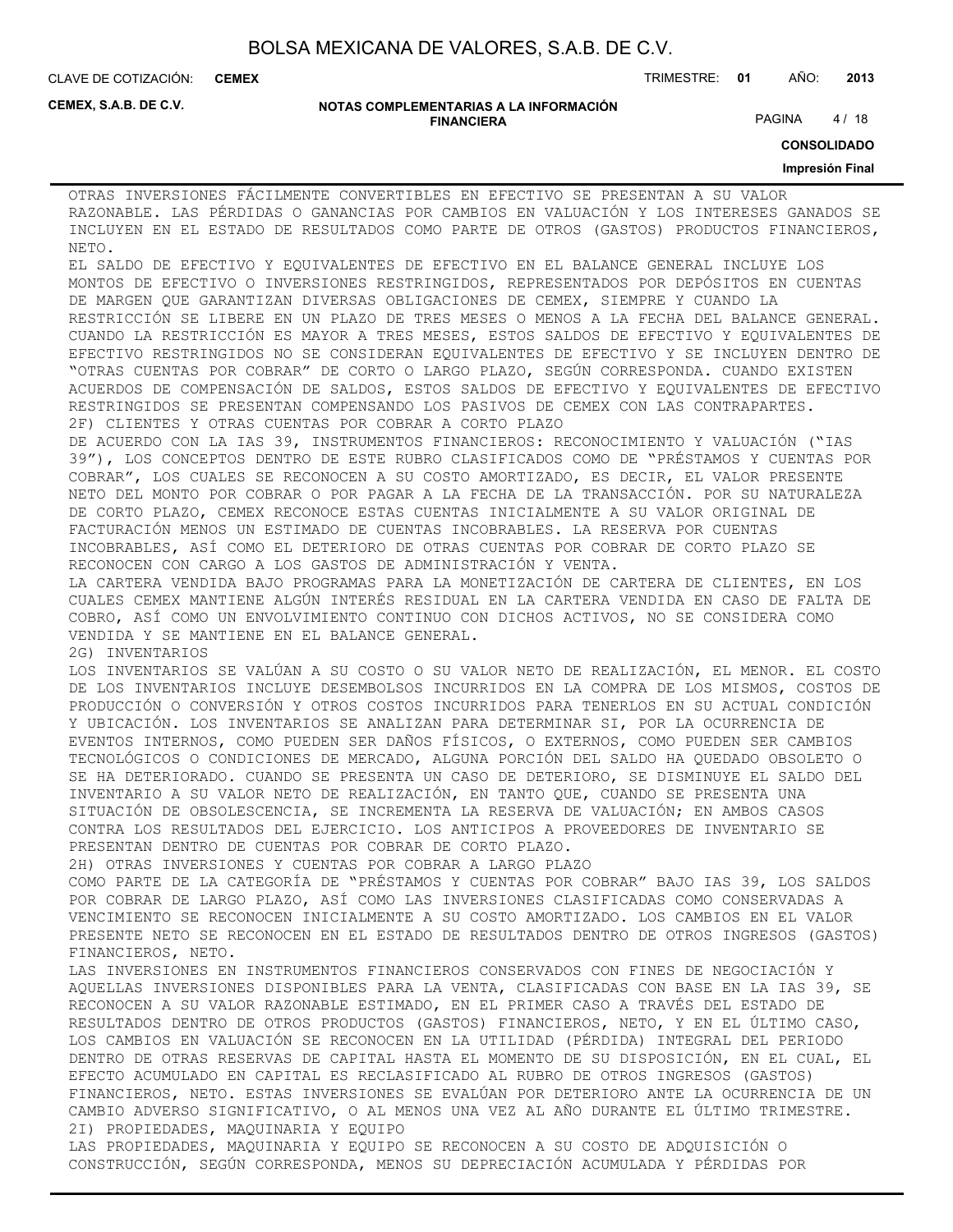**CEMEX**

CLAVE DE COTIZACIÓN: TRIMESTRE: **01** AÑO: **2013**

**CEMEX, S.A.B. DE C.V.**

#### **NOTAS COMPLEMENTARIAS A LA INFORMACIÓN FINANCIERA**

PAGINA 4/18

**CONSOLIDADO**

#### **Impresión Final**

OTRAS INVERSIONES FÁCILMENTE CONVERTIBLES EN EFECTIVO SE PRESENTAN A SU VALOR RAZONABLE. LAS PÉRDIDAS O GANANCIAS POR CAMBIOS EN VALUACIÓN Y LOS INTERESES GANADOS SE INCLUYEN EN EL ESTADO DE RESULTADOS COMO PARTE DE OTROS (GASTOS) PRODUCTOS FINANCIEROS, NETO.

EL SALDO DE EFECTIVO Y EQUIVALENTES DE EFECTIVO EN EL BALANCE GENERAL INCLUYE LOS MONTOS DE EFECTIVO O INVERSIONES RESTRINGIDOS, REPRESENTADOS POR DEPÓSITOS EN CUENTAS DE MARGEN QUE GARANTIZAN DIVERSAS OBLIGACIONES DE CEMEX, SIEMPRE Y CUANDO LA RESTRICCIÓN SE LIBERE EN UN PLAZO DE TRES MESES O MENOS A LA FECHA DEL BALANCE GENERAL. CUANDO LA RESTRICCIÓN ES MAYOR A TRES MESES, ESTOS SALDOS DE EFECTIVO Y EQUIVALENTES DE EFECTIVO RESTRINGIDOS NO SE CONSIDERAN EQUIVALENTES DE EFECTIVO Y SE INCLUYEN DENTRO DE "OTRAS CUENTAS POR COBRAR" DE CORTO O LARGO PLAZO, SEGÚN CORRESPONDA. CUANDO EXISTEN ACUERDOS DE COMPENSACIÓN DE SALDOS, ESTOS SALDOS DE EFECTIVO Y EQUIVALENTES DE EFECTIVO RESTRINGIDOS SE PRESENTAN COMPENSANDO LOS PASIVOS DE CEMEX CON LAS CONTRAPARTES. 2F) CLIENTES Y OTRAS CUENTAS POR COBRAR A CORTO PLAZO

DE ACUERDO CON LA IAS 39, INSTRUMENTOS FINANCIEROS: RECONOCIMIENTO Y VALUACIÓN ("IAS 39"), LOS CONCEPTOS DENTRO DE ESTE RUBRO CLASIFICADOS COMO DE "PRÉSTAMOS Y CUENTAS POR COBRAR", LOS CUALES SE RECONOCEN A SU COSTO AMORTIZADO, ES DECIR, EL VALOR PRESENTE NETO DEL MONTO POR COBRAR O POR PAGAR A LA FECHA DE LA TRANSACCIÓN. POR SU NATURALEZA DE CORTO PLAZO, CEMEX RECONOCE ESTAS CUENTAS INICIALMENTE A SU VALOR ORIGINAL DE FACTURACIÓN MENOS UN ESTIMADO DE CUENTAS INCOBRABLES. LA RESERVA POR CUENTAS INCOBRABLES, ASÍ COMO EL DETERIORO DE OTRAS CUENTAS POR COBRAR DE CORTO PLAZO SE RECONOCEN CON CARGO A LOS GASTOS DE ADMINISTRACIÓN Y VENTA.

LA CARTERA VENDIDA BAJO PROGRAMAS PARA LA MONETIZACIÓN DE CARTERA DE CLIENTES, EN LOS CUALES CEMEX MANTIENE ALGÚN INTERÉS RESIDUAL EN LA CARTERA VENDIDA EN CASO DE FALTA DE COBRO, ASÍ COMO UN ENVOLVIMIENTO CONTINUO CON DICHOS ACTIVOS, NO SE CONSIDERA COMO VENDIDA Y SE MANTIENE EN EL BALANCE GENERAL.

2G) INVENTARIOS

LOS INVENTARIOS SE VALÚAN A SU COSTO O SU VALOR NETO DE REALIZACIÓN, EL MENOR. EL COSTO DE LOS INVENTARIOS INCLUYE DESEMBOLSOS INCURRIDOS EN LA COMPRA DE LOS MISMOS, COSTOS DE PRODUCCIÓN O CONVERSIÓN Y OTROS COSTOS INCURRIDOS PARA TENERLOS EN SU ACTUAL CONDICIÓN Y UBICACIÓN. LOS INVENTARIOS SE ANALIZAN PARA DETERMINAR SI, POR LA OCURRENCIA DE EVENTOS INTERNOS, COMO PUEDEN SER DAÑOS FÍSICOS, O EXTERNOS, COMO PUEDEN SER CAMBIOS TECNOLÓGICOS O CONDICIONES DE MERCADO, ALGUNA PORCIÓN DEL SALDO HA QUEDADO OBSOLETO O SE HA DETERIORADO. CUANDO SE PRESENTA UN CASO DE DETERIORO, SE DISMINUYE EL SALDO DEL INVENTARIO A SU VALOR NETO DE REALIZACIÓN, EN TANTO QUE, CUANDO SE PRESENTA UNA SITUACIÓN DE OBSOLESCENCIA, SE INCREMENTA LA RESERVA DE VALUACIÓN; EN AMBOS CASOS CONTRA LOS RESULTADOS DEL EJERCICIO. LOS ANTICIPOS A PROVEEDORES DE INVENTARIO SE PRESENTAN DENTRO DE CUENTAS POR COBRAR DE CORTO PLAZO.

2H) OTRAS INVERSIONES Y CUENTAS POR COBRAR A LARGO PLAZO

COMO PARTE DE LA CATEGORÍA DE "PRÉSTAMOS Y CUENTAS POR COBRAR" BAJO IAS 39, LOS SALDOS POR COBRAR DE LARGO PLAZO, ASÍ COMO LAS INVERSIONES CLASIFICADAS COMO CONSERVADAS A VENCIMIENTO SE RECONOCEN INICIALMENTE A SU COSTO AMORTIZADO. LOS CAMBIOS EN EL VALOR PRESENTE NETO SE RECONOCEN EN EL ESTADO DE RESULTADOS DENTRO DE OTROS INGRESOS (GASTOS) FINANCIEROS, NETO.

LAS INVERSIONES EN INSTRUMENTOS FINANCIEROS CONSERVADOS CON FINES DE NEGOCIACIÓN Y AQUELLAS INVERSIONES DISPONIBLES PARA LA VENTA, CLASIFICADAS CON BASE EN LA IAS 39, SE RECONOCEN A SU VALOR RAZONABLE ESTIMADO, EN EL PRIMER CASO A TRAVÉS DEL ESTADO DE RESULTADOS DENTRO DE OTROS PRODUCTOS (GASTOS) FINANCIEROS, NETO, Y EN EL ÚLTIMO CASO, LOS CAMBIOS EN VALUACIÓN SE RECONOCEN EN LA UTILIDAD (PÉRDIDA) INTEGRAL DEL PERIODO DENTRO DE OTRAS RESERVAS DE CAPITAL HASTA EL MOMENTO DE SU DISPOSICIÓN, EN EL CUAL, EL EFECTO ACUMULADO EN CAPITAL ES RECLASIFICADO AL RUBRO DE OTROS INGRESOS (GASTOS) FINANCIEROS, NETO. ESTAS INVERSIONES SE EVALÚAN POR DETERIORO ANTE LA OCURRENCIA DE UN CAMBIO ADVERSO SIGNIFICATIVO, O AL MENOS UNA VEZ AL AÑO DURANTE EL ÚLTIMO TRIMESTRE. 2I) PROPIEDADES, MAQUINARIA Y EQUIPO LAS PROPIEDADES, MAQUINARIA Y EQUIPO SE RECONOCEN A SU COSTO DE ADQUISICIÓN O

CONSTRUCCIÓN, SEGÚN CORRESPONDA, MENOS SU DEPRECIACIÓN ACUMULADA Y PÉRDIDAS POR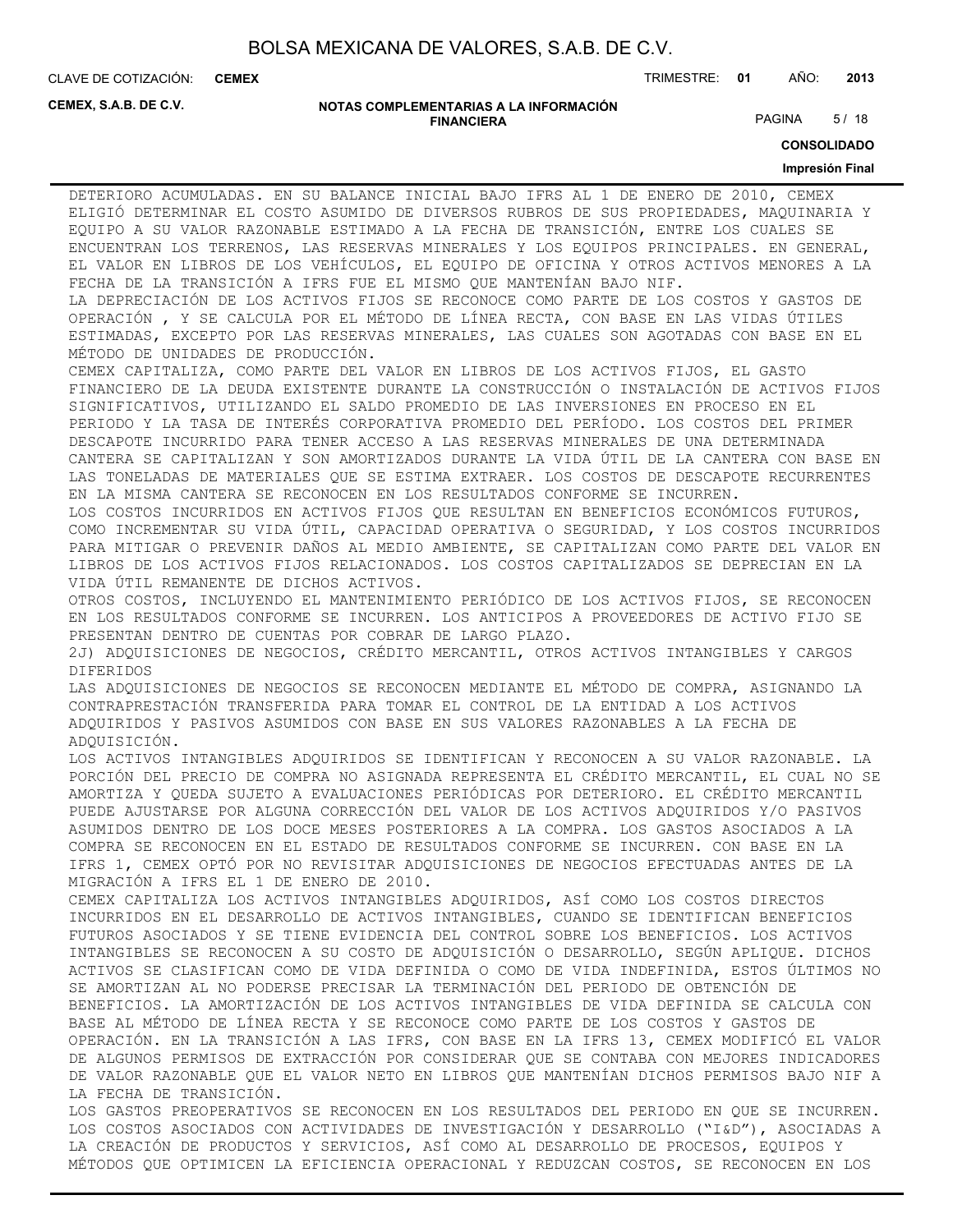**CEMEX**

CLAVE DE COTIZACIÓN: TRIMESTRE: **01** AÑO: **2013**

**CEMEX, S.A.B. DE C.V.**

#### **NOTAS COMPLEMENTARIAS A LA INFORMACIÓN FINANCIERA**

PAGINA 5/18

**CONSOLIDADO**

#### **Impresión Final**

DETERIORO ACUMULADAS. EN SU BALANCE INICIAL BAJO IFRS AL 1 DE ENERO DE 2010, CEMEX ELIGIÓ DETERMINAR EL COSTO ASUMIDO DE DIVERSOS RUBROS DE SUS PROPIEDADES, MAQUINARIA Y EQUIPO A SU VALOR RAZONABLE ESTIMADO A LA FECHA DE TRANSICIÓN, ENTRE LOS CUALES SE ENCUENTRAN LOS TERRENOS, LAS RESERVAS MINERALES Y LOS EQUIPOS PRINCIPALES. EN GENERAL, EL VALOR EN LIBROS DE LOS VEHÍCULOS, EL EQUIPO DE OFICINA Y OTROS ACTIVOS MENORES A LA FECHA DE LA TRANSICIÓN A IFRS FUE EL MISMO QUE MANTENÍAN BAJO NIF.

LA DEPRECIACIÓN DE LOS ACTIVOS FIJOS SE RECONOCE COMO PARTE DE LOS COSTOS Y GASTOS DE OPERACIÓN , Y SE CALCULA POR EL MÉTODO DE LÍNEA RECTA, CON BASE EN LAS VIDAS ÚTILES ESTIMADAS, EXCEPTO POR LAS RESERVAS MINERALES, LAS CUALES SON AGOTADAS CON BASE EN EL MÉTODO DE UNIDADES DE PRODUCCIÓN.

CEMEX CAPITALIZA, COMO PARTE DEL VALOR EN LIBROS DE LOS ACTIVOS FIJOS, EL GASTO FINANCIERO DE LA DEUDA EXISTENTE DURANTE LA CONSTRUCCIÓN O INSTALACIÓN DE ACTIVOS FIJOS SIGNIFICATIVOS, UTILIZANDO EL SALDO PROMEDIO DE LAS INVERSIONES EN PROCESO EN EL PERIODO Y LA TASA DE INTERÉS CORPORATIVA PROMEDIO DEL PERÍODO. LOS COSTOS DEL PRIMER DESCAPOTE INCURRIDO PARA TENER ACCESO A LAS RESERVAS MINERALES DE UNA DETERMINADA CANTERA SE CAPITALIZAN Y SON AMORTIZADOS DURANTE LA VIDA ÚTIL DE LA CANTERA CON BASE EN LAS TONELADAS DE MATERIALES QUE SE ESTIMA EXTRAER. LOS COSTOS DE DESCAPOTE RECURRENTES EN LA MISMA CANTERA SE RECONOCEN EN LOS RESULTADOS CONFORME SE INCURREN.

LOS COSTOS INCURRIDOS EN ACTIVOS FIJOS QUE RESULTAN EN BENEFICIOS ECONÓMICOS FUTUROS, COMO INCREMENTAR SU VIDA ÚTIL, CAPACIDAD OPERATIVA O SEGURIDAD, Y LOS COSTOS INCURRIDOS PARA MITIGAR O PREVENIR DAÑOS AL MEDIO AMBIENTE, SE CAPITALIZAN COMO PARTE DEL VALOR EN LIBROS DE LOS ACTIVOS FIJOS RELACIONADOS. LOS COSTOS CAPITALIZADOS SE DEPRECIAN EN LA VIDA ÚTIL REMANENTE DE DICHOS ACTIVOS.

OTROS COSTOS, INCLUYENDO EL MANTENIMIENTO PERIÓDICO DE LOS ACTIVOS FIJOS, SE RECONOCEN EN LOS RESULTADOS CONFORME SE INCURREN. LOS ANTICIPOS A PROVEEDORES DE ACTIVO FIJO SE PRESENTAN DENTRO DE CUENTAS POR COBRAR DE LARGO PLAZO.

2J) ADQUISICIONES DE NEGOCIOS, CRÉDITO MERCANTIL, OTROS ACTIVOS INTANGIBLES Y CARGOS DIFERIDOS

LAS ADQUISICIONES DE NEGOCIOS SE RECONOCEN MEDIANTE EL MÉTODO DE COMPRA, ASIGNANDO LA CONTRAPRESTACIÓN TRANSFERIDA PARA TOMAR EL CONTROL DE LA ENTIDAD A LOS ACTIVOS ADQUIRIDOS Y PASIVOS ASUMIDOS CON BASE EN SUS VALORES RAZONABLES A LA FECHA DE ADQUISICIÓN.

LOS ACTIVOS INTANGIBLES ADQUIRIDOS SE IDENTIFICAN Y RECONOCEN A SU VALOR RAZONABLE. LA PORCIÓN DEL PRECIO DE COMPRA NO ASIGNADA REPRESENTA EL CRÉDITO MERCANTIL, EL CUAL NO SE AMORTIZA Y QUEDA SUJETO A EVALUACIONES PERIÓDICAS POR DETERIORO. EL CRÉDITO MERCANTIL PUEDE AJUSTARSE POR ALGUNA CORRECCIÓN DEL VALOR DE LOS ACTIVOS ADQUIRIDOS Y/O PASIVOS ASUMIDOS DENTRO DE LOS DOCE MESES POSTERIORES A LA COMPRA. LOS GASTOS ASOCIADOS A LA COMPRA SE RECONOCEN EN EL ESTADO DE RESULTADOS CONFORME SE INCURREN. CON BASE EN LA IFRS 1, CEMEX OPTÓ POR NO REVISITAR ADQUISICIONES DE NEGOCIOS EFECTUADAS ANTES DE LA MIGRACIÓN A IFRS EL 1 DE ENERO DE 2010.

CEMEX CAPITALIZA LOS ACTIVOS INTANGIBLES ADQUIRIDOS, ASÍ COMO LOS COSTOS DIRECTOS INCURRIDOS EN EL DESARROLLO DE ACTIVOS INTANGIBLES, CUANDO SE IDENTIFICAN BENEFICIOS FUTUROS ASOCIADOS Y SE TIENE EVIDENCIA DEL CONTROL SOBRE LOS BENEFICIOS. LOS ACTIVOS INTANGIBLES SE RECONOCEN A SU COSTO DE ADQUISICIÓN O DESARROLLO, SEGÚN APLIQUE. DICHOS ACTIVOS SE CLASIFICAN COMO DE VIDA DEFINIDA O COMO DE VIDA INDEFINIDA, ESTOS ÚLTIMOS NO SE AMORTIZAN AL NO PODERSE PRECISAR LA TERMINACIÓN DEL PERIODO DE OBTENCIÓN DE BENEFICIOS. LA AMORTIZACIÓN DE LOS ACTIVOS INTANGIBLES DE VIDA DEFINIDA SE CALCULA CON BASE AL MÉTODO DE LÍNEA RECTA Y SE RECONOCE COMO PARTE DE LOS COSTOS Y GASTOS DE OPERACIÓN. EN LA TRANSICIÓN A LAS IFRS, CON BASE EN LA IFRS 13, CEMEX MODIFICÓ EL VALOR DE ALGUNOS PERMISOS DE EXTRACCIÓN POR CONSIDERAR QUE SE CONTABA CON MEJORES INDICADORES DE VALOR RAZONABLE QUE EL VALOR NETO EN LIBROS QUE MANTENÍAN DICHOS PERMISOS BAJO NIF A LA FECHA DE TRANSICIÓN.

LOS GASTOS PREOPERATIVOS SE RECONOCEN EN LOS RESULTADOS DEL PERIODO EN QUE SE INCURREN. LOS COSTOS ASOCIADOS CON ACTIVIDADES DE INVESTIGACIÓN Y DESARROLLO ("I&D"), ASOCIADAS A LA CREACIÓN DE PRODUCTOS Y SERVICIOS, ASÍ COMO AL DESARROLLO DE PROCESOS, EQUIPOS Y MÉTODOS QUE OPTIMICEN LA EFICIENCIA OPERACIONAL Y REDUZCAN COSTOS, SE RECONOCEN EN LOS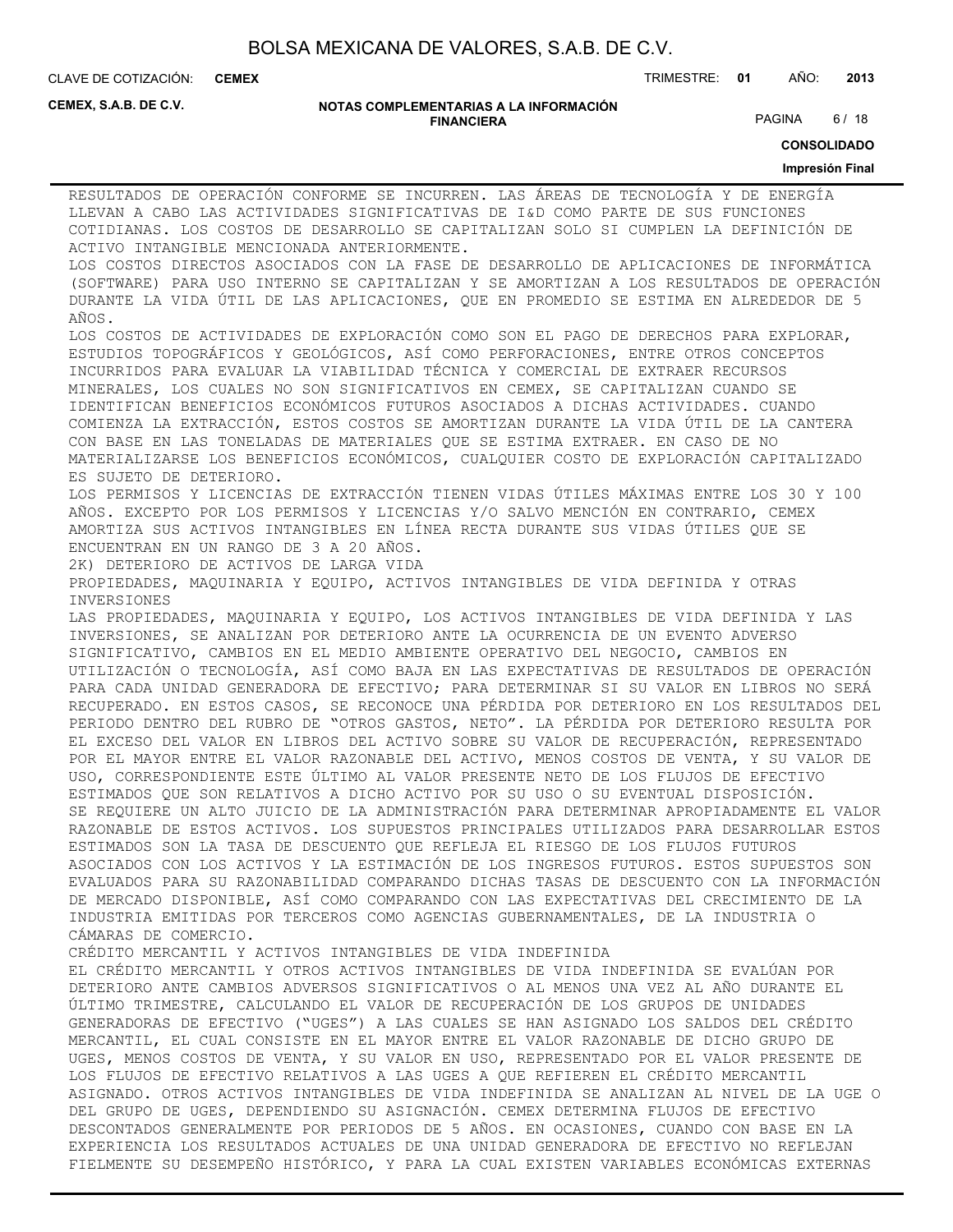**CEMEX**

CLAVE DE COTIZACIÓN: TRIMESTRE: **01** AÑO: **2013**

**CEMEX, S.A.B. DE C.V.**

#### **NOTAS COMPLEMENTARIAS A LA INFORMACIÓN FINANCIERA**

PAGINA 6/18

**CONSOLIDADO**

#### **Impresión Final**

RESULTADOS DE OPERACIÓN CONFORME SE INCURREN. LAS ÁREAS DE TECNOLOGÍA Y DE ENERGÍA LLEVAN A CABO LAS ACTIVIDADES SIGNIFICATIVAS DE I&D COMO PARTE DE SUS FUNCIONES COTIDIANAS. LOS COSTOS DE DESARROLLO SE CAPITALIZAN SOLO SI CUMPLEN LA DEFINICIÓN DE ACTIVO INTANGIBLE MENCIONADA ANTERIORMENTE. LOS COSTOS DIRECTOS ASOCIADOS CON LA FASE DE DESARROLLO DE APLICACIONES DE INFORMÁTICA (SOFTWARE) PARA USO INTERNO SE CAPITALIZAN Y SE AMORTIZAN A LOS RESULTADOS DE OPERACIÓN DURANTE LA VIDA ÚTIL DE LAS APLICACIONES, QUE EN PROMEDIO SE ESTIMA EN ALREDEDOR DE 5 AÑOS. LOS COSTOS DE ACTIVIDADES DE EXPLORACIÓN COMO SON EL PAGO DE DERECHOS PARA EXPLORAR, ESTUDIOS TOPOGRÁFICOS Y GEOLÓGICOS, ASÍ COMO PERFORACIONES, ENTRE OTROS CONCEPTOS INCURRIDOS PARA EVALUAR LA VIABILIDAD TÉCNICA Y COMERCIAL DE EXTRAER RECURSOS MINERALES, LOS CUALES NO SON SIGNIFICATIVOS EN CEMEX, SE CAPITALIZAN CUANDO SE IDENTIFICAN BENEFICIOS ECONÓMICOS FUTUROS ASOCIADOS A DICHAS ACTIVIDADES. CUANDO COMIENZA LA EXTRACCIÓN, ESTOS COSTOS SE AMORTIZAN DURANTE LA VIDA ÚTIL DE LA CANTERA CON BASE EN LAS TONELADAS DE MATERIALES QUE SE ESTIMA EXTRAER. EN CASO DE NO MATERIALIZARSE LOS BENEFICIOS ECONÓMICOS, CUALQUIER COSTO DE EXPLORACIÓN CAPITALIZADO ES SUJETO DE DETERIORO. LOS PERMISOS Y LICENCIAS DE EXTRACCIÓN TIENEN VIDAS ÚTILES MÁXIMAS ENTRE LOS 30 Y 100 AÑOS. EXCEPTO POR LOS PERMISOS Y LICENCIAS Y/O SALVO MENCIÓN EN CONTRARIO, CEMEX AMORTIZA SUS ACTIVOS INTANGIBLES EN LÍNEA RECTA DURANTE SUS VIDAS ÚTILES QUE SE ENCUENTRAN EN UN RANGO DE 3 A 20 AÑOS. 2K) DETERIORO DE ACTIVOS DE LARGA VIDA PROPIEDADES, MAQUINARIA Y EQUIPO, ACTIVOS INTANGIBLES DE VIDA DEFINIDA Y OTRAS INVERSIONES LAS PROPIEDADES, MAQUINARIA Y EQUIPO, LOS ACTIVOS INTANGIBLES DE VIDA DEFINIDA Y LAS INVERSIONES, SE ANALIZAN POR DETERIORO ANTE LA OCURRENCIA DE UN EVENTO ADVERSO SIGNIFICATIVO, CAMBIOS EN EL MEDIO AMBIENTE OPERATIVO DEL NEGOCIO, CAMBIOS EN UTILIZACIÓN O TECNOLOGÍA, ASÍ COMO BAJA EN LAS EXPECTATIVAS DE RESULTADOS DE OPERACIÓN PARA CADA UNIDAD GENERADORA DE EFECTIVO; PARA DETERMINAR SI SU VALOR EN LIBROS NO SERÁ RECUPERADO. EN ESTOS CASOS, SE RECONOCE UNA PÉRDIDA POR DETERIORO EN LOS RESULTADOS DEL PERIODO DENTRO DEL RUBRO DE "OTROS GASTOS, NETO". LA PÉRDIDA POR DETERIORO RESULTA POR EL EXCESO DEL VALOR EN LIBROS DEL ACTIVO SOBRE SU VALOR DE RECUPERACIÓN, REPRESENTADO POR EL MAYOR ENTRE EL VALOR RAZONABLE DEL ACTIVO, MENOS COSTOS DE VENTA, Y SU VALOR DE USO, CORRESPONDIENTE ESTE ÚLTIMO AL VALOR PRESENTE NETO DE LOS FLUJOS DE EFECTIVO ESTIMADOS QUE SON RELATIVOS A DICHO ACTIVO POR SU USO O SU EVENTUAL DISPOSICIÓN. SE REQUIERE UN ALTO JUICIO DE LA ADMINISTRACIÓN PARA DETERMINAR APROPIADAMENTE EL VALOR RAZONABLE DE ESTOS ACTIVOS. LOS SUPUESTOS PRINCIPALES UTILIZADOS PARA DESARROLLAR ESTOS ESTIMADOS SON LA TASA DE DESCUENTO QUE REFLEJA EL RIESGO DE LOS FLUJOS FUTUROS ASOCIADOS CON LOS ACTIVOS Y LA ESTIMACIÓN DE LOS INGRESOS FUTUROS. ESTOS SUPUESTOS SON EVALUADOS PARA SU RAZONABILIDAD COMPARANDO DICHAS TASAS DE DESCUENTO CON LA INFORMACIÓN DE MERCADO DISPONIBLE, ASÍ COMO COMPARANDO CON LAS EXPECTATIVAS DEL CRECIMIENTO DE LA INDUSTRIA EMITIDAS POR TERCEROS COMO AGENCIAS GUBERNAMENTALES, DE LA INDUSTRIA O CÁMARAS DE COMERCIO. CRÉDITO MERCANTIL Y ACTIVOS INTANGIBLES DE VIDA INDEFINIDA EL CRÉDITO MERCANTIL Y OTROS ACTIVOS INTANGIBLES DE VIDA INDEFINIDA SE EVALÚAN POR DETERIORO ANTE CAMBIOS ADVERSOS SIGNIFICATIVOS O AL MENOS UNA VEZ AL AÑO DURANTE EL ÚLTIMO TRIMESTRE, CALCULANDO EL VALOR DE RECUPERACIÓN DE LOS GRUPOS DE UNIDADES GENERADORAS DE EFECTIVO ("UGES") A LAS CUALES SE HAN ASIGNADO LOS SALDOS DEL CRÉDITO MERCANTIL, EL CUAL CONSISTE EN EL MAYOR ENTRE EL VALOR RAZONABLE DE DICHO GRUPO DE UGES, MENOS COSTOS DE VENTA, Y SU VALOR EN USO, REPRESENTADO POR EL VALOR PRESENTE DE LOS FLUJOS DE EFECTIVO RELATIVOS A LAS UGES A QUE REFIEREN EL CRÉDITO MERCANTIL ASIGNADO. OTROS ACTIVOS INTANGIBLES DE VIDA INDEFINIDA SE ANALIZAN AL NIVEL DE LA UGE O DEL GRUPO DE UGES, DEPENDIENDO SU ASIGNACIÓN. CEMEX DETERMINA FLUJOS DE EFECTIVO DESCONTADOS GENERALMENTE POR PERIODOS DE 5 AÑOS. EN OCASIONES, CUANDO CON BASE EN LA EXPERIENCIA LOS RESULTADOS ACTUALES DE UNA UNIDAD GENERADORA DE EFECTIVO NO REFLEJAN FIELMENTE SU DESEMPEÑO HISTÓRICO, Y PARA LA CUAL EXISTEN VARIABLES ECONÓMICAS EXTERNAS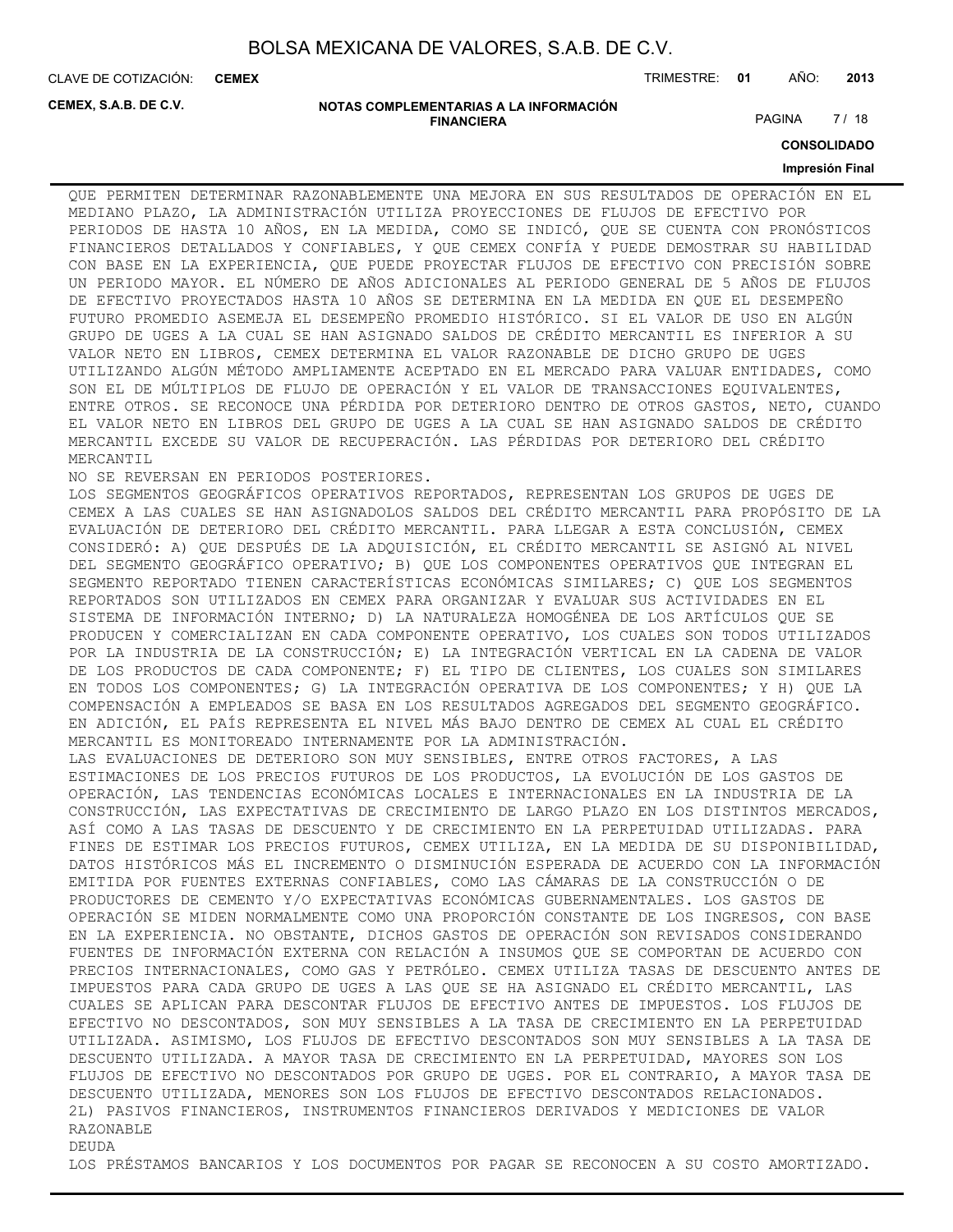CLAVE DE COTIZACIÓN: TRIMESTRE: **01** AÑO: **2013 CEMEX**

**CEMEX, S.A.B. DE C.V.**

#### **NOTAS COMPLEMENTARIAS A LA INFORMACIÓN FINANCIERA**

PAGINA 7 / 18

**CONSOLIDADO**

#### **Impresión Final**

QUE PERMITEN DETERMINAR RAZONABLEMENTE UNA MEJORA EN SUS RESULTADOS DE OPERACIÓN EN EL MEDIANO PLAZO, LA ADMINISTRACIÓN UTILIZA PROYECCIONES DE FLUJOS DE EFECTIVO POR PERIODOS DE HASTA 10 AÑOS, EN LA MEDIDA, COMO SE INDICÓ, QUE SE CUENTA CON PRONÓSTICOS FINANCIEROS DETALLADOS Y CONFIABLES, Y QUE CEMEX CONFÍA Y PUEDE DEMOSTRAR SU HABILIDAD CON BASE EN LA EXPERIENCIA, QUE PUEDE PROYECTAR FLUJOS DE EFECTIVO CON PRECISIÓN SOBRE UN PERIODO MAYOR. EL NÚMERO DE AÑOS ADICIONALES AL PERIODO GENERAL DE 5 AÑOS DE FLUJOS DE EFECTIVO PROYECTADOS HASTA 10 AÑOS SE DETERMINA EN LA MEDIDA EN QUE EL DESEMPEÑO FUTURO PROMEDIO ASEMEJA EL DESEMPEÑO PROMEDIO HISTÓRICO. SI EL VALOR DE USO EN ALGÚN GRUPO DE UGES A LA CUAL SE HAN ASIGNADO SALDOS DE CRÉDITO MERCANTIL ES INFERIOR A SU VALOR NETO EN LIBROS, CEMEX DETERMINA EL VALOR RAZONABLE DE DICHO GRUPO DE UGES UTILIZANDO ALGÚN MÉTODO AMPLIAMENTE ACEPTADO EN EL MERCADO PARA VALUAR ENTIDADES, COMO SON EL DE MÚLTIPLOS DE FLUJO DE OPERACIÓN Y EL VALOR DE TRANSACCIONES EQUIVALENTES, ENTRE OTROS. SE RECONOCE UNA PÉRDIDA POR DETERIORO DENTRO DE OTROS GASTOS, NETO, CUANDO EL VALOR NETO EN LIBROS DEL GRUPO DE UGES A LA CUAL SE HAN ASIGNADO SALDOS DE CRÉDITO MERCANTIL EXCEDE SU VALOR DE RECUPERACIÓN. LAS PÉRDIDAS POR DETERIORO DEL CRÉDITO MERCANTIL

NO SE REVERSAN EN PERIODOS POSTERIORES.

LOS SEGMENTOS GEOGRÁFICOS OPERATIVOS REPORTADOS, REPRESENTAN LOS GRUPOS DE UGES DE CEMEX A LAS CUALES SE HAN ASIGNADOLOS SALDOS DEL CRÉDITO MERCANTIL PARA PROPÓSITO DE LA EVALUACIÓN DE DETERIORO DEL CRÉDITO MERCANTIL. PARA LLEGAR A ESTA CONCLUSIÓN, CEMEX CONSIDERÓ: A) QUE DESPUÉS DE LA ADQUISICIÓN, EL CRÉDITO MERCANTIL SE ASIGNÓ AL NIVEL DEL SEGMENTO GEOGRÁFICO OPERATIVO; B) QUE LOS COMPONENTES OPERATIVOS QUE INTEGRAN EL SEGMENTO REPORTADO TIENEN CARACTERÍSTICAS ECONÓMICAS SIMILARES; C) QUE LOS SEGMENTOS REPORTADOS SON UTILIZADOS EN CEMEX PARA ORGANIZAR Y EVALUAR SUS ACTIVIDADES EN EL SISTEMA DE INFORMACIÓN INTERNO; D) LA NATURALEZA HOMOGÉNEA DE LOS ARTÍCULOS QUE SE PRODUCEN Y COMERCIALIZAN EN CADA COMPONENTE OPERATIVO, LOS CUALES SON TODOS UTILIZADOS POR LA INDUSTRIA DE LA CONSTRUCCIÓN; E) LA INTEGRACIÓN VERTICAL EN LA CADENA DE VALOR DE LOS PRODUCTOS DE CADA COMPONENTE; F) EL TIPO DE CLIENTES, LOS CUALES SON SIMILARES EN TODOS LOS COMPONENTES; G) LA INTEGRACIÓN OPERATIVA DE LOS COMPONENTES; Y H) QUE LA COMPENSACIÓN A EMPLEADOS SE BASA EN LOS RESULTADOS AGREGADOS DEL SEGMENTO GEOGRÁFICO. EN ADICIÓN, EL PAÍS REPRESENTA EL NIVEL MÁS BAJO DENTRO DE CEMEX AL CUAL EL CRÉDITO MERCANTIL ES MONITOREADO INTERNAMENTE POR LA ADMINISTRACIÓN. LAS EVALUACIONES DE DETERIORO SON MUY SENSIBLES, ENTRE OTROS FACTORES, A LAS ESTIMACIONES DE LOS PRECIOS FUTUROS DE LOS PRODUCTOS, LA EVOLUCIÓN DE LOS GASTOS DE OPERACIÓN, LAS TENDENCIAS ECONÓMICAS LOCALES E INTERNACIONALES EN LA INDUSTRIA DE LA CONSTRUCCIÓN, LAS EXPECTATIVAS DE CRECIMIENTO DE LARGO PLAZO EN LOS DISTINTOS MERCADOS, ASÍ COMO A LAS TASAS DE DESCUENTO Y DE CRECIMIENTO EN LA PERPETUIDAD UTILIZADAS. PARA FINES DE ESTIMAR LOS PRECIOS FUTUROS, CEMEX UTILIZA, EN LA MEDIDA DE SU DISPONIBILIDAD, DATOS HISTÓRICOS MÁS EL INCREMENTO O DISMINUCIÓN ESPERADA DE ACUERDO CON LA INFORMACIÓN EMITIDA POR FUENTES EXTERNAS CONFIABLES, COMO LAS CÁMARAS DE LA CONSTRUCCIÓN O DE PRODUCTORES DE CEMENTO Y/O EXPECTATIVAS ECONÓMICAS GUBERNAMENTALES. LOS GASTOS DE OPERACIÓN SE MIDEN NORMALMENTE COMO UNA PROPORCIÓN CONSTANTE DE LOS INGRESOS, CON BASE EN LA EXPERIENCIA. NO OBSTANTE, DICHOS GASTOS DE OPERACIÓN SON REVISADOS CONSIDERANDO FUENTES DE INFORMACIÓN EXTERNA CON RELACIÓN A INSUMOS QUE SE COMPORTAN DE ACUERDO CON PRECIOS INTERNACIONALES, COMO GAS Y PETRÓLEO. CEMEX UTILIZA TASAS DE DESCUENTO ANTES DE IMPUESTOS PARA CADA GRUPO DE UGES A LAS QUE SE HA ASIGNADO EL CRÉDITO MERCANTIL, LAS CUALES SE APLICAN PARA DESCONTAR FLUJOS DE EFECTIVO ANTES DE IMPUESTOS. LOS FLUJOS DE EFECTIVO NO DESCONTADOS, SON MUY SENSIBLES A LA TASA DE CRECIMIENTO EN LA PERPETUIDAD UTILIZADA. ASIMISMO, LOS FLUJOS DE EFECTIVO DESCONTADOS SON MUY SENSIBLES A LA TASA DE DESCUENTO UTILIZADA. A MAYOR TASA DE CRECIMIENTO EN LA PERPETUIDAD, MAYORES SON LOS FLUJOS DE EFECTIVO NO DESCONTADOS POR GRUPO DE UGES. POR EL CONTRARIO, A MAYOR TASA DE DESCUENTO UTILIZADA, MENORES SON LOS FLUJOS DE EFECTIVO DESCONTADOS RELACIONADOS. 2L) PASIVOS FINANCIEROS, INSTRUMENTOS FINANCIEROS DERIVADOS Y MEDICIONES DE VALOR RAZONABLE DEUDA

LOS PRÉSTAMOS BANCARIOS Y LOS DOCUMENTOS POR PAGAR SE RECONOCEN A SU COSTO AMORTIZADO.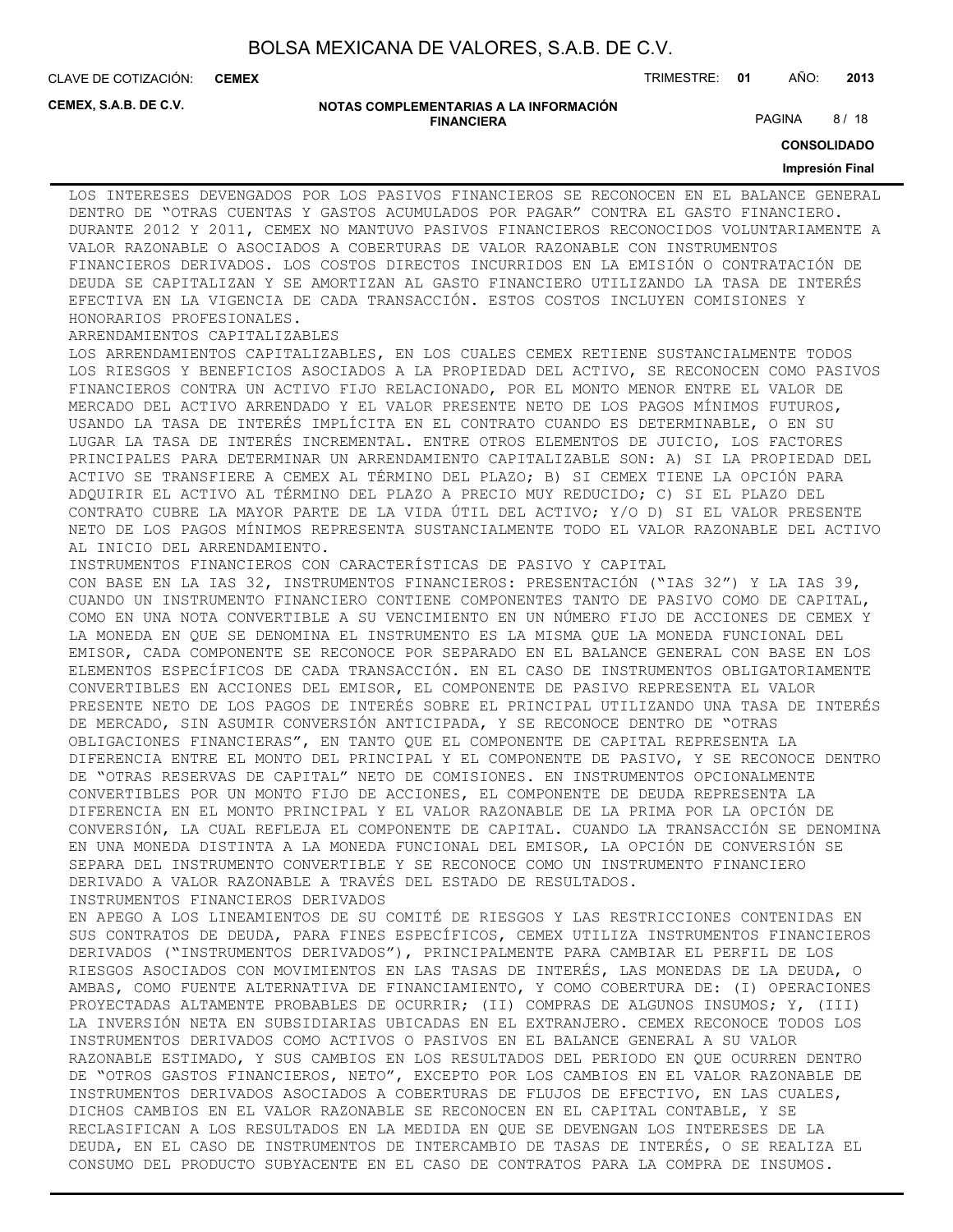**CEMEX**

CLAVE DE COTIZACIÓN: TRIMESTRE: **01** AÑO: **2013**

**CEMEX, S.A.B. DE C.V.**

#### **NOTAS COMPLEMENTARIAS A LA INFORMACIÓN FINANCIERA**

PAGINA 8/18

**CONSOLIDADO**

#### **Impresión Final**

LOS INTERESES DEVENGADOS POR LOS PASIVOS FINANCIEROS SE RECONOCEN EN EL BALANCE GENERAL DENTRO DE "OTRAS CUENTAS Y GASTOS ACUMULADOS POR PAGAR" CONTRA EL GASTO FINANCIERO. DURANTE 2012 Y 2011, CEMEX NO MANTUVO PASIVOS FINANCIEROS RECONOCIDOS VOLUNTARIAMENTE A VALOR RAZONABLE O ASOCIADOS A COBERTURAS DE VALOR RAZONABLE CON INSTRUMENTOS FINANCIEROS DERIVADOS. LOS COSTOS DIRECTOS INCURRIDOS EN LA EMISIÓN O CONTRATACIÓN DE DEUDA SE CAPITALIZAN Y SE AMORTIZAN AL GASTO FINANCIERO UTILIZANDO LA TASA DE INTERÉS EFECTIVA EN LA VIGENCIA DE CADA TRANSACCIÓN. ESTOS COSTOS INCLUYEN COMISIONES Y HONORARIOS PROFESIONALES.

#### ARRENDAMIENTOS CAPITALIZABLES

LOS ARRENDAMIENTOS CAPITALIZABLES, EN LOS CUALES CEMEX RETIENE SUSTANCIALMENTE TODOS LOS RIESGOS Y BENEFICIOS ASOCIADOS A LA PROPIEDAD DEL ACTIVO, SE RECONOCEN COMO PASIVOS FINANCIEROS CONTRA UN ACTIVO FIJO RELACIONADO, POR EL MONTO MENOR ENTRE EL VALOR DE MERCADO DEL ACTIVO ARRENDADO Y EL VALOR PRESENTE NETO DE LOS PAGOS MÍNIMOS FUTUROS, USANDO LA TASA DE INTERÉS IMPLÍCITA EN EL CONTRATO CUANDO ES DETERMINABLE, O EN SU LUGAR LA TASA DE INTERÉS INCREMENTAL. ENTRE OTROS ELEMENTOS DE JUICIO, LOS FACTORES PRINCIPALES PARA DETERMINAR UN ARRENDAMIENTO CAPITALIZABLE SON: A) SI LA PROPIEDAD DEL ACTIVO SE TRANSFIERE A CEMEX AL TÉRMINO DEL PLAZO; B) SI CEMEX TIENE LA OPCIÓN PARA ADQUIRIR EL ACTIVO AL TÉRMINO DEL PLAZO A PRECIO MUY REDUCIDO; C) SI EL PLAZO DEL CONTRATO CUBRE LA MAYOR PARTE DE LA VIDA ÚTIL DEL ACTIVO; Y/O D) SI EL VALOR PRESENTE NETO DE LOS PAGOS MÍNIMOS REPRESENTA SUSTANCIALMENTE TODO EL VALOR RAZONABLE DEL ACTIVO

AL INICIO DEL ARRENDAMIENTO. INSTRUMENTOS FINANCIEROS CON CARACTERÍSTICAS DE PASIVO Y CAPITAL CON BASE EN LA IAS 32, INSTRUMENTOS FINANCIEROS: PRESENTACIÓN ("IAS 32") Y LA IAS 39, CUANDO UN INSTRUMENTO FINANCIERO CONTIENE COMPONENTES TANTO DE PASIVO COMO DE CAPITAL, COMO EN UNA NOTA CONVERTIBLE A SU VENCIMIENTO EN UN NÚMERO FIJO DE ACCIONES DE CEMEX Y LA MONEDA EN QUE SE DENOMINA EL INSTRUMENTO ES LA MISMA QUE LA MONEDA FUNCIONAL DEL EMISOR, CADA COMPONENTE SE RECONOCE POR SEPARADO EN EL BALANCE GENERAL CON BASE EN LOS ELEMENTOS ESPECÍFICOS DE CADA TRANSACCIÓN. EN EL CASO DE INSTRUMENTOS OBLIGATORIAMENTE CONVERTIBLES EN ACCIONES DEL EMISOR, EL COMPONENTE DE PASIVO REPRESENTA EL VALOR PRESENTE NETO DE LOS PAGOS DE INTERÉS SOBRE EL PRINCIPAL UTILIZANDO UNA TASA DE INTERÉS DE MERCADO, SIN ASUMIR CONVERSIÓN ANTICIPADA, Y SE RECONOCE DENTRO DE "OTRAS OBLIGACIONES FINANCIERAS", EN TANTO QUE EL COMPONENTE DE CAPITAL REPRESENTA LA DIFERENCIA ENTRE EL MONTO DEL PRINCIPAL Y EL COMPONENTE DE PASIVO, Y SE RECONOCE DENTRO DE "OTRAS RESERVAS DE CAPITAL" NETO DE COMISIONES. EN INSTRUMENTOS OPCIONALMENTE CONVERTIBLES POR UN MONTO FIJO DE ACCIONES, EL COMPONENTE DE DEUDA REPRESENTA LA DIFERENCIA EN EL MONTO PRINCIPAL Y EL VALOR RAZONABLE DE LA PRIMA POR LA OPCIÓN DE CONVERSIÓN, LA CUAL REFLEJA EL COMPONENTE DE CAPITAL. CUANDO LA TRANSACCIÓN SE DENOMINA EN UNA MONEDA DISTINTA A LA MONEDA FUNCIONAL DEL EMISOR, LA OPCIÓN DE CONVERSIÓN SE

SEPARA DEL INSTRUMENTO CONVERTIBLE Y SE RECONOCE COMO UN INSTRUMENTO FINANCIERO DERIVADO A VALOR RAZONABLE A TRAVÉS DEL ESTADO DE RESULTADOS. INSTRUMENTOS FINANCIEROS DERIVADOS EN APEGO A LOS LINEAMIENTOS DE SU COMITÉ DE RIESGOS Y LAS RESTRICCIONES CONTENIDAS EN

SUS CONTRATOS DE DEUDA, PARA FINES ESPECÍFICOS, CEMEX UTILIZA INSTRUMENTOS FINANCIEROS DERIVADOS ("INSTRUMENTOS DERIVADOS"), PRINCIPALMENTE PARA CAMBIAR EL PERFIL DE LOS RIESGOS ASOCIADOS CON MOVIMIENTOS EN LAS TASAS DE INTERÉS, LAS MONEDAS DE LA DEUDA, O AMBAS, COMO FUENTE ALTERNATIVA DE FINANCIAMIENTO, Y COMO COBERTURA DE: (I) OPERACIONES PROYECTADAS ALTAMENTE PROBABLES DE OCURRIR; (II) COMPRAS DE ALGUNOS INSUMOS; Y, (III) LA INVERSIÓN NETA EN SUBSIDIARIAS UBICADAS EN EL EXTRANJERO. CEMEX RECONOCE TODOS LOS INSTRUMENTOS DERIVADOS COMO ACTIVOS O PASIVOS EN EL BALANCE GENERAL A SU VALOR RAZONABLE ESTIMADO, Y SUS CAMBIOS EN LOS RESULTADOS DEL PERIODO EN QUE OCURREN DENTRO DE "OTROS GASTOS FINANCIEROS, NETO", EXCEPTO POR LOS CAMBIOS EN EL VALOR RAZONABLE DE INSTRUMENTOS DERIVADOS ASOCIADOS A COBERTURAS DE FLUJOS DE EFECTIVO, EN LAS CUALES, DICHOS CAMBIOS EN EL VALOR RAZONABLE SE RECONOCEN EN EL CAPITAL CONTABLE, Y SE RECLASIFICAN A LOS RESULTADOS EN LA MEDIDA EN QUE SE DEVENGAN LOS INTERESES DE LA DEUDA, EN EL CASO DE INSTRUMENTOS DE INTERCAMBIO DE TASAS DE INTERÉS, O SE REALIZA EL CONSUMO DEL PRODUCTO SUBYACENTE EN EL CASO DE CONTRATOS PARA LA COMPRA DE INSUMOS.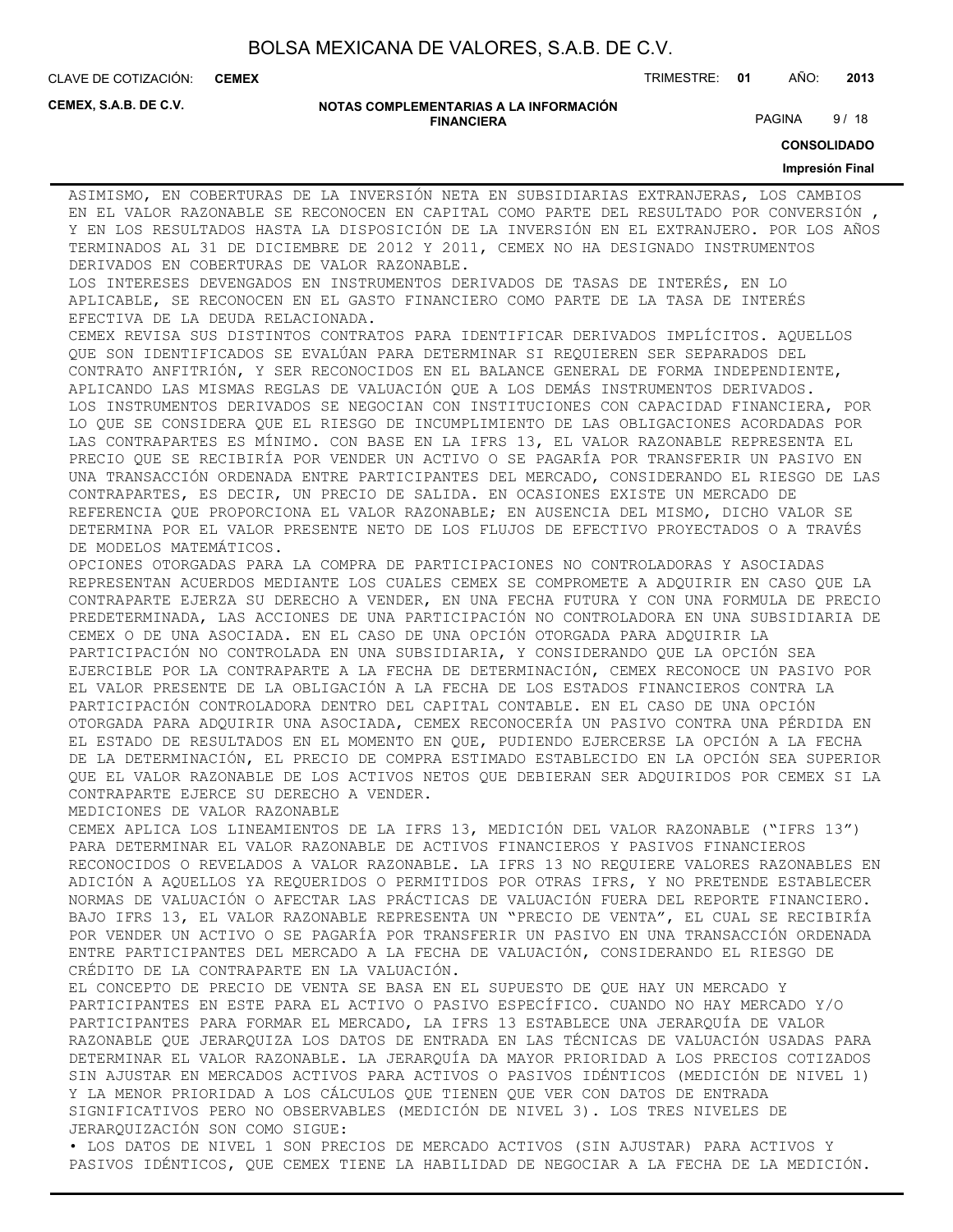**CEMEX**

CLAVE DE COTIZACIÓN: TRIMESTRE: **01** AÑO: **2013**

**CEMEX, S.A.B. DE C.V.**

#### **NOTAS COMPLEMENTARIAS A LA INFORMACIÓN FINANCIERA**

PAGINA 9/18

**CONSOLIDADO**

#### **Impresión Final**

ASIMISMO, EN COBERTURAS DE LA INVERSIÓN NETA EN SUBSIDIARIAS EXTRANJERAS, LOS CAMBIOS EN EL VALOR RAZONABLE SE RECONOCEN EN CAPITAL COMO PARTE DEL RESULTADO POR CONVERSIÓN , Y EN LOS RESULTADOS HASTA LA DISPOSICIÓN DE LA INVERSIÓN EN EL EXTRANJERO. POR LOS AÑOS TERMINADOS AL 31 DE DICIEMBRE DE 2012 Y 2011, CEMEX NO HA DESIGNADO INSTRUMENTOS DERIVADOS EN COBERTURAS DE VALOR RAZONABLE.

LOS INTERESES DEVENGADOS EN INSTRUMENTOS DERIVADOS DE TASAS DE INTERÉS, EN LO APLICABLE, SE RECONOCEN EN EL GASTO FINANCIERO COMO PARTE DE LA TASA DE INTERÉS EFECTIVA DE LA DEUDA RELACIONADA.

CEMEX REVISA SUS DISTINTOS CONTRATOS PARA IDENTIFICAR DERIVADOS IMPLÍCITOS. AQUELLOS QUE SON IDENTIFICADOS SE EVALÚAN PARA DETERMINAR SI REQUIEREN SER SEPARADOS DEL CONTRATO ANFITRIÓN, Y SER RECONOCIDOS EN EL BALANCE GENERAL DE FORMA INDEPENDIENTE, APLICANDO LAS MISMAS REGLAS DE VALUACIÓN QUE A LOS DEMÁS INSTRUMENTOS DERIVADOS. LOS INSTRUMENTOS DERIVADOS SE NEGOCIAN CON INSTITUCIONES CON CAPACIDAD FINANCIERA, POR LO QUE SE CONSIDERA QUE EL RIESGO DE INCUMPLIMIENTO DE LAS OBLIGACIONES ACORDADAS POR LAS CONTRAPARTES ES MÍNIMO. CON BASE EN LA IFRS 13, EL VALOR RAZONABLE REPRESENTA EL PRECIO QUE SE RECIBIRÍA POR VENDER UN ACTIVO O SE PAGARÍA POR TRANSFERIR UN PASIVO EN UNA TRANSACCIÓN ORDENADA ENTRE PARTICIPANTES DEL MERCADO, CONSIDERANDO EL RIESGO DE LAS CONTRAPARTES, ES DECIR, UN PRECIO DE SALIDA. EN OCASIONES EXISTE UN MERCADO DE REFERENCIA QUE PROPORCIONA EL VALOR RAZONABLE; EN AUSENCIA DEL MISMO, DICHO VALOR SE DETERMINA POR EL VALOR PRESENTE NETO DE LOS FLUJOS DE EFECTIVO PROYECTADOS O A TRAVÉS DE MODELOS MATEMÁTICOS.

OPCIONES OTORGADAS PARA LA COMPRA DE PARTICIPACIONES NO CONTROLADORAS Y ASOCIADAS REPRESENTAN ACUERDOS MEDIANTE LOS CUALES CEMEX SE COMPROMETE A ADQUIRIR EN CASO QUE LA CONTRAPARTE EJERZA SU DERECHO A VENDER, EN UNA FECHA FUTURA Y CON UNA FORMULA DE PRECIO PREDETERMINADA, LAS ACCIONES DE UNA PARTICIPACIÓN NO CONTROLADORA EN UNA SUBSIDIARIA DE CEMEX O DE UNA ASOCIADA. EN EL CASO DE UNA OPCIÓN OTORGADA PARA ADQUIRIR LA PARTICIPACIÓN NO CONTROLADA EN UNA SUBSIDIARIA, Y CONSIDERANDO QUE LA OPCIÓN SEA EJERCIBLE POR LA CONTRAPARTE A LA FECHA DE DETERMINACIÓN, CEMEX RECONOCE UN PASIVO POR EL VALOR PRESENTE DE LA OBLIGACIÓN A LA FECHA DE LOS ESTADOS FINANCIEROS CONTRA LA PARTICIPACIÓN CONTROLADORA DENTRO DEL CAPITAL CONTABLE. EN EL CASO DE UNA OPCIÓN OTORGADA PARA ADQUIRIR UNA ASOCIADA, CEMEX RECONOCERÍA UN PASIVO CONTRA UNA PÉRDIDA EN EL ESTADO DE RESULTADOS EN EL MOMENTO EN QUE, PUDIENDO EJERCERSE LA OPCIÓN A LA FECHA DE LA DETERMINACIÓN, EL PRECIO DE COMPRA ESTIMADO ESTABLECIDO EN LA OPCIÓN SEA SUPERIOR QUE EL VALOR RAZONABLE DE LOS ACTIVOS NETOS QUE DEBIERAN SER ADQUIRIDOS POR CEMEX SI LA CONTRAPARTE EJERCE SU DERECHO A VENDER.

MEDICIONES DE VALOR RAZONABLE

CEMEX APLICA LOS LINEAMIENTOS DE LA IFRS 13, MEDICIÓN DEL VALOR RAZONABLE ("IFRS 13") PARA DETERMINAR EL VALOR RAZONABLE DE ACTIVOS FINANCIEROS Y PASIVOS FINANCIEROS RECONOCIDOS O REVELADOS A VALOR RAZONABLE. LA IFRS 13 NO REQUIERE VALORES RAZONABLES EN ADICIÓN A AQUELLOS YA REQUERIDOS O PERMITIDOS POR OTRAS IFRS, Y NO PRETENDE ESTABLECER NORMAS DE VALUACIÓN O AFECTAR LAS PRÁCTICAS DE VALUACIÓN FUERA DEL REPORTE FINANCIERO. BAJO IFRS 13, EL VALOR RAZONABLE REPRESENTA UN "PRECIO DE VENTA", EL CUAL SE RECIBIRÍA POR VENDER UN ACTIVO O SE PAGARÍA POR TRANSFERIR UN PASIVO EN UNA TRANSACCIÓN ORDENADA ENTRE PARTICIPANTES DEL MERCADO A LA FECHA DE VALUACIÓN, CONSIDERANDO EL RIESGO DE CRÉDITO DE LA CONTRAPARTE EN LA VALUACIÓN.

EL CONCEPTO DE PRECIO DE VENTA SE BASA EN EL SUPUESTO DE QUE HAY UN MERCADO Y PARTICIPANTES EN ESTE PARA EL ACTIVO O PASIVO ESPECÍFICO. CUANDO NO HAY MERCADO Y/O PARTICIPANTES PARA FORMAR EL MERCADO, LA IFRS 13 ESTABLECE UNA JERARQUÍA DE VALOR RAZONABLE QUE JERARQUIZA LOS DATOS DE ENTRADA EN LAS TÉCNICAS DE VALUACIÓN USADAS PARA DETERMINAR EL VALOR RAZONABLE. LA JERARQUÍA DA MAYOR PRIORIDAD A LOS PRECIOS COTIZADOS SIN AJUSTAR EN MERCADOS ACTIVOS PARA ACTIVOS O PASIVOS IDÉNTICOS (MEDICIÓN DE NIVEL 1) Y LA MENOR PRIORIDAD A LOS CÁLCULOS QUE TIENEN QUE VER CON DATOS DE ENTRADA SIGNIFICATIVOS PERO NO OBSERVABLES (MEDICIÓN DE NIVEL 3). LOS TRES NIVELES DE JERARQUIZACIÓN SON COMO SIGUE:

• LOS DATOS DE NIVEL 1 SON PRECIOS DE MERCADO ACTIVOS (SIN AJUSTAR) PARA ACTIVOS Y PASIVOS IDÉNTICOS, QUE CEMEX TIENE LA HABILIDAD DE NEGOCIAR A LA FECHA DE LA MEDICIÓN.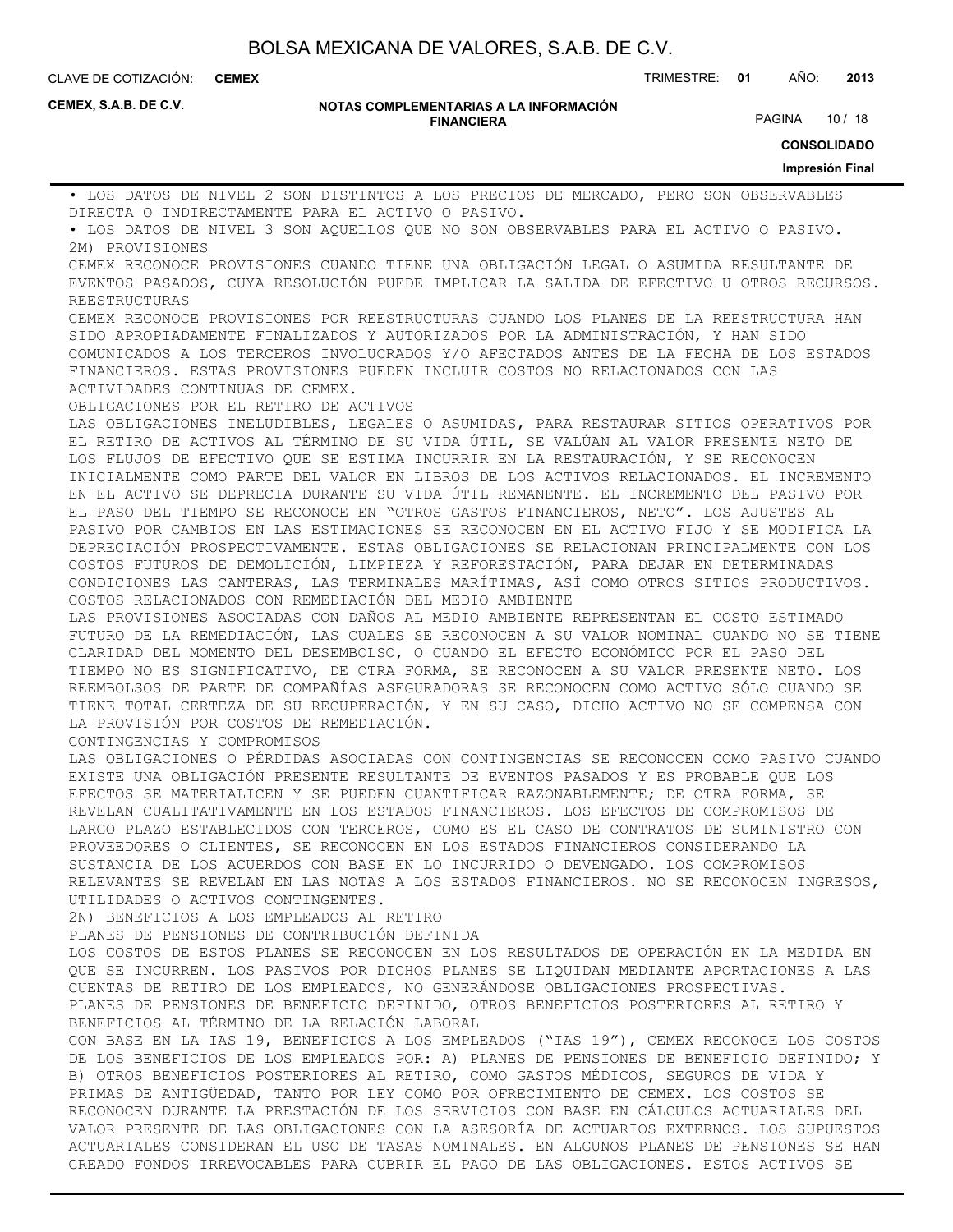**CEMEX**

CLAVE DE COTIZACIÓN: TRIMESTRE: **01** AÑO: **2013**

**CEMEX, S.A.B. DE C.V.**

#### **NOTAS COMPLEMENTARIAS A LA INFORMACIÓN FINANCIERA**

PAGINA 10 / 18

**CONSOLIDADO**

#### **Impresión Final**

• LOS DATOS DE NIVEL 2 SON DISTINTOS A LOS PRECIOS DE MERCADO, PERO SON OBSERVABLES DIRECTA O INDIRECTAMENTE PARA EL ACTIVO O PASIVO.

• LOS DATOS DE NIVEL 3 SON AQUELLOS QUE NO SON OBSERVABLES PARA EL ACTIVO O PASIVO. 2M) PROVISIONES

CEMEX RECONOCE PROVISIONES CUANDO TIENE UNA OBLIGACIÓN LEGAL O ASUMIDA RESULTANTE DE EVENTOS PASADOS, CUYA RESOLUCIÓN PUEDE IMPLICAR LA SALIDA DE EFECTIVO U OTROS RECURSOS. REESTRUCTURAS

CEMEX RECONOCE PROVISIONES POR REESTRUCTURAS CUANDO LOS PLANES DE LA REESTRUCTURA HAN SIDO APROPIADAMENTE FINALIZADOS Y AUTORIZADOS POR LA ADMINISTRACIÓN, Y HAN SIDO COMUNICADOS A LOS TERCEROS INVOLUCRADOS Y/O AFECTADOS ANTES DE LA FECHA DE LOS ESTADOS FINANCIEROS. ESTAS PROVISIONES PUEDEN INCLUIR COSTOS NO RELACIONADOS CON LAS ACTIVIDADES CONTINUAS DE CEMEX.

OBLIGACIONES POR EL RETIRO DE ACTIVOS

LAS OBLIGACIONES INELUDIBLES, LEGALES O ASUMIDAS, PARA RESTAURAR SITIOS OPERATIVOS POR EL RETIRO DE ACTIVOS AL TÉRMINO DE SU VIDA ÚTIL, SE VALÚAN AL VALOR PRESENTE NETO DE LOS FLUJOS DE EFECTIVO QUE SE ESTIMA INCURRIR EN LA RESTAURACIÓN, Y SE RECONOCEN INICIALMENTE COMO PARTE DEL VALOR EN LIBROS DE LOS ACTIVOS RELACIONADOS. EL INCREMENTO EN EL ACTIVO SE DEPRECIA DURANTE SU VIDA ÚTIL REMANENTE. EL INCREMENTO DEL PASIVO POR EL PASO DEL TIEMPO SE RECONOCE EN "OTROS GASTOS FINANCIEROS, NETO". LOS AJUSTES AL PASIVO POR CAMBIOS EN LAS ESTIMACIONES SE RECONOCEN EN EL ACTIVO FIJO Y SE MODIFICA LA DEPRECIACIÓN PROSPECTIVAMENTE. ESTAS OBLIGACIONES SE RELACIONAN PRINCIPALMENTE CON LOS COSTOS FUTUROS DE DEMOLICIÓN, LIMPIEZA Y REFORESTACIÓN, PARA DEJAR EN DETERMINADAS CONDICIONES LAS CANTERAS, LAS TERMINALES MARÍTIMAS, ASÍ COMO OTROS SITIOS PRODUCTIVOS. COSTOS RELACIONADOS CON REMEDIACIÓN DEL MEDIO AMBIENTE

LAS PROVISIONES ASOCIADAS CON DAÑOS AL MEDIO AMBIENTE REPRESENTAN EL COSTO ESTIMADO FUTURO DE LA REMEDIACIÓN, LAS CUALES SE RECONOCEN A SU VALOR NOMINAL CUANDO NO SE TIENE CLARIDAD DEL MOMENTO DEL DESEMBOLSO, O CUANDO EL EFECTO ECONÓMICO POR EL PASO DEL TIEMPO NO ES SIGNIFICATIVO, DE OTRA FORMA, SE RECONOCEN A SU VALOR PRESENTE NETO. LOS REEMBOLSOS DE PARTE DE COMPAÑÍAS ASEGURADORAS SE RECONOCEN COMO ACTIVO SÓLO CUANDO SE TIENE TOTAL CERTEZA DE SU RECUPERACIÓN, Y EN SU CASO, DICHO ACTIVO NO SE COMPENSA CON LA PROVISIÓN POR COSTOS DE REMEDIACIÓN.

CONTINGENCIAS Y COMPROMISOS

LAS OBLIGACIONES O PÉRDIDAS ASOCIADAS CON CONTINGENCIAS SE RECONOCEN COMO PASIVO CUANDO EXISTE UNA OBLIGACIÓN PRESENTE RESULTANTE DE EVENTOS PASADOS Y ES PROBABLE QUE LOS EFECTOS SE MATERIALICEN Y SE PUEDEN CUANTIFICAR RAZONABLEMENTE; DE OTRA FORMA, SE REVELAN CUALITATIVAMENTE EN LOS ESTADOS FINANCIEROS. LOS EFECTOS DE COMPROMISOS DE LARGO PLAZO ESTABLECIDOS CON TERCEROS, COMO ES EL CASO DE CONTRATOS DE SUMINISTRO CON PROVEEDORES O CLIENTES, SE RECONOCEN EN LOS ESTADOS FINANCIEROS CONSIDERANDO LA SUSTANCIA DE LOS ACUERDOS CON BASE EN LO INCURRIDO O DEVENGADO. LOS COMPROMISOS RELEVANTES SE REVELAN EN LAS NOTAS A LOS ESTADOS FINANCIEROS. NO SE RECONOCEN INGRESOS, UTILIDADES O ACTIVOS CONTINGENTES.

2N) BENEFICIOS A LOS EMPLEADOS AL RETIRO

PLANES DE PENSIONES DE CONTRIBUCIÓN DEFINIDA

LOS COSTOS DE ESTOS PLANES SE RECONOCEN EN LOS RESULTADOS DE OPERACIÓN EN LA MEDIDA EN QUE SE INCURREN. LOS PASIVOS POR DICHOS PLANES SE LIQUIDAN MEDIANTE APORTACIONES A LAS CUENTAS DE RETIRO DE LOS EMPLEADOS, NO GENERÁNDOSE OBLIGACIONES PROSPECTIVAS. PLANES DE PENSIONES DE BENEFICIO DEFINIDO, OTROS BENEFICIOS POSTERIORES AL RETIRO Y BENEFICIOS AL TÉRMINO DE LA RELACIÓN LABORAL

CON BASE EN LA IAS 19, BENEFICIOS A LOS EMPLEADOS ("IAS 19"), CEMEX RECONOCE LOS COSTOS DE LOS BENEFICIOS DE LOS EMPLEADOS POR: A) PLANES DE PENSIONES DE BENEFICIO DEFINIDO; Y B) OTROS BENEFICIOS POSTERIORES AL RETIRO, COMO GASTOS MÉDICOS, SEGUROS DE VIDA Y PRIMAS DE ANTIGÜEDAD, TANTO POR LEY COMO POR OFRECIMIENTO DE CEMEX. LOS COSTOS SE RECONOCEN DURANTE LA PRESTACIÓN DE LOS SERVICIOS CON BASE EN CÁLCULOS ACTUARIALES DEL VALOR PRESENTE DE LAS OBLIGACIONES CON LA ASESORÍA DE ACTUARIOS EXTERNOS. LOS SUPUESTOS ACTUARIALES CONSIDERAN EL USO DE TASAS NOMINALES. EN ALGUNOS PLANES DE PENSIONES SE HAN CREADO FONDOS IRREVOCABLES PARA CUBRIR EL PAGO DE LAS OBLIGACIONES. ESTOS ACTIVOS SE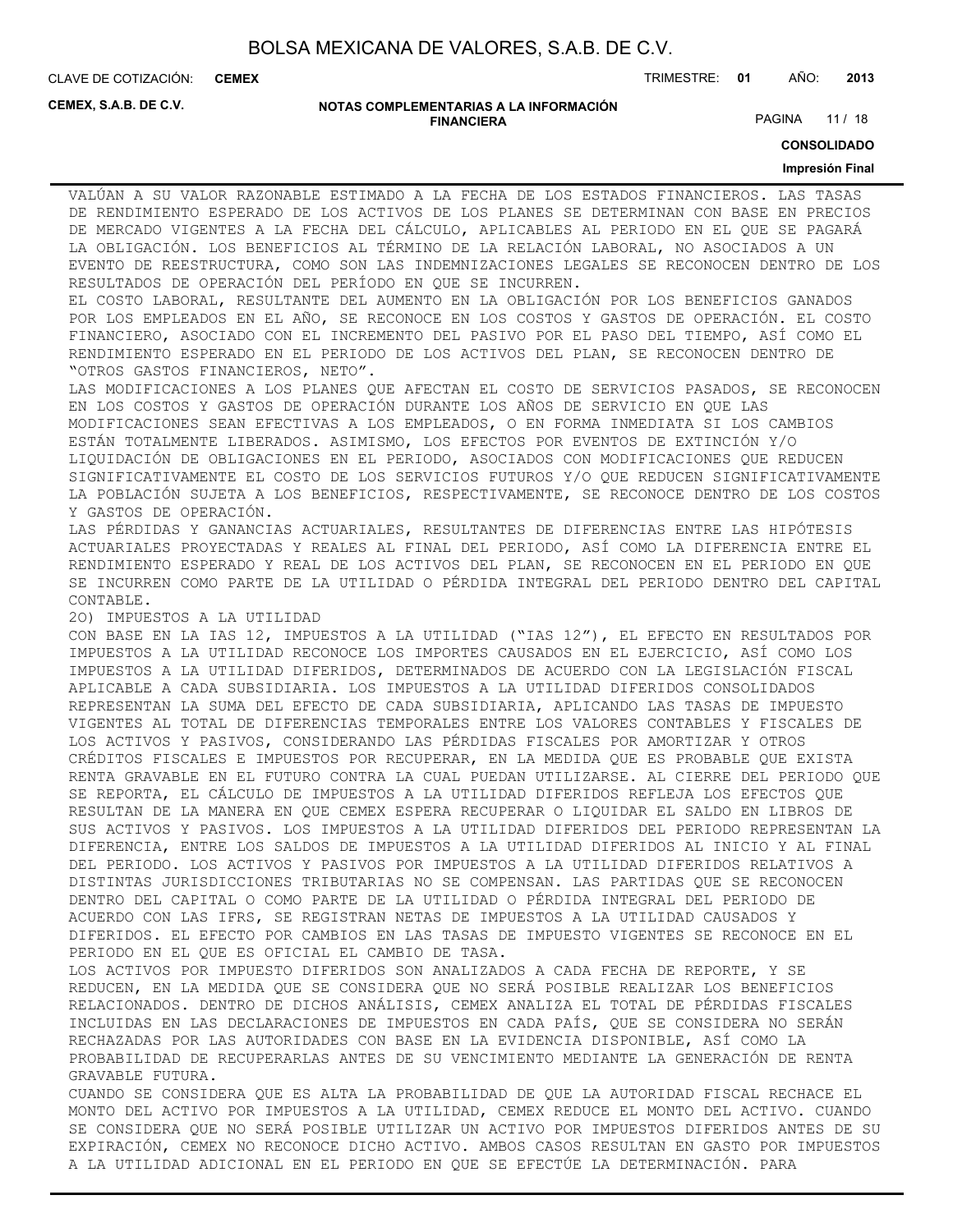**CEMEX**

CLAVE DE COTIZACIÓN: TRIMESTRE: **01** AÑO: **2013**

**CEMEX, S.A.B. DE C.V.**

#### **NOTAS COMPLEMENTARIAS A LA INFORMACIÓN FINANCIERA**

PAGINA 11 / 18

**CONSOLIDADO**

#### **Impresión Final**

VALÚAN A SU VALOR RAZONABLE ESTIMADO A LA FECHA DE LOS ESTADOS FINANCIEROS. LAS TASAS DE RENDIMIENTO ESPERADO DE LOS ACTIVOS DE LOS PLANES SE DETERMINAN CON BASE EN PRECIOS DE MERCADO VIGENTES A LA FECHA DEL CÁLCULO, APLICABLES AL PERIODO EN EL QUE SE PAGARÁ LA OBLIGACIÓN. LOS BENEFICIOS AL TÉRMINO DE LA RELACIÓN LABORAL, NO ASOCIADOS A UN EVENTO DE REESTRUCTURA, COMO SON LAS INDEMNIZACIONES LEGALES SE RECONOCEN DENTRO DE LOS RESULTADOS DE OPERACIÓN DEL PERÍODO EN QUE SE INCURREN.

EL COSTO LABORAL, RESULTANTE DEL AUMENTO EN LA OBLIGACIÓN POR LOS BENEFICIOS GANADOS POR LOS EMPLEADOS EN EL AÑO, SE RECONOCE EN LOS COSTOS Y GASTOS DE OPERACIÓN. EL COSTO FINANCIERO, ASOCIADO CON EL INCREMENTO DEL PASIVO POR EL PASO DEL TIEMPO, ASÍ COMO EL RENDIMIENTO ESPERADO EN EL PERIODO DE LOS ACTIVOS DEL PLAN, SE RECONOCEN DENTRO DE "OTROS GASTOS FINANCIEROS, NETO".

LAS MODIFICACIONES A LOS PLANES QUE AFECTAN EL COSTO DE SERVICIOS PASADOS, SE RECONOCEN EN LOS COSTOS Y GASTOS DE OPERACIÓN DURANTE LOS AÑOS DE SERVICIO EN QUE LAS MODIFICACIONES SEAN EFECTIVAS A LOS EMPLEADOS, O EN FORMA INMEDIATA SI LOS CAMBIOS ESTÁN TOTALMENTE LIBERADOS. ASIMISMO, LOS EFECTOS POR EVENTOS DE EXTINCIÓN Y/O LIQUIDACIÓN DE OBLIGACIONES EN EL PERIODO, ASOCIADOS CON MODIFICACIONES QUE REDUCEN SIGNIFICATIVAMENTE EL COSTO DE LOS SERVICIOS FUTUROS Y/O QUE REDUCEN SIGNIFICATIVAMENTE LA POBLACIÓN SUJETA A LOS BENEFICIOS, RESPECTIVAMENTE, SE RECONOCE DENTRO DE LOS COSTOS Y GASTOS DE OPERACIÓN.

LAS PÉRDIDAS Y GANANCIAS ACTUARIALES, RESULTANTES DE DIFERENCIAS ENTRE LAS HIPÓTESIS ACTUARIALES PROYECTADAS Y REALES AL FINAL DEL PERIODO, ASÍ COMO LA DIFERENCIA ENTRE EL RENDIMIENTO ESPERADO Y REAL DE LOS ACTIVOS DEL PLAN, SE RECONOCEN EN EL PERIODO EN QUE SE INCURREN COMO PARTE DE LA UTILIDAD O PÉRDIDA INTEGRAL DEL PERIODO DENTRO DEL CAPITAL CONTABLE.

2O) IMPUESTOS A LA UTILIDAD

CON BASE EN LA IAS 12, IMPUESTOS A LA UTILIDAD ("IAS 12"), EL EFECTO EN RESULTADOS POR IMPUESTOS A LA UTILIDAD RECONOCE LOS IMPORTES CAUSADOS EN EL EJERCICIO, ASÍ COMO LOS IMPUESTOS A LA UTILIDAD DIFERIDOS, DETERMINADOS DE ACUERDO CON LA LEGISLACIÓN FISCAL APLICABLE A CADA SUBSIDIARIA. LOS IMPUESTOS A LA UTILIDAD DIFERIDOS CONSOLIDADOS REPRESENTAN LA SUMA DEL EFECTO DE CADA SUBSIDIARIA, APLICANDO LAS TASAS DE IMPUESTO VIGENTES AL TOTAL DE DIFERENCIAS TEMPORALES ENTRE LOS VALORES CONTABLES Y FISCALES DE LOS ACTIVOS Y PASIVOS, CONSIDERANDO LAS PÉRDIDAS FISCALES POR AMORTIZAR Y OTROS CRÉDITOS FISCALES E IMPUESTOS POR RECUPERAR, EN LA MEDIDA QUE ES PROBABLE QUE EXISTA RENTA GRAVABLE EN EL FUTURO CONTRA LA CUAL PUEDAN UTILIZARSE. AL CIERRE DEL PERIODO QUE SE REPORTA, EL CÁLCULO DE IMPUESTOS A LA UTILIDAD DIFERIDOS REFLEJA LOS EFECTOS QUE RESULTAN DE LA MANERA EN QUE CEMEX ESPERA RECUPERAR O LIQUIDAR EL SALDO EN LIBROS DE SUS ACTIVOS Y PASIVOS. LOS IMPUESTOS A LA UTILIDAD DIFERIDOS DEL PERIODO REPRESENTAN LA DIFERENCIA, ENTRE LOS SALDOS DE IMPUESTOS A LA UTILIDAD DIFERIDOS AL INICIO Y AL FINAL DEL PERIODO. LOS ACTIVOS Y PASIVOS POR IMPUESTOS A LA UTILIDAD DIFERIDOS RELATIVOS A DISTINTAS JURISDICCIONES TRIBUTARIAS NO SE COMPENSAN. LAS PARTIDAS QUE SE RECONOCEN DENTRO DEL CAPITAL O COMO PARTE DE LA UTILIDAD O PÉRDIDA INTEGRAL DEL PERIODO DE ACUERDO CON LAS IFRS, SE REGISTRAN NETAS DE IMPUESTOS A LA UTILIDAD CAUSADOS Y DIFERIDOS. EL EFECTO POR CAMBIOS EN LAS TASAS DE IMPUESTO VIGENTES SE RECONOCE EN EL PERIODO EN EL QUE ES OFICIAL EL CAMBIO DE TASA.

LOS ACTIVOS POR IMPUESTO DIFERIDOS SON ANALIZADOS A CADA FECHA DE REPORTE, Y SE REDUCEN, EN LA MEDIDA QUE SE CONSIDERA QUE NO SERÁ POSIBLE REALIZAR LOS BENEFICIOS RELACIONADOS. DENTRO DE DICHOS ANÁLISIS, CEMEX ANALIZA EL TOTAL DE PÉRDIDAS FISCALES INCLUIDAS EN LAS DECLARACIONES DE IMPUESTOS EN CADA PAÍS, QUE SE CONSIDERA NO SERÁN RECHAZADAS POR LAS AUTORIDADES CON BASE EN LA EVIDENCIA DISPONIBLE, ASÍ COMO LA PROBABILIDAD DE RECUPERARLAS ANTES DE SU VENCIMIENTO MEDIANTE LA GENERACIÓN DE RENTA GRAVABLE FUTURA.

CUANDO SE CONSIDERA QUE ES ALTA LA PROBABILIDAD DE QUE LA AUTORIDAD FISCAL RECHACE EL MONTO DEL ACTIVO POR IMPUESTOS A LA UTILIDAD, CEMEX REDUCE EL MONTO DEL ACTIVO. CUANDO SE CONSIDERA QUE NO SERÁ POSIBLE UTILIZAR UN ACTIVO POR IMPUESTOS DIFERIDOS ANTES DE SU EXPIRACIÓN, CEMEX NO RECONOCE DICHO ACTIVO. AMBOS CASOS RESULTAN EN GASTO POR IMPUESTOS A LA UTILIDAD ADICIONAL EN EL PERIODO EN QUE SE EFECTÚE LA DETERMINACIÓN. PARA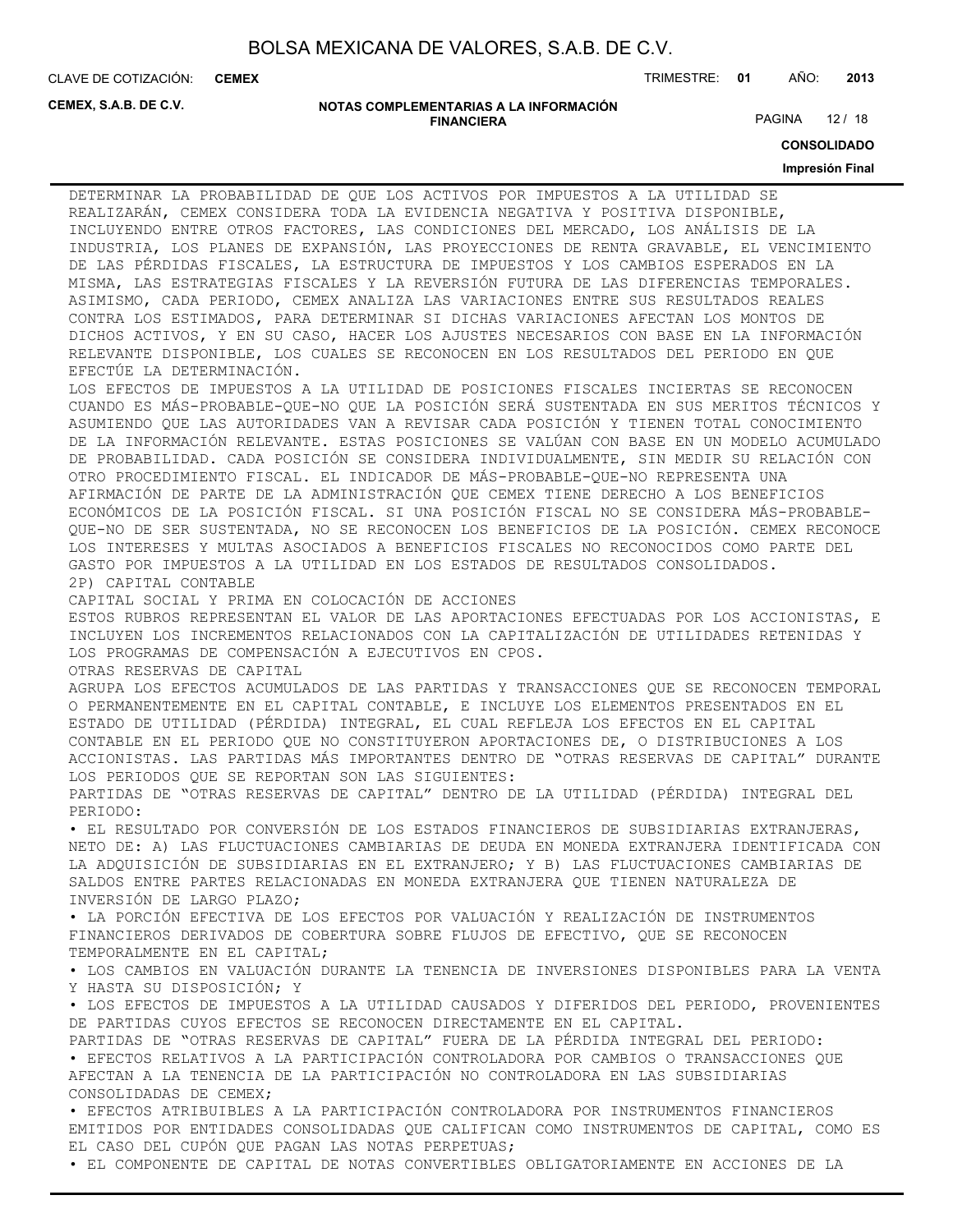**CEMEX**

CLAVE DE COTIZACIÓN: TRIMESTRE: **01** AÑO: **2013**

**CEMEX, S.A.B. DE C.V.**

#### **NOTAS COMPLEMENTARIAS A LA INFORMACIÓN FINANCIERA**

PAGINA 12 / 18

**CONSOLIDADO**

#### **Impresión Final**

DETERMINAR LA PROBABILIDAD DE QUE LOS ACTIVOS POR IMPUESTOS A LA UTILIDAD SE REALIZARÁN, CEMEX CONSIDERA TODA LA EVIDENCIA NEGATIVA Y POSITIVA DISPONIBLE, INCLUYENDO ENTRE OTROS FACTORES, LAS CONDICIONES DEL MERCADO, LOS ANÁLISIS DE LA INDUSTRIA, LOS PLANES DE EXPANSIÓN, LAS PROYECCIONES DE RENTA GRAVABLE, EL VENCIMIENTO DE LAS PÉRDIDAS FISCALES, LA ESTRUCTURA DE IMPUESTOS Y LOS CAMBIOS ESPERADOS EN LA MISMA, LAS ESTRATEGIAS FISCALES Y LA REVERSIÓN FUTURA DE LAS DIFERENCIAS TEMPORALES. ASIMISMO, CADA PERIODO, CEMEX ANALIZA LAS VARIACIONES ENTRE SUS RESULTADOS REALES CONTRA LOS ESTIMADOS, PARA DETERMINAR SI DICHAS VARIACIONES AFECTAN LOS MONTOS DE DICHOS ACTIVOS, Y EN SU CASO, HACER LOS AJUSTES NECESARIOS CON BASE EN LA INFORMACIÓN RELEVANTE DISPONIBLE, LOS CUALES SE RECONOCEN EN LOS RESULTADOS DEL PERIODO EN QUE EFECTÚE LA DETERMINACIÓN. LOS EFECTOS DE IMPUESTOS A LA UTILIDAD DE POSICIONES FISCALES INCIERTAS SE RECONOCEN CUANDO ES MÁS-PROBABLE-QUE-NO QUE LA POSICIÓN SERÁ SUSTENTADA EN SUS MERITOS TÉCNICOS Y ASUMIENDO QUE LAS AUTORIDADES VAN A REVISAR CADA POSICIÓN Y TIENEN TOTAL CONOCIMIENTO DE LA INFORMACIÓN RELEVANTE. ESTAS POSICIONES SE VALÚAN CON BASE EN UN MODELO ACUMULADO DE PROBABILIDAD. CADA POSICIÓN SE CONSIDERA INDIVIDUALMENTE, SIN MEDIR SU RELACIÓN CON OTRO PROCEDIMIENTO FISCAL. EL INDICADOR DE MÁS-PROBABLE-QUE-NO REPRESENTA UNA AFIRMACIÓN DE PARTE DE LA ADMINISTRACIÓN QUE CEMEX TIENE DERECHO A LOS BENEFICIOS ECONÓMICOS DE LA POSICIÓN FISCAL. SI UNA POSICIÓN FISCAL NO SE CONSIDERA MÁS-PROBABLE-QUE-NO DE SER SUSTENTADA, NO SE RECONOCEN LOS BENEFICIOS DE LA POSICIÓN. CEMEX RECONOCE LOS INTERESES Y MULTAS ASOCIADOS A BENEFICIOS FISCALES NO RECONOCIDOS COMO PARTE DEL GASTO POR IMPUESTOS A LA UTILIDAD EN LOS ESTADOS DE RESULTADOS CONSOLIDADOS. 2P) CAPITAL CONTABLE CAPITAL SOCIAL Y PRIMA EN COLOCACIÓN DE ACCIONES ESTOS RUBROS REPRESENTAN EL VALOR DE LAS APORTACIONES EFECTUADAS POR LOS ACCIONISTAS, E INCLUYEN LOS INCREMENTOS RELACIONADOS CON LA CAPITALIZACIÓN DE UTILIDADES RETENIDAS Y LOS PROGRAMAS DE COMPENSACIÓN A EJECUTIVOS EN CPOS. OTRAS RESERVAS DE CAPITAL AGRUPA LOS EFECTOS ACUMULADOS DE LAS PARTIDAS Y TRANSACCIONES QUE SE RECONOCEN TEMPORAL O PERMANENTEMENTE EN EL CAPITAL CONTABLE, E INCLUYE LOS ELEMENTOS PRESENTADOS EN EL ESTADO DE UTILIDAD (PÉRDIDA) INTEGRAL, EL CUAL REFLEJA LOS EFECTOS EN EL CAPITAL CONTABLE EN EL PERIODO QUE NO CONSTITUYERON APORTACIONES DE, O DISTRIBUCIONES A LOS ACCIONISTAS. LAS PARTIDAS MÁS IMPORTANTES DENTRO DE "OTRAS RESERVAS DE CAPITAL" DURANTE LOS PERIODOS QUE SE REPORTAN SON LAS SIGUIENTES: PARTIDAS DE "OTRAS RESERVAS DE CAPITAL" DENTRO DE LA UTILIDAD (PÉRDIDA) INTEGRAL DEL PERIODO: • EL RESULTADO POR CONVERSIÓN DE LOS ESTADOS FINANCIEROS DE SUBSIDIARIAS EXTRANJERAS, NETO DE: A) LAS FLUCTUACIONES CAMBIARIAS DE DEUDA EN MONEDA EXTRANJERA IDENTIFICADA CON LA ADQUISICIÓN DE SUBSIDIARIAS EN EL EXTRANJERO; Y B) LAS FLUCTUACIONES CAMBIARIAS DE SALDOS ENTRE PARTES RELACIONADAS EN MONEDA EXTRANJERA QUE TIENEN NATURALEZA DE INVERSIÓN DE LARGO PLAZO; • LA PORCIÓN EFECTIVA DE LOS EFECTOS POR VALUACIÓN Y REALIZACIÓN DE INSTRUMENTOS FINANCIEROS DERIVADOS DE COBERTURA SOBRE FLUJOS DE EFECTIVO, QUE SE RECONOCEN TEMPORALMENTE EN EL CAPITAL; • LOS CAMBIOS EN VALUACIÓN DURANTE LA TENENCIA DE INVERSIONES DISPONIBLES PARA LA VENTA Y HASTA SU DISPOSICIÓN; Y • LOS EFECTOS DE IMPUESTOS A LA UTILIDAD CAUSADOS Y DIFERIDOS DEL PERIODO, PROVENIENTES DE PARTIDAS CUYOS EFECTOS SE RECONOCEN DIRECTAMENTE EN EL CAPITAL. PARTIDAS DE "OTRAS RESERVAS DE CAPITAL" FUERA DE LA PÉRDIDA INTEGRAL DEL PERIODO: • EFECTOS RELATIVOS A LA PARTICIPACIÓN CONTROLADORA POR CAMBIOS O TRANSACCIONES QUE AFECTAN A LA TENENCIA DE LA PARTICIPACIÓN NO CONTROLADORA EN LAS SUBSIDIARIAS CONSOLIDADAS DE CEMEX; • EFECTOS ATRIBUIBLES A LA PARTICIPACIÓN CONTROLADORA POR INSTRUMENTOS FINANCIEROS EMITIDOS POR ENTIDADES CONSOLIDADAS QUE CALIFICAN COMO INSTRUMENTOS DE CAPITAL, COMO ES EL CASO DEL CUPÓN QUE PAGAN LAS NOTAS PERPETUAS;

• EL COMPONENTE DE CAPITAL DE NOTAS CONVERTIBLES OBLIGATORIAMENTE EN ACCIONES DE LA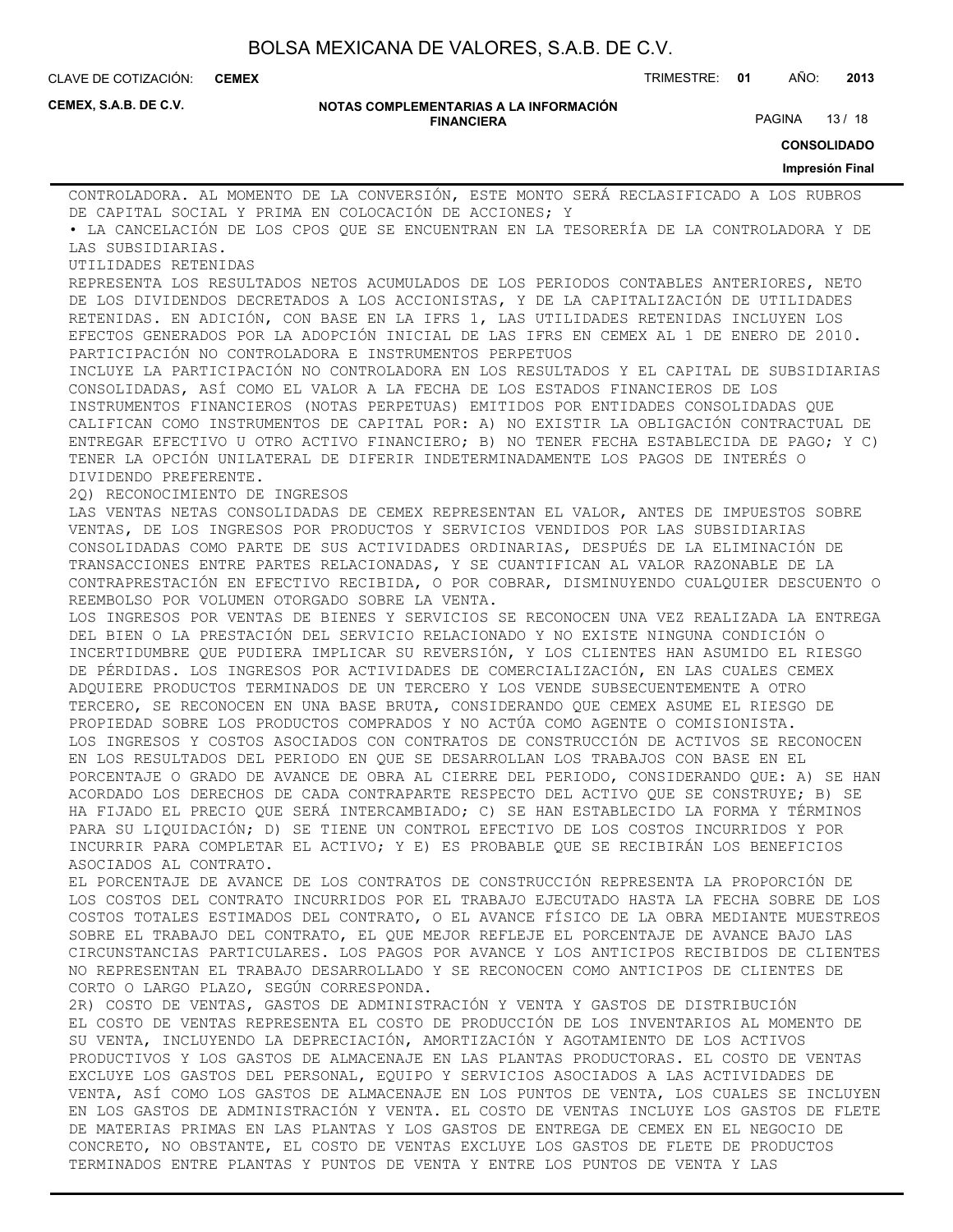**CEMEX**

CLAVE DE COTIZACIÓN: TRIMESTRE: **01** AÑO: **2013**

**CEMEX, S.A.B. DE C.V.**

#### **NOTAS COMPLEMENTARIAS A LA INFORMACIÓN FINANCIERA**

PAGINA 13 / 18

**CONSOLIDADO**

#### **Impresión Final**

CONTROLADORA. AL MOMENTO DE LA CONVERSIÓN, ESTE MONTO SERÁ RECLASIFICADO A LOS RUBROS DE CAPITAL SOCIAL Y PRIMA EN COLOCACIÓN DE ACCIONES; Y • LA CANCELACIÓN DE LOS CPOS QUE SE ENCUENTRAN EN LA TESORERÍA DE LA CONTROLADORA Y DE LAS SUBSIDIARIAS. UTILIDADES RETENIDAS REPRESENTA LOS RESULTADOS NETOS ACUMULADOS DE LOS PERIODOS CONTABLES ANTERIORES, NETO DE LOS DIVIDENDOS DECRETADOS A LOS ACCIONISTAS, Y DE LA CAPITALIZACIÓN DE UTILIDADES RETENIDAS. EN ADICIÓN, CON BASE EN LA IFRS 1, LAS UTILIDADES RETENIDAS INCLUYEN LOS EFECTOS GENERADOS POR LA ADOPCIÓN INICIAL DE LAS IFRS EN CEMEX AL 1 DE ENERO DE 2010. PARTICIPACIÓN NO CONTROLADORA E INSTRUMENTOS PERPETUOS INCLUYE LA PARTICIPACIÓN NO CONTROLADORA EN LOS RESULTADOS Y EL CAPITAL DE SUBSIDIARIAS CONSOLIDADAS, ASÍ COMO EL VALOR A LA FECHA DE LOS ESTADOS FINANCIEROS DE LOS INSTRUMENTOS FINANCIEROS (NOTAS PERPETUAS) EMITIDOS POR ENTIDADES CONSOLIDADAS QUE CALIFICAN COMO INSTRUMENTOS DE CAPITAL POR: A) NO EXISTIR LA OBLIGACIÓN CONTRACTUAL DE ENTREGAR EFECTIVO U OTRO ACTIVO FINANCIERO; B) NO TENER FECHA ESTABLECIDA DE PAGO; Y C) TENER LA OPCIÓN UNILATERAL DE DIFERIR INDETERMINADAMENTE LOS PAGOS DE INTERÉS O DIVIDENDO PREFERENTE. 2Q) RECONOCIMIENTO DE INGRESOS LAS VENTAS NETAS CONSOLIDADAS DE CEMEX REPRESENTAN EL VALOR, ANTES DE IMPUESTOS SOBRE VENTAS, DE LOS INGRESOS POR PRODUCTOS Y SERVICIOS VENDIDOS POR LAS SUBSIDIARIAS CONSOLIDADAS COMO PARTE DE SUS ACTIVIDADES ORDINARIAS, DESPUÉS DE LA ELIMINACIÓN DE TRANSACCIONES ENTRE PARTES RELACIONADAS, Y SE CUANTIFICAN AL VALOR RAZONABLE DE LA CONTRAPRESTACIÓN EN EFECTIVO RECIBIDA, O POR COBRAR, DISMINUYENDO CUALQUIER DESCUENTO O REEMBOLSO POR VOLUMEN OTORGADO SOBRE LA VENTA. LOS INGRESOS POR VENTAS DE BIENES Y SERVICIOS SE RECONOCEN UNA VEZ REALIZADA LA ENTREGA DEL BIEN O LA PRESTACIÓN DEL SERVICIO RELACIONADO Y NO EXISTE NINGUNA CONDICIÓN O INCERTIDUMBRE QUE PUDIERA IMPLICAR SU REVERSIÓN, Y LOS CLIENTES HAN ASUMIDO EL RIESGO DE PÉRDIDAS. LOS INGRESOS POR ACTIVIDADES DE COMERCIALIZACIÓN, EN LAS CUALES CEMEX ADQUIERE PRODUCTOS TERMINADOS DE UN TERCERO Y LOS VENDE SUBSECUENTEMENTE A OTRO TERCERO, SE RECONOCEN EN UNA BASE BRUTA, CONSIDERANDO QUE CEMEX ASUME EL RIESGO DE PROPIEDAD SOBRE LOS PRODUCTOS COMPRADOS Y NO ACTÚA COMO AGENTE O COMISIONISTA. LOS INGRESOS Y COSTOS ASOCIADOS CON CONTRATOS DE CONSTRUCCIÓN DE ACTIVOS SE RECONOCEN EN LOS RESULTADOS DEL PERIODO EN QUE SE DESARROLLAN LOS TRABAJOS CON BASE EN EL PORCENTAJE O GRADO DE AVANCE DE OBRA AL CIERRE DEL PERIODO, CONSIDERANDO QUE: A) SE HAN ACORDADO LOS DERECHOS DE CADA CONTRAPARTE RESPECTO DEL ACTIVO QUE SE CONSTRUYE; B) SE HA FIJADO EL PRECIO QUE SERÁ INTERCAMBIADO; C) SE HAN ESTABLECIDO LA FORMA Y TÉRMINOS PARA SU LIQUIDACIÓN; D) SE TIENE UN CONTROL EFECTIVO DE LOS COSTOS INCURRIDOS Y POR INCURRIR PARA COMPLETAR EL ACTIVO; Y E) ES PROBABLE QUE SE RECIBIRÁN LOS BENEFICIOS ASOCIADOS AL CONTRATO. EL PORCENTAJE DE AVANCE DE LOS CONTRATOS DE CONSTRUCCIÓN REPRESENTA LA PROPORCIÓN DE LOS COSTOS DEL CONTRATO INCURRIDOS POR EL TRABAJO EJECUTADO HASTA LA FECHA SOBRE DE LOS COSTOS TOTALES ESTIMADOS DEL CONTRATO, O EL AVANCE FÍSICO DE LA OBRA MEDIANTE MUESTREOS SOBRE EL TRABAJO DEL CONTRATO, EL QUE MEJOR REFLEJE EL PORCENTAJE DE AVANCE BAJO LAS CIRCUNSTANCIAS PARTICULARES. LOS PAGOS POR AVANCE Y LOS ANTICIPOS RECIBIDOS DE CLIENTES NO REPRESENTAN EL TRABAJO DESARROLLADO Y SE RECONOCEN COMO ANTICIPOS DE CLIENTES DE CORTO O LARGO PLAZO, SEGÚN CORRESPONDA. 2R) COSTO DE VENTAS, GASTOS DE ADMINISTRACIÓN Y VENTA Y GASTOS DE DISTRIBUCIÓN EL COSTO DE VENTAS REPRESENTA EL COSTO DE PRODUCCIÓN DE LOS INVENTARIOS AL MOMENTO DE SU VENTA, INCLUYENDO LA DEPRECIACIÓN, AMORTIZACIÓN Y AGOTAMIENTO DE LOS ACTIVOS PRODUCTIVOS Y LOS GASTOS DE ALMACENAJE EN LAS PLANTAS PRODUCTORAS. EL COSTO DE VENTAS EXCLUYE LOS GASTOS DEL PERSONAL, EQUIPO Y SERVICIOS ASOCIADOS A LAS ACTIVIDADES DE VENTA, ASÍ COMO LOS GASTOS DE ALMACENAJE EN LOS PUNTOS DE VENTA, LOS CUALES SE INCLUYEN EN LOS GASTOS DE ADMINISTRACIÓN Y VENTA. EL COSTO DE VENTAS INCLUYE LOS GASTOS DE FLETE DE MATERIAS PRIMAS EN LAS PLANTAS Y LOS GASTOS DE ENTREGA DE CEMEX EN EL NEGOCIO DE CONCRETO, NO OBSTANTE, EL COSTO DE VENTAS EXCLUYE LOS GASTOS DE FLETE DE PRODUCTOS

TERMINADOS ENTRE PLANTAS Y PUNTOS DE VENTA Y ENTRE LOS PUNTOS DE VENTA Y LAS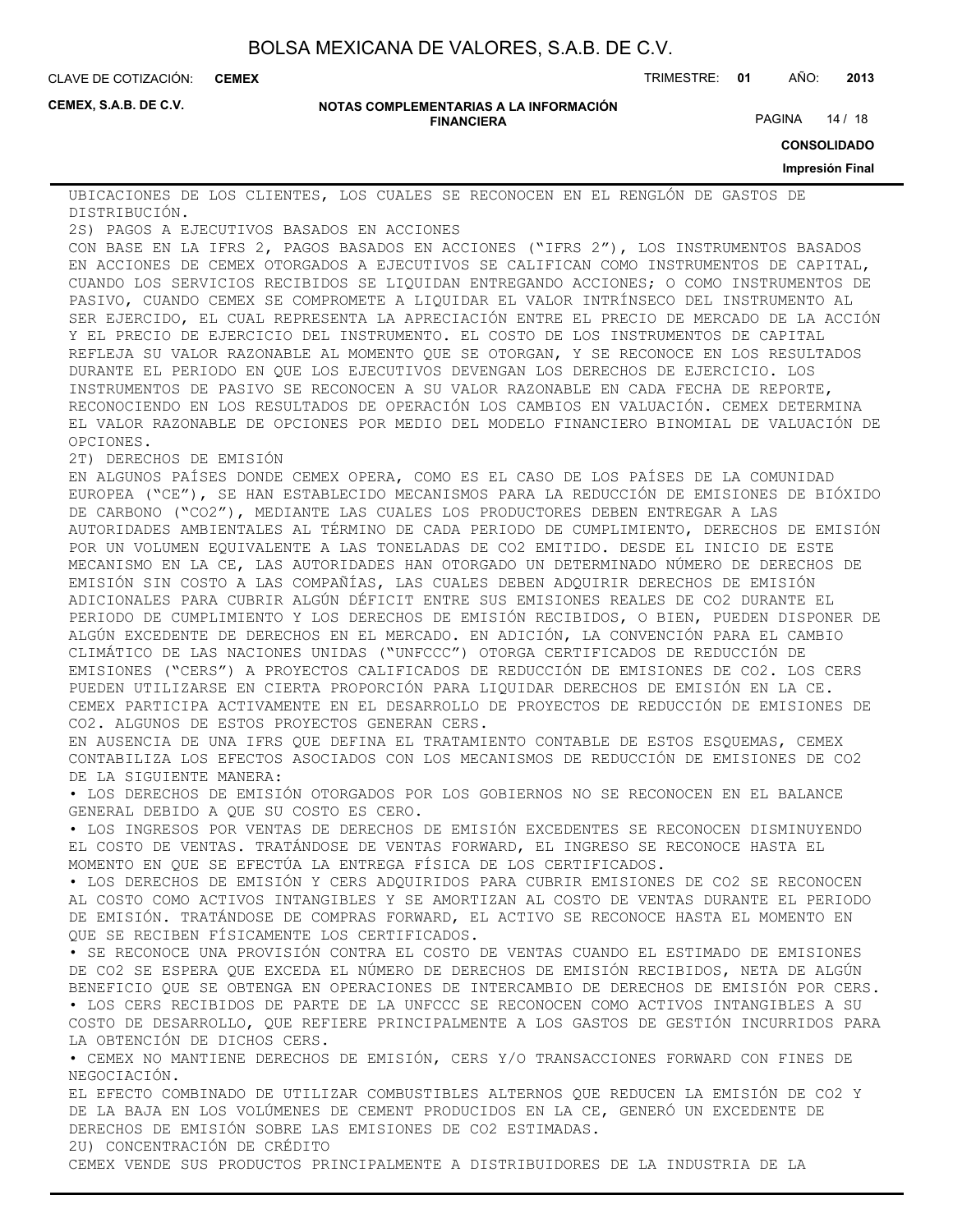**CEMEX**

CLAVE DE COTIZACIÓN: TRIMESTRE: **01** AÑO: **2013**

**CEMEX, S.A.B. DE C.V.**

#### **NOTAS COMPLEMENTARIAS A LA INFORMACIÓN FINANCIERA**

PAGINA 14 / 18

**CONSOLIDADO**

#### **Impresión Final**

UBICACIONES DE LOS CLIENTES, LOS CUALES SE RECONOCEN EN EL RENGLÓN DE GASTOS DE DISTRIBUCIÓN.

2S) PAGOS A EJECUTIVOS BASADOS EN ACCIONES

CON BASE EN LA IFRS 2, PAGOS BASADOS EN ACCIONES ("IFRS 2"), LOS INSTRUMENTOS BASADOS EN ACCIONES DE CEMEX OTORGADOS A EJECUTIVOS SE CALIFICAN COMO INSTRUMENTOS DE CAPITAL, CUANDO LOS SERVICIOS RECIBIDOS SE LIQUIDAN ENTREGANDO ACCIONES; O COMO INSTRUMENTOS DE PASIVO, CUANDO CEMEX SE COMPROMETE A LIQUIDAR EL VALOR INTRÍNSECO DEL INSTRUMENTO AL SER EJERCIDO, EL CUAL REPRESENTA LA APRECIACIÓN ENTRE EL PRECIO DE MERCADO DE LA ACCIÓN Y EL PRECIO DE EJERCICIO DEL INSTRUMENTO. EL COSTO DE LOS INSTRUMENTOS DE CAPITAL REFLEJA SU VALOR RAZONABLE AL MOMENTO QUE SE OTORGAN, Y SE RECONOCE EN LOS RESULTADOS DURANTE EL PERIODO EN QUE LOS EJECUTIVOS DEVENGAN LOS DERECHOS DE EJERCICIO. LOS INSTRUMENTOS DE PASIVO SE RECONOCEN A SU VALOR RAZONABLE EN CADA FECHA DE REPORTE, RECONOCIENDO EN LOS RESULTADOS DE OPERACIÓN LOS CAMBIOS EN VALUACIÓN. CEMEX DETERMINA EL VALOR RAZONABLE DE OPCIONES POR MEDIO DEL MODELO FINANCIERO BINOMIAL DE VALUACIÓN DE OPCIONES.

2T) DERECHOS DE EMISIÓN

EN ALGUNOS PAÍSES DONDE CEMEX OPERA, COMO ES EL CASO DE LOS PAÍSES DE LA COMUNIDAD EUROPEA ("CE"), SE HAN ESTABLECIDO MECANISMOS PARA LA REDUCCIÓN DE EMISIONES DE BIÓXIDO DE CARBONO ("CO2"), MEDIANTE LAS CUALES LOS PRODUCTORES DEBEN ENTREGAR A LAS AUTORIDADES AMBIENTALES AL TÉRMINO DE CADA PERIODO DE CUMPLIMIENTO, DERECHOS DE EMISIÓN POR UN VOLUMEN EQUIVALENTE A LAS TONELADAS DE CO2 EMITIDO. DESDE EL INICIO DE ESTE MECANISMO EN LA CE, LAS AUTORIDADES HAN OTORGADO UN DETERMINADO NÚMERO DE DERECHOS DE EMISIÓN SIN COSTO A LAS COMPAÑÍAS, LAS CUALES DEBEN ADQUIRIR DERECHOS DE EMISIÓN ADICIONALES PARA CUBRIR ALGÚN DÉFICIT ENTRE SUS EMISIONES REALES DE CO2 DURANTE EL PERIODO DE CUMPLIMIENTO Y LOS DERECHOS DE EMISIÓN RECIBIDOS, O BIEN, PUEDEN DISPONER DE ALGÚN EXCEDENTE DE DERECHOS EN EL MERCADO. EN ADICIÓN, LA CONVENCIÓN PARA EL CAMBIO CLIMÁTICO DE LAS NACIONES UNIDAS ("UNFCCC") OTORGA CERTIFICADOS DE REDUCCIÓN DE EMISIONES ("CERS") A PROYECTOS CALIFICADOS DE REDUCCIÓN DE EMISIONES DE CO2. LOS CERS PUEDEN UTILIZARSE EN CIERTA PROPORCIÓN PARA LIQUIDAR DERECHOS DE EMISIÓN EN LA CE. CEMEX PARTICIPA ACTIVAMENTE EN EL DESARROLLO DE PROYECTOS DE REDUCCIÓN DE EMISIONES DE CO2. ALGUNOS DE ESTOS PROYECTOS GENERAN CERS.

EN AUSENCIA DE UNA IFRS QUE DEFINA EL TRATAMIENTO CONTABLE DE ESTOS ESQUEMAS, CEMEX CONTABILIZA LOS EFECTOS ASOCIADOS CON LOS MECANISMOS DE REDUCCIÓN DE EMISIONES DE CO2 DE LA SIGUIENTE MANERA:

• LOS DERECHOS DE EMISIÓN OTORGADOS POR LOS GOBIERNOS NO SE RECONOCEN EN EL BALANCE GENERAL DEBIDO A QUE SU COSTO ES CERO.

• LOS INGRESOS POR VENTAS DE DERECHOS DE EMISIÓN EXCEDENTES SE RECONOCEN DISMINUYENDO EL COSTO DE VENTAS. TRATÁNDOSE DE VENTAS FORWARD, EL INGRESO SE RECONOCE HASTA EL MOMENTO EN QUE SE EFECTÚA LA ENTREGA FÍSICA DE LOS CERTIFICADOS.

• LOS DERECHOS DE EMISIÓN Y CERS ADQUIRIDOS PARA CUBRIR EMISIONES DE CO2 SE RECONOCEN AL COSTO COMO ACTIVOS INTANGIBLES Y SE AMORTIZAN AL COSTO DE VENTAS DURANTE EL PERIODO DE EMISIÓN. TRATÁNDOSE DE COMPRAS FORWARD, EL ACTIVO SE RECONOCE HASTA EL MOMENTO EN QUE SE RECIBEN FÍSICAMENTE LOS CERTIFICADOS.

• SE RECONOCE UNA PROVISIÓN CONTRA EL COSTO DE VENTAS CUANDO EL ESTIMADO DE EMISIONES DE CO2 SE ESPERA QUE EXCEDA EL NÚMERO DE DERECHOS DE EMISIÓN RECIBIDOS, NETA DE ALGÚN BENEFICIO QUE SE OBTENGA EN OPERACIONES DE INTERCAMBIO DE DERECHOS DE EMISIÓN POR CERS. • LOS CERS RECIBIDOS DE PARTE DE LA UNFCCC SE RECONOCEN COMO ACTIVOS INTANGIBLES A SU

COSTO DE DESARROLLO, QUE REFIERE PRINCIPALMENTE A LOS GASTOS DE GESTIÓN INCURRIDOS PARA LA OBTENCIÓN DE DICHOS CERS.

• CEMEX NO MANTIENE DERECHOS DE EMISIÓN, CERS Y/O TRANSACCIONES FORWARD CON FINES DE NEGOCIACIÓN.

EL EFECTO COMBINADO DE UTILIZAR COMBUSTIBLES ALTERNOS QUE REDUCEN LA EMISIÓN DE CO2 Y DE LA BAJA EN LOS VOLÚMENES DE CEMENT PRODUCIDOS EN LA CE, GENERÓ UN EXCEDENTE DE DERECHOS DE EMISIÓN SOBRE LAS EMISIONES DE CO2 ESTIMADAS.

2U) CONCENTRACIÓN DE CRÉDITO

CEMEX VENDE SUS PRODUCTOS PRINCIPALMENTE A DISTRIBUIDORES DE LA INDUSTRIA DE LA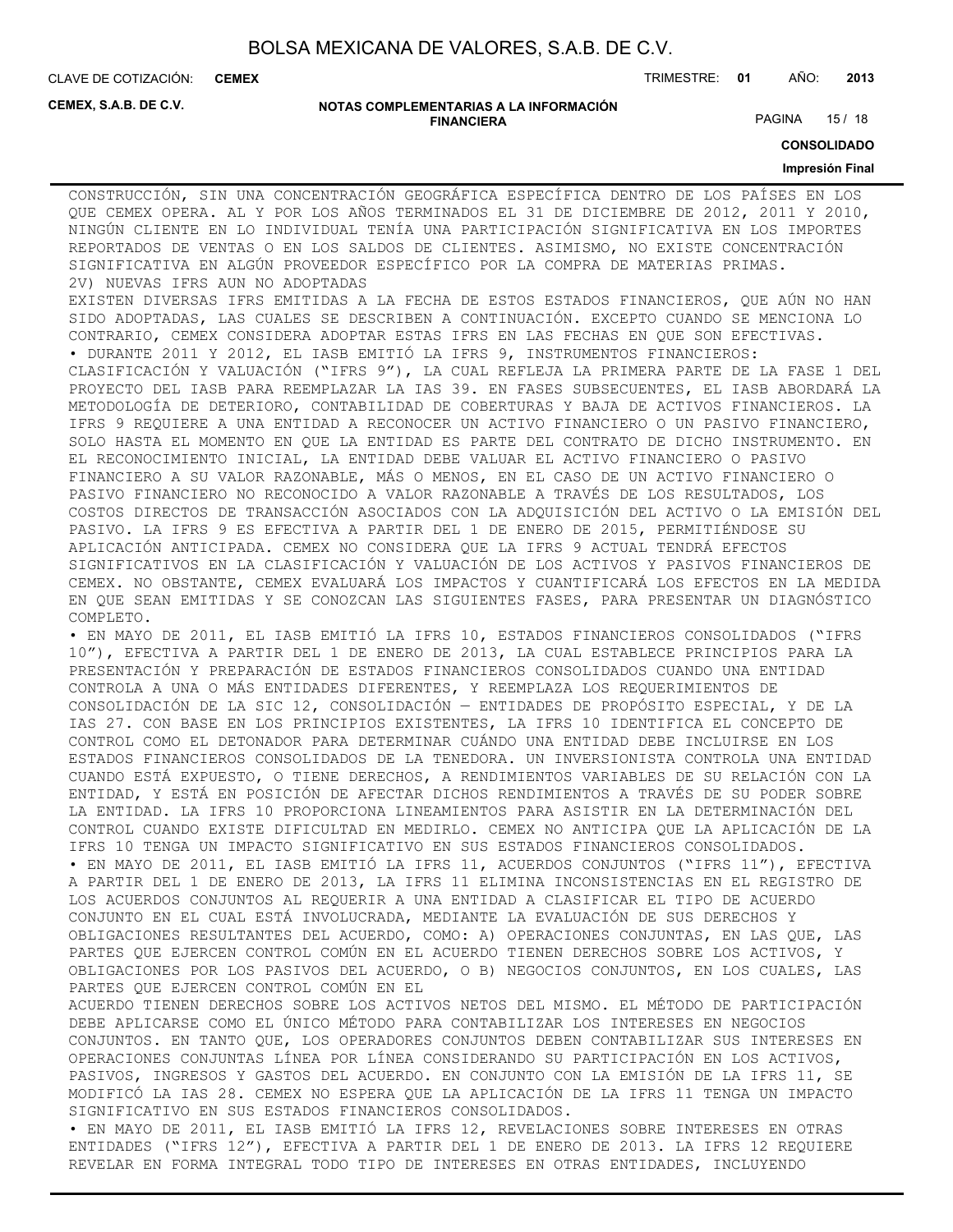**CEMEX**

CLAVE DE COTIZACIÓN: TRIMESTRE: **01** AÑO: **2013**

**CEMEX, S.A.B. DE C.V.**

#### **NOTAS COMPLEMENTARIAS A LA INFORMACIÓN FINANCIERA**

PAGINA 15 / 18

**CONSOLIDADO**

#### **Impresión Final**

CONSTRUCCIÓN, SIN UNA CONCENTRACIÓN GEOGRÁFICA ESPECÍFICA DENTRO DE LOS PAÍSES EN LOS QUE CEMEX OPERA. AL Y POR LOS AÑOS TERMINADOS EL 31 DE DICIEMBRE DE 2012, 2011 Y 2010, NINGÚN CLIENTE EN LO INDIVIDUAL TENÍA UNA PARTICIPACIÓN SIGNIFICATIVA EN LOS IMPORTES REPORTADOS DE VENTAS O EN LOS SALDOS DE CLIENTES. ASIMISMO, NO EXISTE CONCENTRACIÓN SIGNIFICATIVA EN ALGÚN PROVEEDOR ESPECÍFICO POR LA COMPRA DE MATERIAS PRIMAS. 2V) NUEVAS IFRS AUN NO ADOPTADAS

EXISTEN DIVERSAS IFRS EMITIDAS A LA FECHA DE ESTOS ESTADOS FINANCIEROS, QUE AÚN NO HAN SIDO ADOPTADAS, LAS CUALES SE DESCRIBEN A CONTINUACIÓN. EXCEPTO CUANDO SE MENCIONA LO CONTRARIO, CEMEX CONSIDERA ADOPTAR ESTAS IFRS EN LAS FECHAS EN QUE SON EFECTIVAS. • DURANTE 2011 Y 2012, EL IASB EMITIÓ LA IFRS 9, INSTRUMENTOS FINANCIEROS:

CLASIFICACIÓN Y VALUACIÓN ("IFRS 9"), LA CUAL REFLEJA LA PRIMERA PARTE DE LA FASE 1 DEL PROYECTO DEL IASB PARA REEMPLAZAR LA IAS 39. EN FASES SUBSECUENTES, EL IASB ABORDARÁ LA METODOLOGÍA DE DETERIORO, CONTABILIDAD DE COBERTURAS Y BAJA DE ACTIVOS FINANCIEROS. LA IFRS 9 REQUIERE A UNA ENTIDAD A RECONOCER UN ACTIVO FINANCIERO O UN PASIVO FINANCIERO, SOLO HASTA EL MOMENTO EN QUE LA ENTIDAD ES PARTE DEL CONTRATO DE DICHO INSTRUMENTO. EN EL RECONOCIMIENTO INICIAL, LA ENTIDAD DEBE VALUAR EL ACTIVO FINANCIERO O PASIVO FINANCIERO A SU VALOR RAZONABLE, MÁS O MENOS, EN EL CASO DE UN ACTIVO FINANCIERO O PASIVO FINANCIERO NO RECONOCIDO A VALOR RAZONABLE A TRAVÉS DE LOS RESULTADOS, LOS COSTOS DIRECTOS DE TRANSACCIÓN ASOCIADOS CON LA ADQUISICIÓN DEL ACTIVO O LA EMISIÓN DEL PASIVO. LA IFRS 9 ES EFECTIVA A PARTIR DEL 1 DE ENERO DE 2015, PERMITIÉNDOSE SU APLICACIÓN ANTICIPADA. CEMEX NO CONSIDERA QUE LA IFRS 9 ACTUAL TENDRÁ EFECTOS SIGNIFICATIVOS EN LA CLASIFICACIÓN Y VALUACIÓN DE LOS ACTIVOS Y PASIVOS FINANCIEROS DE CEMEX. NO OBSTANTE, CEMEX EVALUARÁ LOS IMPACTOS Y CUANTIFICARÁ LOS EFECTOS EN LA MEDIDA EN QUE SEAN EMITIDAS Y SE CONOZCAN LAS SIGUIENTES FASES, PARA PRESENTAR UN DIAGNÓSTICO COMPLETO.

• EN MAYO DE 2011, EL IASB EMITIÓ LA IFRS 10, ESTADOS FINANCIEROS CONSOLIDADOS ("IFRS 10"), EFECTIVA A PARTIR DEL 1 DE ENERO DE 2013, LA CUAL ESTABLECE PRINCIPIOS PARA LA PRESENTACIÓN Y PREPARACIÓN DE ESTADOS FINANCIEROS CONSOLIDADOS CUANDO UNA ENTIDAD CONTROLA A UNA O MÁS ENTIDADES DIFERENTES, Y REEMPLAZA LOS REQUERIMIENTOS DE CONSOLIDACIÓN DE LA SIC 12, CONSOLIDACIÓN — ENTIDADES DE PROPÓSITO ESPECIAL, Y DE LA IAS 27. CON BASE EN LOS PRINCIPIOS EXISTENTES, LA IFRS 10 IDENTIFICA EL CONCEPTO DE CONTROL COMO EL DETONADOR PARA DETERMINAR CUÁNDO UNA ENTIDAD DEBE INCLUIRSE EN LOS ESTADOS FINANCIEROS CONSOLIDADOS DE LA TENEDORA. UN INVERSIONISTA CONTROLA UNA ENTIDAD CUANDO ESTÁ EXPUESTO, O TIENE DERECHOS, A RENDIMIENTOS VARIABLES DE SU RELACIÓN CON LA ENTIDAD, Y ESTÁ EN POSICIÓN DE AFECTAR DICHOS RENDIMIENTOS A TRAVÉS DE SU PODER SOBRE LA ENTIDAD. LA IFRS 10 PROPORCIONA LINEAMIENTOS PARA ASISTIR EN LA DETERMINACIÓN DEL CONTROL CUANDO EXISTE DIFICULTAD EN MEDIRLO. CEMEX NO ANTICIPA QUE LA APLICACIÓN DE LA IFRS 10 TENGA UN IMPACTO SIGNIFICATIVO EN SUS ESTADOS FINANCIEROS CONSOLIDADOS. • EN MAYO DE 2011, EL IASB EMITIÓ LA IFRS 11, ACUERDOS CONJUNTOS ("IFRS 11"), EFECTIVA A PARTIR DEL 1 DE ENERO DE 2013, LA IFRS 11 ELIMINA INCONSISTENCIAS EN EL REGISTRO DE LOS ACUERDOS CONJUNTOS AL REQUERIR A UNA ENTIDAD A CLASIFICAR EL TIPO DE ACUERDO CONJUNTO EN EL CUAL ESTÁ INVOLUCRADA, MEDIANTE LA EVALUACIÓN DE SUS DERECHOS Y OBLIGACIONES RESULTANTES DEL ACUERDO, COMO: A) OPERACIONES CONJUNTAS, EN LAS QUE, LAS PARTES QUE EJERCEN CONTROL COMÚN EN EL ACUERDO TIENEN DERECHOS SOBRE LOS ACTIVOS, Y OBLIGACIONES POR LOS PASIVOS DEL ACUERDO, O B) NEGOCIOS CONJUNTOS, EN LOS CUALES, LAS PARTES QUE EJERCEN CONTROL COMÚN EN EL

ACUERDO TIENEN DERECHOS SOBRE LOS ACTIVOS NETOS DEL MISMO. EL MÉTODO DE PARTICIPACIÓN DEBE APLICARSE COMO EL ÚNICO MÉTODO PARA CONTABILIZAR LOS INTERESES EN NEGOCIOS CONJUNTOS. EN TANTO QUE, LOS OPERADORES CONJUNTOS DEBEN CONTABILIZAR SUS INTERESES EN OPERACIONES CONJUNTAS LÍNEA POR LÍNEA CONSIDERANDO SU PARTICIPACIÓN EN LOS ACTIVOS, PASIVOS, INGRESOS Y GASTOS DEL ACUERDO. EN CONJUNTO CON LA EMISIÓN DE LA IFRS 11, SE MODIFICÓ LA IAS 28. CEMEX NO ESPERA QUE LA APLICACIÓN DE LA IFRS 11 TENGA UN IMPACTO SIGNIFICATIVO EN SUS ESTADOS FINANCIEROS CONSOLIDADOS.

• EN MAYO DE 2011, EL IASB EMITIÓ LA IFRS 12, REVELACIONES SOBRE INTERESES EN OTRAS ENTIDADES ("IFRS 12"), EFECTIVA A PARTIR DEL 1 DE ENERO DE 2013. LA IFRS 12 REQUIERE REVELAR EN FORMA INTEGRAL TODO TIPO DE INTERESES EN OTRAS ENTIDADES, INCLUYENDO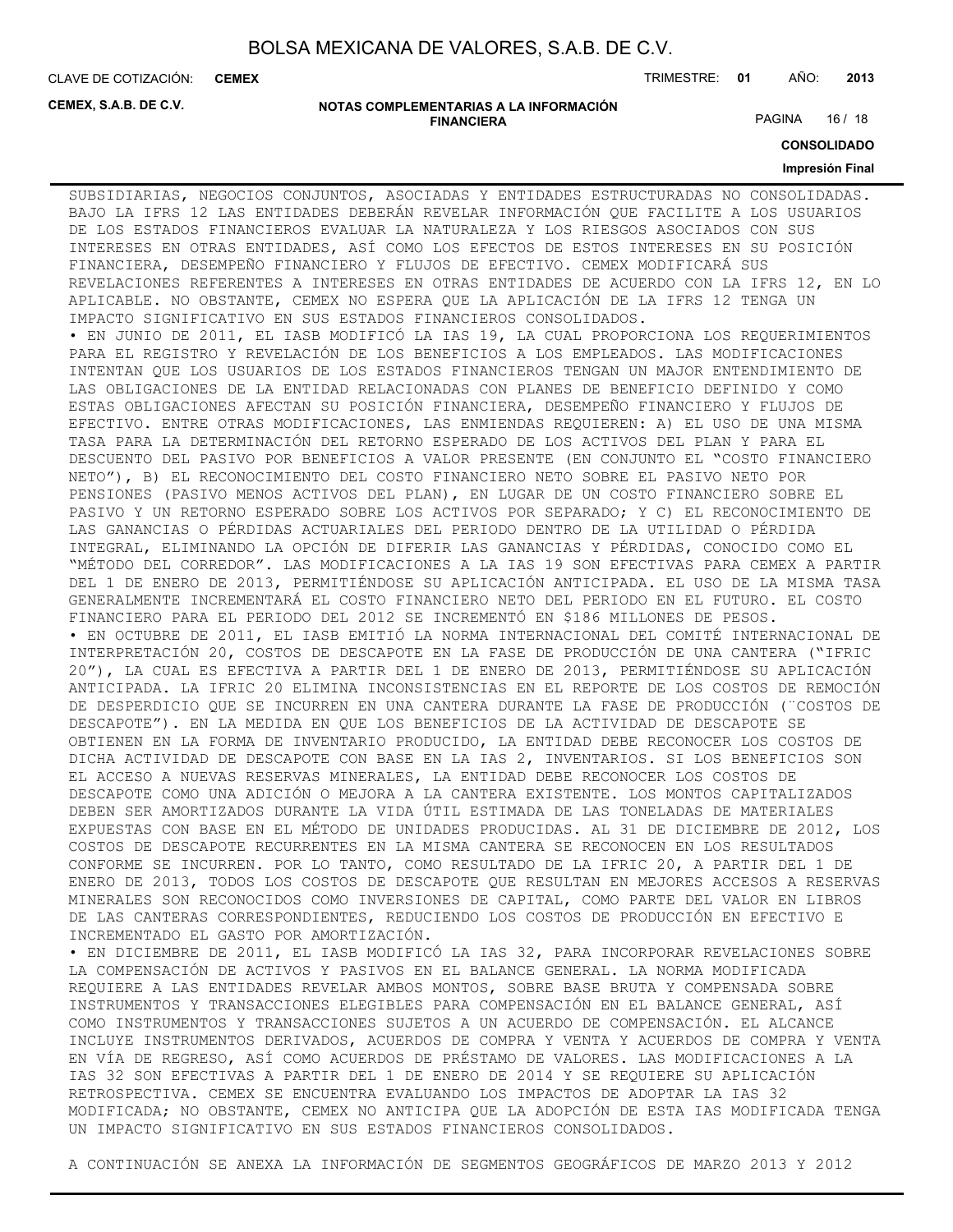**CEMEX**

CLAVE DE COTIZACIÓN: TRIMESTRE: **01** AÑO: **2013**

**CEMEX, S.A.B. DE C.V.**

#### **NOTAS COMPLEMENTARIAS A LA INFORMACIÓN FINANCIERA**

PAGINA 16 / 18

**CONSOLIDADO**

#### **Impresión Final**

SUBSIDIARIAS, NEGOCIOS CONJUNTOS, ASOCIADAS Y ENTIDADES ESTRUCTURADAS NO CONSOLIDADAS. BAJO LA IFRS 12 LAS ENTIDADES DEBERÁN REVELAR INFORMACIÓN QUE FACILITE A LOS USUARIOS DE LOS ESTADOS FINANCIEROS EVALUAR LA NATURALEZA Y LOS RIESGOS ASOCIADOS CON SUS INTERESES EN OTRAS ENTIDADES, ASÍ COMO LOS EFECTOS DE ESTOS INTERESES EN SU POSICIÓN FINANCIERA, DESEMPEÑO FINANCIERO Y FLUJOS DE EFECTIVO. CEMEX MODIFICARÁ SUS REVELACIONES REFERENTES A INTERESES EN OTRAS ENTIDADES DE ACUERDO CON LA IFRS 12, EN LO APLICABLE. NO OBSTANTE, CEMEX NO ESPERA QUE LA APLICACIÓN DE LA IFRS 12 TENGA UN IMPACTO SIGNIFICATIVO EN SUS ESTADOS FINANCIEROS CONSOLIDADOS. • EN JUNIO DE 2011, EL IASB MODIFICÓ LA IAS 19, LA CUAL PROPORCIONA LOS REQUERIMIENTOS PARA EL REGISTRO Y REVELACIÓN DE LOS BENEFICIOS A LOS EMPLEADOS. LAS MODIFICACIONES INTENTAN QUE LOS USUARIOS DE LOS ESTADOS FINANCIEROS TENGAN UN MAJOR ENTENDIMIENTO DE LAS OBLIGACIONES DE LA ENTIDAD RELACIONADAS CON PLANES DE BENEFICIO DEFINIDO Y COMO ESTAS OBLIGACIONES AFECTAN SU POSICIÓN FINANCIERA, DESEMPEÑO FINANCIERO Y FLUJOS DE EFECTIVO. ENTRE OTRAS MODIFICACIONES, LAS ENMIENDAS REQUIEREN: A) EL USO DE UNA MISMA TASA PARA LA DETERMINACIÓN DEL RETORNO ESPERADO DE LOS ACTIVOS DEL PLAN Y PARA EL DESCUENTO DEL PASIVO POR BENEFICIOS A VALOR PRESENTE (EN CONJUNTO EL "COSTO FINANCIERO NETO"), B) EL RECONOCIMIENTO DEL COSTO FINANCIERO NETO SOBRE EL PASIVO NETO POR PENSIONES (PASIVO MENOS ACTIVOS DEL PLAN), EN LUGAR DE UN COSTO FINANCIERO SOBRE EL PASIVO Y UN RETORNO ESPERADO SOBRE LOS ACTIVOS POR SEPARADO; Y C) EL RECONOCIMIENTO DE LAS GANANCIAS O PÉRDIDAS ACTUARIALES DEL PERIODO DENTRO DE LA UTILIDAD O PÉRDIDA INTEGRAL, ELIMINANDO LA OPCIÓN DE DIFERIR LAS GANANCIAS Y PÉRDIDAS, CONOCIDO COMO EL "MÉTODO DEL CORREDOR". LAS MODIFICACIONES A LA IAS 19 SON EFECTIVAS PARA CEMEX A PARTIR DEL 1 DE ENERO DE 2013, PERMITIÉNDOSE SU APLICACIÓN ANTICIPADA. EL USO DE LA MISMA TASA GENERALMENTE INCREMENTARÁ EL COSTO FINANCIERO NETO DEL PERIODO EN EL FUTURO. EL COSTO FINANCIERO PARA EL PERIODO DEL 2012 SE INCREMENTÓ EN \$186 MILLONES DE PESOS. • EN OCTUBRE DE 2011, EL IASB EMITIÓ LA NORMA INTERNACIONAL DEL COMITÉ INTERNACIONAL DE INTERPRETACIÓN 20, COSTOS DE DESCAPOTE EN LA FASE DE PRODUCCIÓN DE UNA CANTERA ("IFRIC 20"), LA CUAL ES EFECTIVA A PARTIR DEL 1 DE ENERO DE 2013, PERMITIÉNDOSE SU APLICACIÓN ANTICIPADA. LA IFRIC 20 ELIMINA INCONSISTENCIAS EN EL REPORTE DE LOS COSTOS DE REMOCIÓN DE DESPERDICIO QUE SE INCURREN EN UNA CANTERA DURANTE LA FASE DE PRODUCCIÓN (¨COSTOS DE DESCAPOTE"). EN LA MEDIDA EN QUE LOS BENEFICIOS DE LA ACTIVIDAD DE DESCAPOTE SE OBTIENEN EN LA FORMA DE INVENTARIO PRODUCIDO, LA ENTIDAD DEBE RECONOCER LOS COSTOS DE DICHA ACTIVIDAD DE DESCAPOTE CON BASE EN LA IAS 2, INVENTARIOS. SI LOS BENEFICIOS SON EL ACCESO A NUEVAS RESERVAS MINERALES, LA ENTIDAD DEBE RECONOCER LOS COSTOS DE DESCAPOTE COMO UNA ADICIÓN O MEJORA A LA CANTERA EXISTENTE. LOS MONTOS CAPITALIZADOS DEBEN SER AMORTIZADOS DURANTE LA VIDA ÚTIL ESTIMADA DE LAS TONELADAS DE MATERIALES EXPUESTAS CON BASE EN EL MÉTODO DE UNIDADES PRODUCIDAS. AL 31 DE DICIEMBRE DE 2012, LOS COSTOS DE DESCAPOTE RECURRENTES EN LA MISMA CANTERA SE RECONOCEN EN LOS RESULTADOS CONFORME SE INCURREN. POR LO TANTO, COMO RESULTADO DE LA IFRIC 20, A PARTIR DEL 1 DE ENERO DE 2013, TODOS LOS COSTOS DE DESCAPOTE QUE RESULTAN EN MEJORES ACCESOS A RESERVAS MINERALES SON RECONOCIDOS COMO INVERSIONES DE CAPITAL, COMO PARTE DEL VALOR EN LIBROS DE LAS CANTERAS CORRESPONDIENTES, REDUCIENDO LOS COSTOS DE PRODUCCIÓN EN EFECTIVO E INCREMENTADO EL GASTO POR AMORTIZACIÓN. • EN DICIEMBRE DE 2011, EL IASB MODIFICÓ LA IAS 32, PARA INCORPORAR REVELACIONES SOBRE

LA COMPENSACIÓN DE ACTIVOS Y PASIVOS EN EL BALANCE GENERAL. LA NORMA MODIFICADA REQUIERE A LAS ENTIDADES REVELAR AMBOS MONTOS, SOBRE BASE BRUTA Y COMPENSADA SOBRE INSTRUMENTOS Y TRANSACCIONES ELEGIBLES PARA COMPENSACIÓN EN EL BALANCE GENERAL, ASÍ COMO INSTRUMENTOS Y TRANSACCIONES SUJETOS A UN ACUERDO DE COMPENSACIÓN. EL ALCANCE INCLUYE INSTRUMENTOS DERIVADOS, ACUERDOS DE COMPRA Y VENTA Y ACUERDOS DE COMPRA Y VENTA EN VÍA DE REGRESO, ASÍ COMO ACUERDOS DE PRÉSTAMO DE VALORES. LAS MODIFICACIONES A LA IAS 32 SON EFECTIVAS A PARTIR DEL 1 DE ENERO DE 2014 Y SE REQUIERE SU APLICACIÓN RETROSPECTIVA. CEMEX SE ENCUENTRA EVALUANDO LOS IMPACTOS DE ADOPTAR LA IAS 32 MODIFICADA; NO OBSTANTE, CEMEX NO ANTICIPA QUE LA ADOPCIÓN DE ESTA IAS MODIFICADA TENGA UN IMPACTO SIGNIFICATIVO EN SUS ESTADOS FINANCIEROS CONSOLIDADOS.

A CONTINUACIÓN SE ANEXA LA INFORMACIÓN DE SEGMENTOS GEOGRÁFICOS DE MARZO 2013 Y 2012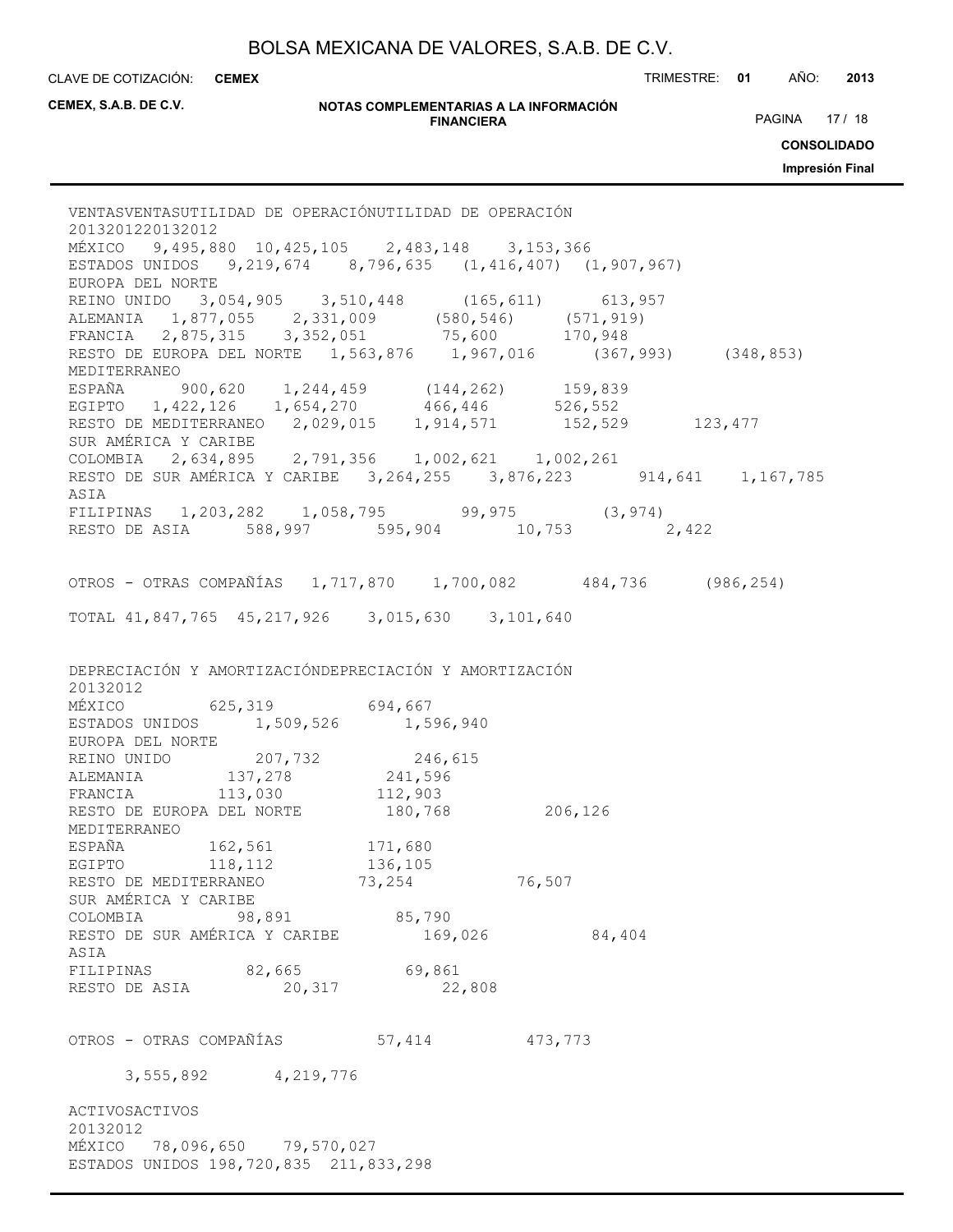CLAVE DE COTIZACIÓN: TRIMESTRE: **01** AÑO: **2013 CEMEX**

**CEMEX, S.A.B. DE C.V.**

#### **NOTAS COMPLEMENTARIAS A LA INFORMACIÓN FINANCIERA**

PAGINA 17 / 18

**CONSOLIDADO**

**Impresión Final**

VENTASVENTASUTILIDAD DE OPERACIÓNUTILIDAD DE OPERACIÓN 2013201220132012 MÉXICO 9,495,880 10,425,105 2,483,148 3,153,366 ESTADOS UNIDOS 9,219,674 8,796,635 (1,416,407) (1,907,967) EUROPA DEL NORTE REINO UNIDO 3,054,905 3,510,448 (165,611) 613,957 ALEMANIA 1,877,055 2,331,009 (580,546) (571,919) FRANCIA 2,875,315 3,352,051 75,600 170,948 RESTO DE EUROPA DEL NORTE 1,563,876 1,967,016 (367,993) (348,853) MEDITERRANEO ESPAÑA 900,620 1,244,459 (144,262) 159,839<br>EGIPTO 1,422,126 1,654,270 466,446 526,552 EGIPTO 1,422,126 1,654,270 466,446 526,552 RESTO DE MEDITERRANEO 2,029,015 1,914,571 152,529 123,477 SUR AMÉRICA Y CARIBE COLOMBIA 2,634,895 2,791,356 1,002,621 1,002,261 RESTO DE SUR AMÉRICA Y CARIBE 3,264,255 3,876,223 914,641 1,167,785 ASIA FILIPINAS 1,203,282 1,058,795 99,975 (3,974) RESTO DE ASIA 588,997 595,904 10,753 2,422 OTROS - OTRAS COMPAÑÍAS 1,717,870 1,700,082 484,736 (986,254) TOTAL 41,847,765 45,217,926 3,015,630 3,101,640 DEPRECIACIÓN Y AMORTIZACIÓNDEPRECIACIÓN Y AMORTIZACIÓN 20132012 MÉXICO 625,319 694,667 ESTADOS UNIDOS 1,509,526 1,596,940 EUROPA DEL NORTE REINO UNIDO 207,732 246,615<br>ALEMANIA 137,278 241,596<br>FRANCIA 113,030 112,903 ALEMANIA 137,278 241,596 FRANCIA 113,030 112,903 RESTO DE EUROPA DEL NORTE  $180,768$ <br>MEDITERRANTO MEDITERRANEO ESPAÑA 162,561 171,680 EGIPTO 118,112 136,105 RESTO DE MEDITERRANEO 73,254 76,507 SUR AMÉRICA Y CARIBE COLOMBIA 98,891 85,790<br>RESTO DE SUR AMÉRICA Y CARIBE 169.026 RESTO DE SUR AMÉRICA Y CARIBE 169,026 84,404 ASIA FILIPINAS 82,665 69,861 RESTO DE ASIA 20,317 22,808 OTROS - OTRAS COMPAÑÍAS 57,414 473,773 3,555,892 4,219,776 ACTIVOSACTIVOS 20132012 MÉXICO 78,096,650 79,570,027 ESTADOS UNIDOS 198,720,835 211,833,298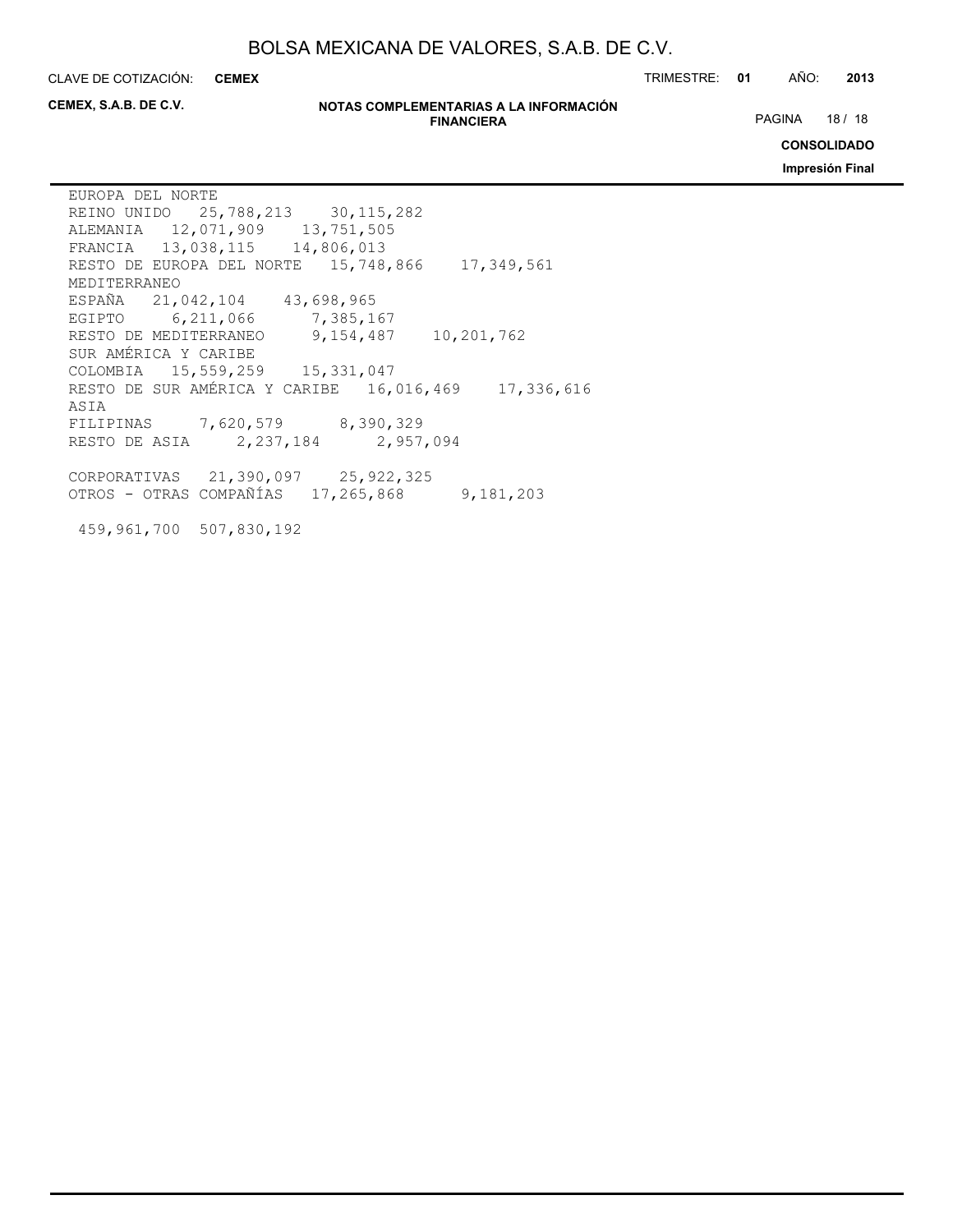**CEMEX**

CLAVE DE COTIZACIÓN: TRIMESTRE: **01** AÑO: **2013**

**CEMEX, S.A.B. DE C.V.**

#### **NOTAS COMPLEMENTARIAS A LA INFORMACIÓN FINANCIERA**

PAGINA 18 / 18

**CONSOLIDADO**

**Impresión Final**

EUROPA DEL NORTE REINO UNIDO 25,788,213 30,115,282 ALEMANIA 12,071,909 13,751,505 FRANCIA 13,038,115 14,806,013 RESTO DE EUROPA DEL NORTE 15,748,866 17,349,561 MEDITERRANEO ESPAÑA 21,042,104 43,698,965 EGIPTO 6,211,066 7,385,167 RESTO DE MEDITERRANEO 9,154,487 10,201,762 SUR AMÉRICA Y CARIBE COLOMBIA 15,559,259 15,331,047 RESTO DE SUR AMÉRICA Y CARIBE 16,016,469 17,336,616 ASIA FILIPINAS 7,620,579 8,390,329 RESTO DE ASIA 2,237,184 2,957,094 CORPORATIVAS 21,390,097 25,922,325 OTROS - OTRAS COMPAÑÍAS 17,265,868 9,181,203

459,961,700 507,830,192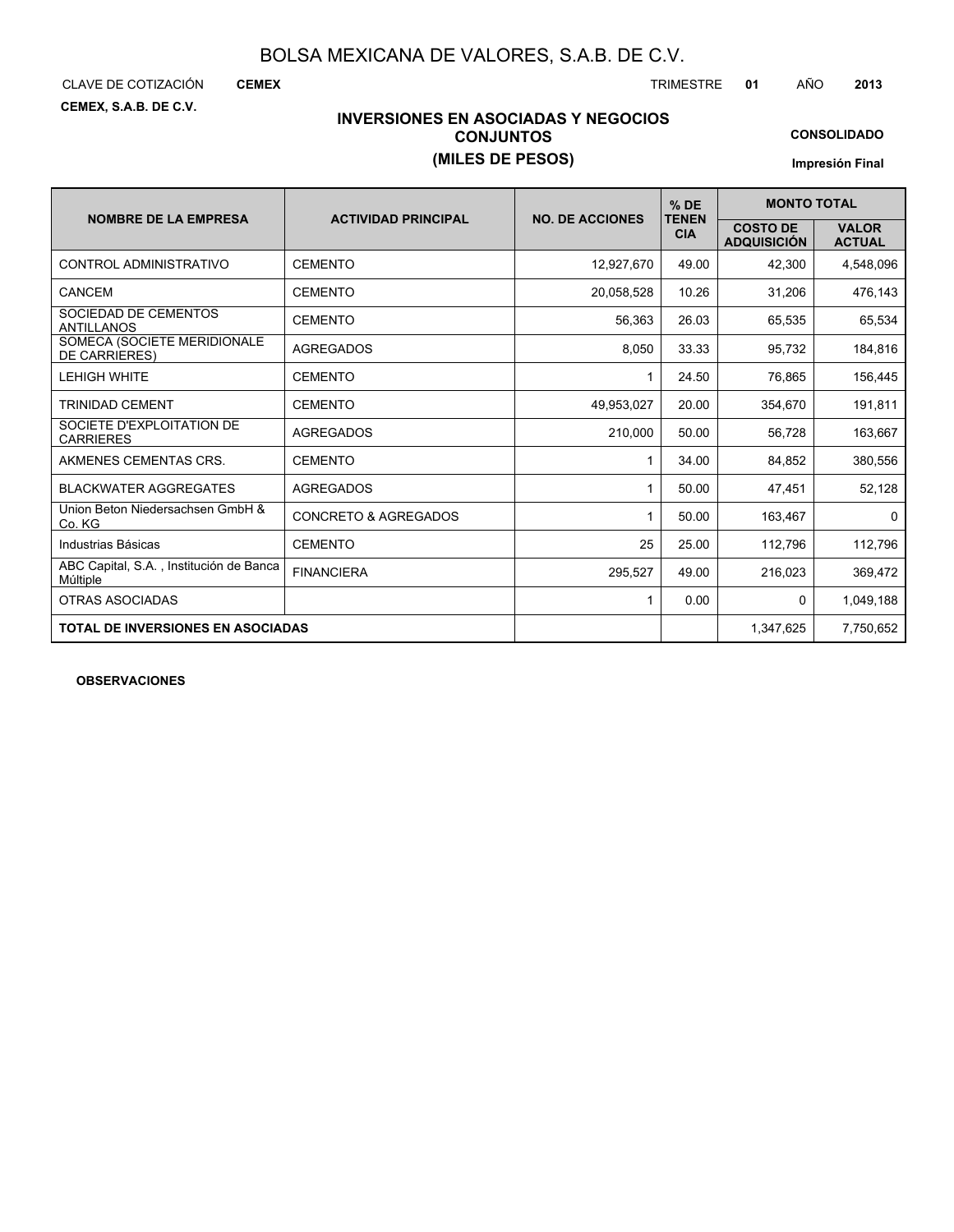**CEMEX, S.A.B. DE C.V.**

**CEMEX**

CLAVE DE COTIZACIÓN TRIMESTRE **01** AÑO **2013**

### **INVERSIONES EN ASOCIADAS Y NEGOCIOS CONJUNTOS (MILES DE PESOS)**

**CONSOLIDADO**

**Impresión Final**

|                                                     |                                 |                        | $%$ DE                     | <b>MONTO TOTAL</b>                    |                               |  |  |
|-----------------------------------------------------|---------------------------------|------------------------|----------------------------|---------------------------------------|-------------------------------|--|--|
| <b>NOMBRE DE LA EMPRESA</b>                         | <b>ACTIVIDAD PRINCIPAL</b>      | <b>NO. DE ACCIONES</b> | <b>TENEN</b><br><b>CIA</b> | <b>COSTO DE</b><br><b>ADQUISICIÓN</b> | <b>VALOR</b><br><b>ACTUAL</b> |  |  |
| CONTROL ADMINISTRATIVO                              | <b>CEMENTO</b>                  | 12,927,670             | 49.00                      | 42,300                                | 4,548,096                     |  |  |
| CANCEM                                              | <b>CEMENTO</b>                  | 20,058,528             | 10.26                      | 31,206                                | 476,143                       |  |  |
| SOCIEDAD DE CEMENTOS<br><b>ANTILLANOS</b>           | <b>CEMENTO</b>                  | 56.363                 | 26.03                      | 65,535                                | 65,534                        |  |  |
| SOMECA (SOCIETE MERIDIONALE<br><b>DE CARRIERES)</b> | <b>AGREGADOS</b>                | 8,050                  | 33.33                      | 95,732                                | 184,816                       |  |  |
| <b>LEHIGH WHITE</b>                                 | <b>CEMENTO</b>                  | 1                      | 24.50                      | 76.865                                | 156,445                       |  |  |
| <b>TRINIDAD CEMENT</b>                              | <b>CEMENTO</b>                  | 49,953,027             | 20.00                      | 354,670                               | 191,811                       |  |  |
| SOCIETE D'EXPLOITATION DE<br><b>CARRIERES</b>       | <b>AGREGADOS</b>                | 210.000                | 50.00                      | 56.728                                | 163,667                       |  |  |
| AKMENES CEMENTAS CRS.                               | <b>CEMENTO</b>                  | 1                      | 34.00                      | 84,852                                | 380,556                       |  |  |
| <b>BLACKWATER AGGREGATES</b>                        | <b>AGREGADOS</b>                |                        | 50.00                      | 47,451                                | 52,128                        |  |  |
| Union Beton Niedersachsen GmbH &<br>Co. KG          | <b>CONCRETO &amp; AGREGADOS</b> | 1                      | 50.00                      | 163,467                               | $\mathbf{0}$                  |  |  |
| Industrias Básicas                                  | <b>CEMENTO</b>                  | 25                     | 25.00                      | 112,796                               | 112,796                       |  |  |
| ABC Capital, S.A., Institución de Banca<br>Múltiple | <b>FINANCIERA</b>               | 295,527                | 49.00                      | 216,023                               | 369,472                       |  |  |
| <b>OTRAS ASOCIADAS</b>                              |                                 | $\mathbf{1}$           | 0.00                       | $\mathbf{0}$                          | 1,049,188                     |  |  |
| <b>TOTAL DE INVERSIONES EN ASOCIADAS</b>            |                                 |                        |                            | 1,347,625                             | 7,750,652                     |  |  |

**OBSERVACIONES**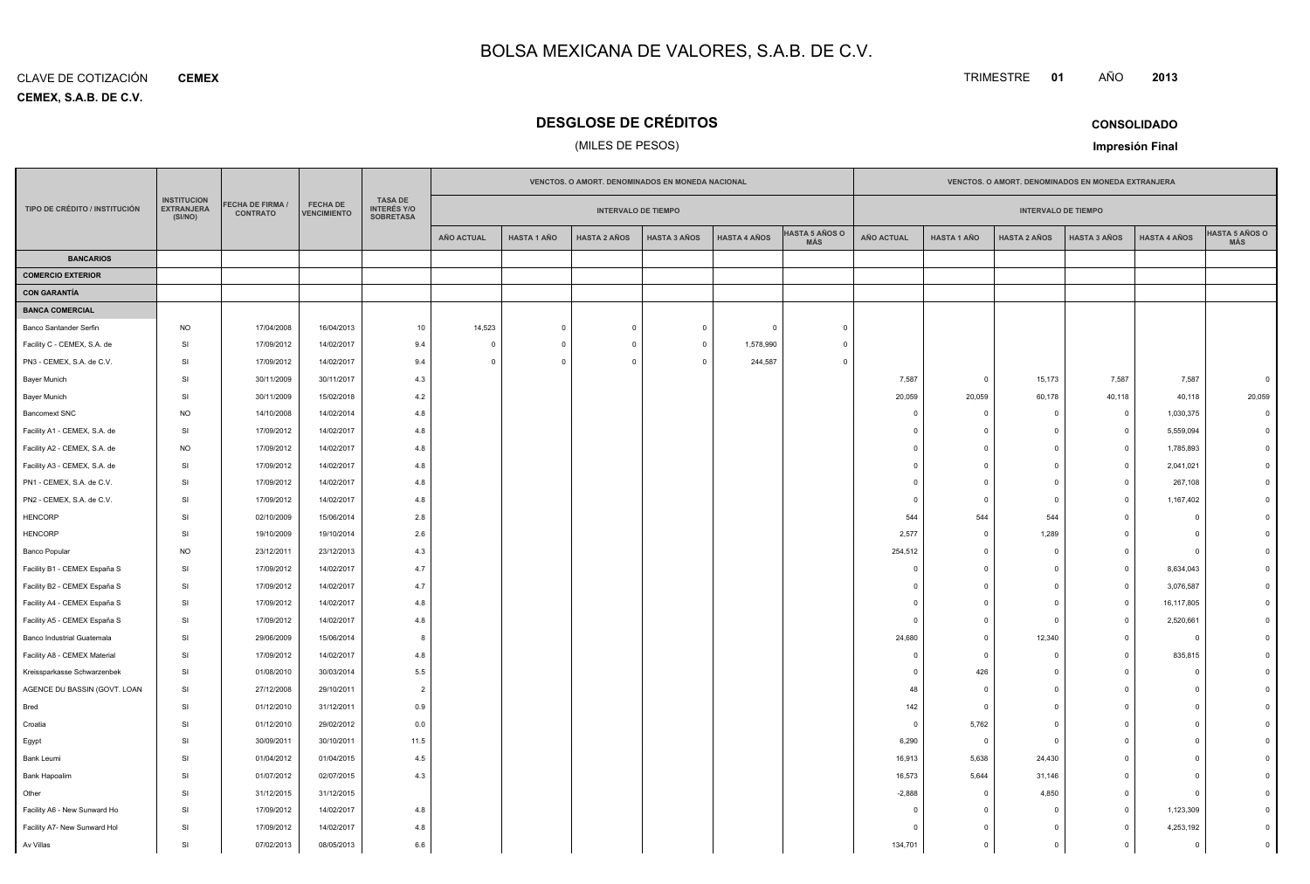**CEMEX, S.A.B. DE C.V.** CLAVE DE COTIZACIÓN**CEMEX**

### **DESGLOSE DE CRÉDITOS**

### (MILES DE PESOS)

| TRIMESTRE | 01 | AÑO | 2013 |
|-----------|----|-----|------|
|           |    |     |      |

**CONSOLIDADOImpresión Final**

|                               |                                                    |                                            |                                       |                                                          | VENCTOS. O AMORT. DENOMINADOS EN MONEDA NACIONAL |                    |                            |                     |                     |                              | VENCTOS. O AMORT. DENOMINADOS EN MONEDA EXTRANJERA |                         |                            |                     |                     |                              |
|-------------------------------|----------------------------------------------------|--------------------------------------------|---------------------------------------|----------------------------------------------------------|--------------------------------------------------|--------------------|----------------------------|---------------------|---------------------|------------------------------|----------------------------------------------------|-------------------------|----------------------------|---------------------|---------------------|------------------------------|
| TIPO DE CRÉDITO / INSTITUCIÓN | <b>INSTITUCION</b><br><b>EXTRANJERA</b><br>(SI/NO) | <b>FECHA DE FIRMA /</b><br><b>CONTRATO</b> | <b>FECHA DE</b><br><b>VENCIMIENTO</b> | <b>TASA DE</b><br><b>INTERÉS Y/O</b><br><b>SOBRETASA</b> |                                                  |                    | <b>INTERVALO DE TIEMPO</b> |                     |                     |                              |                                                    |                         | <b>INTERVALO DE TIEMPO</b> |                     |                     |                              |
|                               |                                                    |                                            |                                       |                                                          | <b>AÑO ACTUAL</b>                                | <b>HASTA 1 AÑO</b> | <b>HASTA 2 AÑOS</b>        | <b>HASTA 3 AÑOS</b> | <b>HASTA 4 AÑOS</b> | <b>HASTA 5 AÑOS O</b><br>MÁS | <b>AÑO ACTUAL</b>                                  | <b>HASTA 1 AÑO</b>      | <b>HASTA 2 AÑOS</b>        | <b>HASTA 3 AÑOS</b> | <b>HASTA 4 AÑOS</b> | <b>HASTA 5 AÑOS O</b><br>MÁS |
| <b>BANCARIOS</b>              |                                                    |                                            |                                       |                                                          |                                                  |                    |                            |                     |                     |                              |                                                    |                         |                            |                     |                     |                              |
| <b>COMERCIO EXTERIOR</b>      |                                                    |                                            |                                       |                                                          |                                                  |                    |                            |                     |                     |                              |                                                    |                         |                            |                     |                     |                              |
| <b>CON GARANTÍA</b>           |                                                    |                                            |                                       |                                                          |                                                  |                    |                            |                     |                     |                              |                                                    |                         |                            |                     |                     |                              |
| <b>BANCA COMERCIAL</b>        |                                                    |                                            |                                       |                                                          |                                                  |                    |                            |                     |                     |                              |                                                    |                         |                            |                     |                     |                              |
| Banco Santander Serfin        | <b>NO</b>                                          | 17/04/2008                                 | 16/04/2013                            | 10                                                       | 14,523                                           | $\mathsf 0$        | $\overline{0}$             | $\mathbf 0$         | $\circ$             | $\mathbf 0$                  |                                                    |                         |                            |                     |                     |                              |
| Facility C - CEMEX, S.A. de   | SI                                                 | 17/09/2012                                 | 14/02/2017                            | 9.4                                                      |                                                  | $\mathbf 0$        |                            | $\mathbf 0$         | 1,578,990           | $\Omega$                     |                                                    |                         |                            |                     |                     |                              |
| PN3 - CEMEX, S.A. de C.V.     | SI                                                 | 17/09/2012                                 | 14/02/2017                            | 9.4                                                      | $\sqrt{ }$                                       | $\mathbf 0$        | $\Omega$                   | $\Omega$            | 244,587             | 0                            |                                                    |                         |                            |                     |                     |                              |
| <b>Bayer Munich</b>           | SI                                                 | 30/11/2009                                 | 30/11/2017                            | 4.3                                                      |                                                  |                    |                            |                     |                     |                              | 7,587                                              | $\overline{0}$          | 15,173                     | 7,587               | 7,587               |                              |
| <b>Bayer Munich</b>           | SI                                                 | 30/11/2009                                 | 15/02/2018                            | 4.2                                                      |                                                  |                    |                            |                     |                     |                              | 20,059                                             | 20,059                  | 60,178                     | 40,118              | 40,118              | 20,059                       |
| <b>Bancomext SNC</b>          | <b>NO</b>                                          | 14/10/2008                                 | 14/02/2014                            | 4.8                                                      |                                                  |                    |                            |                     |                     |                              | $\Omega$                                           | $\overline{0}$          | $\Omega$                   | $^{\circ}$          | 1,030,375           | $\Omega$                     |
| Facility A1 - CEMEX, S.A. de  | SI                                                 | 17/09/2012                                 | 14/02/2017                            | 4.8                                                      |                                                  |                    |                            |                     |                     |                              | $\Omega$                                           | $\Omega$                | $\Omega$                   | $\mathbf 0$         | 5,559,094           |                              |
| Facility A2 - CEMEX, S.A. de  | <b>NO</b>                                          | 17/09/2012                                 | 14/02/2017                            | 4.8                                                      |                                                  |                    |                            |                     |                     |                              | $\Omega$                                           | $\overline{0}$          | $\Omega$                   | $\circ$             | 1,785,893           |                              |
| Facility A3 - CEMEX, S.A. de  | SI                                                 | 17/09/2012                                 | 14/02/2017                            | 4.8                                                      |                                                  |                    |                            |                     |                     |                              | $\mathbf 0$                                        | $\overline{0}$          | $\Omega$                   | $\overline{0}$      | 2,041,021           |                              |
| PN1 - CEMEX, S.A. de C.V.     | SI                                                 | 17/09/2012                                 | 14/02/2017                            | 4.8                                                      |                                                  |                    |                            |                     |                     |                              | $\Omega$                                           | $\overline{0}$          | $\Omega$                   | $\circ$             | 267,108             |                              |
| PN2 - CEMEX, S.A. de C.V.     | SI                                                 | 17/09/2012                                 | 14/02/2017                            | 4.8                                                      |                                                  |                    |                            |                     |                     |                              | $\mathbf 0$                                        | $\overline{0}$          | $\Omega$                   | $\overline{0}$      | 1,167,402           |                              |
| <b>HENCORP</b>                | SI                                                 | 02/10/2009                                 | 15/06/2014                            | 2.8                                                      |                                                  |                    |                            |                     |                     |                              | 544                                                | 544                     | 544                        | $\circ$             | $\mathbf 0$         |                              |
| <b>HENCORP</b>                | SI                                                 | 19/10/2009                                 | 19/10/2014                            | 2.6                                                      |                                                  |                    |                            |                     |                     |                              | 2,577                                              | $\overline{0}$          | 1,289                      | $\mathbf 0$         | $\mathbf 0$         |                              |
| Banco Popular                 | <b>NO</b>                                          | 23/12/2011                                 | 23/12/2013                            | 4.3                                                      |                                                  |                    |                            |                     |                     |                              | 254,512                                            | $\Omega$                | $\Omega$                   | $^{\circ}$          | $\Omega$            |                              |
| Facility B1 - CEMEX España S  | SI                                                 | 17/09/2012                                 | 14/02/2017                            | 4.7                                                      |                                                  |                    |                            |                     |                     |                              | $\mathbf 0$                                        | $\Omega$                | $\Omega$                   | $\mathbf 0$         | 8,634,043           |                              |
| Facility B2 - CEMEX España S  | SI                                                 | 17/09/2012                                 | 14/02/2017                            | 4.7                                                      |                                                  |                    |                            |                     |                     |                              | $\Omega$                                           | $\overline{0}$          | $\Omega$                   | $\mathbf 0$         | 3,076,587           |                              |
| Facility A4 - CEMEX España S  | SI                                                 | 17/09/2012                                 | 14/02/2017                            | 4.8                                                      |                                                  |                    |                            |                     |                     |                              | $\mathbf 0$                                        | $\Omega$                | $\Omega$                   | $\circ$             | 16,117,805          |                              |
| Facility A5 - CEMEX España S  | SI                                                 | 17/09/2012                                 | 14/02/2017                            | 4.8                                                      |                                                  |                    |                            |                     |                     |                              | $\overline{0}$                                     | $\overline{0}$          | $\Omega$                   | $\circ$             | 2,520,661           |                              |
| Banco Industrial Guatemala    | SI                                                 | 29/06/2009                                 | 15/06/2014                            | 8                                                        |                                                  |                    |                            |                     |                     |                              | 24,680                                             | $\overline{0}$          | 12,340                     | $\circ$             | $\mathbf 0$         |                              |
| Facility A8 - CEMEX Material  | SI                                                 | 17/09/2012                                 | 14/02/2017                            | 4.8                                                      |                                                  |                    |                            |                     |                     |                              | $\mathbf 0$                                        | $\Omega$                | $\Omega$                   | $\overline{0}$      | 835,815             |                              |
| Kreissparkasse Schwarzenbek   | SI                                                 | 01/08/2010                                 | 30/03/2014                            | 5.5                                                      |                                                  |                    |                            |                     |                     |                              | $\mathbf 0$                                        | 426                     | $\Omega$                   | $\mathbf 0$         | $\mathbf 0$         |                              |
| AGENCE DU BASSIN (GOVT. LOAN  | SI                                                 | 27/12/2008                                 | 29/10/2011                            | $\overline{2}$                                           |                                                  |                    |                            |                     |                     |                              | 48                                                 | $\Omega$                | $\Omega$                   | $\mathbf 0$         | $\Omega$            |                              |
| Bred                          | <b>SI</b>                                          | 01/12/2010                                 | 31/12/2011                            | 0.9                                                      |                                                  |                    |                            |                     |                     |                              | 142                                                | $\overline{0}$          | $\Omega$                   | $^{\circ}$          | $\Omega$            |                              |
| Croatia                       | <b>SI</b>                                          | 01/12/2010                                 | 29/02/2012                            | 0.0                                                      |                                                  |                    |                            |                     |                     |                              | $\overline{0}$                                     | 5,762                   | $\cap$                     | $\overline{0}$      | $\Omega$            |                              |
| Egypt                         | SI                                                 | 30/09/2011                                 | 30/10/2011                            | 11.5                                                     |                                                  |                    |                            |                     |                     |                              | 6,290                                              | $\overline{0}$          | $\Omega$                   | $\circ$             | $\Omega$            |                              |
| Bank Leumi                    | SI                                                 | 01/04/2012                                 | 01/04/2015                            | 4.5                                                      |                                                  |                    |                            |                     |                     |                              | 16,913                                             | 5,638                   | 24,430                     | $\mathbf 0$         | $\mathbf 0$         |                              |
| Bank Hapoalim                 | SI                                                 | 01/07/2012                                 | 02/07/2015                            | 4.3                                                      |                                                  |                    |                            |                     |                     |                              | 16,573                                             | 5,644                   | 31,146                     | $\circ$             | $\Omega$            |                              |
| Other                         | SI                                                 | 31/12/2015                                 | 31/12/2015                            |                                                          |                                                  |                    |                            |                     |                     |                              | $-2,888$                                           | $\overline{\mathbf{0}}$ | 4,850                      | $\overline{0}$      | $\mathbf 0$         |                              |
| Facility A6 - New Sunward Ho  | SI                                                 | 17/09/2012                                 | 14/02/2017                            | 4.8                                                      |                                                  |                    |                            |                     |                     |                              | $\Omega$                                           | $\Omega$                | $\Omega$                   | $\mathbf 0$         | 1,123,309           |                              |
| Facility A7- New Sunward Hol  | SI                                                 | 17/09/2012                                 | 14/02/2017                            | 4.8                                                      |                                                  |                    |                            |                     |                     |                              | $\mathbf 0$                                        | $\overline{0}$          | $^{\circ}$                 | $\overline{0}$      | 4,253,192           |                              |
| Av Villas                     | SI                                                 | 07/02/2013                                 | 08/05/2013                            | 6.6                                                      |                                                  |                    |                            |                     |                     |                              | 134,701                                            | $\Omega$                | $\Omega$                   | $\circ$             | $\mathbf 0$         |                              |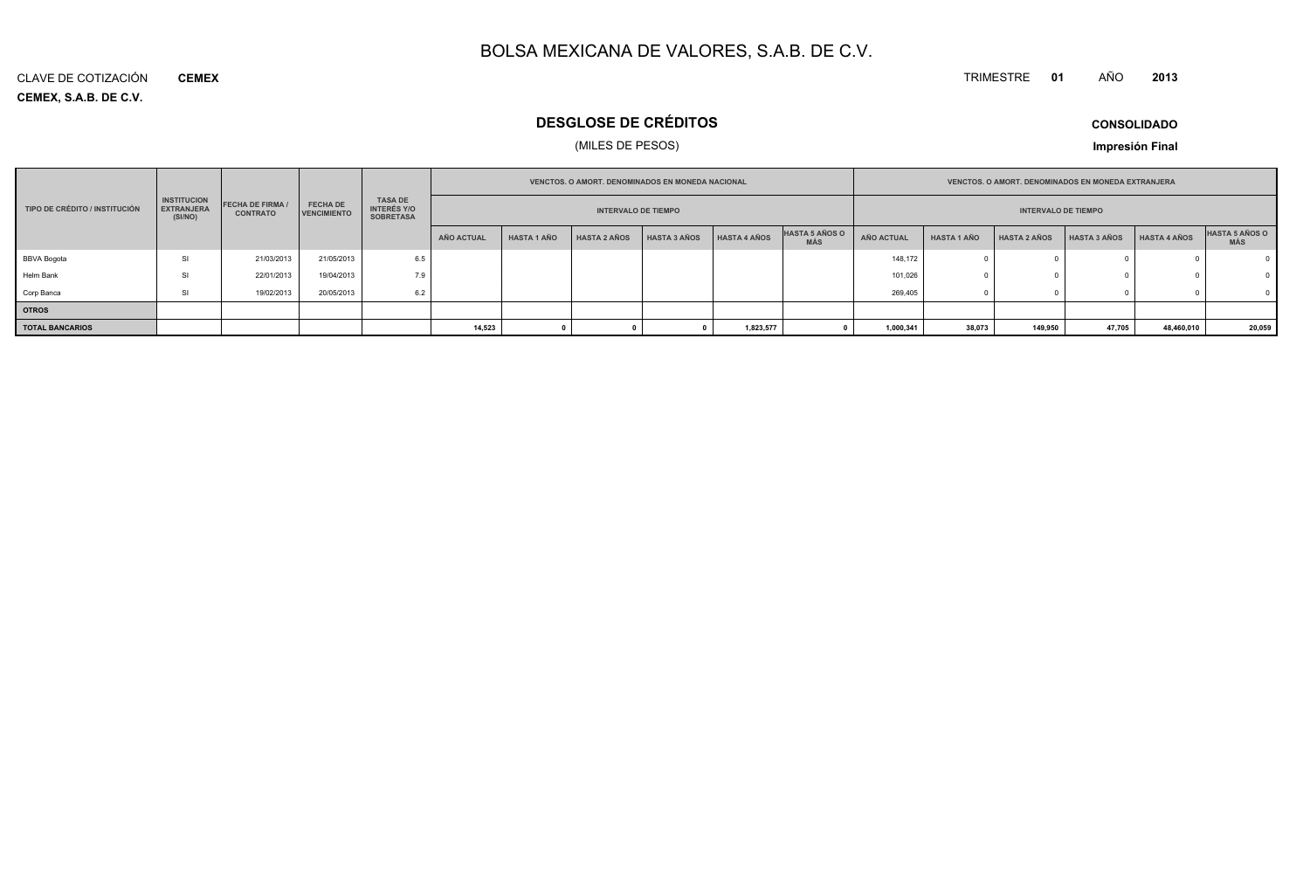#### TRIMESTRE **<sup>01</sup>** AÑO**<sup>2013</sup>**

**CEMEX, S.A.B. DE C.V.** CLAVE DE COTIZACIÓN**CEMEX**

### **DESGLOSE DE CRÉDITOS**

### (MILES DE PESOS)

**CONSOLIDADO**

**Impresión Final**

| <b>VENCTOS, O AMORT, DENOMINADOS EN MONEDA NACIONAL</b> |                                                    |                                            |                                       |                                                          |            |                    | <b>VENCTOS, O AMORT, DENOMINADOS EN MONEDA EXTRANJERA</b> |                     |                     |                                     |            |                            |                     |                     |              |                       |
|---------------------------------------------------------|----------------------------------------------------|--------------------------------------------|---------------------------------------|----------------------------------------------------------|------------|--------------------|-----------------------------------------------------------|---------------------|---------------------|-------------------------------------|------------|----------------------------|---------------------|---------------------|--------------|-----------------------|
| TIPO DE CRÉDITO / INSTITUCIÓN                           | <b>INSTITUCION</b><br><b>EXTRANJERA</b><br>(SI/NO) | <b>FECHA DE FIRMA /</b><br><b>CONTRATO</b> | <b>FECHA DE</b><br><b>VENCIMIENTO</b> | <b>TASA DE</b><br><b>INTERÉS Y/O</b><br><b>SOBRETASA</b> |            |                    | <b>INTERVALO DE TIEMPO</b>                                |                     |                     |                                     |            | <b>INTERVALO DE TIEMPO</b> |                     |                     |              |                       |
|                                                         |                                                    |                                            |                                       |                                                          | AÑO ACTUAL | <b>HASTA 1 AÑO</b> | <b>HASTA 2 AÑOS</b>                                       | <b>HASTA 3 AÑOS</b> | <b>HASTA 4 AÑOS</b> | <b>HASTA 5 AÑOS O</b><br><b>MÁS</b> | AÑO ACTUAL | <b>HASTA 1 AÑO</b>         | <b>HASTA 2 AÑOS</b> | <b>HASTA 3 AÑOS</b> | HASTA 4 AÑOS | HASTA 5 AÑOS O<br>MÁS |
| <b>BBVA Bogota</b>                                      | SI                                                 | 21/03/2013                                 | 21/05/2013                            | 6.5                                                      |            |                    |                                                           |                     |                     |                                     | 148,172    |                            |                     |                     |              |                       |
| Helm Bank                                               | SI                                                 | 22/01/2013                                 | 19/04/2013                            | 7.9                                                      |            |                    |                                                           |                     |                     |                                     | 101,026    |                            |                     |                     |              |                       |
| Corp Banca                                              | SI                                                 | 19/02/2013                                 | 20/05/2013                            | 6.2                                                      |            |                    |                                                           |                     |                     |                                     | 269,405    |                            |                     |                     |              |                       |
| <b>OTROS</b>                                            |                                                    |                                            |                                       |                                                          |            |                    |                                                           |                     |                     |                                     |            |                            |                     |                     |              |                       |
| <b>TOTAL BANCARIOS</b>                                  |                                                    |                                            |                                       |                                                          | 14,523     |                    |                                                           |                     | 1,823,577           |                                     | 1,000,341  | 38,073                     | 149,950             | 47,705              | 48,460,010   | 20,059                |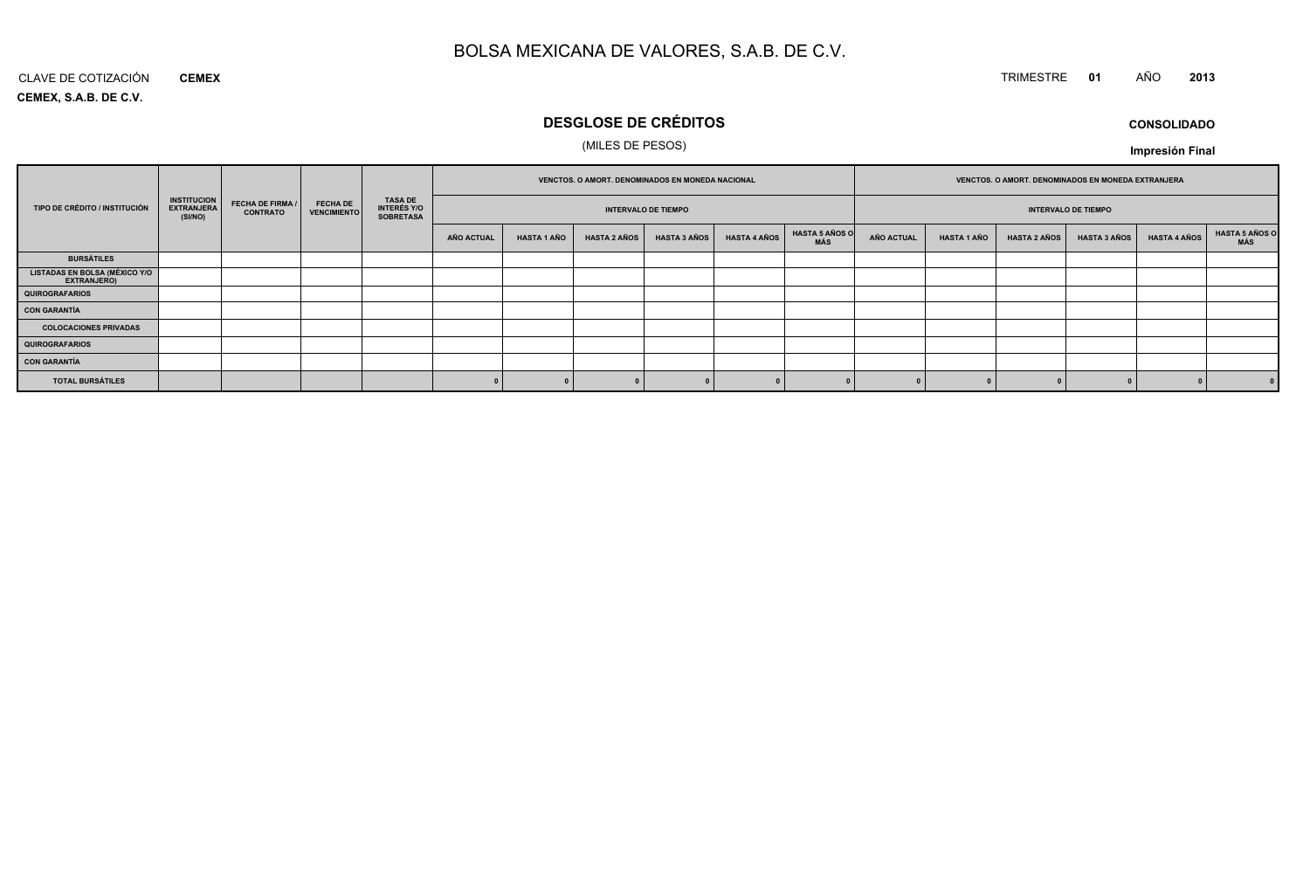### TRIMESTRE **<sup>01</sup>** AÑO **<sup>2013</sup>**

**CEMEX, S.A.B. DE C.V.**CLAVE DE COTIZACIÓN**CEMEX**

### **DESGLOSE DE CRÉDITOS**

### (MILES DE PESOS)

**CONSOLIDADOImpresión Final**

|                                           |                                                    |                                     |                                       |                                     |            |                    | VENCTOS. O AMORT. DENOMINADOS EN MONEDA NACIONAL |                            |                     |                                     |                   |                    | VENCTOS. O AMORT. DENOMINADOS EN MONEDA EXTRANJERA |                            |                     |                       |
|-------------------------------------------|----------------------------------------------------|-------------------------------------|---------------------------------------|-------------------------------------|------------|--------------------|--------------------------------------------------|----------------------------|---------------------|-------------------------------------|-------------------|--------------------|----------------------------------------------------|----------------------------|---------------------|-----------------------|
| TIPO DE CRÉDITO / INSTITUCIÓN             | <b>INSTITUCION</b><br><b>EXTRANJERA</b><br>(SI/NO) | FECHA DE FIRMA /<br><b>CONTRATO</b> | <b>FECHA DE</b><br><b>VENCIMIENTO</b> | TASA DE<br>INTERÉS Y/O<br>SOBRETASA |            |                    |                                                  | <b>INTERVALO DE TIEMPO</b> |                     |                                     |                   |                    |                                                    | <b>INTERVALO DE TIEMPO</b> |                     |                       |
|                                           |                                                    |                                     |                                       |                                     | AÑO ACTUAL | <b>HASTA 1 AÑO</b> | <b>HASTA 2 AÑOS</b>                              | <b>HASTA 3 AÑOS</b>        | <b>HASTA 4 AÑOS</b> | <b>HASTA 5 AÑOS O</b><br><b>MÁS</b> | <b>AÑO ACTUAL</b> | <b>HASTA 1 AÑO</b> | <b>HASTA 2 AÑOS</b>                                | <b>HASTA 3 AÑOS</b>        | <b>HASTA 4 AÑOS</b> | HASTA 5 AÑOS C<br>MÁS |
| <b>BURSÁTILES</b>                         |                                                    |                                     |                                       |                                     |            |                    |                                                  |                            |                     |                                     |                   |                    |                                                    |                            |                     |                       |
| LISTADAS EN BOLSA (MÉXICO Y/O EXTRANJERO) |                                                    |                                     |                                       |                                     |            |                    |                                                  |                            |                     |                                     |                   |                    |                                                    |                            |                     |                       |
| QUIROGRAFARIOS                            |                                                    |                                     |                                       |                                     |            |                    |                                                  |                            |                     |                                     |                   |                    |                                                    |                            |                     |                       |
| CON GARANTÍA                              |                                                    |                                     |                                       |                                     |            |                    |                                                  |                            |                     |                                     |                   |                    |                                                    |                            |                     |                       |
| <b>COLOCACIONES PRIVADAS</b>              |                                                    |                                     |                                       |                                     |            |                    |                                                  |                            |                     |                                     |                   |                    |                                                    |                            |                     |                       |
| QUIROGRAFARIOS                            |                                                    |                                     |                                       |                                     |            |                    |                                                  |                            |                     |                                     |                   |                    |                                                    |                            |                     |                       |
| CON GARANTÍA                              |                                                    |                                     |                                       |                                     |            |                    |                                                  |                            |                     |                                     |                   |                    |                                                    |                            |                     |                       |
| <b>TOTAL BURSÁTILES</b>                   |                                                    |                                     |                                       |                                     |            |                    |                                                  |                            |                     |                                     |                   |                    |                                                    |                            |                     |                       |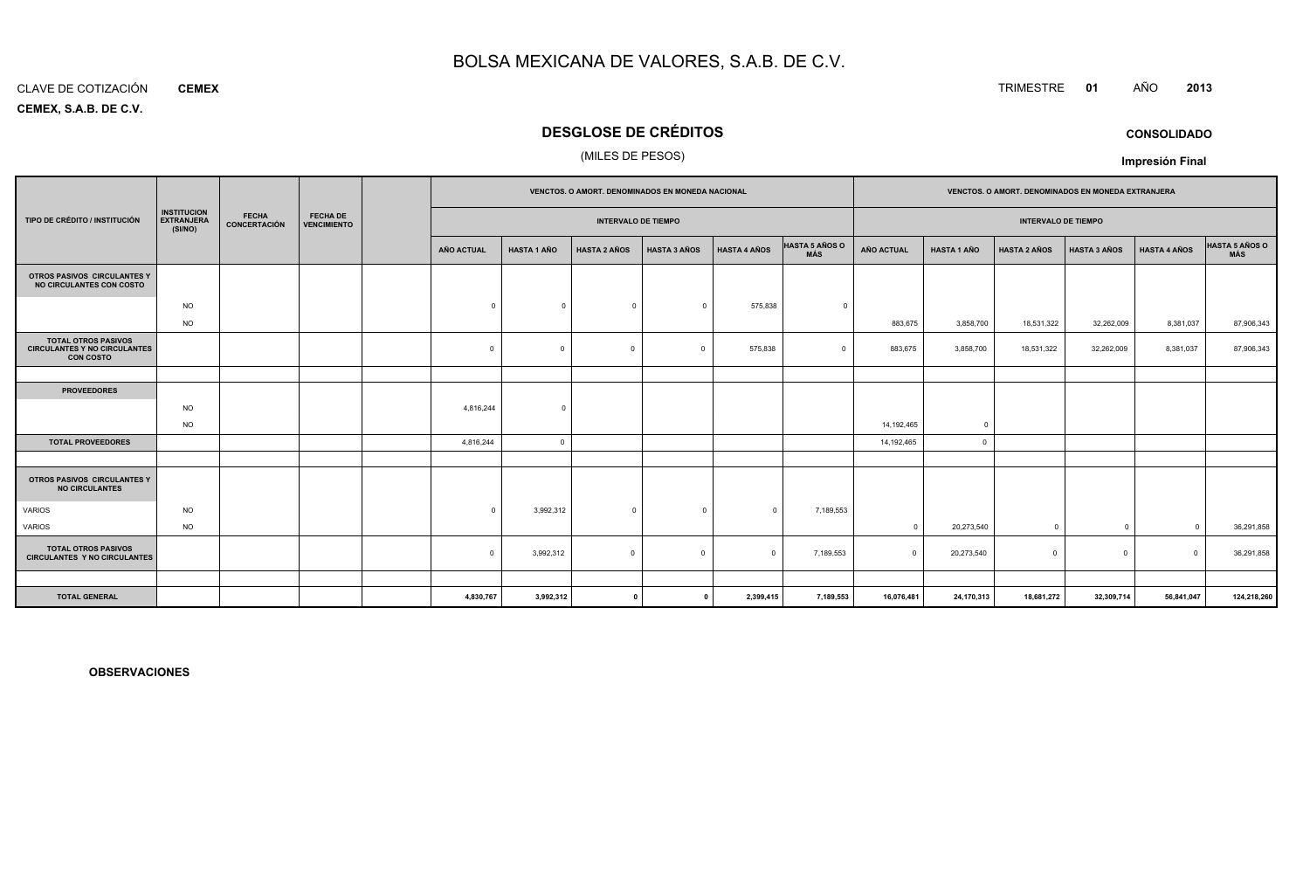#### CLAVE DE COTIZACIÓN**CEMEX**

**CEMEX, S.A.B. DE C.V.**

### **DESGLOSE DE CRÉDITOS**

### (MILES DE PESOS)

|                                                                                       |                                                    |                              |                                       |            |                    |                            | VENCTOS. O AMORT. DENOMINADOS EN MONEDA NACIONAL |                     |                              |                   |                    | VENCTOS. O AMORT. DENOMINADOS EN MONEDA EXTRANJERA |                     |                     |                              |
|---------------------------------------------------------------------------------------|----------------------------------------------------|------------------------------|---------------------------------------|------------|--------------------|----------------------------|--------------------------------------------------|---------------------|------------------------------|-------------------|--------------------|----------------------------------------------------|---------------------|---------------------|------------------------------|
| TIPO DE CRÉDITO / INSTITUCIÓN                                                         | <b>INSTITUCION</b><br><b>EXTRANJERA</b><br>(SI/NO) | <b>FECHA</b><br>CONCERTACIÓN | <b>FECHA DE</b><br><b>VENCIMIENTO</b> |            |                    | <b>INTERVALO DE TIEMPO</b> |                                                  |                     |                              |                   |                    | <b>INTERVALO DE TIEMPO</b>                         |                     |                     |                              |
|                                                                                       |                                                    |                              |                                       | AÑO ACTUAL | <b>HASTA 1 AÑO</b> | <b>HASTA 2 AÑOS</b>        | <b>HASTA 3 AÑOS</b>                              | <b>HASTA 4 AÑOS</b> | <b>HASTA 5 AÑOS O</b><br>MÁS | <b>AÑO ACTUAL</b> | <b>HASTA 1 AÑO</b> | <b>HASTA 2 AÑOS</b>                                | <b>HASTA 3 AÑOS</b> | <b>HASTA 4 AÑOS</b> | <b>HASTA 5 AÑOS O</b><br>MÁS |
| OTROS PASIVOS CIRCULANTES Y<br>NO CIRCULANTES CON COSTO                               |                                                    |                              |                                       |            |                    |                            |                                                  |                     |                              |                   |                    |                                                    |                     |                     |                              |
|                                                                                       | <b>NO</b>                                          |                              |                                       | $\Omega$   | $\Omega$           | $^{\circ}$                 | $\Omega$                                         | 575,838             | $\overline{0}$               |                   |                    |                                                    |                     |                     |                              |
|                                                                                       | <b>NO</b>                                          |                              |                                       |            |                    |                            |                                                  |                     |                              | 883,675           | 3,858,700          | 18,531,322                                         | 32,262,009          | 8,381,037           | 87,906,343                   |
| <b>TOTAL OTROS PASIVOS</b><br><b>CIRCULANTES Y NO CIRCULANTES</b><br><b>CON COSTO</b> |                                                    |                              |                                       | $^{\circ}$ | $\Omega$           | $\Omega$                   | $\Omega$                                         | 575,838             | $\Omega$                     | 883,675           | 3,858,700          | 18,531,322                                         | 32,262,009          | 8,381,037           | 87,906,343                   |
|                                                                                       |                                                    |                              |                                       |            |                    |                            |                                                  |                     |                              |                   |                    |                                                    |                     |                     |                              |
| <b>PROVEEDORES</b>                                                                    |                                                    |                              |                                       |            |                    |                            |                                                  |                     |                              |                   |                    |                                                    |                     |                     |                              |
|                                                                                       | <b>NO</b>                                          |                              |                                       | 4,816,244  | $\Omega$           |                            |                                                  |                     |                              |                   |                    |                                                    |                     |                     |                              |
|                                                                                       | <b>NO</b>                                          |                              |                                       |            |                    |                            |                                                  |                     |                              | 14,192,465        | $\overline{0}$     |                                                    |                     |                     |                              |
| <b>TOTAL PROVEEDORES</b>                                                              |                                                    |                              |                                       | 4,816,244  | $\Omega$           |                            |                                                  |                     |                              | 14,192,465        | $\overline{0}$     |                                                    |                     |                     |                              |
|                                                                                       |                                                    |                              |                                       |            |                    |                            |                                                  |                     |                              |                   |                    |                                                    |                     |                     |                              |
| OTROS PASIVOS CIRCULANTES Y<br><b>NO CIRCULANTES</b>                                  |                                                    |                              |                                       |            |                    |                            |                                                  |                     |                              |                   |                    |                                                    |                     |                     |                              |
| <b>VARIOS</b>                                                                         | <b>NO</b>                                          |                              |                                       | $\Omega$   | 3,992,312          | $\Omega$                   | $\Omega$                                         | $\Omega$            | 7,189,553                    |                   |                    |                                                    |                     |                     |                              |
| VARIOS                                                                                | <b>NO</b>                                          |                              |                                       |            |                    |                            |                                                  |                     |                              | $\Omega$          | 20,273,540         | $\Omega$                                           | $\overline{0}$      | $\Omega$            | 36,291,858                   |
| <b>TOTAL OTROS PASIVOS</b><br><b>CIRCULANTES Y NO CIRCULANTES</b>                     |                                                    |                              |                                       | $^{\circ}$ | 3,992,312          | $\mathbf 0$                | $\Omega$                                         | $\Omega$            | 7,189,553                    | $\Omega$          | 20,273,540         | $\Omega$                                           | $^{\circ}$          | $\Omega$            | 36,291,858                   |
|                                                                                       |                                                    |                              |                                       |            |                    |                            |                                                  |                     |                              |                   |                    |                                                    |                     |                     |                              |
| <b>TOTAL GENERAL</b>                                                                  |                                                    |                              |                                       | 4,830,767  | 3,992,312          | $\mathbf{a}$               |                                                  | 2,399,415           | 7,189,553                    | 16,076,481        | 24,170,313         | 18,681,272                                         | 32,309,714          | 56,841,047          | 124,218,260                  |

**OBSERVACIONES**

### TRIMESTRE **<sup>01</sup>** AÑO **<sup>2013</sup>**

**CONSOLIDADO**

**Impresión Final**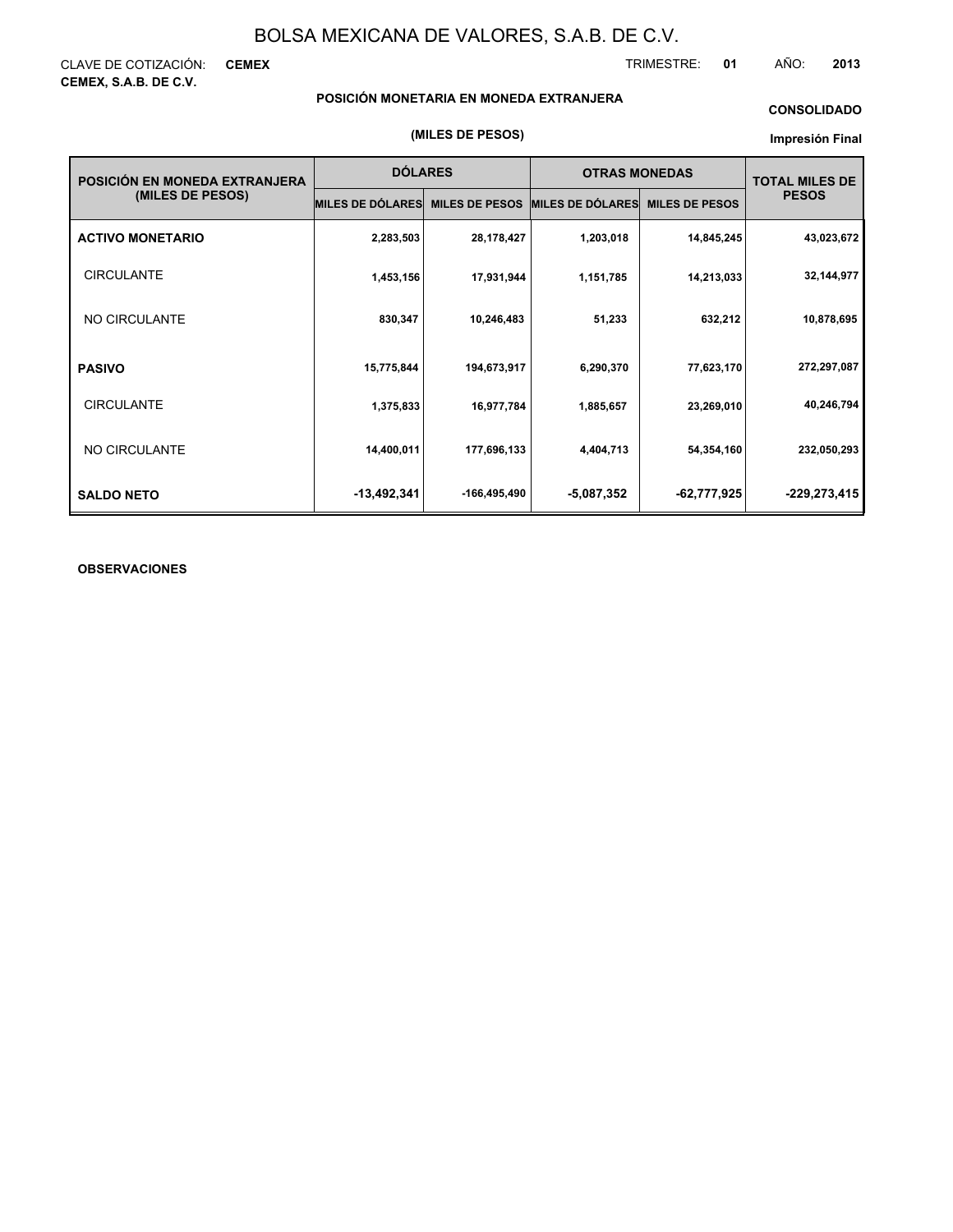CLAVE DE COTIZACIÓN: **CEMEX CEMEX, S.A.B. DE C.V.**

TRIMESTRE: **01** AÑO: **2013**

### **POSICIÓN MONETARIA EN MONEDA EXTRANJERA**

### **CONSOLIDADO**

#### **Impresión Final**

| POSICIÓN EN MONEDA EXTRANJERA | <b>DÓLARES</b>          |                       | <b>OTRAS MONEDAS</b>    |                       | <b>TOTAL MILES DE</b> |  |
|-------------------------------|-------------------------|-----------------------|-------------------------|-----------------------|-----------------------|--|
| (MILES DE PESOS)              | <b>MILES DE DÓLARES</b> | <b>MILES DE PESOS</b> | <b>MILES DE DÓLARES</b> | <b>MILES DE PESOS</b> | <b>PESOS</b>          |  |
| <b>ACTIVO MONETARIO</b>       | 2,283,503               | 28,178,427            | 1,203,018               | 14,845,245            | 43,023,672            |  |
| <b>CIRCULANTE</b>             | 1,453,156               | 17,931,944            | 1,151,785               | 14,213,033            | 32,144,977            |  |
| NO CIRCULANTE                 | 830,347                 | 10,246,483            | 51,233                  | 632,212               | 10,878,695            |  |
| <b>PASIVO</b>                 | 15,775,844              | 194,673,917           | 6,290,370               | 77,623,170            | 272,297,087           |  |
| <b>CIRCULANTE</b>             | 1,375,833               | 16,977,784            | 1,885,657               | 23,269,010            | 40,246,794            |  |
| NO CIRCULANTE                 | 14,400,011              | 177,696,133           | 4,404,713               | 54,354,160            | 232,050,293           |  |
| <b>SALDO NETO</b>             | $-13,492,341$           | -166,495,490          | $-5,087,352$            | -62,777,925           | -229,273,415          |  |

### **OBSERVACIONES**

#### **(MILES DE PESOS)**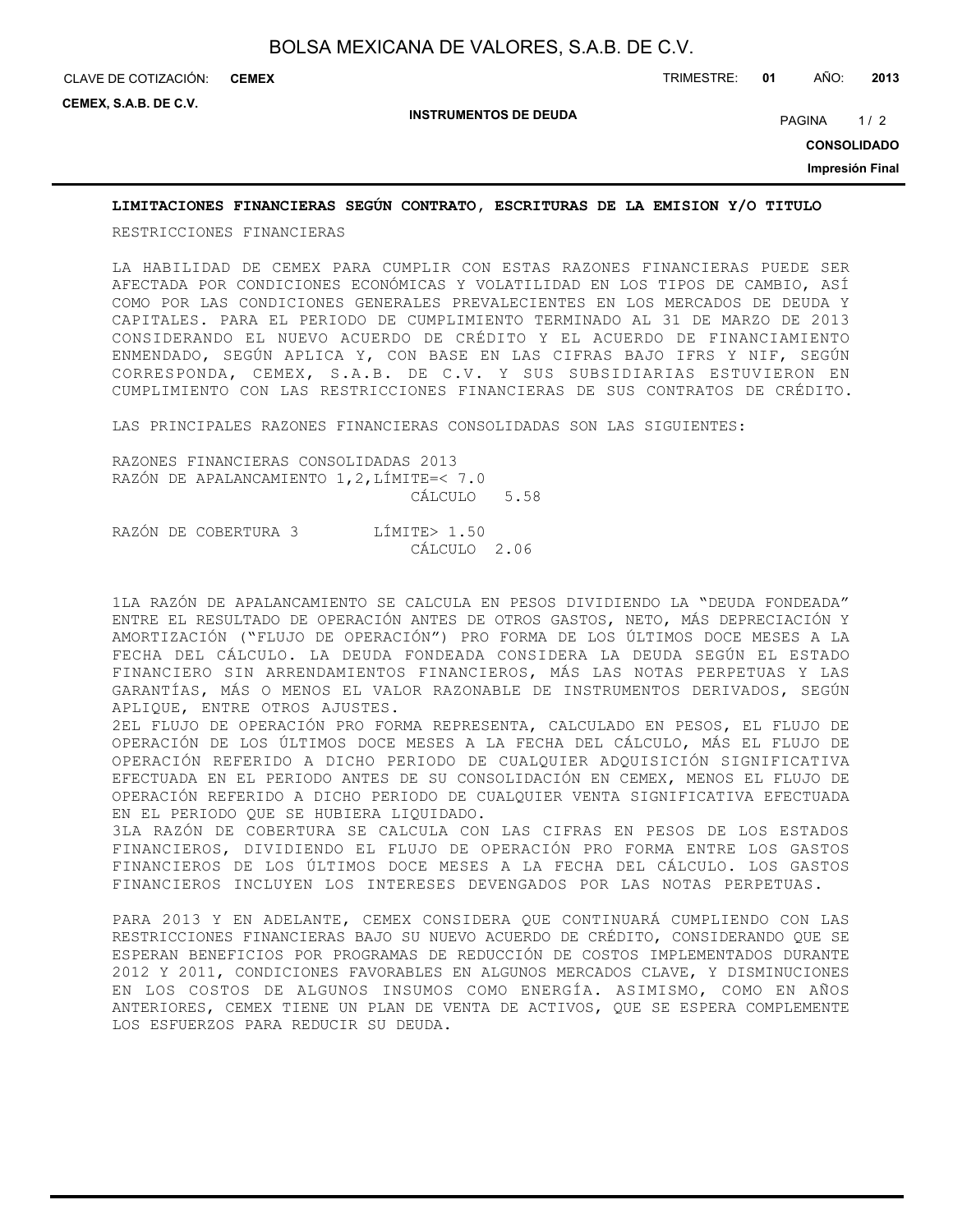CLAVE DE COTIZACIÓN: TRIMESTRE: **01** AÑO: **2013 CEMEX**

**CEMEX, S.A.B. DE C.V.**

**INSTRUMENTOS DE DEUDA**

PAGINA 1/2

**CONSOLIDADO**

**Impresión Final**

### **LIMITACIONES FINANCIERAS SEGÚN CONTRATO, ESCRITURAS DE LA EMISION Y/O TITULO**

RESTRICCIONES FINANCIERAS

LA HABILIDAD DE CEMEX PARA CUMPLIR CON ESTAS RAZONES FINANCIERAS PUEDE SER AFECTADA POR CONDICIONES ECONÓMICAS Y VOLATILIDAD EN LOS TIPOS DE CAMBIO, ASÍ COMO POR LAS CONDICIONES GENERALES PREVALECIENTES EN LOS MERCADOS DE DEUDA Y CAPITALES. PARA EL PERIODO DE CUMPLIMIENTO TERMINADO AL 31 DE MARZO DE 2013 CONSIDERANDO EL NUEVO ACUERDO DE CRÉDITO Y EL ACUERDO DE FINANCIAMIENTO ENMENDADO, SEGÚN APLICA Y, CON BASE EN LAS CIFRAS BAJO IFRS Y NIF, SEGÚN CORRESPONDA, CEMEX, S.A.B. DE C.V. Y SUS SUBSIDIARIAS ESTUVIERON EN CUMPLIMIENTO CON LAS RESTRICCIONES FINANCIERAS DE SUS CONTRATOS DE CRÉDITO.

LAS PRINCIPALES RAZONES FINANCIERAS CONSOLIDADAS SON LAS SIGUIENTES:

RAZONES FINANCIERAS CONSOLIDADAS 2013 RAZÓN DE APALANCAMIENTO 1,2,LÍMITE=< 7.0 CÁLCULO 5.58

RAZÓN DE COBERTURA 3 LÍMITE> 1.50 CÁLCULO 2.06

1LA RAZÓN DE APALANCAMIENTO SE CALCULA EN PESOS DIVIDIENDO LA "DEUDA FONDEADA" ENTRE EL RESULTADO DE OPERACIÓN ANTES DE OTROS GASTOS, NETO, MÁS DEPRECIACIÓN Y AMORTIZACIÓN ("FLUJO DE OPERACIÓN") PRO FORMA DE LOS ÚLTIMOS DOCE MESES A LA FECHA DEL CÁLCULO. LA DEUDA FONDEADA CONSIDERA LA DEUDA SEGÚN EL ESTADO FINANCIERO SIN ARRENDAMIENTOS FINANCIEROS, MÁS LAS NOTAS PERPETUAS Y LAS GARANTÍAS, MÁS O MENOS EL VALOR RAZONABLE DE INSTRUMENTOS DERIVADOS, SEGÚN APLIQUE, ENTRE OTROS AJUSTES.

2EL FLUJO DE OPERACIÓN PRO FORMA REPRESENTA, CALCULADO EN PESOS, EL FLUJO DE OPERACIÓN DE LOS ÚLTIMOS DOCE MESES A LA FECHA DEL CÁLCULO, MÁS EL FLUJO DE OPERACIÓN REFERIDO A DICHO PERIODO DE CUALQUIER ADQUISICIÓN SIGNIFICATIVA EFECTUADA EN EL PERIODO ANTES DE SU CONSOLIDACIÓN EN CEMEX, MENOS EL FLUJO DE OPERACIÓN REFERIDO A DICHO PERIODO DE CUALQUIER VENTA SIGNIFICATIVA EFECTUADA EN EL PERIODO QUE SE HUBIERA LIQUIDADO.

3LA RAZÓN DE COBERTURA SE CALCULA CON LAS CIFRAS EN PESOS DE LOS ESTADOS FINANCIEROS, DIVIDIENDO EL FLUJO DE OPERACIÓN PRO FORMA ENTRE LOS GASTOS FINANCIEROS DE LOS ÚLTIMOS DOCE MESES A LA FECHA DEL CÁLCULO. LOS GASTOS FINANCIEROS INCLUYEN LOS INTERESES DEVENGADOS POR LAS NOTAS PERPETUAS.

PARA 2013 Y EN ADELANTE, CEMEX CONSIDERA QUE CONTINUARÁ CUMPLIENDO CON LAS RESTRICCIONES FINANCIERAS BAJO SU NUEVO ACUERDO DE CRÉDITO, CONSIDERANDO QUE SE ESPERAN BENEFICIOS POR PROGRAMAS DE REDUCCIÓN DE COSTOS IMPLEMENTADOS DURANTE 2012 Y 2011, CONDICIONES FAVORABLES EN ALGUNOS MERCADOS CLAVE, Y DISMINUCIONES EN LOS COSTOS DE ALGUNOS INSUMOS COMO ENERGÍA. ASIMISMO, COMO EN AÑOS ANTERIORES, CEMEX TIENE UN PLAN DE VENTA DE ACTIVOS, QUE SE ESPERA COMPLEMENTE LOS ESFUERZOS PARA REDUCIR SU DEUDA.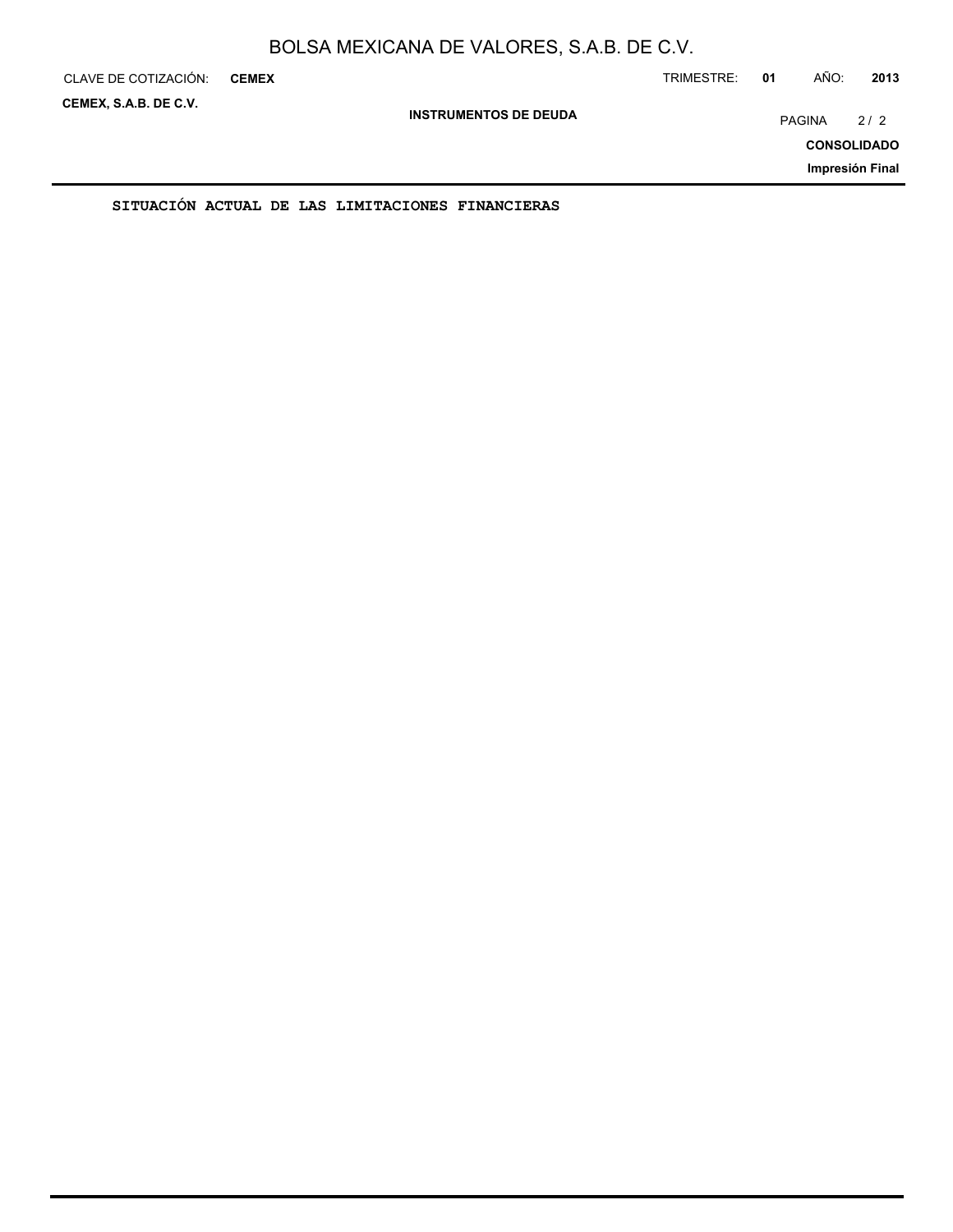| CLAVE DE COTIZACIÓN:  | <b>CEMEX</b>                                     |                              | TRIMESTRE: | 01 | AÑO:          | 2013               |
|-----------------------|--------------------------------------------------|------------------------------|------------|----|---------------|--------------------|
| CEMEX, S.A.B. DE C.V. |                                                  | <b>INSTRUMENTOS DE DEUDA</b> |            |    | <b>PAGINA</b> | 2/2                |
|                       |                                                  |                              |            |    |               | <b>CONSOLIDADO</b> |
|                       |                                                  |                              |            |    |               | Impresión Final    |
|                       | SITUACIÓN ACTUAL DE LAS LIMITACIONES FINANCIERAS |                              |            |    |               |                    |

ON ACTUAL DE LAS LIMITACIONES FINANCIE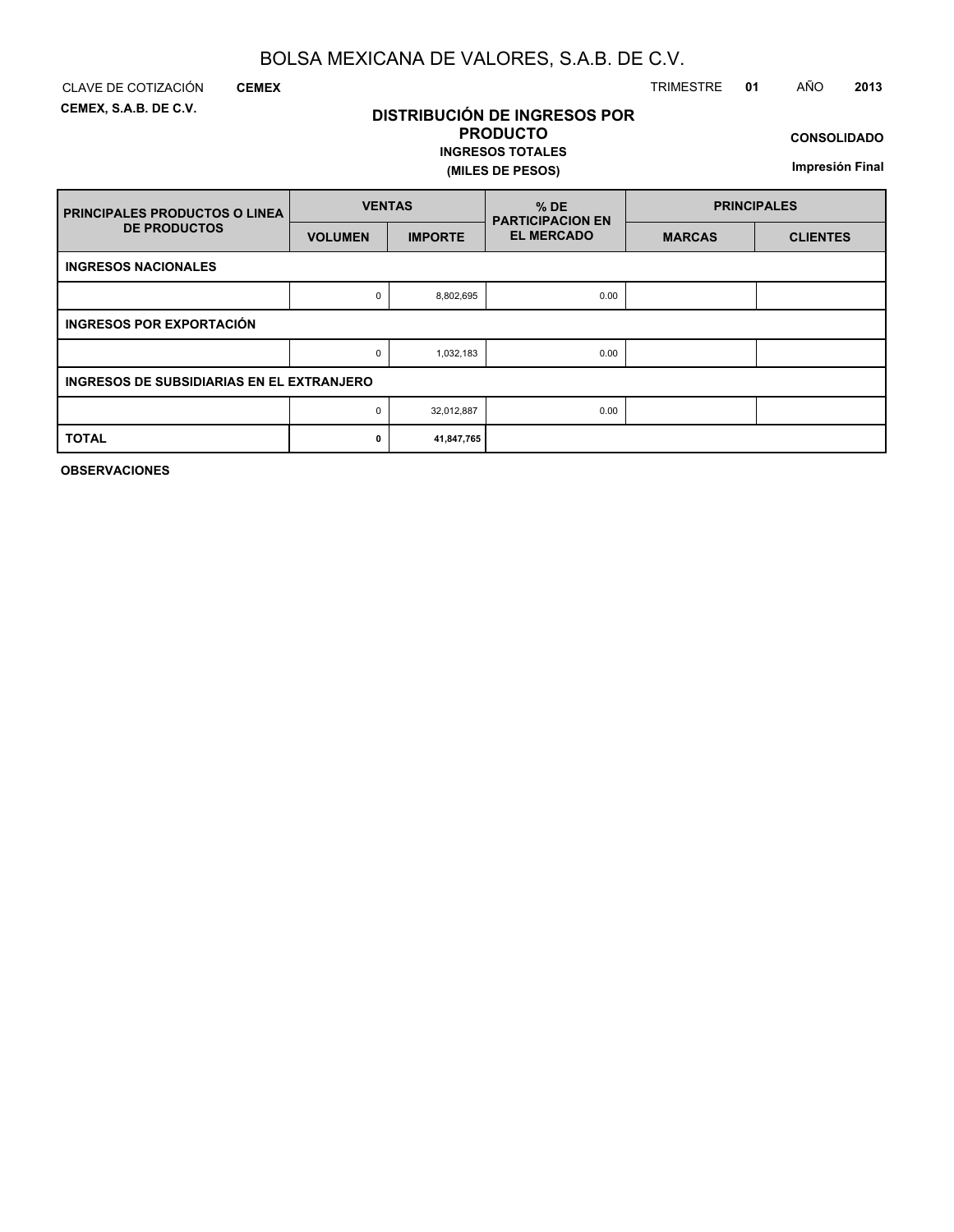**DISTRIBUCIÓN DE INGRESOS POR PRODUCTO**

**INGRESOS TOTALES**

**(MILES DE PESOS)**

**CEMEX, S.A.B. DE C.V.**

**CEMEX**

### CLAVE DE COTIZACIÓN TRIMESTRE **01** AÑO **2013**

**CONSOLIDADO**

**Impresión Final**

| <b>PRINCIPALES PRODUCTOS O LINEA</b>      | <b>VENTAS</b>  |                | $%$ DE<br><b>PARTICIPACION EN</b> | <b>PRINCIPALES</b> |                 |  |
|-------------------------------------------|----------------|----------------|-----------------------------------|--------------------|-----------------|--|
| <b>DE PRODUCTOS</b>                       | <b>VOLUMEN</b> | <b>IMPORTE</b> | <b>EL MERCADO</b>                 | <b>MARCAS</b>      | <b>CLIENTES</b> |  |
| <b>INGRESOS NACIONALES</b>                |                |                |                                   |                    |                 |  |
|                                           | 0              | 8,802,695      | 0.00                              |                    |                 |  |
| <b>INGRESOS POR EXPORTACIÓN</b>           |                |                |                                   |                    |                 |  |
|                                           | 0              | 1,032,183      | 0.00                              |                    |                 |  |
| INGRESOS DE SUBSIDIARIAS EN EL EXTRANJERO |                |                |                                   |                    |                 |  |
|                                           | 0              | 32,012,887     | 0.00                              |                    |                 |  |
| <b>TOTAL</b>                              | 0              | 41,847,765     |                                   |                    |                 |  |

**OBSERVACIONES**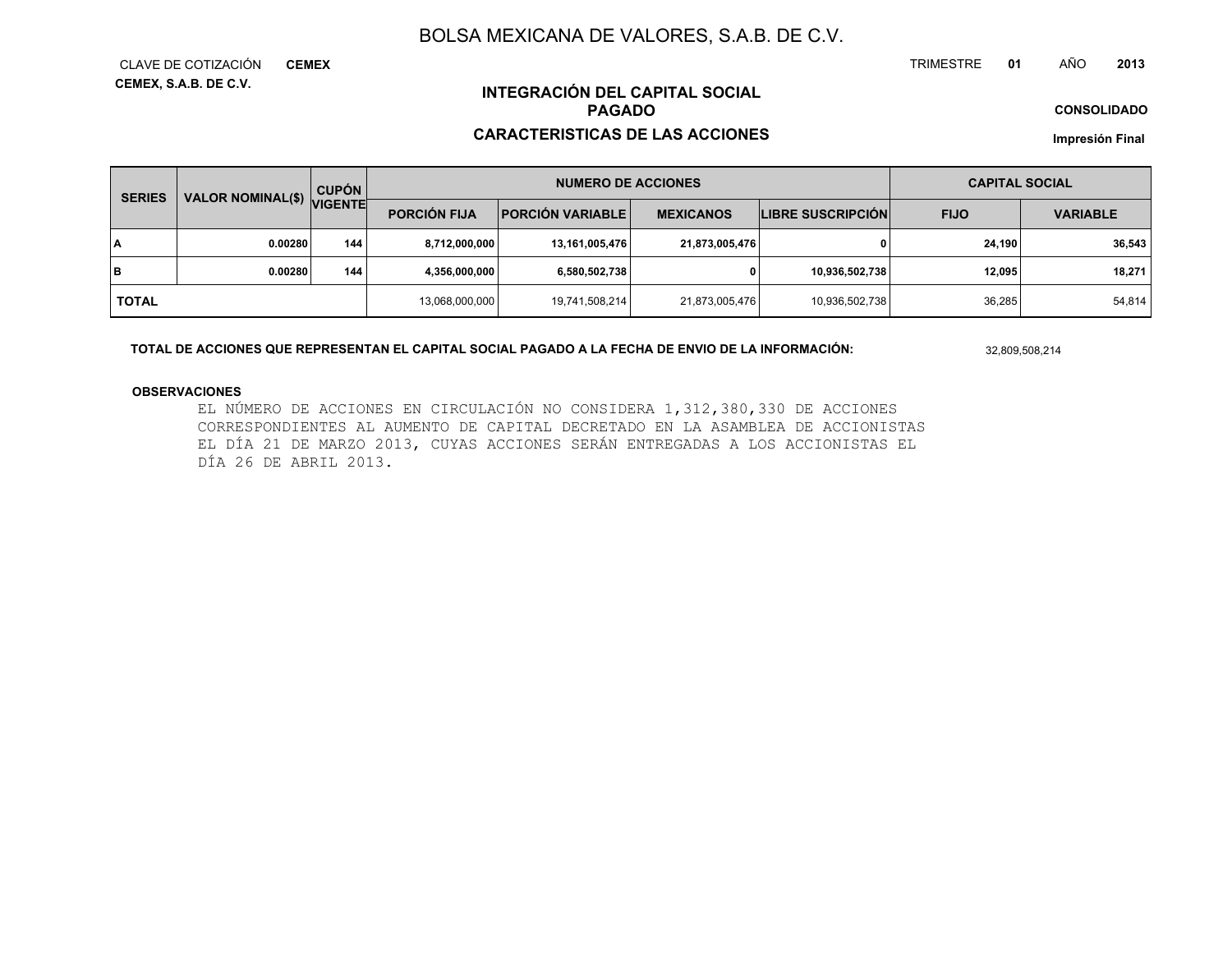**CEMEX, S.A.B. DE C.V.** CLAVE DE COTIZACIÓN**CEMEX** TRIMESTRE **<sup>01</sup>** AÑO**<sup>2013</sup>**

**CONSOLIDADO**

### **INTEGRACIÓN DEL CAPITAL SOCIALPAGADO**

#### **CARACTERISTICAS DE LAS ACCIONES**

**Impresión Final**

|              | VALOR NOMINAL(\$)<br><b>SERIES</b> |                |                     | <b>CUPÓN</b>              |                  | <b>NUMERO DE ACCIONES</b> |             |                 | <b>CAPITAL SOCIAL</b> |  |
|--------------|------------------------------------|----------------|---------------------|---------------------------|------------------|---------------------------|-------------|-----------------|-----------------------|--|
|              |                                    | <b>VIGENTE</b> | <b>PORCIÓN FIJA</b> | <b>PORCIÓN VARIABLE  </b> | <b>MEXICANOS</b> | <b>LIBRE SUSCRIPCIÓN</b>  | <b>FIJO</b> | <b>VARIABLE</b> |                       |  |
| I٨           | 0.00280                            | 144            | 8,712,000,000       | 13,161,005,476            | 21,873,005,476   |                           | 24.190      | 36,543          |                       |  |
| lв           | 0.00280                            | 144            | 4,356,000,000       | 6,580,502,738             |                  | 10,936,502,738            | 12.095      | 18,271          |                       |  |
| <b>TOTAL</b> |                                    |                | 13,068,000,000      | 19,741,508,214            | 21,873,005,476   | 10,936,502,738            | 36,285      | 54,814          |                       |  |

**TOTAL DE ACCIONES QUE REPRESENTAN EL CAPITAL SOCIAL PAGADO A LA FECHA DE ENVIO DE LA INFORMACIÓN:**

32,809,508,214

#### **OBSERVACIONES**

EL NÚMERO DE ACCIONES EN CIRCULACIÓN NO CONSIDERA 1,312,380,330 DE ACCIONES CORRESPONDIENTES AL AUMENTO DE CAPITAL DECRETADO EN LA ASAMBLEA DE ACCIONISTAS EL DÍA 21 DE MARZO 2013, CUYAS ACCIONES SERÁN ENTREGADAS A LOS ACCIONISTAS ELDÍA 26 DE ABRIL 2013.